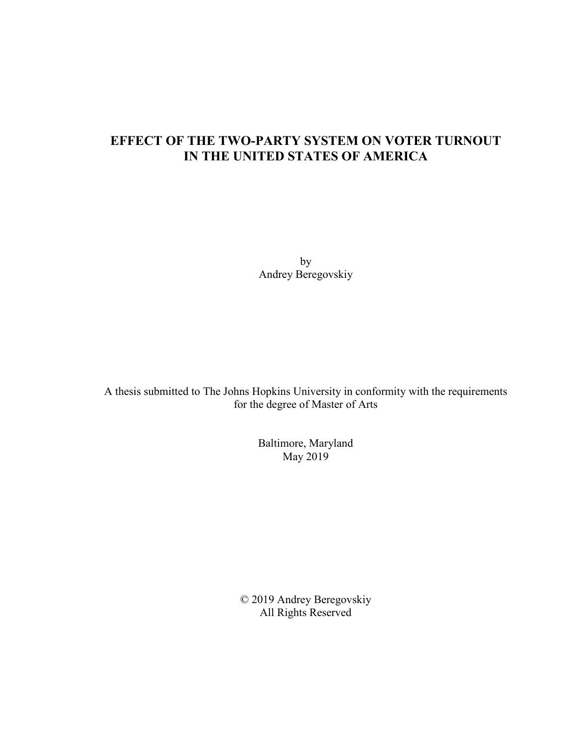### **EFFECT OF THE TWO-PARTY SYSTEM ON VOTER TURNOUT IN THE UNITED STATES OF AMERICA**

by Andrey Beregovskiy

A thesis submitted to The Johns Hopkins University in conformity with the requirements for the degree of Master of Arts

> Baltimore, Maryland May 2019

© 2019 Andrey Beregovskiy All Rights Reserved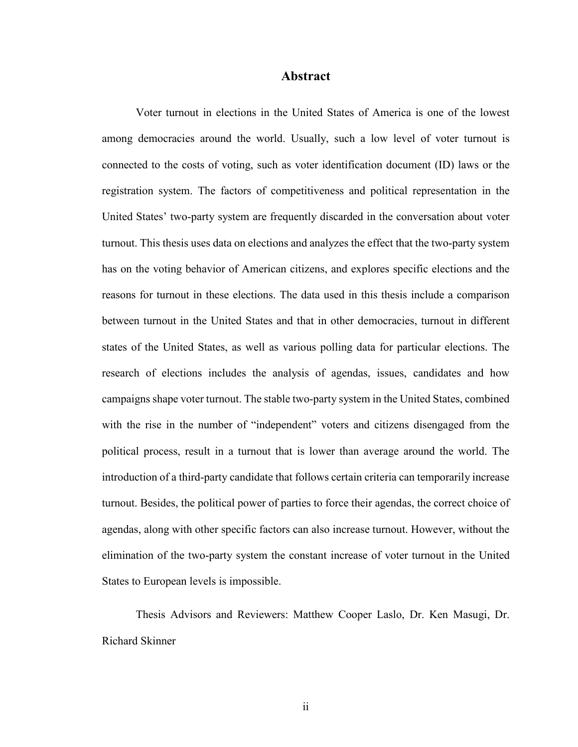#### **Abstract**

Voter turnout in elections in the United States of America is one of the lowest among democracies around the world. Usually, such a low level of voter turnout is connected to the costs of voting, such as voter identification document (ID) laws or the registration system. The factors of competitiveness and political representation in the United States' two-party system are frequently discarded in the conversation about voter turnout. This thesis uses data on elections and analyzes the effect that the two-party system has on the voting behavior of American citizens, and explores specific elections and the reasons for turnout in these elections. The data used in this thesis include a comparison between turnout in the United States and that in other democracies, turnout in different states of the United States, as well as various polling data for particular elections. The research of elections includes the analysis of agendas, issues, candidates and how campaigns shape voter turnout. The stable two-party system in the United States, combined with the rise in the number of "independent" voters and citizens disengaged from the political process, result in a turnout that is lower than average around the world. The introduction of a third-party candidate that follows certain criteria can temporarily increase turnout. Besides, the political power of parties to force their agendas, the correct choice of agendas, along with other specific factors can also increase turnout. However, without the elimination of the two-party system the constant increase of voter turnout in the United States to European levels is impossible.

Thesis Advisors and Reviewers: Matthew Cooper Laslo, Dr. Ken Masugi, Dr. Richard Skinner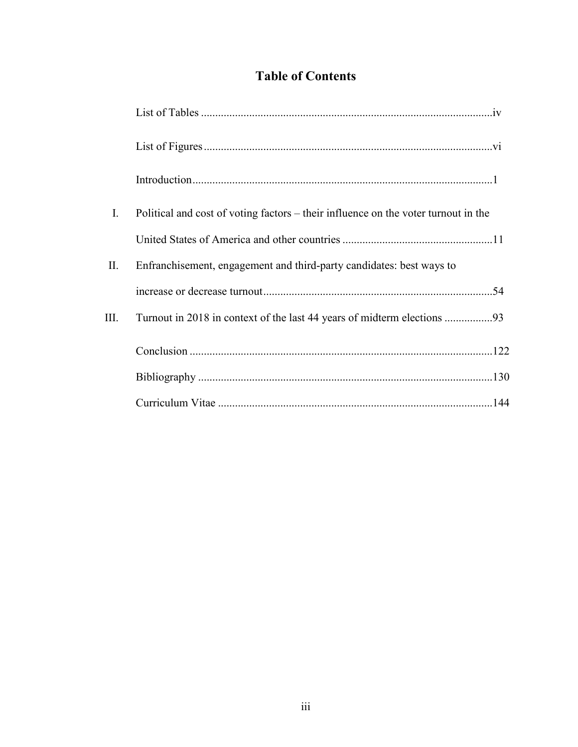### **Table of Contents**

| $\mathbf{I}$ . | Political and cost of voting factors – their influence on the voter turnout in the |
|----------------|------------------------------------------------------------------------------------|
|                |                                                                                    |
| П.             | Enfranchisement, engagement and third-party candidates: best ways to               |
|                |                                                                                    |
| Ш.             |                                                                                    |
|                |                                                                                    |
|                |                                                                                    |
|                |                                                                                    |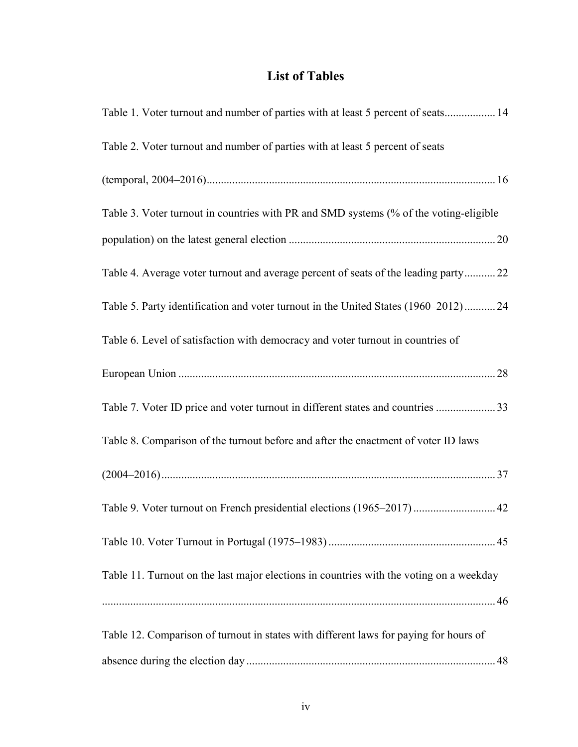### **List of Tables**

| Table 1. Voter turnout and number of parties with at least 5 percent of seats 14        |
|-----------------------------------------------------------------------------------------|
| Table 2. Voter turnout and number of parties with at least 5 percent of seats           |
|                                                                                         |
| Table 3. Voter turnout in countries with PR and SMD systems (% of the voting-eligible   |
|                                                                                         |
| Table 4. Average voter turnout and average percent of seats of the leading party 22     |
| Table 5. Party identification and voter turnout in the United States (1960–2012)24      |
| Table 6. Level of satisfaction with democracy and voter turnout in countries of         |
|                                                                                         |
| Table 7. Voter ID price and voter turnout in different states and countries 33          |
| Table 8. Comparison of the turnout before and after the enactment of voter ID laws      |
|                                                                                         |
| Table 9. Voter turnout on French presidential elections (1965-2017)  42                 |
|                                                                                         |
| Table 11. Turnout on the last major elections in countries with the voting on a weekday |
|                                                                                         |
| Table 12. Comparison of turnout in states with different laws for paying for hours of   |
|                                                                                         |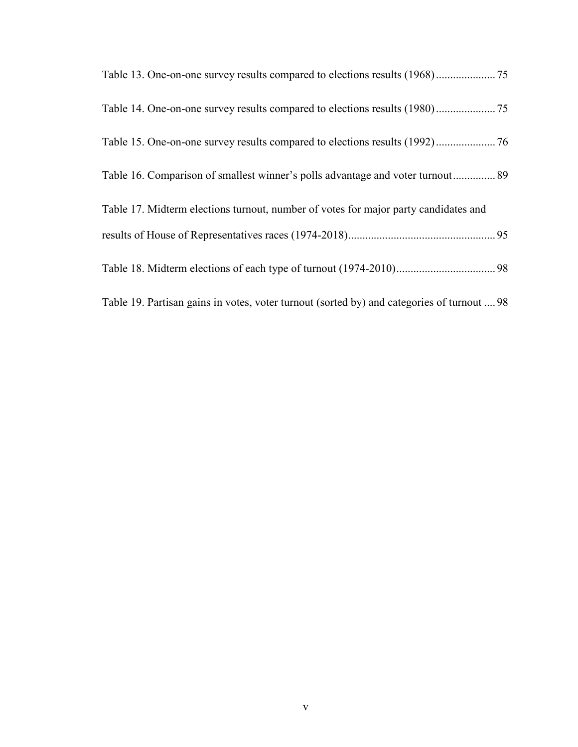| Table 16. Comparison of smallest winner's polls advantage and voter turnout 89             |
|--------------------------------------------------------------------------------------------|
| Table 17. Midterm elections turnout, number of votes for major party candidates and        |
|                                                                                            |
|                                                                                            |
| Table 19. Partisan gains in votes, voter turnout (sorted by) and categories of turnout  98 |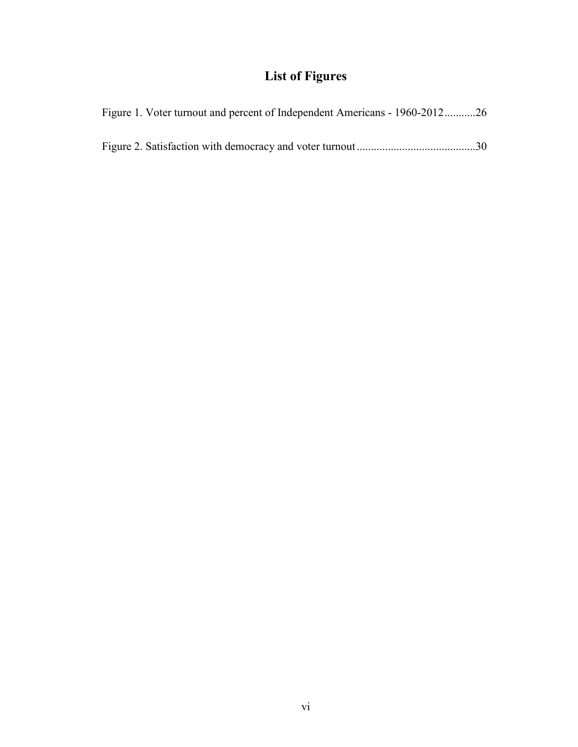## **List of Figures**

| Figure 1. Voter turnout and percent of Independent Americans - 1960-201226 |
|----------------------------------------------------------------------------|
|                                                                            |
|                                                                            |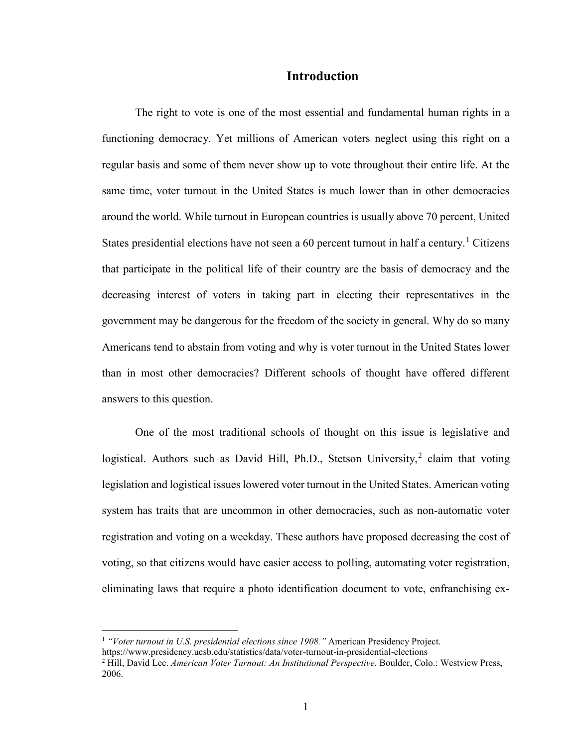#### **Introduction**

The right to vote is one of the most essential and fundamental human rights in a functioning democracy. Yet millions of American voters neglect using this right on a regular basis and some of them never show up to vote throughout their entire life. At the same time, voter turnout in the United States is much lower than in other democracies around the world. While turnout in European countries is usually above 70 percent, United States presidential elections have not seen a  $60$  percent turnout in half a century.<sup>[1](#page-6-0)</sup> Citizens that participate in the political life of their country are the basis of democracy and the decreasing interest of voters in taking part in electing their representatives in the government may be dangerous for the freedom of the society in general. Why do so many Americans tend to abstain from voting and why is voter turnout in the United States lower than in most other democracies? Different schools of thought have offered different answers to this question.

One of the most traditional schools of thought on this issue is legislative and logistical. Authors such as David Hill, Ph.D., Stetson University,<sup>[2](#page-6-1)</sup> claim that voting legislation and logistical issues lowered voter turnout in the United States. American voting system has traits that are uncommon in other democracies, such as non-automatic voter registration and voting on a weekday. These authors have proposed decreasing the cost of voting, so that citizens would have easier access to polling, automating voter registration, eliminating laws that require a photo identification document to vote, enfranchising ex-

<span id="page-6-0"></span><sup>1</sup> *"Voter turnout in U.S. presidential elections since 1908."* American Presidency Project.

https://www.presidency.ucsb.edu/statistics/data/voter-turnout-in-presidential-elections

<span id="page-6-1"></span><sup>2</sup> Hill, David Lee. *American Voter Turnout: An Institutional Perspective.* Boulder, Colo.: Westview Press, 2006.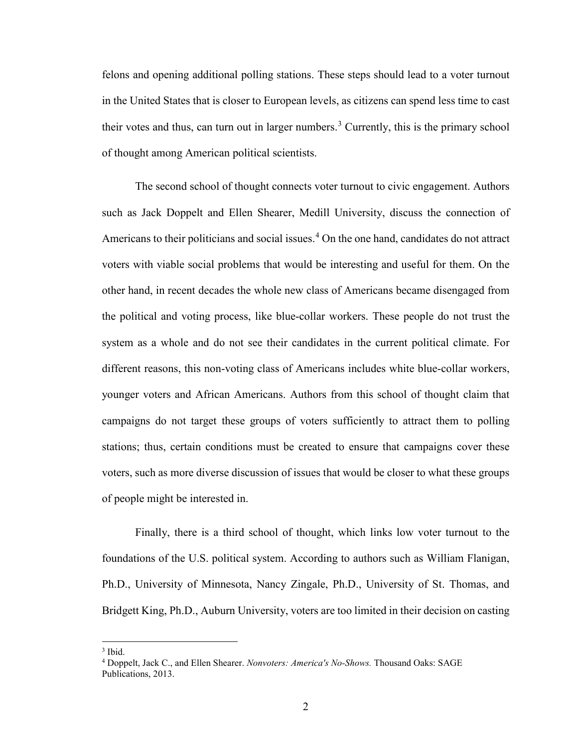felons and opening additional polling stations. These steps should lead to a voter turnout in the United States that is closer to European levels, as citizens can spend less time to cast their votes and thus, can turn out in larger numbers. [3](#page-7-0) Currently, this is the primary school of thought among American political scientists.

The second school of thought connects voter turnout to civic engagement. Authors such as Jack Doppelt and Ellen Shearer, Medill University, discuss the connection of Americans to their politicians and social issues.<sup>[4](#page-7-1)</sup> On the one hand, candidates do not attract voters with viable social problems that would be interesting and useful for them. On the other hand, in recent decades the whole new class of Americans became disengaged from the political and voting process, like blue-collar workers. These people do not trust the system as a whole and do not see their candidates in the current political climate. For different reasons, this non-voting class of Americans includes white blue-collar workers, younger voters and African Americans. Authors from this school of thought claim that campaigns do not target these groups of voters sufficiently to attract them to polling stations; thus, certain conditions must be created to ensure that campaigns cover these voters, such as more diverse discussion of issues that would be closer to what these groups of people might be interested in.

Finally, there is a third school of thought, which links low voter turnout to the foundations of the U.S. political system. According to authors such as William Flanigan, Ph.D., University of Minnesota, Nancy Zingale, Ph.D., University of St. Thomas, and Bridgett King, Ph.D., Auburn University, voters are too limited in their decision on casting

<span id="page-7-0"></span><sup>3</sup> Ibid.

<span id="page-7-1"></span><sup>4</sup> Doppelt, Jack C., and Ellen Shearer. *Nonvoters: America's No-Shows.* Thousand Oaks: SAGE Publications, 2013.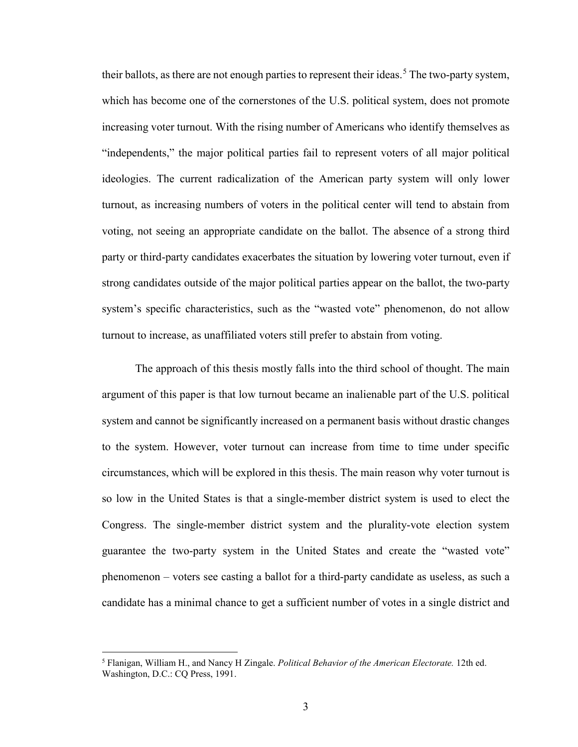their ballots, as there are not enough parties to represent their ideas.<sup>[5](#page-8-0)</sup> The two-party system, which has become one of the cornerstones of the U.S. political system, does not promote increasing voter turnout. With the rising number of Americans who identify themselves as "independents," the major political parties fail to represent voters of all major political ideologies. The current radicalization of the American party system will only lower turnout, as increasing numbers of voters in the political center will tend to abstain from voting, not seeing an appropriate candidate on the ballot. The absence of a strong third party or third-party candidates exacerbates the situation by lowering voter turnout, even if strong candidates outside of the major political parties appear on the ballot, the two-party system's specific characteristics, such as the "wasted vote" phenomenon, do not allow turnout to increase, as unaffiliated voters still prefer to abstain from voting.

The approach of this thesis mostly falls into the third school of thought. The main argument of this paper is that low turnout became an inalienable part of the U.S. political system and cannot be significantly increased on a permanent basis without drastic changes to the system. However, voter turnout can increase from time to time under specific circumstances, which will be explored in this thesis. The main reason why voter turnout is so low in the United States is that a single-member district system is used to elect the Congress. The single-member district system and the plurality-vote election system guarantee the two-party system in the United States and create the "wasted vote" phenomenon – voters see casting a ballot for a third-party candidate as useless, as such a candidate has a minimal chance to get a sufficient number of votes in a single district and

<span id="page-8-0"></span><sup>5</sup> Flanigan, William H., and Nancy H Zingale. *Political Behavior of the American Electorate.* 12th ed. Washington, D.C.: CQ Press, 1991.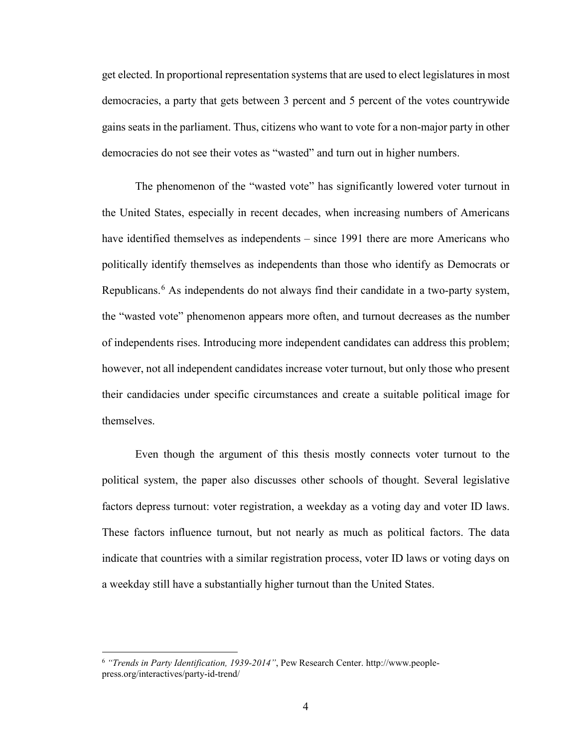get elected. In proportional representation systems that are used to elect legislatures in most democracies, a party that gets between 3 percent and 5 percent of the votes countrywide gains seats in the parliament. Thus, citizens who want to vote for a non-major party in other democracies do not see their votes as "wasted" and turn out in higher numbers.

The phenomenon of the "wasted vote" has significantly lowered voter turnout in the United States, especially in recent decades, when increasing numbers of Americans have identified themselves as independents – since 1991 there are more Americans who politically identify themselves as independents than those who identify as Democrats or Republicans.<sup>[6](#page-9-0)</sup> As independents do not always find their candidate in a two-party system, the "wasted vote" phenomenon appears more often, and turnout decreases as the number of independents rises. Introducing more independent candidates can address this problem; however, not all independent candidates increase voter turnout, but only those who present their candidacies under specific circumstances and create a suitable political image for themselves.

Even though the argument of this thesis mostly connects voter turnout to the political system, the paper also discusses other schools of thought. Several legislative factors depress turnout: voter registration, a weekday as a voting day and voter ID laws. These factors influence turnout, but not nearly as much as political factors. The data indicate that countries with a similar registration process, voter ID laws or voting days on a weekday still have a substantially higher turnout than the United States.

<span id="page-9-0"></span><sup>6</sup> *"Trends in Party Identification, 1939-2014"*, Pew Research Center. http://www.peoplepress.org/interactives/party-id-trend/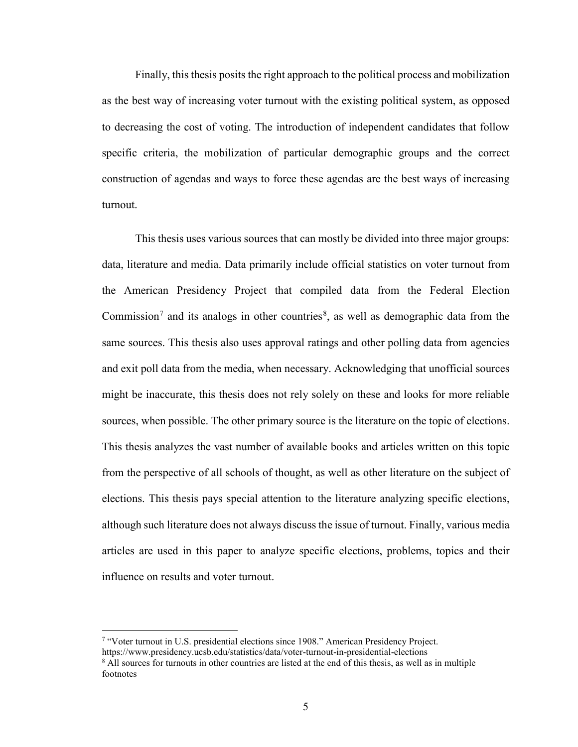Finally, this thesis posits the right approach to the political process and mobilization as the best way of increasing voter turnout with the existing political system, as opposed to decreasing the cost of voting. The introduction of independent candidates that follow specific criteria, the mobilization of particular demographic groups and the correct construction of agendas and ways to force these agendas are the best ways of increasing turnout.

This thesis uses various sources that can mostly be divided into three major groups: data, literature and media. Data primarily include official statistics on voter turnout from the American Presidency Project that compiled data from the Federal Election Commission<sup>[7](#page-10-0)</sup> and its analogs in other countries<sup>[8](#page-10-1)</sup>, as well as demographic data from the same sources. This thesis also uses approval ratings and other polling data from agencies and exit poll data from the media, when necessary. Acknowledging that unofficial sources might be inaccurate, this thesis does not rely solely on these and looks for more reliable sources, when possible. The other primary source is the literature on the topic of elections. This thesis analyzes the vast number of available books and articles written on this topic from the perspective of all schools of thought, as well as other literature on the subject of elections. This thesis pays special attention to the literature analyzing specific elections, although such literature does not always discuss the issue of turnout. Finally, various media articles are used in this paper to analyze specific elections, problems, topics and their influence on results and voter turnout.

<span id="page-10-0"></span><sup>7</sup> "Voter turnout in U.S. presidential elections since 1908." American Presidency Project.

https://www.presidency.ucsb.edu/statistics/data/voter-turnout-in-presidential-elections

<span id="page-10-1"></span><sup>&</sup>lt;sup>8</sup> All sources for turnouts in other countries are listed at the end of this thesis, as well as in multiple footnotes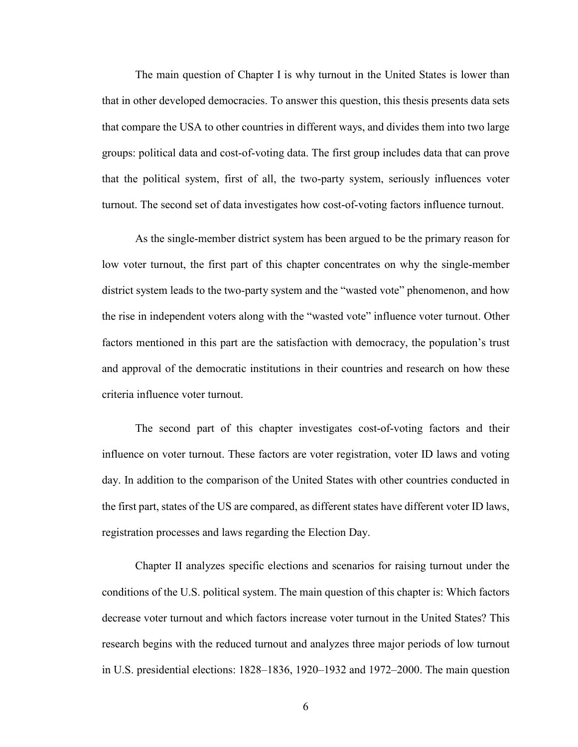The main question of Chapter I is why turnout in the United States is lower than that in other developed democracies. To answer this question, this thesis presents data sets that compare the USA to other countries in different ways, and divides them into two large groups: political data and cost-of-voting data. The first group includes data that can prove that the political system, first of all, the two-party system, seriously influences voter turnout. The second set of data investigates how cost-of-voting factors influence turnout.

As the single-member district system has been argued to be the primary reason for low voter turnout, the first part of this chapter concentrates on why the single-member district system leads to the two-party system and the "wasted vote" phenomenon, and how the rise in independent voters along with the "wasted vote" influence voter turnout. Other factors mentioned in this part are the satisfaction with democracy, the population's trust and approval of the democratic institutions in their countries and research on how these criteria influence voter turnout.

The second part of this chapter investigates cost-of-voting factors and their influence on voter turnout. These factors are voter registration, voter ID laws and voting day. In addition to the comparison of the United States with other countries conducted in the first part, states of the US are compared, as different states have different voter ID laws, registration processes and laws regarding the Election Day.

Chapter II analyzes specific elections and scenarios for raising turnout under the conditions of the U.S. political system. The main question of this chapter is: Which factors decrease voter turnout and which factors increase voter turnout in the United States? This research begins with the reduced turnout and analyzes three major periods of low turnout in U.S. presidential elections: 1828–1836, 1920–1932 and 1972–2000. The main question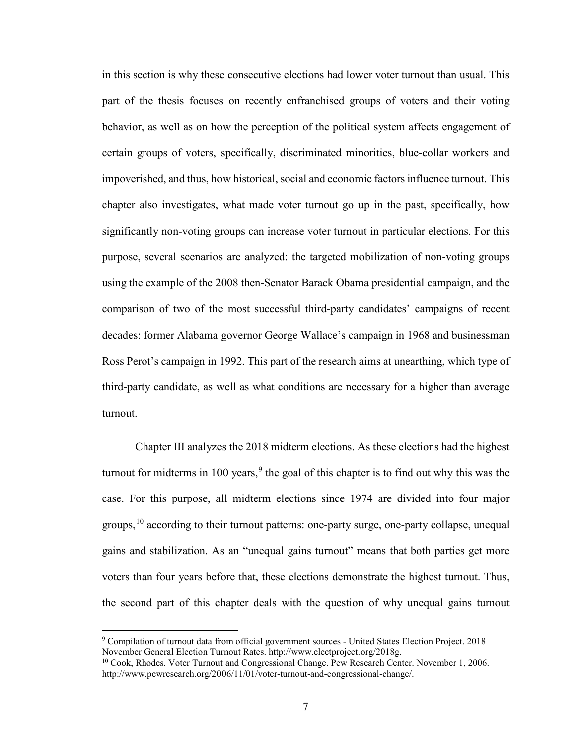in this section is why these consecutive elections had lower voter turnout than usual. This part of the thesis focuses on recently enfranchised groups of voters and their voting behavior, as well as on how the perception of the political system affects engagement of certain groups of voters, specifically, discriminated minorities, blue-collar workers and impoverished, and thus, how historical, social and economic factors influence turnout. This chapter also investigates, what made voter turnout go up in the past, specifically, how significantly non-voting groups can increase voter turnout in particular elections. For this purpose, several scenarios are analyzed: the targeted mobilization of non-voting groups using the example of the 2008 then-Senator Barack Obama presidential campaign, and the comparison of two of the most successful third-party candidates' campaigns of recent decades: former Alabama governor George Wallace's campaign in 1968 and businessman Ross Perot's campaign in 1992. This part of the research aims at unearthing, which type of third-party candidate, as well as what conditions are necessary for a higher than average turnout.

Chapter III analyzes the 2018 midterm elections. As these elections had the highest turnout for midterms in 100 years,  $9$  the goal of this chapter is to find out why this was the case. For this purpose, all midterm elections since 1974 are divided into four major groups,  $10$  according to their turnout patterns: one-party surge, one-party collapse, unequal gains and stabilization. As an "unequal gains turnout" means that both parties get more voters than four years before that, these elections demonstrate the highest turnout. Thus, the second part of this chapter deals with the question of why unequal gains turnout

<span id="page-12-0"></span><sup>9</sup> Compilation of turnout data from official government sources - United States Election Project. 2018 November General Election Turnout Rates. http://www.electproject.org/2018g.

<span id="page-12-1"></span><sup>&</sup>lt;sup>10</sup> Cook, Rhodes. Voter Turnout and Congressional Change. Pew Research Center. November 1, 2006. http://www.pewresearch.org/2006/11/01/voter-turnout-and-congressional-change/.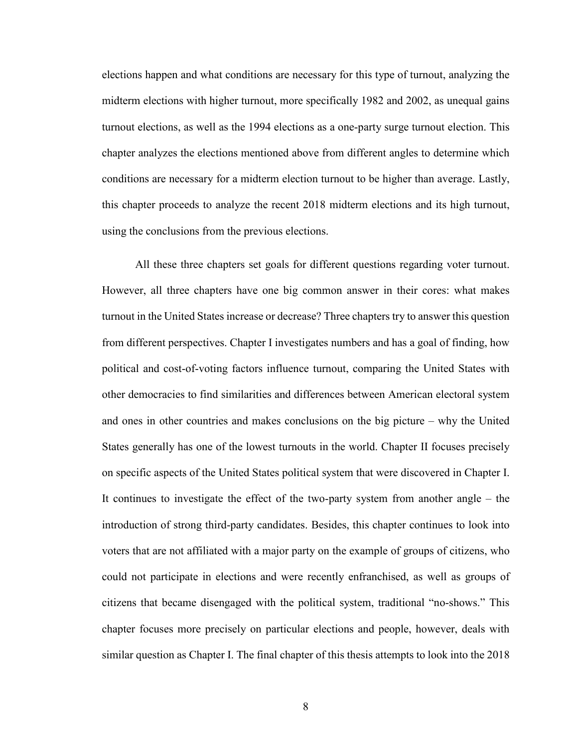elections happen and what conditions are necessary for this type of turnout, analyzing the midterm elections with higher turnout, more specifically 1982 and 2002, as unequal gains turnout elections, as well as the 1994 elections as a one-party surge turnout election. This chapter analyzes the elections mentioned above from different angles to determine which conditions are necessary for a midterm election turnout to be higher than average. Lastly, this chapter proceeds to analyze the recent 2018 midterm elections and its high turnout, using the conclusions from the previous elections.

All these three chapters set goals for different questions regarding voter turnout. However, all three chapters have one big common answer in their cores: what makes turnout in the United States increase or decrease? Three chapters try to answer this question from different perspectives. Chapter I investigates numbers and has a goal of finding, how political and cost-of-voting factors influence turnout, comparing the United States with other democracies to find similarities and differences between American electoral system and ones in other countries and makes conclusions on the big picture – why the United States generally has one of the lowest turnouts in the world. Chapter II focuses precisely on specific aspects of the United States political system that were discovered in Chapter I. It continues to investigate the effect of the two-party system from another angle – the introduction of strong third-party candidates. Besides, this chapter continues to look into voters that are not affiliated with a major party on the example of groups of citizens, who could not participate in elections and were recently enfranchised, as well as groups of citizens that became disengaged with the political system, traditional "no-shows." This chapter focuses more precisely on particular elections and people, however, deals with similar question as Chapter I. The final chapter of this thesis attempts to look into the 2018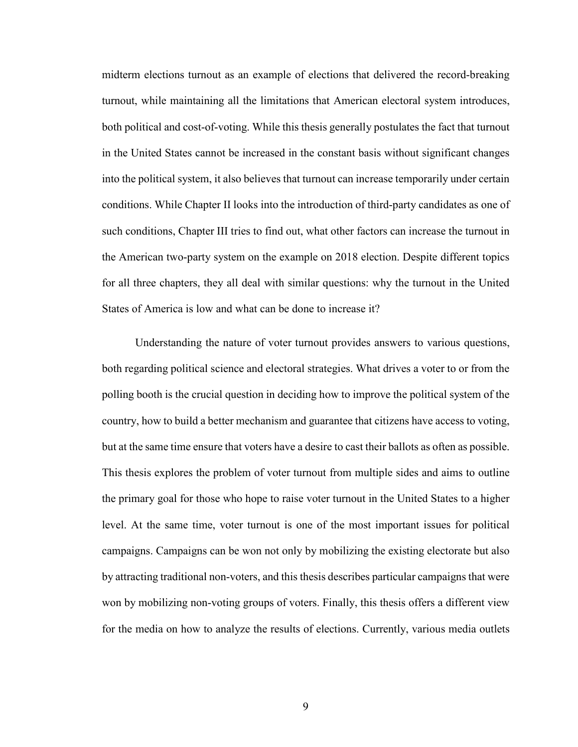midterm elections turnout as an example of elections that delivered the record-breaking turnout, while maintaining all the limitations that American electoral system introduces, both political and cost-of-voting. While this thesis generally postulates the fact that turnout in the United States cannot be increased in the constant basis without significant changes into the political system, it also believes that turnout can increase temporarily under certain conditions. While Chapter II looks into the introduction of third-party candidates as one of such conditions, Chapter III tries to find out, what other factors can increase the turnout in the American two-party system on the example on 2018 election. Despite different topics for all three chapters, they all deal with similar questions: why the turnout in the United States of America is low and what can be done to increase it?

Understanding the nature of voter turnout provides answers to various questions, both regarding political science and electoral strategies. What drives a voter to or from the polling booth is the crucial question in deciding how to improve the political system of the country, how to build a better mechanism and guarantee that citizens have access to voting, but at the same time ensure that voters have a desire to cast their ballots as often as possible. This thesis explores the problem of voter turnout from multiple sides and aims to outline the primary goal for those who hope to raise voter turnout in the United States to a higher level. At the same time, voter turnout is one of the most important issues for political campaigns. Campaigns can be won not only by mobilizing the existing electorate but also by attracting traditional non-voters, and this thesis describes particular campaigns that were won by mobilizing non-voting groups of voters. Finally, this thesis offers a different view for the media on how to analyze the results of elections. Currently, various media outlets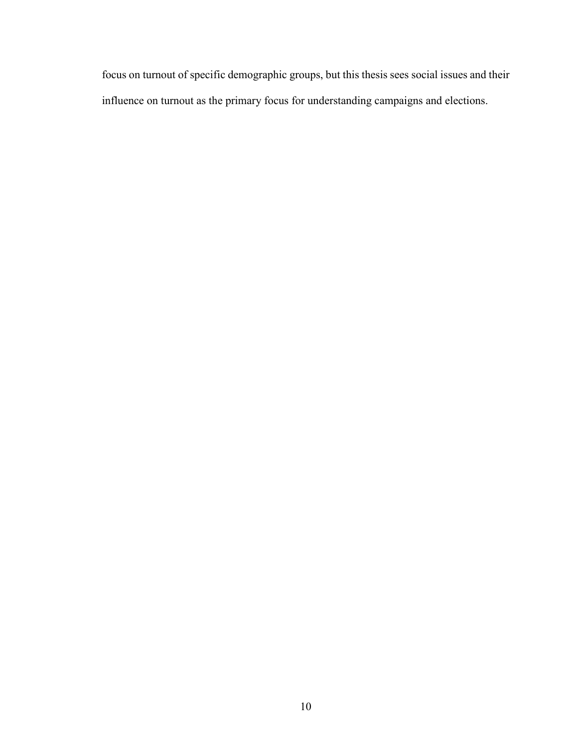focus on turnout of specific demographic groups, but this thesis sees social issues and their influence on turnout as the primary focus for understanding campaigns and elections.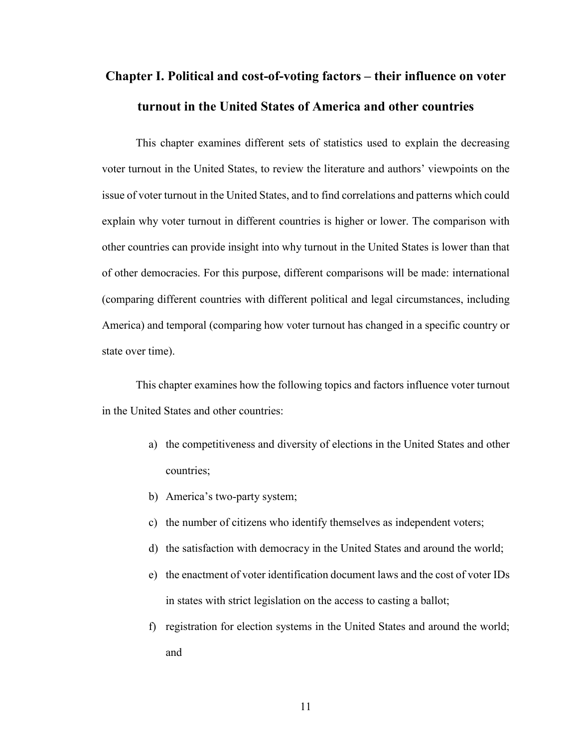# **Chapter I. Political and cost-of-voting factors – their influence on voter turnout in the United States of America and other countries**

This chapter examines different sets of statistics used to explain the decreasing voter turnout in the United States, to review the literature and authors' viewpoints on the issue of voter turnout in the United States, and to find correlations and patterns which could explain why voter turnout in different countries is higher or lower. The comparison with other countries can provide insight into why turnout in the United States is lower than that of other democracies. For this purpose, different comparisons will be made: international (comparing different countries with different political and legal circumstances, including America) and temporal (comparing how voter turnout has changed in a specific country or state over time).

This chapter examines how the following topics and factors influence voter turnout in the United States and other countries:

- a) the competitiveness and diversity of elections in the United States and other countries;
- b) America's two-party system;
- c) the number of citizens who identify themselves as independent voters;
- d) the satisfaction with democracy in the United States and around the world;
- e) the enactment of voter identification document laws and the cost of voter IDs in states with strict legislation on the access to casting a ballot;
- f) registration for election systems in the United States and around the world; and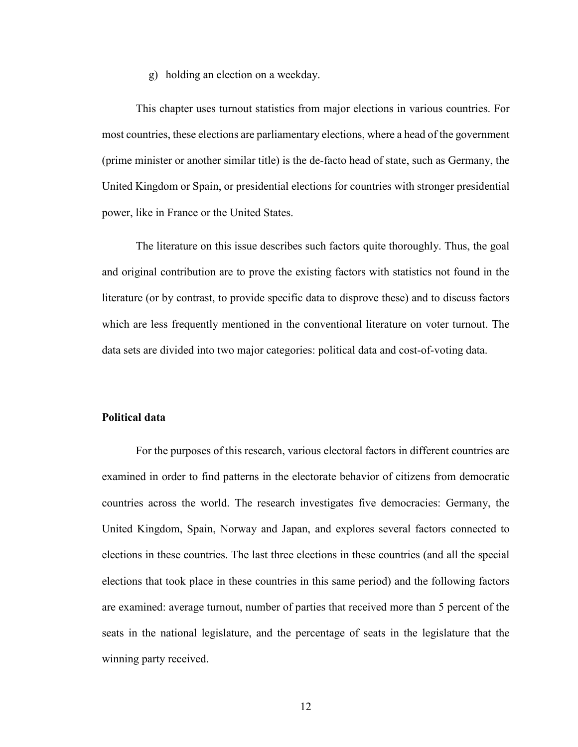g) holding an election on a weekday.

This chapter uses turnout statistics from major elections in various countries. For most countries, these elections are parliamentary elections, where a head of the government (prime minister or another similar title) is the de-facto head of state, such as Germany, the United Kingdom or Spain, or presidential elections for countries with stronger presidential power, like in France or the United States.

The literature on this issue describes such factors quite thoroughly. Thus, the goal and original contribution are to prove the existing factors with statistics not found in the literature (or by contrast, to provide specific data to disprove these) and to discuss factors which are less frequently mentioned in the conventional literature on voter turnout. The data sets are divided into two major categories: political data and cost-of-voting data.

#### **Political data**

For the purposes of this research, various electoral factors in different countries are examined in order to find patterns in the electorate behavior of citizens from democratic countries across the world. The research investigates five democracies: Germany, the United Kingdom, Spain, Norway and Japan, and explores several factors connected to elections in these countries. The last three elections in these countries (and all the special elections that took place in these countries in this same period) and the following factors are examined: average turnout, number of parties that received more than 5 percent of the seats in the national legislature, and the percentage of seats in the legislature that the winning party received.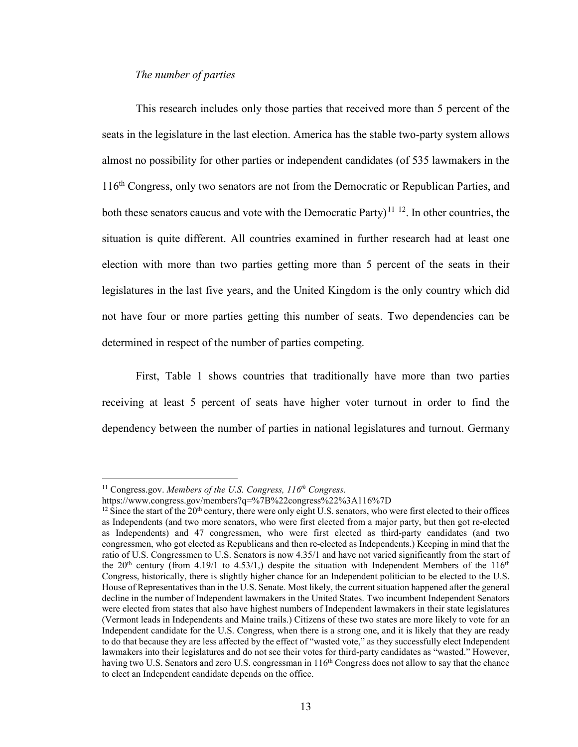#### *The number of parties*

This research includes only those parties that received more than 5 percent of the seats in the legislature in the last election. America has the stable two-party system allows almost no possibility for other parties or independent candidates (of 535 lawmakers in the 116<sup>th</sup> Congress, only two senators are not from the Democratic or Republican Parties, and both these senators caucus and vote with the Democratic Party)<sup>[11](#page-18-0) [12](#page-18-1)</sup>. In other countries, the situation is quite different. All countries examined in further research had at least one election with more than two parties getting more than 5 percent of the seats in their legislatures in the last five years, and the United Kingdom is the only country which did not have four or more parties getting this number of seats. Two dependencies can be determined in respect of the number of parties competing.

First, Table 1 shows countries that traditionally have more than two parties receiving at least 5 percent of seats have higher voter turnout in order to find the dependency between the number of parties in national legislatures and turnout. Germany

 $\overline{a}$ 

<sup>11</sup> Congress.gov. *Members of the U.S. Congress, 116th Congress.* 

<span id="page-18-1"></span><span id="page-18-0"></span>https://www.congress.gov/members?q=%7B%22congress%22%3A116%7D

 $12$  Since the start of the 20<sup>th</sup> century, there were only eight U.S. senators, who were first elected to their offices as Independents (and two more senators, who were first elected from a major party, but then got re-elected as Independents) and 47 congressmen, who were first elected as third-party candidates (and two congressmen, who got elected as Republicans and then re-elected as Independents.) Keeping in mind that the ratio of U.S. Congressmen to U.S. Senators is now 4.35/1 and have not varied significantly from the start of the  $20<sup>th</sup>$  century (from 4.19/1 to 4.53/1,) despite the situation with Independent Members of the 116<sup>th</sup> Congress, historically, there is slightly higher chance for an Independent politician to be elected to the U.S. House of Representatives than in the U.S. Senate. Most likely, the current situation happened after the general decline in the number of Independent lawmakers in the United States. Two incumbent Independent Senators were elected from states that also have highest numbers of Independent lawmakers in their state legislatures (Vermont leads in Independents and Maine trails.) Citizens of these two states are more likely to vote for an Independent candidate for the U.S. Congress, when there is a strong one, and it is likely that they are ready to do that because they are less affected by the effect of "wasted vote," as they successfully elect Independent lawmakers into their legislatures and do not see their votes for third-party candidates as "wasted." However, having two U.S. Senators and zero U.S. congressman in 116<sup>th</sup> Congress does not allow to say that the chance to elect an Independent candidate depends on the office.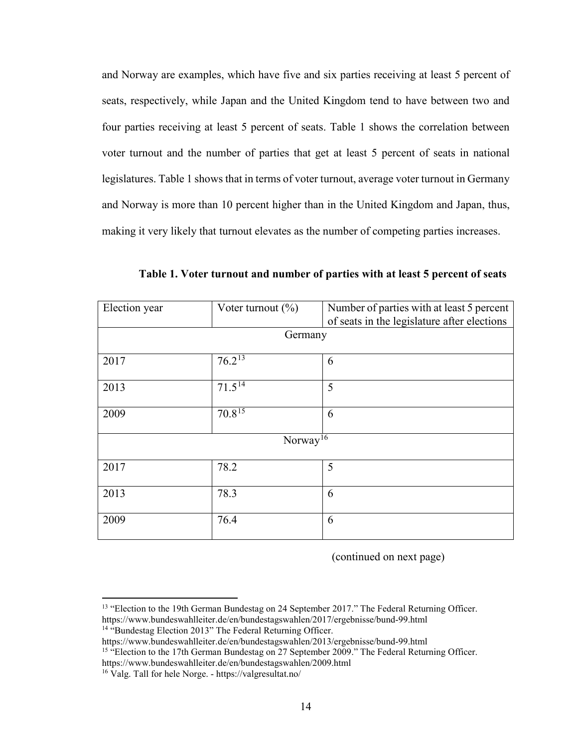and Norway are examples, which have five and six parties receiving at least 5 percent of seats, respectively, while Japan and the United Kingdom tend to have between two and four parties receiving at least 5 percent of seats. Table 1 shows the correlation between voter turnout and the number of parties that get at least 5 percent of seats in national legislatures. Table 1 shows that in terms of voter turnout, average voter turnout in Germany and Norway is more than 10 percent higher than in the United Kingdom and Japan, thus, making it very likely that turnout elevates as the number of competing parties increases.

| Election year        | Voter turnout $(\%)$ | Number of parties with at least 5 percent   |  |
|----------------------|----------------------|---------------------------------------------|--|
|                      |                      | of seats in the legislature after elections |  |
|                      | Germany              |                                             |  |
|                      |                      |                                             |  |
| 2017                 | $76.2^{13}$          | 6                                           |  |
|                      |                      |                                             |  |
| 2013                 | $71.5^{14}$          | 5                                           |  |
|                      |                      |                                             |  |
| 2009                 | $70.8^{15}$          | 6                                           |  |
|                      |                      |                                             |  |
| Norway <sup>16</sup> |                      |                                             |  |
|                      |                      |                                             |  |
| 2017                 | 78.2                 | 5                                           |  |
|                      |                      |                                             |  |
| 2013                 | 78.3                 | 6                                           |  |
|                      |                      |                                             |  |
| 2009                 | 76.4                 | 6                                           |  |
|                      |                      |                                             |  |

**Table 1. Voter turnout and number of parties with at least 5 percent of seats**

(continued on next page)

<span id="page-19-0"></span><sup>&</sup>lt;sup>13</sup> "Election to the 19th German Bundestag on 24 September 2017." The Federal Returning Officer. https://www.bundeswahlleiter.de/en/bundestagswahlen/2017/ergebnisse/bund-99.html

<sup>&</sup>lt;sup>14</sup> "Bundestag Election 2013" The Federal Returning Officer.

<span id="page-19-2"></span><span id="page-19-1"></span>https://www.bundeswahlleiter.de/en/bundestagswahlen/2013/ergebnisse/bund-99.html <sup>15</sup> "Election to the 17th German Bundestag on 27 September 2009." The Federal Returning Officer.

<span id="page-19-3"></span>https://www.bundeswahlleiter.de/en/bundestagswahlen/2009.html

<sup>&</sup>lt;sup>16</sup> Valg. Tall for hele Norge. - https://valgresultat.no/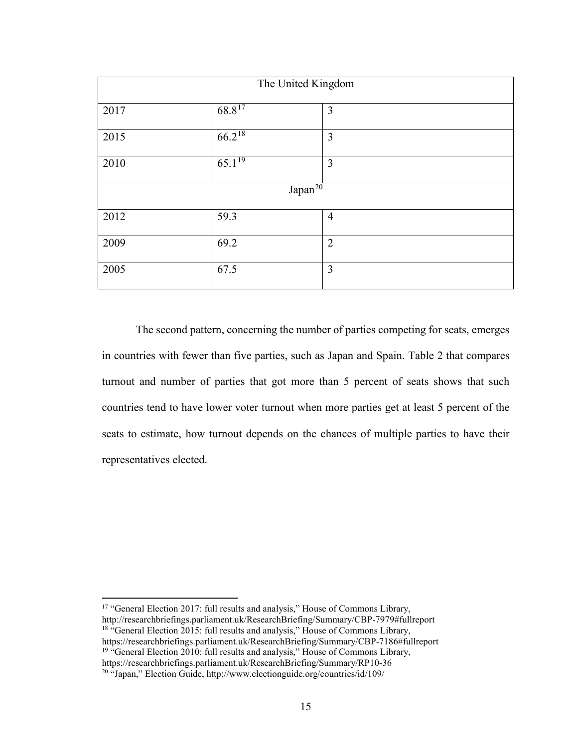| The United Kingdom  |                        |                |  |
|---------------------|------------------------|----------------|--|
| 2017                | $68.8^{17}$            | 3              |  |
| 2015                | $66.2^{18}$            | $\mathfrak{Z}$ |  |
| 2010                | $6\overline{5.1^{19}}$ | 3              |  |
| Japan <sup>20</sup> |                        |                |  |
| 2012                | 59.3                   | $\overline{4}$ |  |
| 2009                | 69.2                   | $\overline{2}$ |  |
| 2005                | 67.5                   | 3              |  |

The second pattern, concerning the number of parties competing for seats, emerges in countries with fewer than five parties, such as Japan and Spain. Table 2 that compares turnout and number of parties that got more than 5 percent of seats shows that such countries tend to have lower voter turnout when more parties get at least 5 percent of the seats to estimate, how turnout depends on the chances of multiple parties to have their representatives elected.

<span id="page-20-3"></span><span id="page-20-2"></span><span id="page-20-1"></span><span id="page-20-0"></span><sup>17</sup> "General Election 2017: full results and analysis," House of Commons Library, http://researchbriefings.parliament.uk/ResearchBriefing/Summary/CBP-7979#fullreport <sup>18</sup> "General Election 2015: full results and analysis," House of Commons Library, https://researchbriefings.parliament.uk/ResearchBriefing/Summary/CBP-7186#fullreport <sup>19 "</sup>General Election 2010: full results and analysis," House of Commons Library, https://researchbriefings.parliament.uk/ResearchBriefing/Summary/RP10-36 <sup>20</sup> "Japan," Election Guide, http://www.electionguide.org/countries/id/109/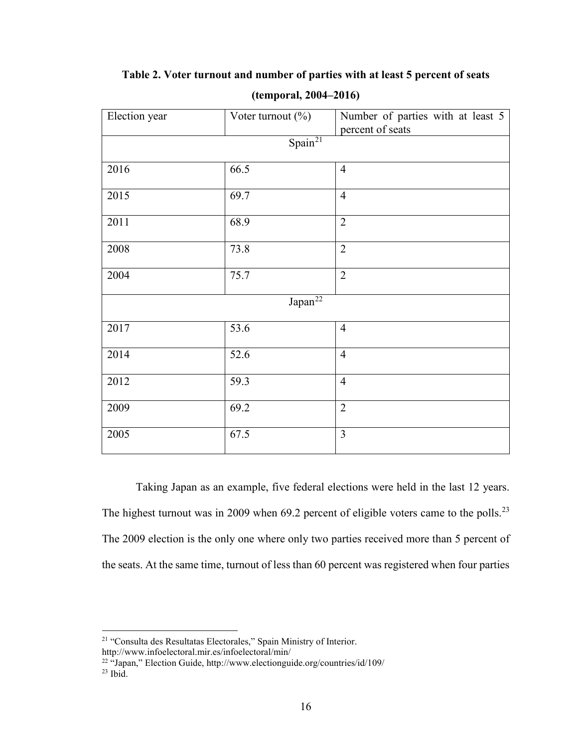| Election year       | Voter turnout $(\%)$                 | Number of parties with at least 5<br>percent of seats |  |
|---------------------|--------------------------------------|-------------------------------------------------------|--|
|                     | $\overline{\text{Span}^{\text{21}}}$ |                                                       |  |
| 2016                | 66.5                                 | $\overline{4}$                                        |  |
| 2015                | 69.7                                 | $\overline{4}$                                        |  |
| 2011                | 68.9                                 | $\overline{2}$                                        |  |
| 2008                | 73.8                                 | $\overline{2}$                                        |  |
| 2004                | 75.7                                 | $\overline{2}$                                        |  |
| Japan <sup>22</sup> |                                      |                                                       |  |
| 2017                | 53.6                                 | $\overline{4}$                                        |  |
| 2014                | 52.6                                 | $\overline{4}$                                        |  |
| 2012                | 59.3                                 | $\overline{4}$                                        |  |
| 2009                | 69.2                                 | $\overline{2}$                                        |  |
| 2005                | 67.5                                 | $\overline{3}$                                        |  |

**Table 2. Voter turnout and number of parties with at least 5 percent of seats**

**(temporal, 2004–2016)** 

Taking Japan as an example, five federal elections were held in the last 12 years. The highest turnout was in 2009 when  $69.2$  percent of eligible voters came to the polls.<sup>[23](#page-21-2)</sup> The 2009 election is the only one where only two parties received more than 5 percent of the seats. At the same time, turnout of less than 60 percent was registered when four parties

<span id="page-21-0"></span><sup>21</sup> "Consulta des Resultatas Electorales," Spain Ministry of Interior.

<span id="page-21-1"></span>http://www.infoelectoral.mir.es/infoelectoral/min/

<sup>&</sup>lt;sup>22</sup> "Japan," Election Guide, http://www.electionguide.org/countries/id/109/

<span id="page-21-2"></span> $23$  Ibid.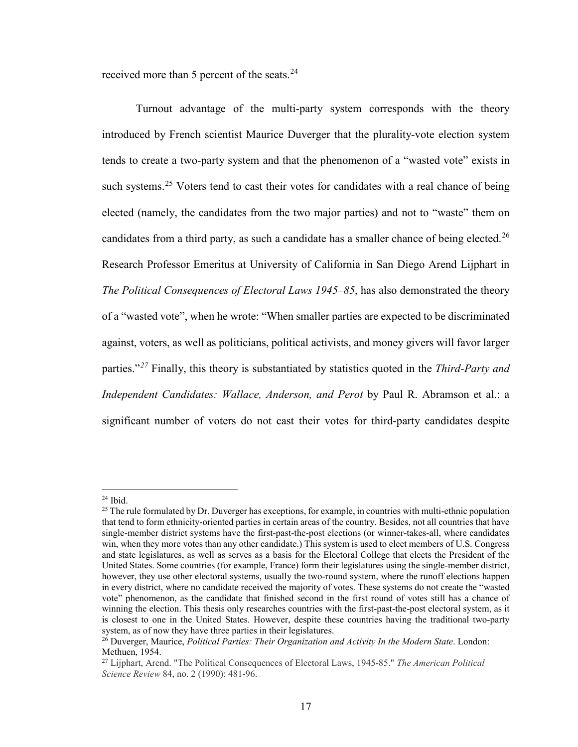received more than 5 percent of the seats.<sup>[24](#page-22-0)</sup>

Turnout advantage of the multi-party system corresponds with the theory introduced by French scientist Maurice Duverger that the plurality-vote election system tends to create a two-party system and that the phenomenon of a "wasted vote" exists in such systems.<sup>[25](#page-22-1)</sup> Voters tend to cast their votes for candidates with a real chance of being elected (namely, the candidates from the two major parties) and not to "waste" them on candidates from a third party, as such a candidate has a smaller chance of being elected.<sup>[26](#page-22-2)</sup> Research Professor Emeritus at University of California in San Diego Arend Lijphart in *The Political Consequences of Electoral Laws 1945–85*, has also demonstrated the theory of a "wasted vote", when he wrote: "When smaller parties are expected to be discriminated against, voters, as well as politicians, political activists, and money givers will favor larger parties."*[27](#page-22-3)* Finally, this theory is substantiated by statistics quoted in the *Third-Party and Independent Candidates: Wallace, Anderson, and Perot* by Paul R. Abramson et al.: a significant number of voters do not cast their votes for third-party candidates despite

 $\overline{\phantom{a}}$ 

 $24$  Ibid.

<span id="page-22-1"></span><span id="page-22-0"></span> $^{25}$  The rule formulated by Dr. Duverger has exceptions, for example, in countries with multi-ethnic population that tend to form ethnicity-oriented parties in certain areas of the country. Besides, not all countries that have single-member district systems have the first-past-the-post elections (or winner-takes-all, where candidates win, when they more votes than any other candidate.) This system is used to elect members of U.S. Congress and state legislatures, as well as serves as a basis for the Electoral College that elects the President of the United States. Some countries (for example, France) form their legislatures using the single-member district, however, they use other electoral systems, usually the two-round system, where the runoff elections happen in every district, where no candidate received the majority of votes. These systems do not create the "wasted vote" phenomenon, as the candidate that finished second in the first round of votes still has a chance of winning the election. This thesis only researches countries with the first-past-the-post electoral system, as it is closest to one in the United States. However, despite these countries having the traditional two-party system, as of now they have three parties in their legislatures.

<span id="page-22-2"></span><sup>26</sup> Duverger, Maurice, *Political Parties: Their Organization and Activity In the Modern State*. London: Methuen, 1954.

<span id="page-22-3"></span><sup>27</sup> Lijphart, Arend. "The Political Consequences of Electoral Laws, 1945-85." *The American Political Science Review* 84, no. 2 (1990): 481-96.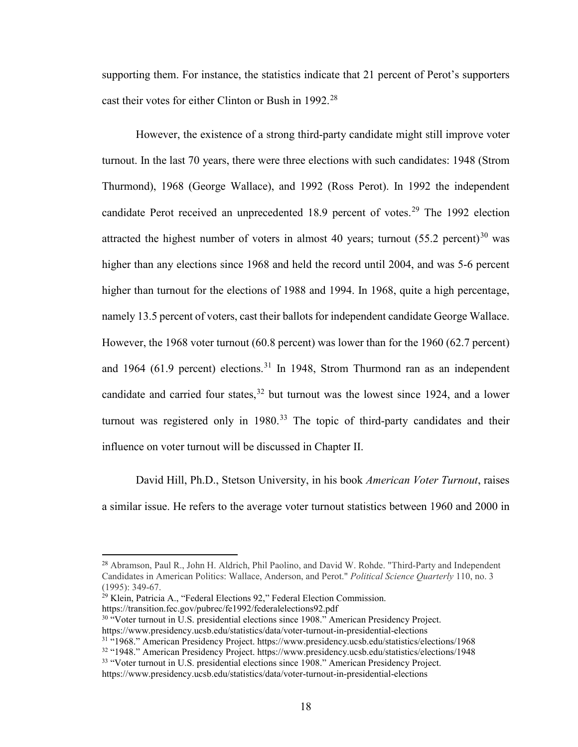supporting them. For instance, the statistics indicate that 21 percent of Perot's supporters cast their votes for either Clinton or Bush in 1992.<sup>28</sup>

However, the existence of a strong third-party candidate might still improve voter turnout. In the last 70 years, there were three elections with such candidates: 1948 (Strom Thurmond), 1968 (George Wallace), and 1992 (Ross Perot). In 1992 the independent candidate Perot received an unprecedented  $18.9$  percent of votes.<sup>[29](#page-23-1)</sup> The 1992 election attracted the highest number of voters in almost 40 years; turnout  $(55.2 \text{ percent})^{30}$  $(55.2 \text{ percent})^{30}$  $(55.2 \text{ percent})^{30}$  was higher than any elections since 1968 and held the record until 2004, and was 5-6 percent higher than turnout for the elections of 1988 and 1994. In 1968, quite a high percentage, namely 13.5 percent of voters, cast their ballots for independent candidate George Wallace. However, the 1968 voter turnout (60.8 percent) was lower than for the 1960 (62.7 percent) and 1964 (61.9 percent) elections.<sup>[31](#page-23-3)</sup> In 1948, Strom Thurmond ran as an independent candidate and carried four states,  $32$  but turnout was the lowest since 1924, and a lower turnout was registered only in  $1980<sup>33</sup>$  $1980<sup>33</sup>$  $1980<sup>33</sup>$  The topic of third-party candidates and their influence on voter turnout will be discussed in Chapter II.

David Hill, Ph.D., Stetson University, in his book *American Voter Turnout*, raises a similar issue. He refers to the average voter turnout statistics between 1960 and 2000 in

 $\overline{\phantom{a}}$ 

<span id="page-23-0"></span><sup>&</sup>lt;sup>28</sup> Abramson, Paul R., John H. Aldrich, Phil Paolino, and David W. Rohde. "Third-Party and Independent Candidates in American Politics: Wallace, Anderson, and Perot." *Political Science Quarterly* 110, no. 3

<span id="page-23-1"></span><sup>&</sup>lt;sup>29</sup> Klein, Patricia A., "Federal Elections 92," Federal Election Commission. https://transition.fec.gov/pubrec/fe1992/federalelections92.pdf

<span id="page-23-2"></span><sup>30</sup> "Voter turnout in U.S. presidential elections since 1908." American Presidency Project. https://www.presidency.ucsb.edu/statistics/data/voter-turnout-in-presidential-elections

<span id="page-23-4"></span><span id="page-23-3"></span><sup>31</sup> "1968." American Presidency Project. https://www.presidency.ucsb.edu/statistics/elections/1968

<sup>32</sup> "1948." American Presidency Project. https://www.presidency.ucsb.edu/statistics/elections/1948

<span id="page-23-5"></span><sup>&</sup>lt;sup>33</sup> "Voter turnout in U.S. presidential elections since 1908." American Presidency Project. https://www.presidency.ucsb.edu/statistics/data/voter-turnout-in-presidential-elections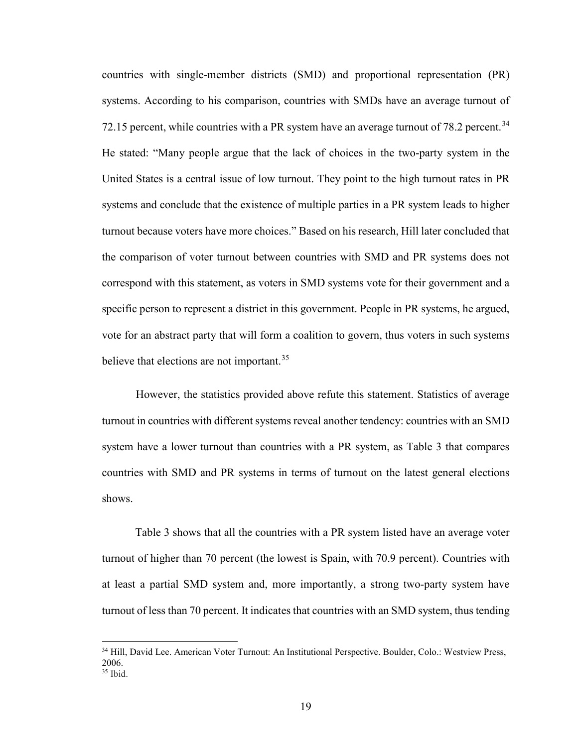countries with single-member districts (SMD) and proportional representation (PR) systems. According to his comparison, countries with SMDs have an average turnout of 72.15 percent, while countries with a PR system have an average turnout of 78.2 percent.<sup>[34](#page-24-0)</sup> He stated: "Many people argue that the lack of choices in the two-party system in the United States is a central issue of low turnout. They point to the high turnout rates in PR systems and conclude that the existence of multiple parties in a PR system leads to higher turnout because voters have more choices." Based on his research, Hill later concluded that the comparison of voter turnout between countries with SMD and PR systems does not correspond with this statement, as voters in SMD systems vote for their government and a specific person to represent a district in this government. People in PR systems, he argued, vote for an abstract party that will form a coalition to govern, thus voters in such systems believe that elections are not important.<sup>[35](#page-24-1)</sup>

However, the statistics provided above refute this statement. Statistics of average turnout in countries with different systems reveal another tendency: countries with an SMD system have a lower turnout than countries with a PR system, as Table 3 that compares countries with SMD and PR systems in terms of turnout on the latest general elections shows.

Table 3 shows that all the countries with a PR system listed have an average voter turnout of higher than 70 percent (the lowest is Spain, with 70.9 percent). Countries with at least a partial SMD system and, more importantly, a strong two-party system have turnout of less than 70 percent. It indicates that countries with an SMD system, thus tending

<span id="page-24-1"></span><span id="page-24-0"></span><sup>34</sup> Hill, David Lee. American Voter Turnout: An Institutional Perspective. Boulder, Colo.: Westview Press, 2006. <sup>35</sup> Ibid.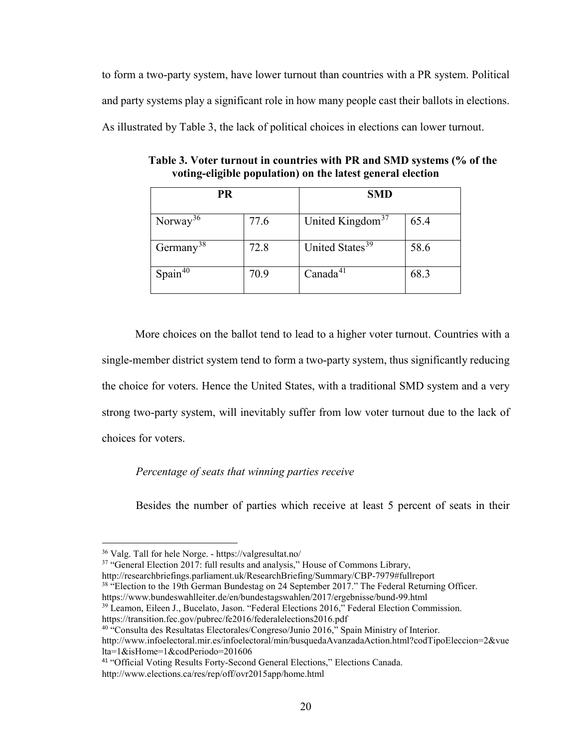to form a two-party system, have lower turnout than countries with a PR system. Political and party systems play a significant role in how many people cast their ballots in elections. As illustrated by Table 3, the lack of political choices in elections can lower turnout.

| <b>PR</b>             |      | <b>SMD</b>                   |      |
|-----------------------|------|------------------------------|------|
| Norway <sup>36</sup>  | 77.6 | United Kingdom <sup>37</sup> | 65.4 |
| Germany <sup>38</sup> | 72.8 | United States <sup>39</sup>  | 58.6 |
| Spin <sup>40</sup>    | 70.9 | Canada <sup>41</sup>         | 68.3 |

**Table 3. Voter turnout in countries with PR and SMD systems (% of the voting-eligible population) on the latest general election**

 More choices on the ballot tend to lead to a higher voter turnout. Countries with a single-member district system tend to form a two-party system, thus significantly reducing the choice for voters. Hence the United States, with a traditional SMD system and a very strong two-party system, will inevitably suffer from low voter turnout due to the lack of choices for voters.

#### *Percentage of seats that winning parties receive*

Besides the number of parties which receive at least 5 percent of seats in their

 $\overline{a}$ 

<span id="page-25-1"></span><sup>37</sup> "General Election 2017: full results and analysis," House of Commons Library,

<span id="page-25-3"></span><sup>39</sup> Leamon, Eileen J., Bucelato, Jason. "Federal Elections 2016," Federal Election Commission.

https://transition.fec.gov/pubrec/fe2016/federalelections2016.pdf

<span id="page-25-0"></span><sup>36</sup> Valg. Tall for hele Norge. - https://valgresultat.no/

<span id="page-25-2"></span>http://researchbriefings.parliament.uk/ResearchBriefing/Summary/CBP-7979#fullreport

<sup>&</sup>lt;sup>38</sup> "Election to the 19th German Bundestag on 24 September 2017." The Federal Returning Officer.

https://www.bundeswahlleiter.de/en/bundestagswahlen/2017/ergebnisse/bund-99.html

<span id="page-25-4"></span><sup>&</sup>lt;sup>40 "</sup>Consulta des Resultatas Electorales/Congreso/Junio 2016," Spain Ministry of Interior.

http://www.infoelectoral.mir.es/infoelectoral/min/busquedaAvanzadaAction.html?codTipoEleccion=2&vue lta=1&isHome=1&codPeriodo=201606

<span id="page-25-5"></span><sup>41</sup> "Official Voting Results Forty-Second General Elections," Elections Canada.

http://www.elections.ca/res/rep/off/ovr2015app/home.html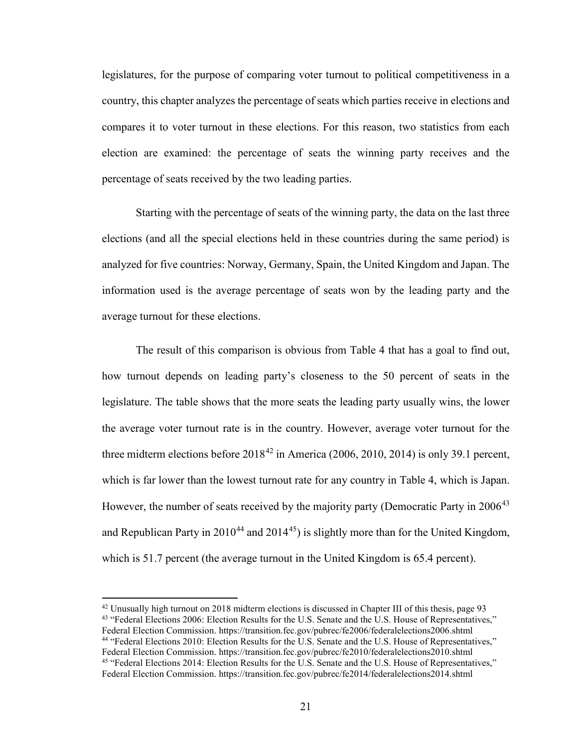legislatures, for the purpose of comparing voter turnout to political competitiveness in a country, this chapter analyzes the percentage of seats which parties receive in elections and compares it to voter turnout in these elections. For this reason, two statistics from each election are examined: the percentage of seats the winning party receives and the percentage of seats received by the two leading parties.

Starting with the percentage of seats of the winning party, the data on the last three elections (and all the special elections held in these countries during the same period) is analyzed for five countries: Norway, Germany, Spain, the United Kingdom and Japan. The information used is the average percentage of seats won by the leading party and the average turnout for these elections.

The result of this comparison is obvious from Table 4 that has a goal to find out, how turnout depends on leading party's closeness to the 50 percent of seats in the legislature. The table shows that the more seats the leading party usually wins, the lower the average voter turnout rate is in the country. However, average voter turnout for the three midterm elections before  $2018^{42}$  in America (2006, 2010, 2014) is only 39.1 percent, which is far lower than the lowest turnout rate for any country in Table 4, which is Japan. However, the number of seats received by the majority party (Democratic Party in 2006<sup>[43](#page-26-1)</sup> and Republican Party in  $2010^{44}$  $2010^{44}$  $2010^{44}$  and  $2014^{45}$ ) is slightly more than for the United Kingdom, which is 51.7 percent (the average turnout in the United Kingdom is 65.4 percent).

<span id="page-26-3"></span><span id="page-26-2"></span><span id="page-26-1"></span><span id="page-26-0"></span><sup>&</sup>lt;sup>42</sup> Unusually high turnout on 2018 midterm elections is discussed in Chapter III of this thesis, page 93<br><sup>43</sup> "Federal Elections 2006: Election Results for the U.S. Senate and the U.S. House of Representatives," Federal Election Commission. https://transition.fec.gov/pubrec/fe2006/federalelections2006.shtml <sup>44</sup> "Federal Elections 2010: Election Results for the U.S. Senate and the U.S. House of Representatives," Federal Election Commission. https://transition.fec.gov/pubrec/fe2010/federalelections2010.shtml <sup>45</sup> "Federal Elections 2014: Election Results for the U.S. Senate and the U.S. House of Representatives," Federal Election Commission. https://transition.fec.gov/pubrec/fe2014/federalelections2014.shtml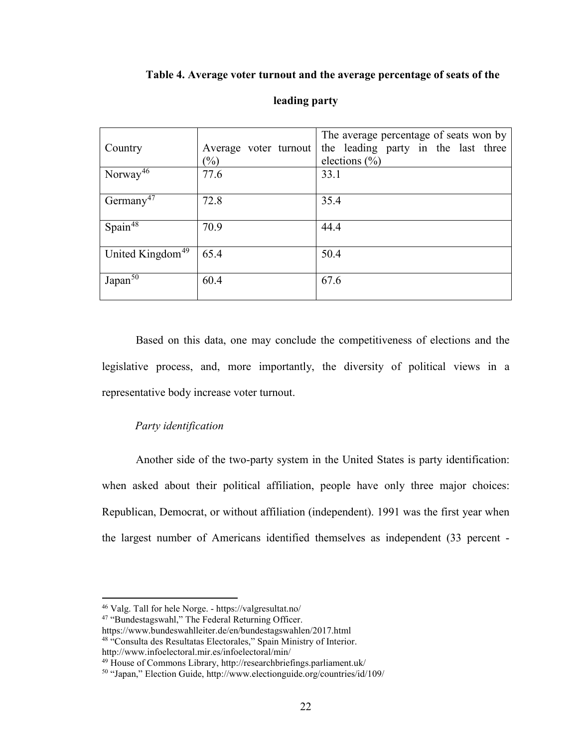#### **Table 4. Average voter turnout and the average percentage of seats of the**

|                              |                       | The average percentage of seats won by |
|------------------------------|-----------------------|----------------------------------------|
| Country                      | Average voter turnout | the leading party in the last three    |
|                              | $(\%)$                | elections $(\% )$                      |
| Norway <sup>46</sup>         | 77.6                  | 33.1                                   |
|                              |                       |                                        |
| Germany <sup>47</sup>        | 72.8                  | 35.4                                   |
|                              |                       |                                        |
| Spain <sup>48</sup>          | 70.9                  | 44.4                                   |
|                              |                       |                                        |
| United Kingdom <sup>49</sup> | 65.4                  | 50.4                                   |
|                              |                       |                                        |
| Japan <sup>50</sup>          | 60.4                  | 67.6                                   |
|                              |                       |                                        |

#### **leading party**

Based on this data, one may conclude the competitiveness of elections and the legislative process, and, more importantly, the diversity of political views in a representative body increase voter turnout.

#### *Party identification*

Another side of the two-party system in the United States is party identification: when asked about their political affiliation, people have only three major choices: Republican, Democrat, or without affiliation (independent). 1991 was the first year when the largest number of Americans identified themselves as independent (33 percent -

<span id="page-27-0"></span><sup>46</sup> Valg. Tall for hele Norge. - https://valgresultat.no/

<span id="page-27-1"></span><sup>47 &</sup>quot;Bundestagswahl," The Federal Returning Officer.

https://www.bundeswahlleiter.de/en/bundestagswahlen/2017.html

<span id="page-27-2"></span><sup>&</sup>lt;sup>48 "</sup>Consulta des Resultatas Electorales," Spain Ministry of Interior.

<span id="page-27-3"></span>http://www.infoelectoral.mir.es/infoelectoral/min/

<sup>49</sup> House of Commons Library, http://researchbriefings.parliament.uk/

<span id="page-27-4"></span><sup>50</sup> "Japan," Election Guide, http://www.electionguide.org/countries/id/109/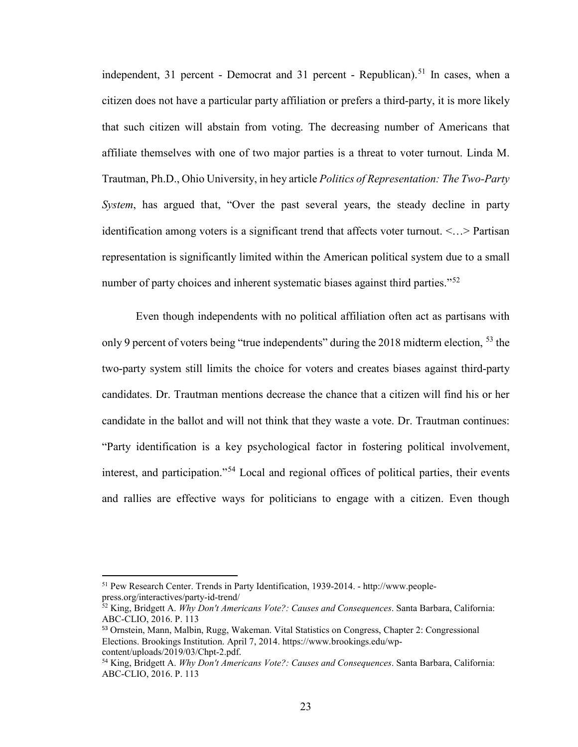independent, 31 percent - Democrat and 31 percent - Republican).<sup>[51](#page-28-0)</sup> In cases, when a citizen does not have a particular party affiliation or prefers a third-party, it is more likely that such citizen will abstain from voting. The decreasing number of Americans that affiliate themselves with one of two major parties is a threat to voter turnout. Linda M. Trautman, Ph.D., Ohio University, in hey article *Politics of Representation: The Two-Party System*, has argued that, "Over the past several years, the steady decline in party identification among voters is a significant trend that affects voter turnout. <…> Partisan representation is significantly limited within the American political system due to a small number of party choices and inherent systematic biases against third parties."<sup>52</sup>

Even though independents with no political affiliation often act as partisans with only 9 percent of voters being "true independents" during the 2018 midterm election, <sup>[53](#page-28-2)</sup> the two-party system still limits the choice for voters and creates biases against third-party candidates. Dr. Trautman mentions decrease the chance that a citizen will find his or her candidate in the ballot and will not think that they waste a vote. Dr. Trautman continues: "Party identification is a key psychological factor in fostering political involvement, interest, and participation."[54](#page-28-3) Local and regional offices of political parties, their events and rallies are effective ways for politicians to engage with a citizen. Even though

<span id="page-28-0"></span><sup>51</sup> Pew Research Center. Trends in Party Identification, 1939-2014. - http://www.peoplepress.org/interactives/party-id-trend/

<span id="page-28-1"></span><sup>52</sup> King, Bridgett A. *Why Don't Americans Vote?: Causes and Consequences*. Santa Barbara, California: ABC-CLIO, 2016. P. 113

<span id="page-28-2"></span><sup>53</sup> Ornstein, Mann, Malbin, Rugg, Wakeman. Vital Statistics on Congress, Chapter 2: Congressional Elections. Brookings Institution. April 7, 2014. https://www.brookings.edu/wpcontent/uploads/2019/03/Chpt-2.pdf.

<span id="page-28-3"></span><sup>54</sup> King, Bridgett A. *Why Don't Americans Vote?: Causes and Consequences*. Santa Barbara, California: ABC-CLIO, 2016. P. 113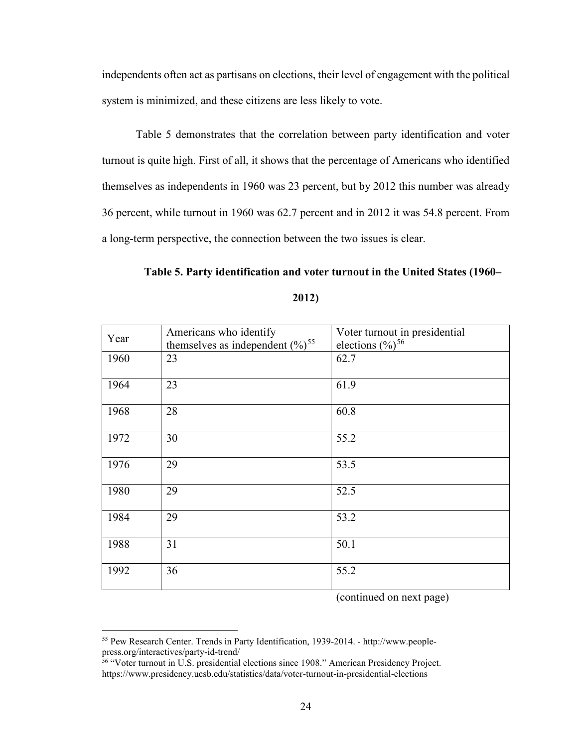independents often act as partisans on elections, their level of engagement with the political system is minimized, and these citizens are less likely to vote.

Table 5 demonstrates that the correlation between party identification and voter turnout is quite high. First of all, it shows that the percentage of Americans who identified themselves as independents in 1960 was 23 percent, but by 2012 this number was already 36 percent, while turnout in 1960 was 62.7 percent and in 2012 it was 54.8 percent. From a long-term perspective, the connection between the two issues is clear.

#### **Table 5. Party identification and voter turnout in the United States (1960–**

| Year | Americans who identify<br>themselves as independent $(\%)^{55}$ | Voter turnout in presidential<br>elections $(\%)^{56}$ |
|------|-----------------------------------------------------------------|--------------------------------------------------------|
| 1960 | 23                                                              | 62.7                                                   |
| 1964 | 23                                                              | 61.9                                                   |
| 1968 | 28                                                              | 60.8                                                   |
| 1972 | 30                                                              | 55.2                                                   |
| 1976 | 29                                                              | 53.5                                                   |
| 1980 | 29                                                              | 52.5                                                   |
| 1984 | 29                                                              | 53.2                                                   |
| 1988 | 31                                                              | 50.1                                                   |
| 1992 | 36                                                              | 55.2                                                   |

#### **2012)**

(continued on next page)

<span id="page-29-0"></span><sup>55</sup> Pew Research Center. Trends in Party Identification, 1939-2014. - http://www.peoplepress.org/interactives/party-id-trend/

<span id="page-29-1"></span><sup>&</sup>lt;sup>56</sup> "Voter turnout in U.S. presidential elections since 1908." American Presidency Project. https://www.presidency.ucsb.edu/statistics/data/voter-turnout-in-presidential-elections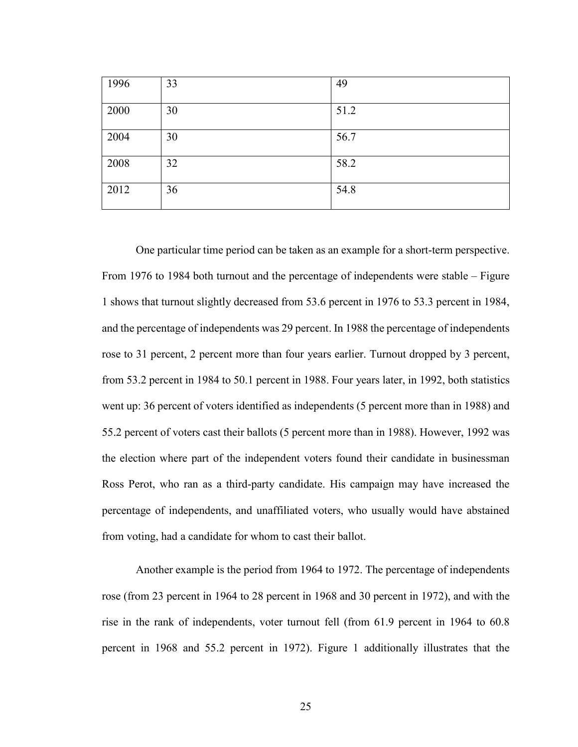| 1996 | 33 | 49   |
|------|----|------|
| 2000 | 30 | 51.2 |
| 2004 | 30 | 56.7 |
| 2008 | 32 | 58.2 |
| 2012 | 36 | 54.8 |

One particular time period can be taken as an example for a short-term perspective. From 1976 to 1984 both turnout and the percentage of independents were stable – Figure 1 shows that turnout slightly decreased from 53.6 percent in 1976 to 53.3 percent in 1984, and the percentage of independents was 29 percent. In 1988 the percentage of independents rose to 31 percent, 2 percent more than four years earlier. Turnout dropped by 3 percent, from 53.2 percent in 1984 to 50.1 percent in 1988. Four years later, in 1992, both statistics went up: 36 percent of voters identified as independents (5 percent more than in 1988) and 55.2 percent of voters cast their ballots (5 percent more than in 1988). However, 1992 was the election where part of the independent voters found their candidate in businessman Ross Perot, who ran as a third-party candidate. His campaign may have increased the percentage of independents, and unaffiliated voters, who usually would have abstained from voting, had a candidate for whom to cast their ballot.

Another example is the period from 1964 to 1972. The percentage of independents rose (from 23 percent in 1964 to 28 percent in 1968 and 30 percent in 1972), and with the rise in the rank of independents, voter turnout fell (from 61.9 percent in 1964 to 60.8 percent in 1968 and 55.2 percent in 1972). Figure 1 additionally illustrates that the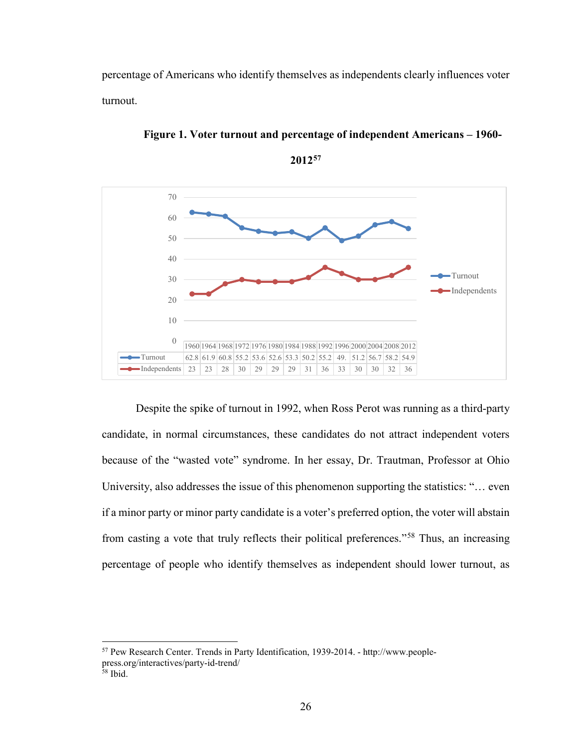percentage of Americans who identify themselves as independents clearly influences voter turnout.



**Figure 1. Voter turnout and percentage of independent Americans – 1960-**



Despite the spike of turnout in 1992, when Ross Perot was running as a third-party candidate, in normal circumstances, these candidates do not attract independent voters because of the "wasted vote" syndrome. In her essay, Dr. Trautman, Professor at Ohio University, also addresses the issue of this phenomenon supporting the statistics: "… even if a minor party or minor party candidate is a voter's preferred option, the voter will abstain from casting a vote that truly reflects their political preferences."[58](#page-31-1) Thus, an increasing percentage of people who identify themselves as independent should lower turnout, as

<span id="page-31-0"></span><sup>57</sup> Pew Research Center. Trends in Party Identification, 1939-2014. - http://www.peoplepress.org/interactives/party-id-trend/

<span id="page-31-1"></span><sup>58</sup> Ibid.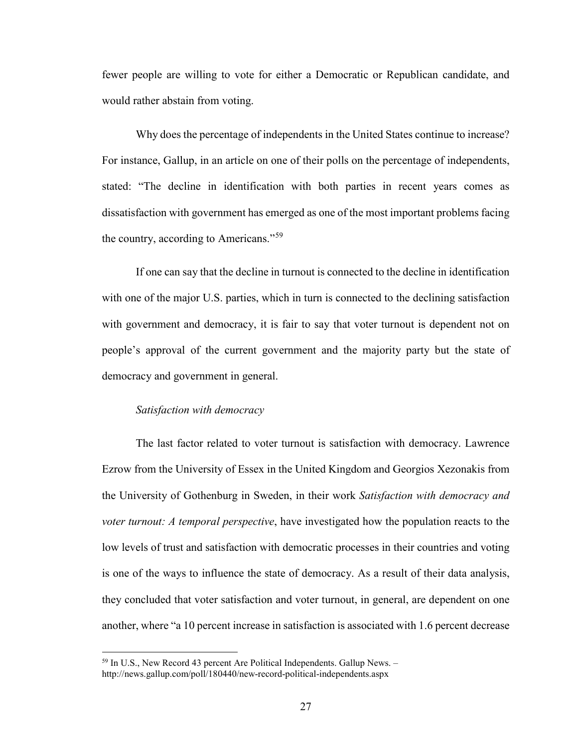fewer people are willing to vote for either a Democratic or Republican candidate, and would rather abstain from voting.

Why does the percentage of independents in the United States continue to increase? For instance, Gallup, in an article on one of their polls on the percentage of independents, stated: "The decline in identification with both parties in recent years comes as dissatisfaction with government has emerged as one of the most important problems facing the country, according to Americans."<sup>[59](#page-32-0)</sup>

If one can say that the decline in turnout is connected to the decline in identification with one of the major U.S. parties, which in turn is connected to the declining satisfaction with government and democracy, it is fair to say that voter turnout is dependent not on people's approval of the current government and the majority party but the state of democracy and government in general.

#### *Satisfaction with democracy*

l

The last factor related to voter turnout is satisfaction with democracy. Lawrence Ezrow from the University of Essex in the United Kingdom and Georgios Xezonakis from the University of Gothenburg in Sweden, in their work *Satisfaction with democracy and voter turnout: A temporal perspective*, have investigated how the population reacts to the low levels of trust and satisfaction with democratic processes in their countries and voting is one of the ways to influence the state of democracy. As a result of their data analysis, they concluded that voter satisfaction and voter turnout, in general, are dependent on one another, where "a 10 percent increase in satisfaction is associated with 1.6 percent decrease

<span id="page-32-0"></span> $59$  In U.S., New Record 43 percent Are Political Independents. Gallup News.  $$ http://news.gallup.com/poll/180440/new-record-political-independents.aspx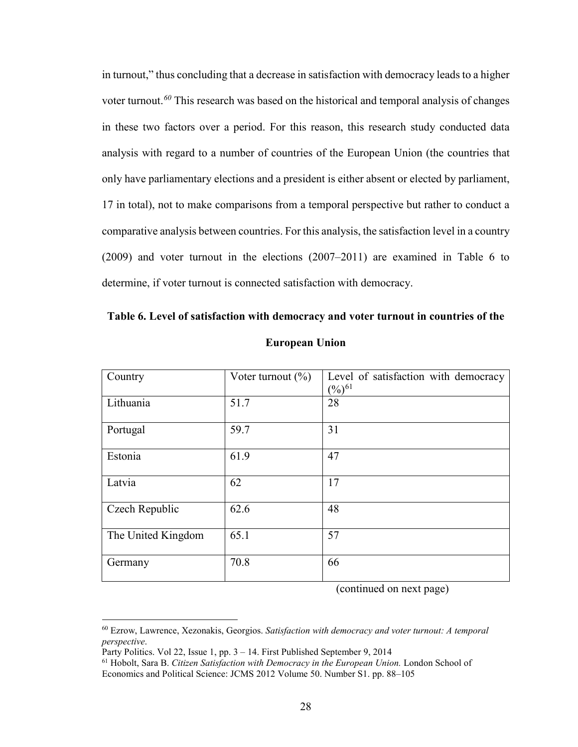in turnout," thus concluding that a decrease in satisfaction with democracy leads to a higher voter turnout.*[60](#page-33-0)* This research was based on the historical and temporal analysis of changes in these two factors over a period. For this reason, this research study conducted data analysis with regard to a number of countries of the European Union (the countries that only have parliamentary elections and a president is either absent or elected by parliament, 17 in total), not to make comparisons from a temporal perspective but rather to conduct a comparative analysis between countries. For this analysis, the satisfaction level in a country (2009) and voter turnout in the elections (2007–2011) are examined in Table 6 to determine, if voter turnout is connected satisfaction with democracy.

| Country            | Voter turnout $(\% )$ | Level of satisfaction with democracy |
|--------------------|-----------------------|--------------------------------------|
|                    |                       | $(\%)^{61}$                          |
|                    |                       |                                      |
| Lithuania          | 51.7                  | 28                                   |
|                    |                       |                                      |
|                    |                       |                                      |
| Portugal           | 59.7                  | 31                                   |
|                    |                       |                                      |
|                    |                       |                                      |
| Estonia            | 61.9                  | 47                                   |
|                    |                       |                                      |
|                    |                       |                                      |
| Latvia             | 62                    | 17                                   |
|                    |                       |                                      |
|                    |                       |                                      |
| Czech Republic     | 62.6                  | 48                                   |
|                    |                       |                                      |
|                    |                       |                                      |
| The United Kingdom | 65.1                  | 57                                   |
|                    |                       |                                      |
|                    |                       |                                      |
| Germany            | 70.8                  | 66                                   |
|                    |                       |                                      |
|                    |                       |                                      |

**Table 6. Level of satisfaction with democracy and voter turnout in countries of the European Union**

(continued on next page)

 $\overline{\phantom{a}}$ 

<span id="page-33-0"></span><sup>60</sup> Ezrow, Lawrence, Xezonakis, Georgios. *Satisfaction with democracy and voter turnout: A temporal perspective.*<br>Party Politics. Vol 22, Issue 1, pp. 3 – 14. First Published September 9, 2014

<span id="page-33-1"></span><sup>&</sup>lt;sup>61</sup> Hobolt, Sara B. *Citizen Satisfaction with Democracy in the European Union*. London School of Economics and Political Science: JCMS 2012 Volume 50. Number S1. pp. 88–105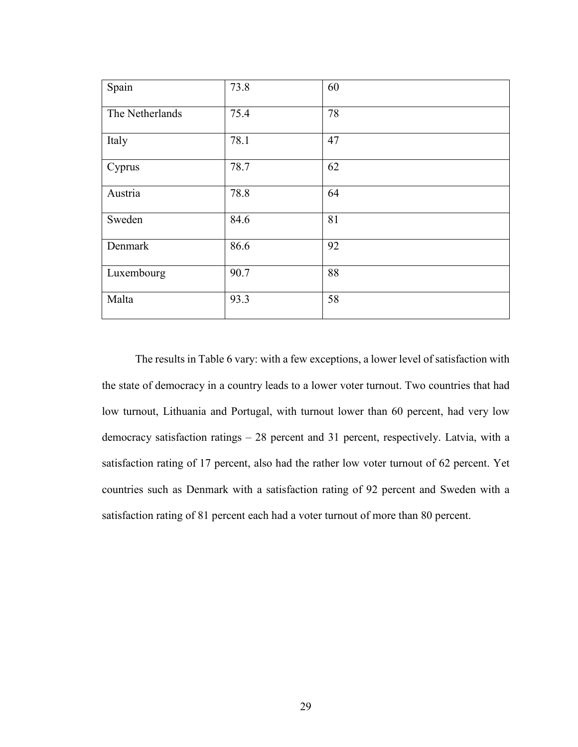| Spain           | 73.8 | 60 |
|-----------------|------|----|
| The Netherlands | 75.4 | 78 |
| Italy           | 78.1 | 47 |
| Cyprus          | 78.7 | 62 |
| Austria         | 78.8 | 64 |
| Sweden          | 84.6 | 81 |
| Denmark         | 86.6 | 92 |
| Luxembourg      | 90.7 | 88 |
| Malta           | 93.3 | 58 |

The results in Table 6 vary: with a few exceptions, a lower level of satisfaction with the state of democracy in a country leads to a lower voter turnout. Two countries that had low turnout, Lithuania and Portugal, with turnout lower than 60 percent, had very low democracy satisfaction ratings – 28 percent and 31 percent, respectively. Latvia, with a satisfaction rating of 17 percent, also had the rather low voter turnout of 62 percent. Yet countries such as Denmark with a satisfaction rating of 92 percent and Sweden with a satisfaction rating of 81 percent each had a voter turnout of more than 80 percent.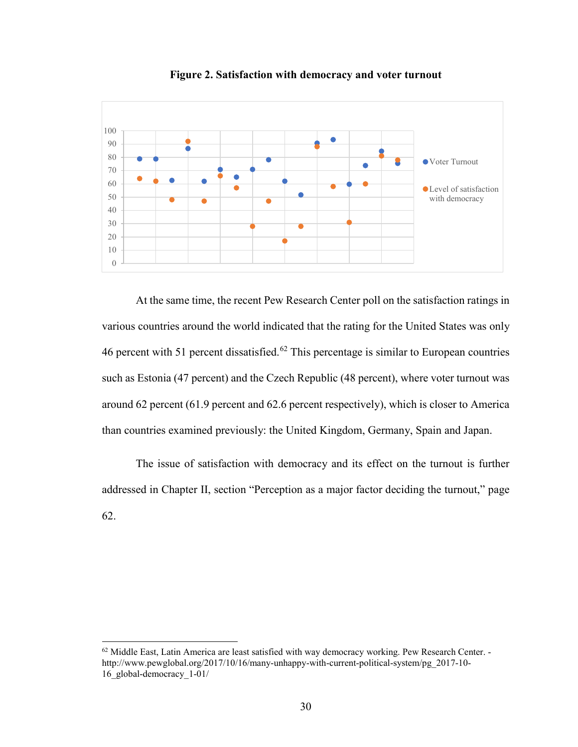

**Figure 2. Satisfaction with democracy and voter turnout** 

At the same time, the recent Pew Research Center poll on the satisfaction ratings in various countries around the world indicated that the rating for the United States was only 46 percent with 51 percent dissatisfied.<sup>[62](#page-35-0)</sup> This percentage is similar to European countries such as Estonia (47 percent) and the Czech Republic (48 percent), where voter turnout was around 62 percent (61.9 percent and 62.6 percent respectively), which is closer to America than countries examined previously: the United Kingdom, Germany, Spain and Japan.

The issue of satisfaction with democracy and its effect on the turnout is further addressed in Chapter II, section "Perception as a major factor deciding the turnout," page 62.

<span id="page-35-0"></span> $62$  Middle East, Latin America are least satisfied with way democracy working. Pew Research Center. http://www.pewglobal.org/2017/10/16/many-unhappy-with-current-political-system/pg\_2017-10- 16\_global-democracy\_1-01/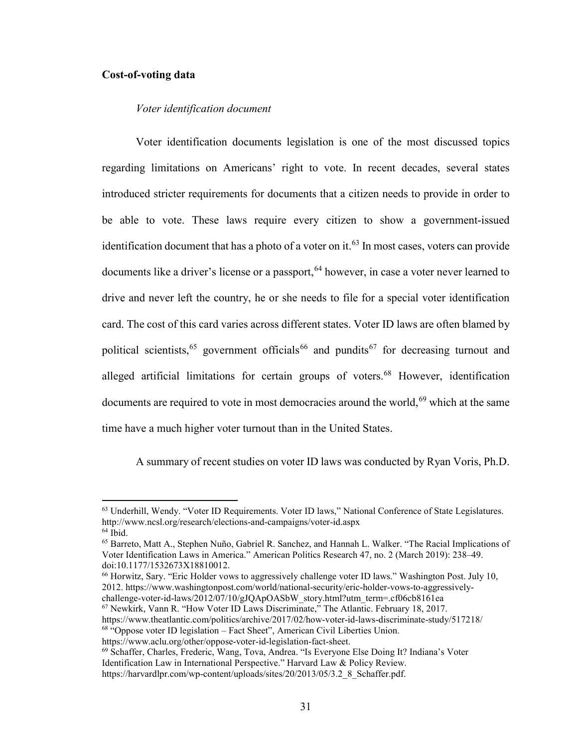#### **Cost-of-voting data**

#### *Voter identification document*

Voter identification documents legislation is one of the most discussed topics regarding limitations on Americans' right to vote. In recent decades, several states introduced stricter requirements for documents that a citizen needs to provide in order to be able to vote. These laws require every citizen to show a government-issued identification document that has a photo of a voter on it.<sup>[63](#page-36-0)</sup> In most cases, voters can provide documents like a driver's license or a passport,  $64$  however, in case a voter never learned to drive and never left the country, he or she needs to file for a special voter identification card. The cost of this card varies across different states. Voter ID laws are often blamed by political scientists,<sup>[65](#page-36-2)</sup> government officials<sup>[66](#page-36-3)</sup> and pundits<sup>[67](#page-36-4)</sup> for decreasing turnout and alleged artificial limitations for certain groups of voters.<sup>68</sup> However, identification documents are required to vote in most democracies around the world,<sup>[69](#page-36-6)</sup> which at the same time have a much higher voter turnout than in the United States.

A summary of recent studies on voter ID laws was conducted by Ryan Voris, Ph.D.

l

<span id="page-36-4"></span><sup>67</sup> Newkirk, Vann R. "How Voter ID Laws Discriminate," The Atlantic. February 18, 2017.

<span id="page-36-0"></span><sup>63</sup> Underhill, Wendy. "Voter ID Requirements. Voter ID laws," National Conference of State Legislatures. http://www.ncsl.org/research/elections-and-campaigns/voter-id.aspx

<span id="page-36-2"></span><span id="page-36-1"></span><sup>&</sup>lt;sup>65</sup> Barreto, Matt A., Stephen Nuño, Gabriel R. Sanchez, and Hannah L. Walker. "The Racial Implications of Voter Identification Laws in America." American Politics Research 47, no. 2 (March 2019): 238–49. doi:10.1177/1532673X18810012.

<span id="page-36-3"></span><sup>66</sup> Horwitz, Sary. "Eric Holder vows to aggressively challenge voter ID laws." Washington Post. July 10, 2012. https://www.washingtonpost.com/world/national-security/eric-holder-vows-to-aggressivelychallenge-voter-id-laws/2012/07/10/gJQApOASbW\_story.html?utm\_term=.cf06cb8161ea

https://www.theatlantic.com/politics/archive/2017/02/how-voter-id-laws-discriminate-study/517218/

<span id="page-36-5"></span><sup>68</sup> "Oppose voter ID legislation – Fact Sheet", American Civil Liberties Union.

<span id="page-36-6"></span>https://www.aclu.org/other/oppose-voter-id-legislation-fact-sheet.<br><sup>69</sup> Schaffer, Charles, Frederic, Wang, Tova, Andrea. "Is Everyone Else Doing It? Indiana's Voter

Identification Law in International Perspective." Harvard Law & Policy Review. https://harvardlpr.com/wp-content/uploads/sites/20/2013/05/3.2\_8\_Schaffer.pdf.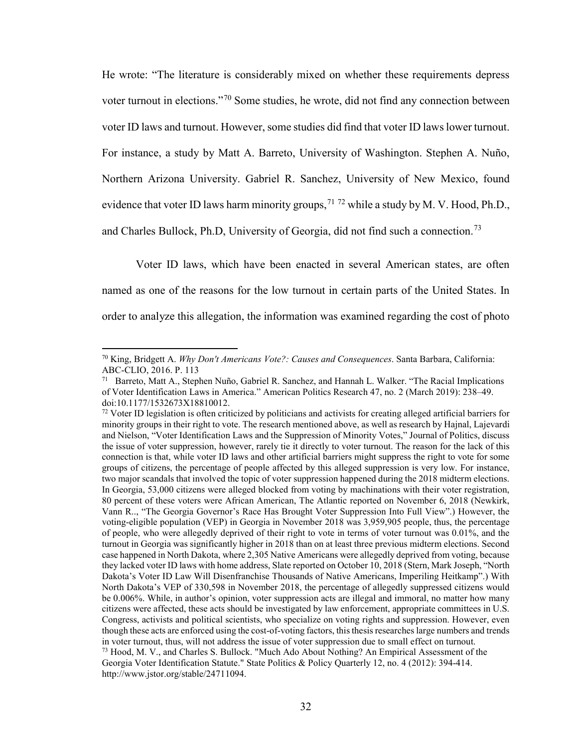He wrote: "The literature is considerably mixed on whether these requirements depress voter turnout in elections."[70](#page-37-0) Some studies, he wrote, did not find any connection between voter ID laws and turnout. However, some studies did find that voter ID laws lower turnout. For instance, a study by Matt A. Barreto, University of Washington. Stephen A. Nuño, Northern Arizona University. Gabriel R. Sanchez, University of New Mexico, found evidence that voter ID laws harm minority groups,  $71\,72$  $71\,72$  $71\,72$  while a study by M. V. Hood, Ph.D., and Charles Bullock, Ph.D, University of Georgia, did not find such a connection.<sup>[73](#page-37-3)</sup>

Voter ID laws, which have been enacted in several American states, are often named as one of the reasons for the low turnout in certain parts of the United States. In order to analyze this allegation, the information was examined regarding the cost of photo

 $\overline{a}$ 

<span id="page-37-0"></span><sup>70</sup> King, Bridgett A. *Why Don't Americans Vote?: Causes and Consequences*. Santa Barbara, California: ABC-CLIO, 2016. P. 113

<span id="page-37-1"></span> $71$  Barreto, Matt A., Stephen Nuño, Gabriel R. Sanchez, and Hannah L. Walker. "The Racial Implications" of Voter Identification Laws in America." American Politics Research 47, no. 2 (March 2019): 238–49. doi:10.1177/1532673X18810012.

<span id="page-37-3"></span><span id="page-37-2"></span> $72$  Voter ID legislation is often criticized by politicians and activists for creating alleged artificial barriers for minority groups in their right to vote. The research mentioned above, as well as research by Hajnal, Lajevardi and Nielson, "Voter Identification Laws and the Suppression of Minority Votes," Journal of Politics, discuss the issue of voter suppression, however, rarely tie it directly to voter turnout. The reason for the lack of this connection is that, while voter ID laws and other artificial barriers might suppress the right to vote for some groups of citizens, the percentage of people affected by this alleged suppression is very low. For instance, two major scandals that involved the topic of voter suppression happened during the 2018 midterm elections. In Georgia, 53,000 citizens were alleged blocked from voting by machinations with their voter registration, 80 percent of these voters were African American, The Atlantic reported on November 6, 2018 (Newkirk, Vann R.., "The Georgia Governor's Race Has Brought Voter Suppression Into Full View".) However, the voting-eligible population (VEP) in Georgia in November 2018 was 3,959,905 people, thus, the percentage of people, who were allegedly deprived of their right to vote in terms of voter turnout was 0.01%, and the turnout in Georgia was significantly higher in 2018 than on at least three previous midterm elections. Second case happened in North Dakota, where 2,305 Native Americans were allegedly deprived from voting, because they lacked voter ID laws with home address, Slate reported on October 10, 2018 (Stern, Mark Joseph, "North Dakota's Voter ID Law Will Disenfranchise Thousands of Native Americans, Imperiling Heitkamp".) With North Dakota's VEP of 330,598 in November 2018, the percentage of allegedly suppressed citizens would be 0.006%. While, in author's opinion, voter suppression acts are illegal and immoral, no matter how many citizens were affected, these acts should be investigated by law enforcement, appropriate committees in U.S. Congress, activists and political scientists, who specialize on voting rights and suppression. However, even though these acts are enforced using the cost-of-voting factors, this thesis researches large numbers and trends in voter turnout, thus, will not address the issue of voter suppression due to small effect on turnout.  $73$  Hood, M. V., and Charles S. Bullock. "Much Ado About Nothing? An Empirical Assessment of the Georgia Voter Identification Statute." State Politics & Policy Quarterly 12, no. 4 (2012): 394-414. http://www.jstor.org/stable/24711094.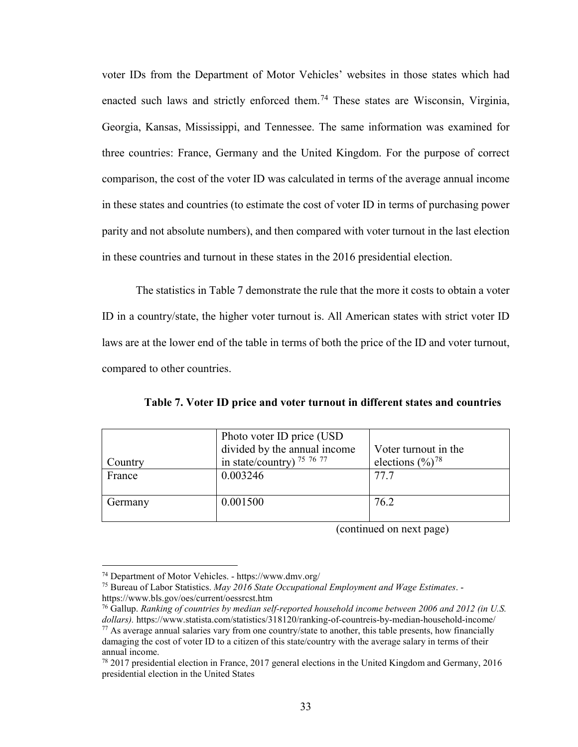voter IDs from the Department of Motor Vehicles' websites in those states which had enacted such laws and strictly enforced them.<sup>74</sup> These states are Wisconsin, Virginia, Georgia, Kansas, Mississippi, and Tennessee. The same information was examined for three countries: France, Germany and the United Kingdom. For the purpose of correct comparison, the cost of the voter ID was calculated in terms of the average annual income in these states and countries (to estimate the cost of voter ID in terms of purchasing power parity and not absolute numbers), and then compared with voter turnout in the last election in these countries and turnout in these states in the 2016 presidential election.

The statistics in Table 7 demonstrate the rule that the more it costs to obtain a voter ID in a country/state, the higher voter turnout is. All American states with strict voter ID laws are at the lower end of the table in terms of both the price of the ID and voter turnout, compared to other countries.

|         | Photo voter ID price (USD)   |                                |
|---------|------------------------------|--------------------------------|
|         | divided by the annual income | Voter turnout in the           |
| Country | in state/country) $757677$   | elections $(\frac{9}{0})^{78}$ |
| France  | 0.003246                     | 77.7                           |
|         |                              |                                |
| Germany | 0.001500                     | 76.2                           |
|         |                              |                                |

**Table 7. Voter ID price and voter turnout in different states and countries**

(continued on next page)

<span id="page-38-0"></span><sup>74</sup> Department of Motor Vehicles. - https://www.dmv.org/

<span id="page-38-1"></span><sup>75</sup> Bureau of Labor Statistics. *May 2016 State Occupational Employment and Wage Estimates*. https://www.bls.gov/oes/current/oessrcst.htm

<span id="page-38-3"></span><span id="page-38-2"></span><sup>76</sup> Gallup. *Ranking of countries by median self-reported household income between 2006 and 2012 (in U.S. dollars).* https://www.statista.com/statistics/318120/ranking-of-countreis-by-median-household-income/  $77$  As average annual salaries vary from one country/state to another, this table presents, how financially damaging the cost of voter ID to a citizen of this state/country with the average salary in terms of their annual income.

<span id="page-38-4"></span> $78\,2017$  presidential election in France, 2017 general elections in the United Kingdom and Germany, 2016 presidential election in the United States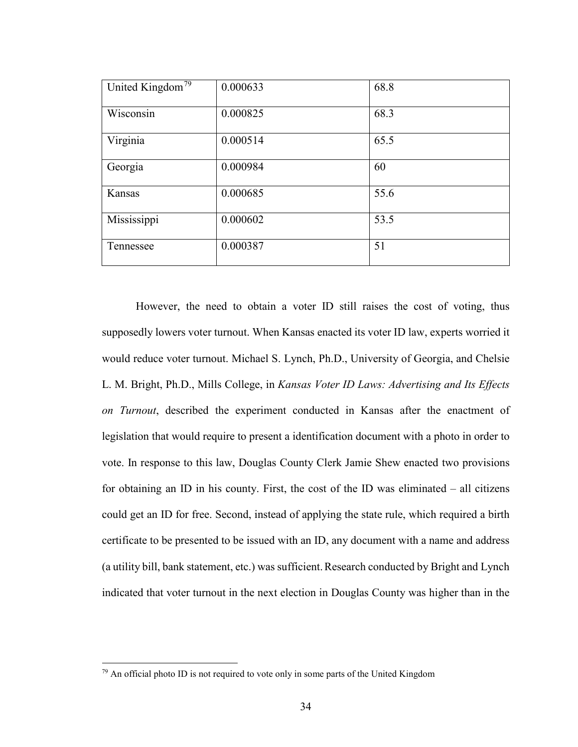| United Kingdom <sup>79</sup> | 0.000633 | 68.8 |
|------------------------------|----------|------|
| Wisconsin                    | 0.000825 | 68.3 |
| Virginia                     | 0.000514 | 65.5 |
| Georgia                      | 0.000984 | 60   |
| Kansas                       | 0.000685 | 55.6 |
| Mississippi                  | 0.000602 | 53.5 |
| Tennessee                    | 0.000387 | 51   |

However, the need to obtain a voter ID still raises the cost of voting, thus supposedly lowers voter turnout. When Kansas enacted its voter ID law, experts worried it would reduce voter turnout. Michael S. Lynch, Ph.D., University of Georgia, and Chelsie L. M. Bright, Ph.D., Mills College, in *Kansas Voter ID Laws: Advertising and Its Effects on Turnout*, described the experiment conducted in Kansas after the enactment of legislation that would require to present a identification document with a photo in order to vote. In response to this law, Douglas County Clerk Jamie Shew enacted two provisions for obtaining an ID in his county. First, the cost of the ID was eliminated – all citizens could get an ID for free. Second, instead of applying the state rule, which required a birth certificate to be presented to be issued with an ID, any document with a name and address (a utility bill, bank statement, etc.) was sufficient.Research conducted by Bright and Lynch indicated that voter turnout in the next election in Douglas County was higher than in the

<span id="page-39-0"></span> $79$  An official photo ID is not required to vote only in some parts of the United Kingdom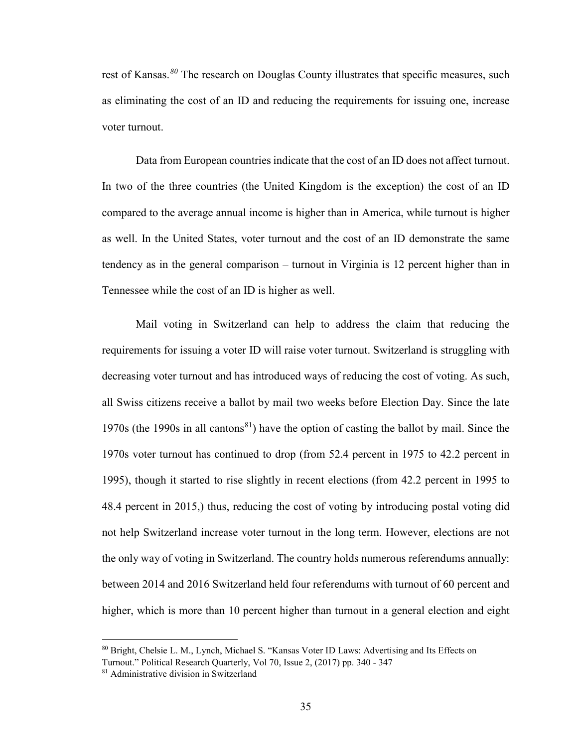rest of Kansas.*[80](#page-40-0)* The research on Douglas County illustrates that specific measures, such as eliminating the cost of an ID and reducing the requirements for issuing one, increase voter turnout.

Data from European countries indicate that the cost of an ID does not affect turnout. In two of the three countries (the United Kingdom is the exception) the cost of an ID compared to the average annual income is higher than in America, while turnout is higher as well. In the United States, voter turnout and the cost of an ID demonstrate the same tendency as in the general comparison – turnout in Virginia is 12 percent higher than in Tennessee while the cost of an ID is higher as well.

Mail voting in Switzerland can help to address the claim that reducing the requirements for issuing a voter ID will raise voter turnout. Switzerland is struggling with decreasing voter turnout and has introduced ways of reducing the cost of voting. As such, all Swiss citizens receive a ballot by mail two weeks before Election Day. Since the late 1970s (the 1990s in all cantons<sup>[81](#page-40-1)</sup>) have the option of casting the ballot by mail. Since the 1970s voter turnout has continued to drop (from 52.4 percent in 1975 to 42.2 percent in 1995), though it started to rise slightly in recent elections (from 42.2 percent in 1995 to 48.4 percent in 2015,) thus, reducing the cost of voting by introducing postal voting did not help Switzerland increase voter turnout in the long term. However, elections are not the only way of voting in Switzerland. The country holds numerous referendums annually: between 2014 and 2016 Switzerland held four referendums with turnout of 60 percent and higher, which is more than 10 percent higher than turnout in a general election and eight

 $\overline{a}$ 

<span id="page-40-0"></span><sup>80</sup> Bright, Chelsie L. M., Lynch, Michael S. "Kansas Voter ID Laws: Advertising and Its Effects on Turnout." Political Research Quarterly, Vol 70, Issue 2, (2017) pp. 340 - 347

<span id="page-40-1"></span><sup>81</sup> Administrative division in Switzerland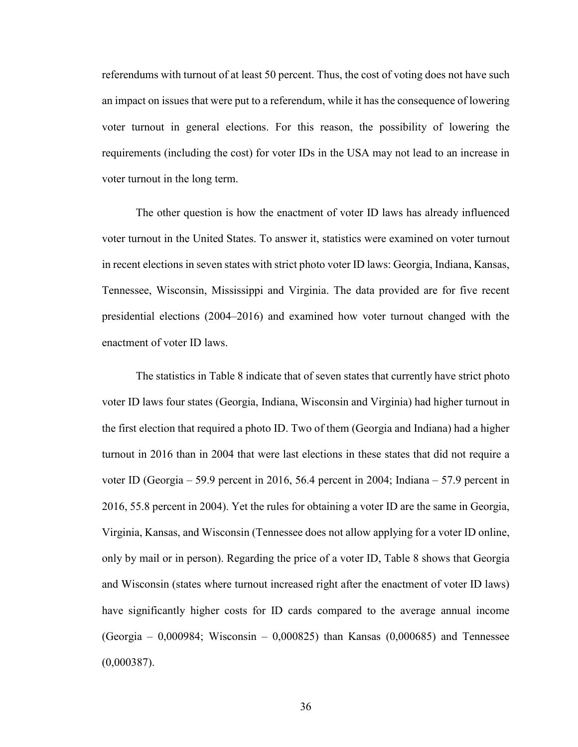referendums with turnout of at least 50 percent. Thus, the cost of voting does not have such an impact on issues that were put to a referendum, while it has the consequence of lowering voter turnout in general elections. For this reason, the possibility of lowering the requirements (including the cost) for voter IDs in the USA may not lead to an increase in voter turnout in the long term.

The other question is how the enactment of voter ID laws has already influenced voter turnout in the United States. To answer it, statistics were examined on voter turnout in recent elections in seven states with strict photo voter ID laws: Georgia, Indiana, Kansas, Tennessee, Wisconsin, Mississippi and Virginia. The data provided are for five recent presidential elections (2004–2016) and examined how voter turnout changed with the enactment of voter ID laws.

The statistics in Table 8 indicate that of seven states that currently have strict photo voter ID laws four states (Georgia, Indiana, Wisconsin and Virginia) had higher turnout in the first election that required a photo ID. Two of them (Georgia and Indiana) had a higher turnout in 2016 than in 2004 that were last elections in these states that did not require a voter ID (Georgia – 59.9 percent in 2016, 56.4 percent in 2004; Indiana – 57.9 percent in 2016, 55.8 percent in 2004). Yet the rules for obtaining a voter ID are the same in Georgia, Virginia, Kansas, and Wisconsin (Tennessee does not allow applying for a voter ID online, only by mail or in person). Regarding the price of a voter ID, Table 8 shows that Georgia and Wisconsin (states where turnout increased right after the enactment of voter ID laws) have significantly higher costs for ID cards compared to the average annual income  $(Ge^{i\pi} - 0.000984; Wiscosin - 0.000825)$  than Kansas  $(0.000685)$  and Tennessee  $(0,000387)$ .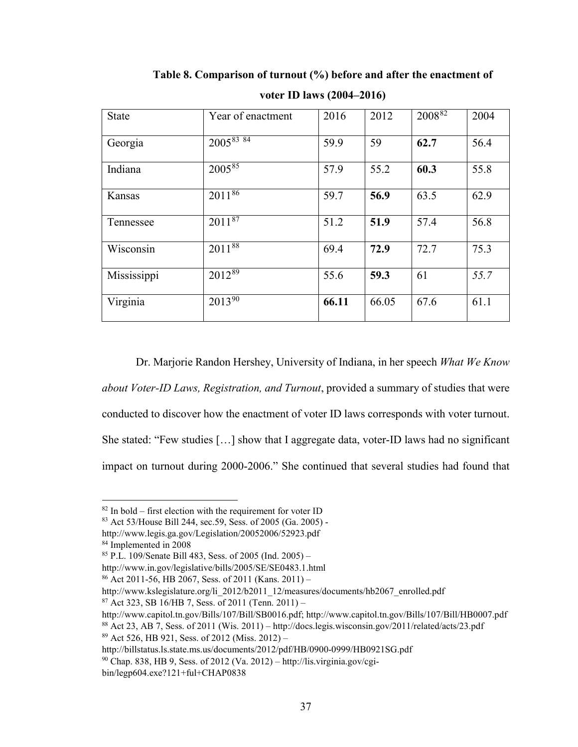| <b>State</b> | Year of enactment        | 2016  | 2012  | 200882 | 2004 |
|--------------|--------------------------|-------|-------|--------|------|
| Georgia      | $200\overline{5^{83}84}$ | 59.9  | 59    | 62.7   | 56.4 |
| Indiana      | $200\overline{5^{85}}$   | 57.9  | 55.2  | 60.3   | 55.8 |
| Kansas       | $20\overline{11^{86}}$   | 59.7  | 56.9  | 63.5   | 62.9 |
| Tennessee    | $201\overline{1^{87}}$   | 51.2  | 51.9  | 57.4   | 56.8 |
| Wisconsin    | $2011^{88}$              | 69.4  | 72.9  | 72.7   | 75.3 |
| Mississippi  | $2012^{89}$              | 55.6  | 59.3  | 61     | 55.7 |
| Virginia     | $2013^{90}$              | 66.11 | 66.05 | 67.6   | 61.1 |

**Table 8. Comparison of turnout (%) before and after the enactment of voter ID laws (2004–2016)** 

Dr. Marjorie Randon Hershey, University of Indiana, in her speech *What We Know about Voter-ID Laws, Registration, and Turnout*, provided a summary of studies that were conducted to discover how the enactment of voter ID laws corresponds with voter turnout. She stated: "Few studies […] show that I aggregate data, voter-ID laws had no significant impact on turnout during 2000-2006." She continued that several studies had found that

l

<span id="page-42-4"></span>http://www.kslegislature.org/li\_2012/b2011\_12/measures/documents/hb2067\_enrolled.pdf

 $87$  Act 323, SB 16/HB 7, Sess. of 2011 (Tenn. 2011) –

<span id="page-42-7"></span>http://billstatus.ls.state.ms.us/documents/2012/pdf/HB/0900-0999/HB0921SG.pdf

 $82$  In bold – first election with the requirement for voter ID

<span id="page-42-0"></span><sup>83</sup> Act 53/House Bill 244, sec.59, Sess. of 2005 (Ga. 2005) -

<span id="page-42-1"></span>http://www.legis.ga.gov/Legislation/20052006/52923.pdf

<span id="page-42-2"></span><sup>84</sup> Implemented in 2008

<span id="page-42-3"></span><sup>85</sup> P.L. 109/Senate Bill 483, Sess. of 2005 (Ind. 2005) –

http://www.in.gov/legislative/bills/2005/SE/SE0483.1.html

 $86$  Act 2011-56, HB 2067, Sess. of 2011 (Kans. 2011) –

<span id="page-42-5"></span>http://www.capitol.tn.gov/Bills/107/Bill/SB0016.pdf; http://www.capitol.tn.gov/Bills/107/Bill/HB0007.pdf

<span id="page-42-6"></span><sup>88</sup> Act 23, AB 7, Sess. of 2011 (Wis. 2011) – http://docs.legis.wisconsin.gov/2011/related/acts/23.pdf <sup>89</sup> Act 526, HB 921, Sess. of 2012 (Miss. 2012) –

<span id="page-42-8"></span> $90$  Chap. 838, HB 9, Sess. of 2012 (Va. 2012) – http://lis.virginia.gov/cgi-

bin/legp604.exe?121+ful+CHAP0838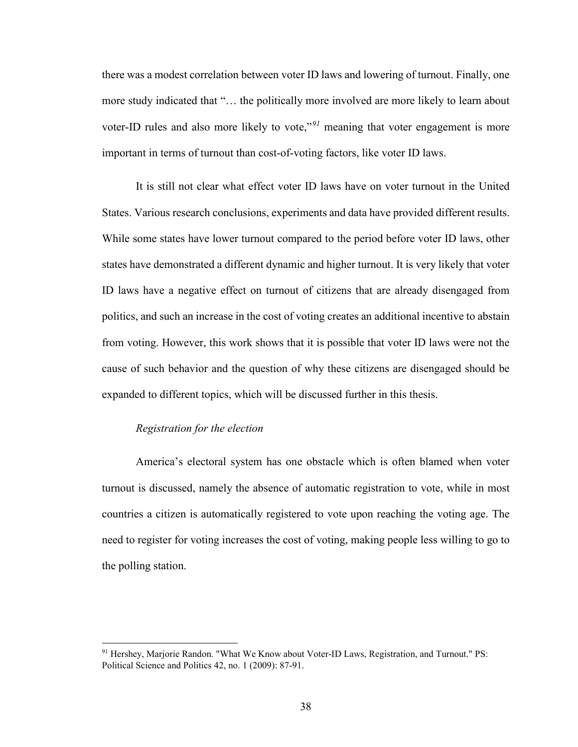there was a modest correlation between voter ID laws and lowering of turnout. Finally, one more study indicated that "… the politically more involved are more likely to learn about voter-ID rules and also more likely to vote,"*[91](#page-43-0)* meaning that voter engagement is more important in terms of turnout than cost-of-voting factors, like voter ID laws.

It is still not clear what effect voter ID laws have on voter turnout in the United States. Various research conclusions, experiments and data have provided different results. While some states have lower turnout compared to the period before voter ID laws, other states have demonstrated a different dynamic and higher turnout. It is very likely that voter ID laws have a negative effect on turnout of citizens that are already disengaged from politics, and such an increase in the cost of voting creates an additional incentive to abstain from voting. However, this work shows that it is possible that voter ID laws were not the cause of such behavior and the question of why these citizens are disengaged should be expanded to different topics, which will be discussed further in this thesis.

#### *Registration for the election*

 $\overline{\phantom{a}}$ 

America's electoral system has one obstacle which is often blamed when voter turnout is discussed, namely the absence of automatic registration to vote, while in most countries a citizen is automatically registered to vote upon reaching the voting age. The need to register for voting increases the cost of voting, making people less willing to go to the polling station.

<span id="page-43-0"></span><sup>&</sup>lt;sup>91</sup> Hershey, Marjorie Randon. "What We Know about Voter-ID Laws, Registration, and Turnout." PS: Political Science and Politics 42, no. 1 (2009): 87-91.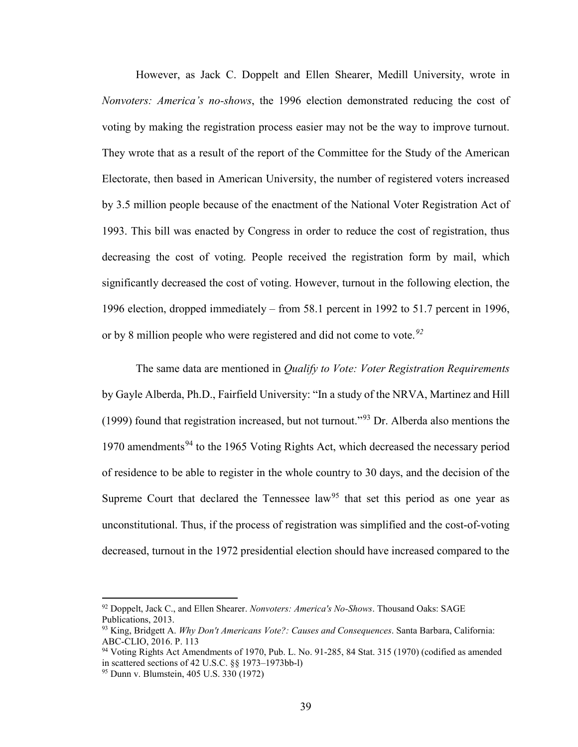However, as Jack C. Doppelt and Ellen Shearer, Medill University, wrote in *Nonvoters: America's no-shows*, the 1996 election demonstrated reducing the cost of voting by making the registration process easier may not be the way to improve turnout. They wrote that as a result of the report of the Committee for the Study of the American Electorate, then based in American University, the number of registered voters increased by 3.5 million people because of the enactment of the National Voter Registration Act of 1993. This bill was enacted by Congress in order to reduce the cost of registration, thus decreasing the cost of voting. People received the registration form by mail, which significantly decreased the cost of voting. However, turnout in the following election, the 1996 election, dropped immediately – from 58.1 percent in 1992 to 51.7 percent in 1996, or by 8 million people who were registered and did not come to vote.*[92](#page-44-0)*

The same data are mentioned in *Qualify to Vote: Voter Registration Requirements*  by Gayle Alberda, Ph.D., Fairfield University: "In a study of the NRVA, Martinez and Hill (1999) found that registration increased, but not turnout."<sup>[93](#page-44-1)</sup> Dr. Alberda also mentions the 1970 amendments<sup>[94](#page-44-2)</sup> to the 1965 Voting Rights Act, which decreased the necessary period of residence to be able to register in the whole country to 30 days, and the decision of the Supreme Court that declared the Tennessee law<sup>[95](#page-44-3)</sup> that set this period as one year as unconstitutional. Thus, if the process of registration was simplified and the cost-of-voting decreased, turnout in the 1972 presidential election should have increased compared to the

<span id="page-44-0"></span><sup>92</sup> Doppelt, Jack C., and Ellen Shearer. *Nonvoters: America's No-Shows*. Thousand Oaks: SAGE Publications, 2013.

<span id="page-44-1"></span><sup>93</sup> King, Bridgett A. *Why Don't Americans Vote?: Causes and Consequences*. Santa Barbara, California: ABC-CLIO, 2016. P. 113

<span id="page-44-2"></span><sup>94</sup> Voting Rights Act Amendments of 1970, Pub. L. No. 91-285, 84 Stat. 315 (1970) (codified as amended in scattered sections of 42 U.S.C. §§ 1973–1973bb-l)

<span id="page-44-3"></span><sup>95</sup> Dunn v. Blumstein, 405 U.S. 330 (1972)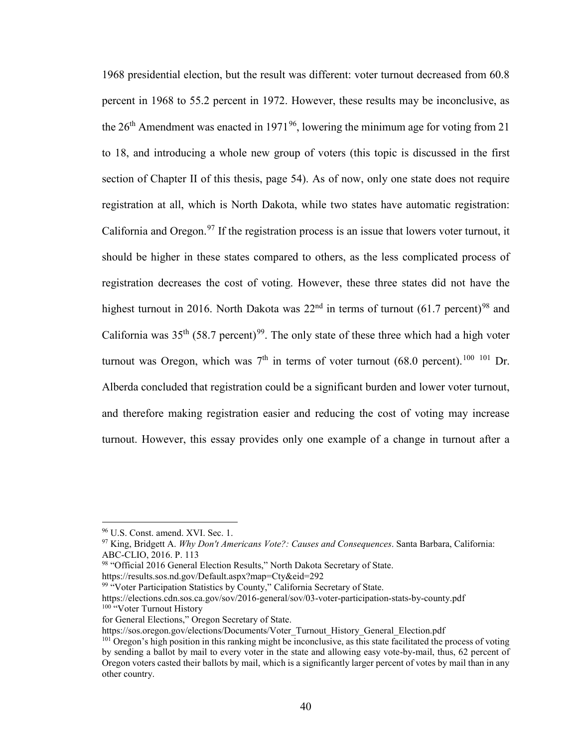1968 presidential election, but the result was different: voter turnout decreased from 60.8 percent in 1968 to 55.2 percent in 1972. However, these results may be inconclusive, as the  $26<sup>th</sup>$  Amendment was enacted in 1971<sup>[96](#page-45-0)</sup>, lowering the minimum age for voting from 21 to 18, and introducing a whole new group of voters (this topic is discussed in the first section of Chapter II of this thesis, page 54). As of now, only one state does not require registration at all, which is North Dakota, while two states have automatic registration: California and Oregon.<sup>[97](#page-45-1)</sup> If the registration process is an issue that lowers voter turnout, it should be higher in these states compared to others, as the less complicated process of registration decreases the cost of voting. However, these three states did not have the highest turnout in 2016. North Dakota was  $22<sup>nd</sup>$  in terms of turnout (61.7 percent)<sup>[98](#page-45-2)</sup> and California was  $35<sup>th</sup>$  (58.7 percent)<sup>[99](#page-45-3)</sup>. The only state of these three which had a high voter turnout was Oregon, which was  $7<sup>th</sup>$  in terms of voter turnout (68.0 percent).<sup>[100](#page-45-4) [101](#page-45-5)</sup> Dr. Alberda concluded that registration could be a significant burden and lower voter turnout, and therefore making registration easier and reducing the cost of voting may increase turnout. However, this essay provides only one example of a change in turnout after a

<span id="page-45-1"></span><span id="page-45-0"></span><sup>&</sup>lt;sup>96</sup> U.S. Const. amend. XVI. Sec. 1.<br><sup>97</sup> King, Bridgett A. *Why Don't Americans Vote?: Causes and Consequences*. Santa Barbara, California: ABC-CLIO, 2016. P. 113

<span id="page-45-2"></span><sup>98 &</sup>quot;Official 2016 General Election Results," North Dakota Secretary of State.

<span id="page-45-3"></span>https://results.sos.nd.gov/Default.aspx?map=Cty&eid=292

<sup>&</sup>lt;sup>99 "</sup>Voter Participation Statistics by County," California Secretary of State.

<span id="page-45-4"></span>https://elections.cdn.sos.ca.gov/sov/2016-general/sov/03-voter-participation-stats-by-county.pdf <sup>100</sup> "Voter Turnout History

for General Elections," Oregon Secretary of State.

https://sos.oregon.gov/elections/Documents/Voter\_Turnout\_History\_General\_Election.pdf

<span id="page-45-5"></span><sup>&</sup>lt;sup>101</sup> Oregon's high position in this ranking might be inconclusive, as this state facilitated the process of voting by sending a ballot by mail to every voter in the state and allowing easy vote-by-mail, thus, 62 percent of Oregon voters casted their ballots by mail, which is a significantly larger percent of votes by mail than in any other country.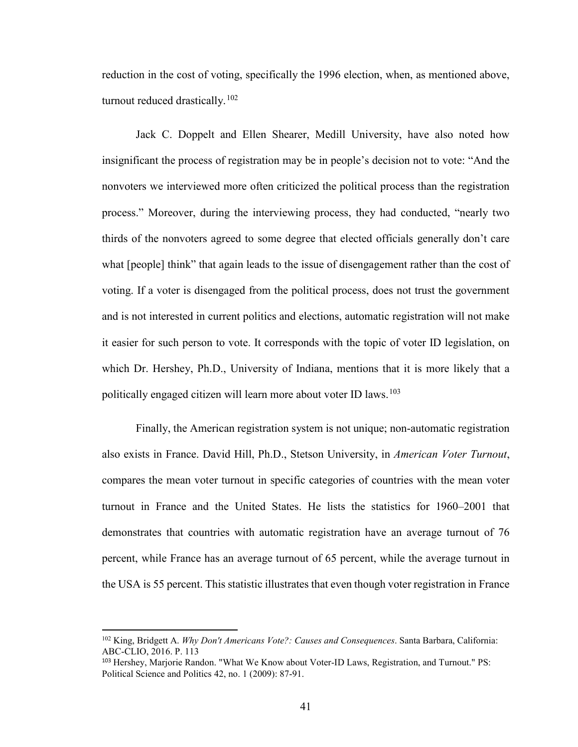reduction in the cost of voting, specifically the 1996 election, when, as mentioned above, turnout reduced drastically.<sup>[102](#page-46-0)</sup>

Jack C. Doppelt and Ellen Shearer, Medill University, have also noted how insignificant the process of registration may be in people's decision not to vote: "And the nonvoters we interviewed more often criticized the political process than the registration process." Moreover, during the interviewing process, they had conducted, "nearly two thirds of the nonvoters agreed to some degree that elected officials generally don't care what [people] think" that again leads to the issue of disengagement rather than the cost of voting. If a voter is disengaged from the political process, does not trust the government and is not interested in current politics and elections, automatic registration will not make it easier for such person to vote. It corresponds with the topic of voter ID legislation, on which Dr. Hershey, Ph.D., University of Indiana, mentions that it is more likely that a politically engaged citizen will learn more about voter ID laws.<sup>[103](#page-46-1)</sup>

Finally, the American registration system is not unique; non-automatic registration also exists in France. David Hill, Ph.D., Stetson University, in *American Voter Turnout*, compares the mean voter turnout in specific categories of countries with the mean voter turnout in France and the United States. He lists the statistics for 1960–2001 that demonstrates that countries with automatic registration have an average turnout of 76 percent, while France has an average turnout of 65 percent, while the average turnout in the USA is 55 percent. This statistic illustrates that even though voter registration in France

<span id="page-46-0"></span><sup>102</sup> King, Bridgett A. *Why Don't Americans Vote?: Causes and Consequences*. Santa Barbara, California: ABC-CLIO, 2016. P. 113

<span id="page-46-1"></span><sup>103</sup> Hershey, Marjorie Randon. "What We Know about Voter-ID Laws, Registration, and Turnout." PS: Political Science and Politics 42, no. 1 (2009): 87-91.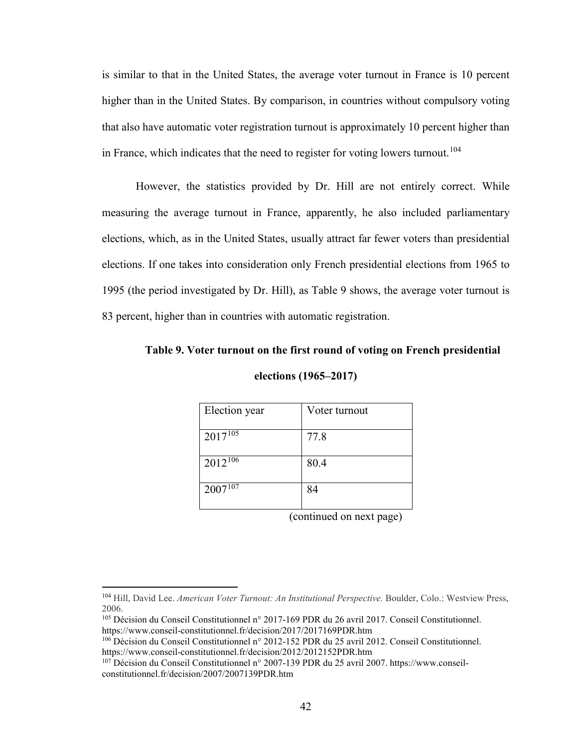is similar to that in the United States, the average voter turnout in France is 10 percent higher than in the United States. By comparison, in countries without compulsory voting that also have automatic voter registration turnout is approximately 10 percent higher than in France, which indicates that the need to register for voting lowers turnout.<sup>[104](#page-47-0)</sup>

However, the statistics provided by Dr. Hill are not entirely correct. While measuring the average turnout in France, apparently, he also included parliamentary elections, which, as in the United States, usually attract far fewer voters than presidential elections. If one takes into consideration only French presidential elections from 1965 to 1995 (the period investigated by Dr. Hill), as Table 9 shows, the average voter turnout is 83 percent, higher than in countries with automatic registration.

# **Table 9. Voter turnout on the first round of voting on French presidential**

| Election year | Voter turnout |
|---------------|---------------|
| $2017^{105}$  | 77.8          |
| $2012^{106}$  | 80.4          |
| $2007^{107}$  | 84            |

**elections (1965–2017)** 

(continued on next page)

<span id="page-47-0"></span><sup>104</sup> Hill, David Lee. *American Voter Turnout: An Institutional Perspective.* Boulder, Colo.: Westview Press, 2006.

<span id="page-47-1"></span><sup>105</sup> Décision du Conseil Constitutionnel n° 2017-169 PDR du 26 avril 2017. Conseil Constitutionnel. https://www.conseil-constitutionnel.fr/decision/2017/2017169PDR.htm

<span id="page-47-2"></span><sup>106</sup> Décision du Conseil Constitutionnel n° 2012-152 PDR du 25 avril 2012. Conseil Constitutionnel. https://www.conseil-constitutionnel.fr/decision/2012/2012152PDR.htm

<span id="page-47-3"></span><sup>107</sup> Décision du Conseil Constitutionnel n° 2007-139 PDR du 25 avril 2007. https://www.conseilconstitutionnel.fr/decision/2007/2007139PDR.htm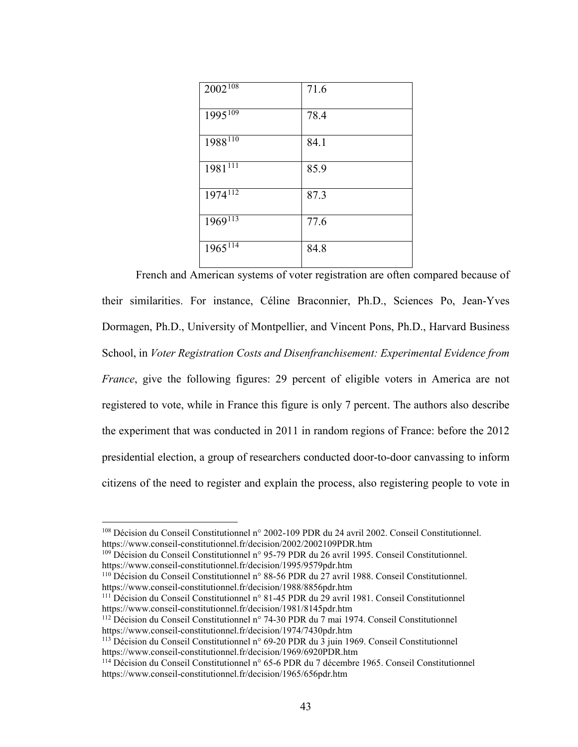| $2002^{108}$            | 71.6 |
|-------------------------|------|
| $1995^{109}$            | 78.4 |
| $1988^{110}$            | 84.1 |
| $1981^{11}$             | 85.9 |
| $1974^{112}$            | 87.3 |
| $1969^{113}$            | 77.6 |
| $1965^{1\overline{14}}$ | 84.8 |

French and American systems of voter registration are often compared because of their similarities. For instance, Céline Braconnier, Ph.D., Sciences Po, Jean-Yves Dormagen, Ph.D., University of Montpellier, and Vincent Pons, Ph.D., Harvard Business School, in *Voter Registration Costs and Disenfranchisement: Experimental Evidence from France*, give the following figures: 29 percent of eligible voters in America are not registered to vote, while in France this figure is only 7 percent. The authors also describe the experiment that was conducted in 2011 in random regions of France: before the 2012 presidential election, a group of researchers conducted door-to-door canvassing to inform citizens of the need to register and explain the process, also registering people to vote in

<span id="page-48-0"></span><sup>108</sup> Décision du Conseil Constitutionnel n° 2002-109 PDR du 24 avril 2002. Conseil Constitutionnel. https://www.conseil-constitutionnel.fr/decision/2002/2002109PDR.htm

<span id="page-48-1"></span><sup>109</sup> Décision du Conseil Constitutionnel n° 95-79 PDR du 26 avril 1995. Conseil Constitutionnel. https://www.conseil-constitutionnel.fr/decision/1995/9579pdr.htm

<span id="page-48-2"></span><sup>110</sup> Décision du Conseil Constitutionnel n° 88-56 PDR du 27 avril 1988. Conseil Constitutionnel. https://www.conseil-constitutionnel.fr/decision/1988/8856pdr.htm

<span id="page-48-3"></span><sup>111</sup> Décision du Conseil Constitutionnel n° 81-45 PDR du 29 avril 1981. Conseil Constitutionnel https://www.conseil-constitutionnel.fr/decision/1981/8145pdr.htm

<span id="page-48-4"></span><sup>112</sup> Décision du Conseil Constitutionnel n° 74-30 PDR du 7 mai 1974. Conseil Constitutionnel https://www.conseil-constitutionnel.fr/decision/1974/7430pdr.htm

<span id="page-48-5"></span><sup>&</sup>lt;sup>113</sup> Décision du Conseil Constitutionnel n° 69-20 PDR du  $\overline{3}$  juin 1969. Conseil Constitutionnel https://www.conseil-constitutionnel.fr/decision/1969/6920PDR.htm

<span id="page-48-6"></span><sup>114</sup> Décision du Conseil Constitutionnel n° 65-6 PDR du 7 décembre 1965. Conseil Constitutionnel https://www.conseil-constitutionnel.fr/decision/1965/656pdr.htm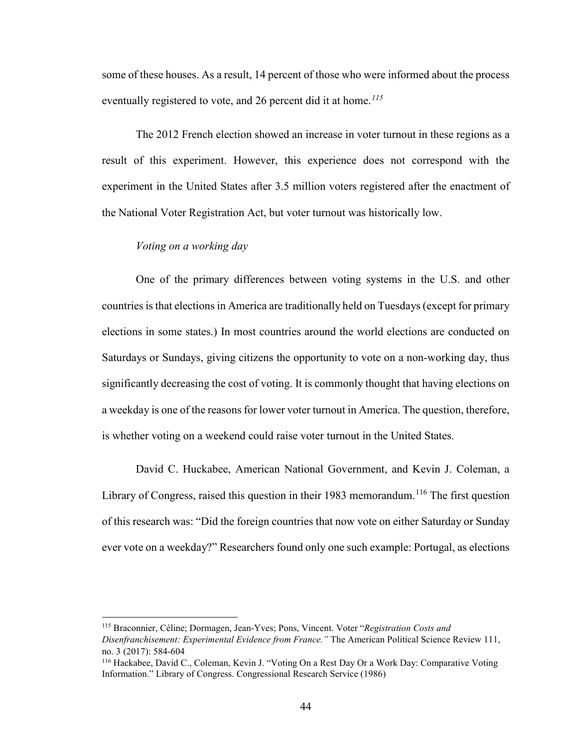some of these houses. As a result, 14 percent of those who were informed about the process eventually registered to vote, and 26 percent did it at home.*[115](#page-49-0)*

The 2012 French election showed an increase in voter turnout in these regions as a result of this experiment. However, this experience does not correspond with the experiment in the United States after 3.5 million voters registered after the enactment of the National Voter Registration Act, but voter turnout was historically low.

#### *Voting on a working day*

l

One of the primary differences between voting systems in the U.S. and other countries is that elections in America are traditionally held on Tuesdays (except for primary elections in some states.) In most countries around the world elections are conducted on Saturdays or Sundays, giving citizens the opportunity to vote on a non-working day, thus significantly decreasing the cost of voting. It is commonly thought that having elections on a weekday is one of the reasons for lower voter turnout in America. The question, therefore, is whether voting on a weekend could raise voter turnout in the United States.

David C. Huckabee, American National Government, and Kevin J. Coleman, a Library of Congress, raised this question in their 1983 memorandum.<sup>116</sup> The first question of this research was: "Did the foreign countries that now vote on either Saturday or Sunday ever vote on a weekday?" Researchers found only one such example: Portugal, as elections

<span id="page-49-0"></span><sup>115</sup> Braconnier, Céline; Dormagen, Jean-Yves; Pons, Vincent. Voter "*Registration Costs and Disenfranchisement: Experimental Evidence from France."* The American Political Science Review 111, no. 3 (2017): 584-604

<span id="page-49-1"></span><sup>116</sup> Hackabee, David C., Coleman, Kevin J. "Voting On a Rest Day Or a Work Day: Comparative Voting Information." Library of Congress. Congressional Research Service (1986)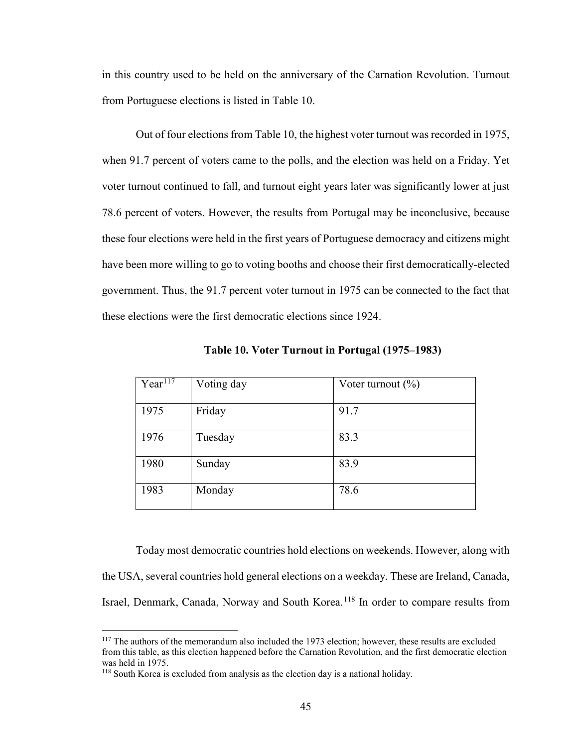in this country used to be held on the anniversary of the Carnation Revolution. Turnout from Portuguese elections is listed in Table 10.

Out of four elections from Table 10, the highest voter turnout was recorded in 1975, when 91.7 percent of voters came to the polls, and the election was held on a Friday. Yet voter turnout continued to fall, and turnout eight years later was significantly lower at just 78.6 percent of voters. However, the results from Portugal may be inconclusive, because these four elections were held in the first years of Portuguese democracy and citizens might have been more willing to go to voting booths and choose their first democratically-elected government. Thus, the 91.7 percent voter turnout in 1975 can be connected to the fact that these elections were the first democratic elections since 1924.

| Year $1\overline{17}$ | Voting day | Voter turnout $(\% )$ |
|-----------------------|------------|-----------------------|
| 1975                  | Friday     | 91.7                  |
| 1976                  | Tuesday    | 83.3                  |
| 1980                  | Sunday     | 83.9                  |
| 1983                  | Monday     | 78.6                  |

**Table 10. Voter Turnout in Portugal (1975–1983)** 

Today most democratic countries hold elections on weekends. However, along with the USA, several countries hold general elections on a weekday. These are Ireland, Canada, Israel, Denmark, Canada, Norway and South Korea. [118](#page-50-1) In order to compare results from

<span id="page-50-0"></span><sup>&</sup>lt;sup>117</sup> The authors of the memorandum also included the 1973 election; however, these results are excluded from this table, as this election happened before the Carnation Revolution, and the first democratic election was held in 1975.

<span id="page-50-1"></span><sup>118</sup> South Korea is excluded from analysis as the election day is a national holiday.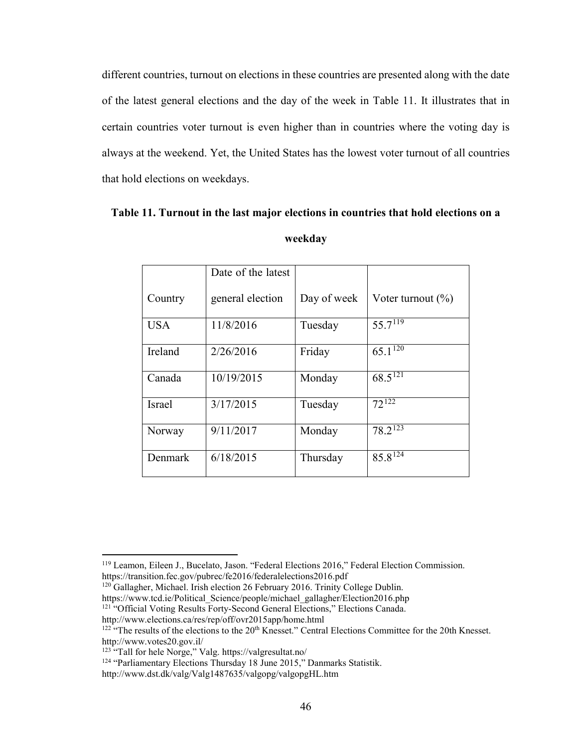different countries, turnout on elections in these countries are presented along with the date of the latest general elections and the day of the week in Table 11. It illustrates that in certain countries voter turnout is even higher than in countries where the voting day is always at the weekend. Yet, the United States has the lowest voter turnout of all countries that hold elections on weekdays.

|               | Date of the latest |             |                         |
|---------------|--------------------|-------------|-------------------------|
| Country       | general election   | Day of week | Voter turnout $(\% )$   |
| <b>USA</b>    | 11/8/2016          | Tuesday     | $55.7^{119}$            |
| Ireland       | 2/26/2016          | Friday      | $65.1\overline{120}$    |
| Canada        | 10/19/2015         | Monday      | $68.5^{\overline{121}}$ |
| <b>Israel</b> | 3/17/2015          | Tuesday     | $72^{122}$              |
| Norway        | 9/11/2017          | Monday      | $78.2^{12\overline{3}}$ |
| Denmark       | 6/18/2015          | Thursday    | $85.8\overline{124}$    |

# **Table 11. Turnout in the last major elections in countries that hold elections on a weekday**

 $\overline{\phantom{a}}$ 

<span id="page-51-0"></span><sup>119</sup> Leamon, Eileen J., Bucelato, Jason. "Federal Elections 2016," Federal Election Commission. https://transition.fec.gov/pubrec/fe2016/federalelections2016.pdf

<sup>&</sup>lt;sup>120</sup> Gallagher, Michael. Irish election 26 February 2016. Trinity College Dublin.

<span id="page-51-1"></span>https://www.tcd.ie/Political\_Science/people/michael\_gallagher/Election2016.php

<span id="page-51-2"></span><sup>&</sup>lt;sup>121</sup> "Official Voting Results Forty-Second General Elections," Elections Canada.

http://www.elections.ca/res/rep/off/ovr2015app/home.html

<span id="page-51-3"></span> $122$  "The results of the elections to the  $20<sup>th</sup>$  Knesset." Central Elections Committee for the 20th Knesset. http://www.votes20.gov.il/

<span id="page-51-5"></span><span id="page-51-4"></span><sup>123</sup> "Tall for hele Norge," Valg. https://valgresultat.no/

<sup>&</sup>lt;sup>124</sup> "Parliamentary Elections Thursday 18 June 2015," Danmarks Statistik.

http://www.dst.dk/valg/Valg1487635/valgopg/valgopgHL.htm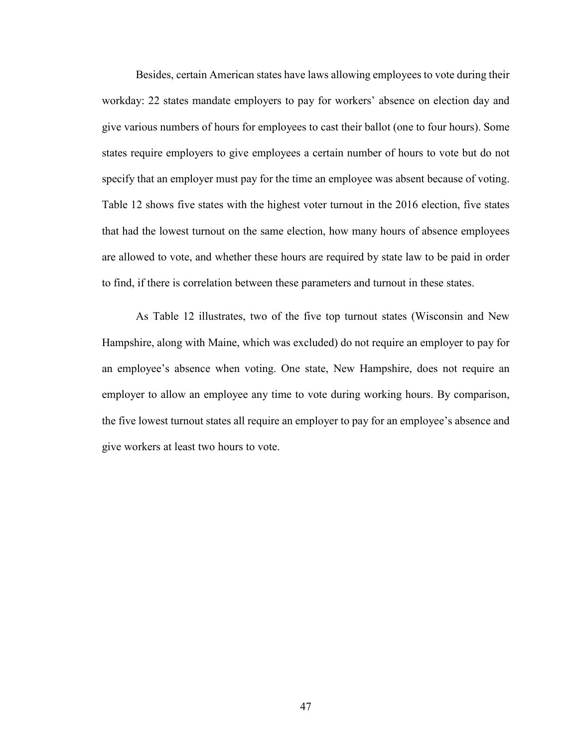Besides, certain American states have laws allowing employees to vote during their workday: 22 states mandate employers to pay for workers' absence on election day and give various numbers of hours for employees to cast their ballot (one to four hours). Some states require employers to give employees a certain number of hours to vote but do not specify that an employer must pay for the time an employee was absent because of voting. Table 12 shows five states with the highest voter turnout in the 2016 election, five states that had the lowest turnout on the same election, how many hours of absence employees are allowed to vote, and whether these hours are required by state law to be paid in order to find, if there is correlation between these parameters and turnout in these states.

As Table 12 illustrates, two of the five top turnout states (Wisconsin and New Hampshire, along with Maine, which was excluded) do not require an employer to pay for an employee's absence when voting. One state, New Hampshire, does not require an employer to allow an employee any time to vote during working hours. By comparison, the five lowest turnout states all require an employer to pay for an employee's absence and give workers at least two hours to vote.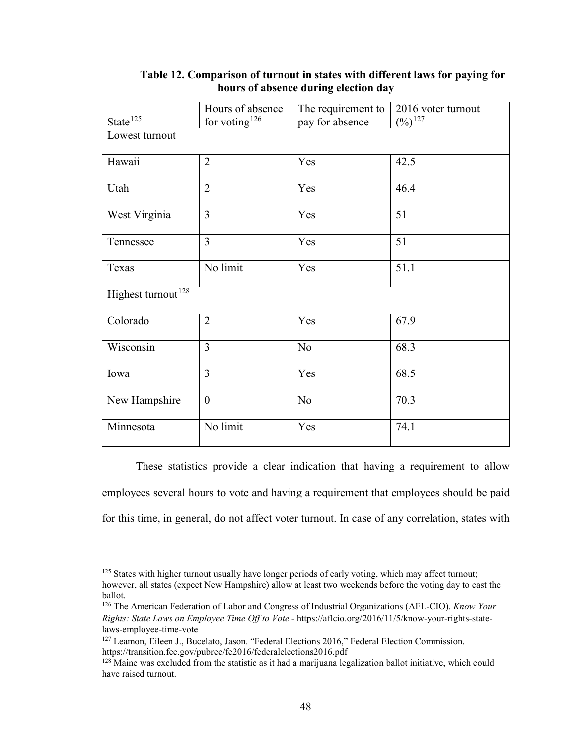|                                | Hours of absence | The requirement to | 2016 voter turnout |  |
|--------------------------------|------------------|--------------------|--------------------|--|
| State <sup>125</sup>           | for voting $126$ | pay for absence    | $(\%)^{127}$       |  |
| Lowest turnout                 |                  |                    |                    |  |
| Hawaii                         | $\overline{2}$   | Yes                | 42.5               |  |
| Utah                           | $\overline{2}$   | Yes                | 46.4               |  |
| West Virginia                  | 3                | Yes                | 51                 |  |
| Tennessee                      | 3                | Yes                | 51                 |  |
| Texas                          | No limit         | Yes                | 51.1               |  |
| Highest turnout <sup>128</sup> |                  |                    |                    |  |
| Colorado                       | $\overline{2}$   | Yes                | 67.9               |  |
| Wisconsin                      | $\overline{3}$   | N <sub>o</sub>     | 68.3               |  |
| Iowa                           | $\overline{3}$   | Yes                | 68.5               |  |
| New Hampshire                  | $\overline{0}$   | N <sub>o</sub>     | 70.3               |  |
| Minnesota                      | No limit         | Yes                | 74.1               |  |

# **Table 12. Comparison of turnout in states with different laws for paying for hours of absence during election day**

These statistics provide a clear indication that having a requirement to allow employees several hours to vote and having a requirement that employees should be paid for this time, in general, do not affect voter turnout. In case of any correlation, states with

 $\overline{a}$ 

<span id="page-53-0"></span><sup>&</sup>lt;sup>125</sup> States with higher turnout usually have longer periods of early voting, which may affect turnout; however, all states (expect New Hampshire) allow at least two weekends before the voting day to cast the ballot.

<span id="page-53-1"></span><sup>126</sup> The American Federation of Labor and Congress of Industrial Organizations (AFL-CIO). *Know Your Rights: State Laws on Employee Time Off to Vote* - https://aflcio.org/2016/11/5/know-your-rights-statelaws-employee-time-vote

<span id="page-53-2"></span><sup>&</sup>lt;sup>127</sup> Leamon, Eileen J., Bucelato, Jason. "Federal Elections 2016," Federal Election Commission. https://transition.fec.gov/pubrec/fe2016/federalelections2016.pdf

<span id="page-53-3"></span><sup>&</sup>lt;sup>128</sup> Maine was excluded from the statistic as it had a marijuana legalization ballot initiative, which could have raised turnout.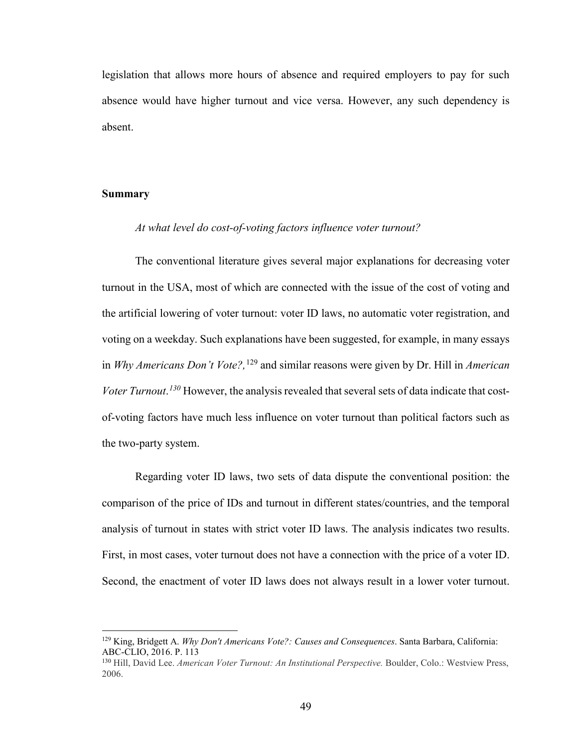legislation that allows more hours of absence and required employers to pay for such absence would have higher turnout and vice versa. However, any such dependency is absent.

#### **Summary**

l

### *At what level do cost-of-voting factors influence voter turnout?*

The conventional literature gives several major explanations for decreasing voter turnout in the USA, most of which are connected with the issue of the cost of voting and the artificial lowering of voter turnout: voter ID laws, no automatic voter registration, and voting on a weekday. Such explanations have been suggested, for example, in many essays in *Why Americans Don't Vote?,* [129](#page-54-0) and similar reasons were given by Dr. Hill in *American Voter Turnout*. *[130](#page-54-1)* However, the analysis revealed that several sets of data indicate that costof-voting factors have much less influence on voter turnout than political factors such as the two-party system.

Regarding voter ID laws, two sets of data dispute the conventional position: the comparison of the price of IDs and turnout in different states/countries, and the temporal analysis of turnout in states with strict voter ID laws. The analysis indicates two results. First, in most cases, voter turnout does not have a connection with the price of a voter ID. Second, the enactment of voter ID laws does not always result in a lower voter turnout.

<span id="page-54-0"></span><sup>129</sup> King, Bridgett A. *Why Don't Americans Vote?: Causes and Consequences*. Santa Barbara, California: ABC-CLIO, 2016. P. 113

<span id="page-54-1"></span><sup>130</sup> Hill, David Lee. *American Voter Turnout: An Institutional Perspective.* Boulder, Colo.: Westview Press, 2006.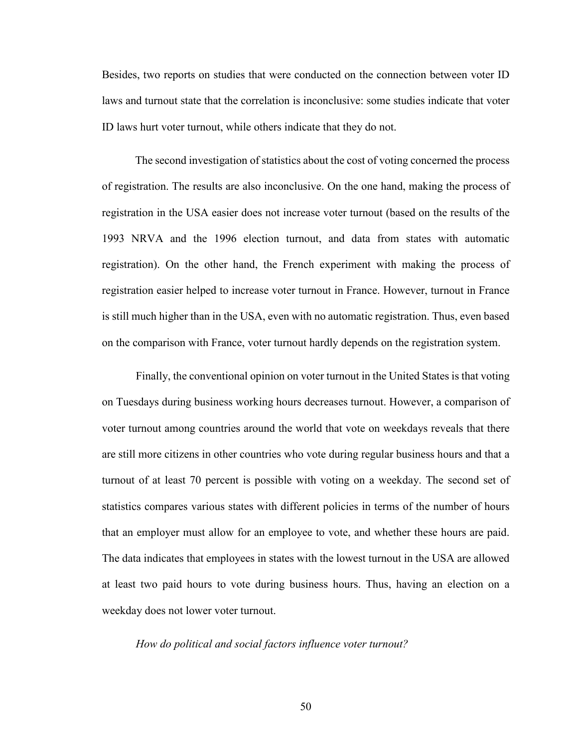Besides, two reports on studies that were conducted on the connection between voter ID laws and turnout state that the correlation is inconclusive: some studies indicate that voter ID laws hurt voter turnout, while others indicate that they do not.

The second investigation of statistics about the cost of voting concerned the process of registration. The results are also inconclusive. On the one hand, making the process of registration in the USA easier does not increase voter turnout (based on the results of the 1993 NRVA and the 1996 election turnout, and data from states with automatic registration). On the other hand, the French experiment with making the process of registration easier helped to increase voter turnout in France. However, turnout in France is still much higher than in the USA, even with no automatic registration. Thus, even based on the comparison with France, voter turnout hardly depends on the registration system.

Finally, the conventional opinion on voter turnout in the United States is that voting on Tuesdays during business working hours decreases turnout. However, a comparison of voter turnout among countries around the world that vote on weekdays reveals that there are still more citizens in other countries who vote during regular business hours and that a turnout of at least 70 percent is possible with voting on a weekday. The second set of statistics compares various states with different policies in terms of the number of hours that an employer must allow for an employee to vote, and whether these hours are paid. The data indicates that employees in states with the lowest turnout in the USA are allowed at least two paid hours to vote during business hours. Thus, having an election on a weekday does not lower voter turnout.

*How do political and social factors influence voter turnout?*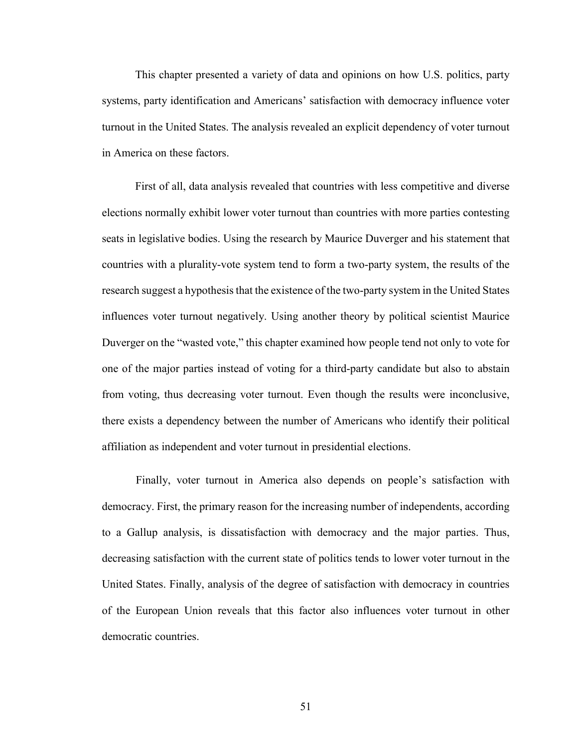This chapter presented a variety of data and opinions on how U.S. politics, party systems, party identification and Americans' satisfaction with democracy influence voter turnout in the United States. The analysis revealed an explicit dependency of voter turnout in America on these factors.

First of all, data analysis revealed that countries with less competitive and diverse elections normally exhibit lower voter turnout than countries with more parties contesting seats in legislative bodies. Using the research by Maurice Duverger and his statement that countries with a plurality-vote system tend to form a two-party system, the results of the research suggest a hypothesis that the existence of the two-party system in the United States influences voter turnout negatively. Using another theory by political scientist Maurice Duverger on the "wasted vote," this chapter examined how people tend not only to vote for one of the major parties instead of voting for a third-party candidate but also to abstain from voting, thus decreasing voter turnout. Even though the results were inconclusive, there exists a dependency between the number of Americans who identify their political affiliation as independent and voter turnout in presidential elections.

Finally, voter turnout in America also depends on people's satisfaction with democracy. First, the primary reason for the increasing number of independents, according to a Gallup analysis, is dissatisfaction with democracy and the major parties. Thus, decreasing satisfaction with the current state of politics tends to lower voter turnout in the United States. Finally, analysis of the degree of satisfaction with democracy in countries of the European Union reveals that this factor also influences voter turnout in other democratic countries.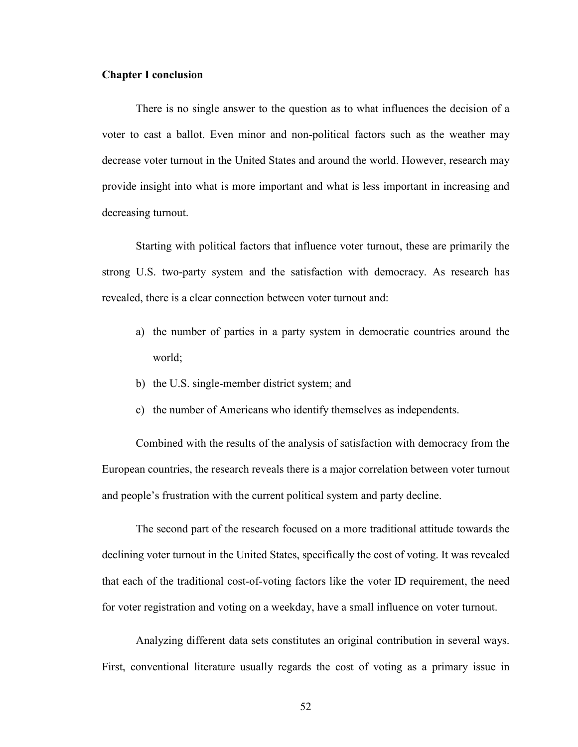#### **Chapter I conclusion**

There is no single answer to the question as to what influences the decision of a voter to cast a ballot. Even minor and non-political factors such as the weather may decrease voter turnout in the United States and around the world. However, research may provide insight into what is more important and what is less important in increasing and decreasing turnout.

Starting with political factors that influence voter turnout, these are primarily the strong U.S. two-party system and the satisfaction with democracy. As research has revealed, there is a clear connection between voter turnout and:

- a) the number of parties in a party system in democratic countries around the world;
- b) the U.S. single-member district system; and
- c) the number of Americans who identify themselves as independents.

Combined with the results of the analysis of satisfaction with democracy from the European countries, the research reveals there is a major correlation between voter turnout and people's frustration with the current political system and party decline.

The second part of the research focused on a more traditional attitude towards the declining voter turnout in the United States, specifically the cost of voting. It was revealed that each of the traditional cost-of-voting factors like the voter ID requirement, the need for voter registration and voting on a weekday, have a small influence on voter turnout.

Analyzing different data sets constitutes an original contribution in several ways. First, conventional literature usually regards the cost of voting as a primary issue in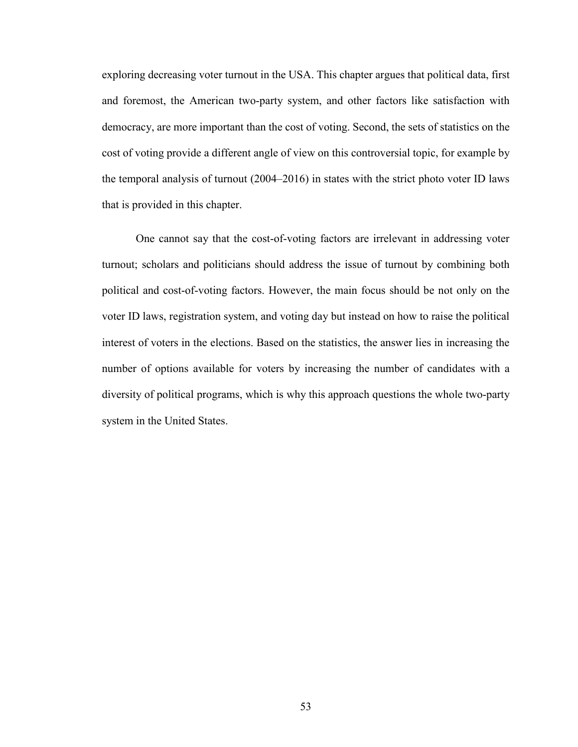exploring decreasing voter turnout in the USA. This chapter argues that political data, first and foremost, the American two-party system, and other factors like satisfaction with democracy, are more important than the cost of voting. Second, the sets of statistics on the cost of voting provide a different angle of view on this controversial topic, for example by the temporal analysis of turnout (2004–2016) in states with the strict photo voter ID laws that is provided in this chapter.

One cannot say that the cost-of-voting factors are irrelevant in addressing voter turnout; scholars and politicians should address the issue of turnout by combining both political and cost-of-voting factors. However, the main focus should be not only on the voter ID laws, registration system, and voting day but instead on how to raise the political interest of voters in the elections. Based on the statistics, the answer lies in increasing the number of options available for voters by increasing the number of candidates with a diversity of political programs, which is why this approach questions the whole two-party system in the United States.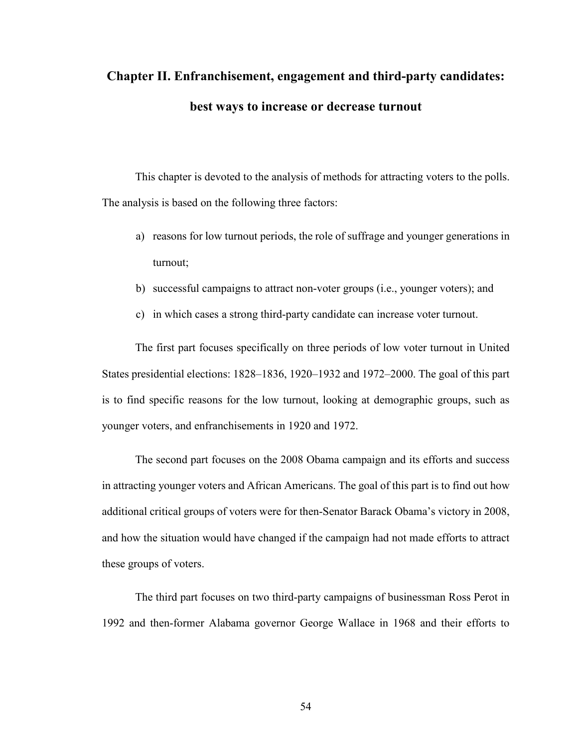# **Chapter II. Enfranchisement, engagement and third-party candidates: best ways to increase or decrease turnout**

This chapter is devoted to the analysis of methods for attracting voters to the polls. The analysis is based on the following three factors:

- a) reasons for low turnout periods, the role of suffrage and younger generations in turnout;
- b) successful campaigns to attract non-voter groups (i.e., younger voters); and
- c) in which cases a strong third-party candidate can increase voter turnout.

The first part focuses specifically on three periods of low voter turnout in United States presidential elections: 1828–1836, 1920–1932 and 1972–2000. The goal of this part is to find specific reasons for the low turnout, looking at demographic groups, such as younger voters, and enfranchisements in 1920 and 1972.

The second part focuses on the 2008 Obama campaign and its efforts and success in attracting younger voters and African Americans. The goal of this part is to find out how additional critical groups of voters were for then-Senator Barack Obama's victory in 2008, and how the situation would have changed if the campaign had not made efforts to attract these groups of voters.

The third part focuses on two third-party campaigns of businessman Ross Perot in 1992 and then-former Alabama governor George Wallace in 1968 and their efforts to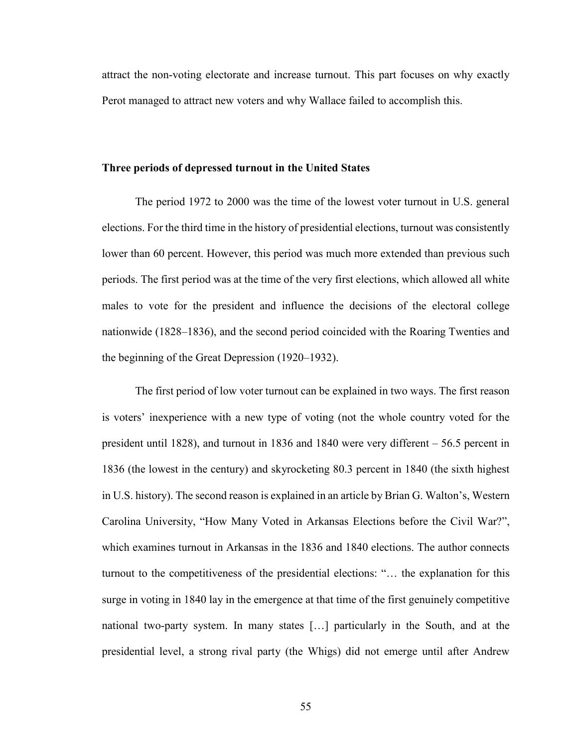attract the non-voting electorate and increase turnout. This part focuses on why exactly Perot managed to attract new voters and why Wallace failed to accomplish this.

#### **Three periods of depressed turnout in the United States**

The period 1972 to 2000 was the time of the lowest voter turnout in U.S. general elections. For the third time in the history of presidential elections, turnout was consistently lower than 60 percent. However, this period was much more extended than previous such periods. The first period was at the time of the very first elections, which allowed all white males to vote for the president and influence the decisions of the electoral college nationwide (1828–1836), and the second period coincided with the Roaring Twenties and the beginning of the Great Depression (1920–1932).

The first period of low voter turnout can be explained in two ways. The first reason is voters' inexperience with a new type of voting (not the whole country voted for the president until 1828), and turnout in 1836 and 1840 were very different – 56.5 percent in 1836 (the lowest in the century) and skyrocketing 80.3 percent in 1840 (the sixth highest in U.S. history). The second reason is explained in an article by Brian G. Walton's, Western Carolina University, "How Many Voted in Arkansas Elections before the Civil War?", which examines turnout in Arkansas in the 1836 and 1840 elections. The author connects turnout to the competitiveness of the presidential elections: "… the explanation for this surge in voting in 1840 lay in the emergence at that time of the first genuinely competitive national two-party system. In many states […] particularly in the South, and at the presidential level, a strong rival party (the Whigs) did not emerge until after Andrew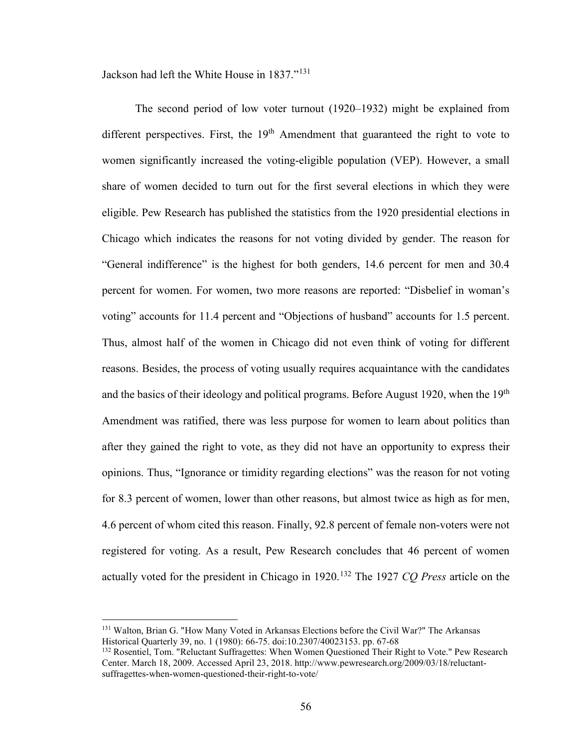Jackson had left the White House in 1837."[131](#page-61-0)

The second period of low voter turnout (1920–1932) might be explained from different perspectives. First, the  $19<sup>th</sup>$  Amendment that guaranteed the right to vote to women significantly increased the voting-eligible population (VEP). However, a small share of women decided to turn out for the first several elections in which they were eligible. Pew Research has published the statistics from the 1920 presidential elections in Chicago which indicates the reasons for not voting divided by gender. The reason for "General indifference" is the highest for both genders, 14.6 percent for men and 30.4 percent for women. For women, two more reasons are reported: "Disbelief in woman's voting" accounts for 11.4 percent and "Objections of husband" accounts for 1.5 percent. Thus, almost half of the women in Chicago did not even think of voting for different reasons. Besides, the process of voting usually requires acquaintance with the candidates and the basics of their ideology and political programs. Before August 1920, when the 19<sup>th</sup> Amendment was ratified, there was less purpose for women to learn about politics than after they gained the right to vote, as they did not have an opportunity to express their opinions. Thus, "Ignorance or timidity regarding elections" was the reason for not voting for 8.3 percent of women, lower than other reasons, but almost twice as high as for men, 4.6 percent of whom cited this reason. Finally, 92.8 percent of female non-voters were not registered for voting. As a result, Pew Research concludes that 46 percent of women actually voted for the president in Chicago in 1920.[132](#page-61-1) The 1927 *CQ Press* article on the

 $\overline{\phantom{a}}$ 

<span id="page-61-0"></span><sup>&</sup>lt;sup>131</sup> Walton, Brian G. "How Many Voted in Arkansas Elections before the Civil War?" The Arkansas Historical Quarterly 39, no. 1 (1980): 66-75. doi:10.2307/40023153. pp. 67-68

<span id="page-61-1"></span><sup>&</sup>lt;sup>132</sup> Rosentiel, Tom. "Reluctant Suffragettes: When Women Questioned Their Right to Vote." Pew Research Center. March 18, 2009. Accessed April 23, 2018. http://www.pewresearch.org/2009/03/18/reluctantsuffragettes-when-women-questioned-their-right-to-vote/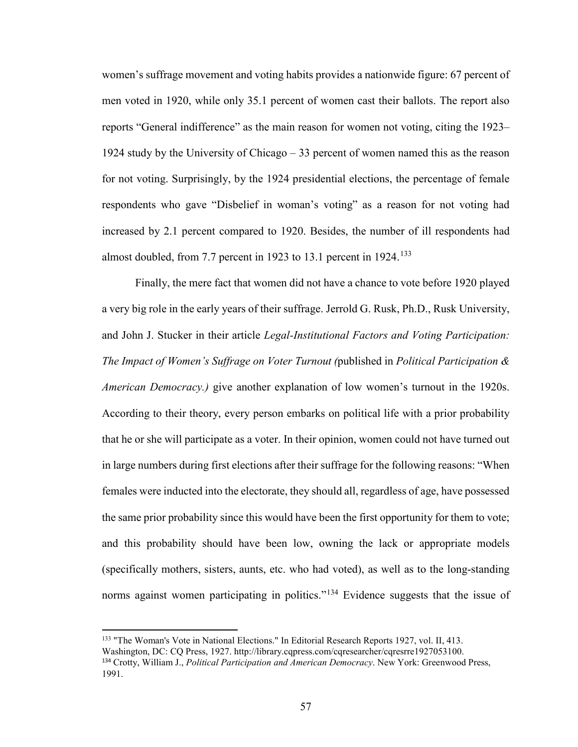women's suffrage movement and voting habits provides a nationwide figure: 67 percent of men voted in 1920, while only 35.1 percent of women cast their ballots. The report also reports "General indifference" as the main reason for women not voting, citing the 1923– 1924 study by the University of Chicago – 33 percent of women named this as the reason for not voting. Surprisingly, by the 1924 presidential elections, the percentage of female respondents who gave "Disbelief in woman's voting" as a reason for not voting had increased by 2.1 percent compared to 1920. Besides, the number of ill respondents had almost doubled, from 7.7 percent in 1923 to 13.1 percent in 1924.<sup>[133](#page-62-0)</sup>

Finally, the mere fact that women did not have a chance to vote before 1920 played a very big role in the early years of their suffrage. Jerrold G. Rusk, Ph.D., Rusk University, and John J. Stucker in their article *Legal-Institutional Factors and Voting Participation: The Impact of Women's Suffrage on Voter Turnout (*published in *Political Participation & American Democracy.)* give another explanation of low women's turnout in the 1920s. According to their theory, every person embarks on political life with a prior probability that he or she will participate as a voter. In their opinion, women could not have turned out in large numbers during first elections after their suffrage for the following reasons: "When females were inducted into the electorate, they should all, regardless of age, have possessed the same prior probability since this would have been the first opportunity for them to vote; and this probability should have been low, owning the lack or appropriate models (specifically mothers, sisters, aunts, etc. who had voted), as well as to the long-standing norms against women participating in politics."<sup>[134](#page-62-1)</sup> Evidence suggests that the issue of

<span id="page-62-1"></span><span id="page-62-0"></span><sup>133</sup> "The Woman's Vote in National Elections." In Editorial Research Reports 1927, vol. II, 413. Washington, DC: CQ Press, 1927. http://library.cqpress.com/cqresearcher/cqresrre1927053100. <sup>134</sup> Crotty, William J., *Political Participation and American Democracy*. New York: Greenwood Press, 1991.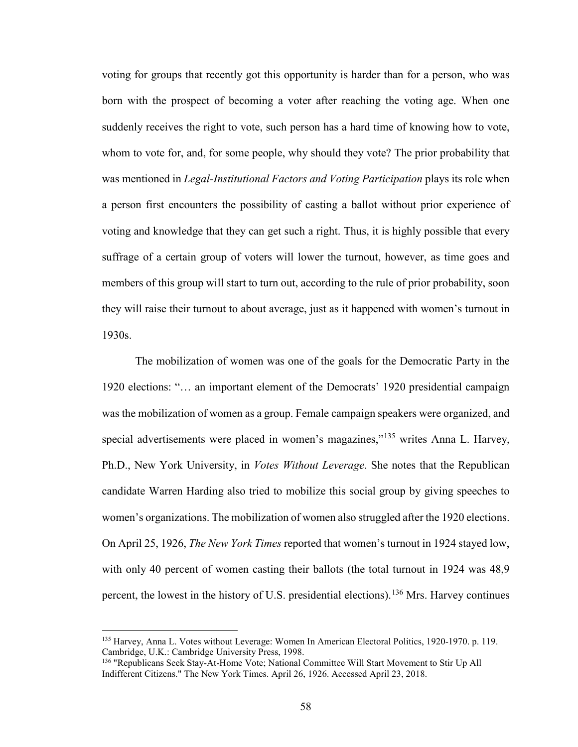voting for groups that recently got this opportunity is harder than for a person, who was born with the prospect of becoming a voter after reaching the voting age. When one suddenly receives the right to vote, such person has a hard time of knowing how to vote, whom to vote for, and, for some people, why should they vote? The prior probability that was mentioned in *Legal-Institutional Factors and Voting Participation* plays its role when a person first encounters the possibility of casting a ballot without prior experience of voting and knowledge that they can get such a right. Thus, it is highly possible that every suffrage of a certain group of voters will lower the turnout, however, as time goes and members of this group will start to turn out, according to the rule of prior probability, soon they will raise their turnout to about average, just as it happened with women's turnout in 1930s.

The mobilization of women was one of the goals for the Democratic Party in the 1920 elections: "… an important element of the Democrats' 1920 presidential campaign was the mobilization of women as a group. Female campaign speakers were organized, and special advertisements were placed in women's magazines,"<sup>[135](#page-63-0)</sup> writes Anna L. Harvey, Ph.D., New York University, in *Votes Without Leverage*. She notes that the Republican candidate Warren Harding also tried to mobilize this social group by giving speeches to women's organizations. The mobilization of women also struggled after the 1920 elections. On April 25, 1926, *The New York Times* reported that women's turnout in 1924 stayed low, with only 40 percent of women casting their ballots (the total turnout in 1924 was 48,9) percent, the lowest in the history of U.S. presidential elections).[136](#page-63-1) Mrs. Harvey continues

<span id="page-63-0"></span><sup>135</sup> Harvey, Anna L. Votes without Leverage: Women In American Electoral Politics, 1920-1970. p. 119. Cambridge, U.K.: Cambridge University Press, 1998.

<span id="page-63-1"></span><sup>&</sup>lt;sup>136</sup> "Republicans Seek Stay-At-Home Vote; National Committee Will Start Movement to Stir Up All Indifferent Citizens." The New York Times. April 26, 1926. Accessed April 23, 2018.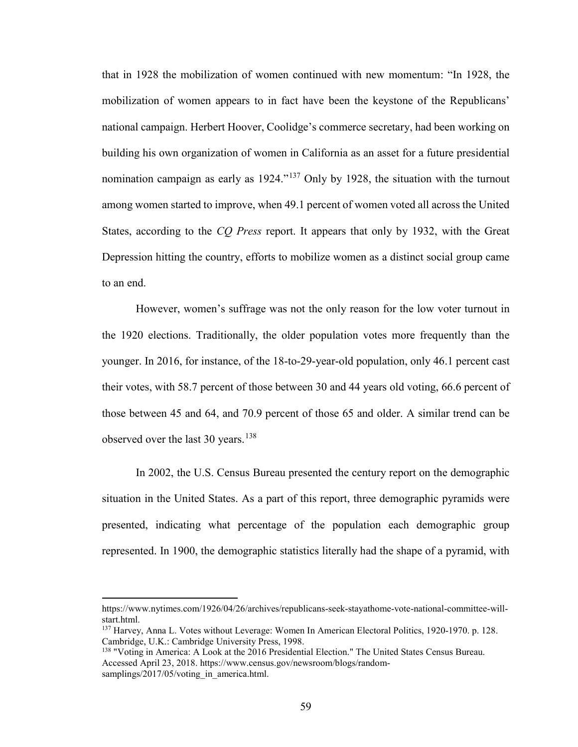that in 1928 the mobilization of women continued with new momentum: "In 1928, the mobilization of women appears to in fact have been the keystone of the Republicans' national campaign. Herbert Hoover, Coolidge's commerce secretary, had been working on building his own organization of women in California as an asset for a future presidential nomination campaign as early as 1924."[137](#page-64-0) Only by 1928, the situation with the turnout among women started to improve, when 49.1 percent of women voted all across the United States, according to the *CQ Press* report. It appears that only by 1932, with the Great Depression hitting the country, efforts to mobilize women as a distinct social group came to an end.

However, women's suffrage was not the only reason for the low voter turnout in the 1920 elections. Traditionally, the older population votes more frequently than the younger. In 2016, for instance, of the 18-to-29-year-old population, only 46.1 percent cast their votes, with 58.7 percent of those between 30 and 44 years old voting, 66.6 percent of those between 45 and 64, and 70.9 percent of those 65 and older. A similar trend can be observed over the last 30 years.<sup>[138](#page-64-1)</sup>

In 2002, the U.S. Census Bureau presented the century report on the demographic situation in the United States. As a part of this report, three demographic pyramids were presented, indicating what percentage of the population each demographic group represented. In 1900, the demographic statistics literally had the shape of a pyramid, with

https://www.nytimes.com/1926/04/26/archives/republicans-seek-stayathome-vote-national-committee-willstart.html.

<span id="page-64-0"></span><sup>137</sup> Harvey, Anna L. Votes without Leverage: Women In American Electoral Politics, 1920-1970. p. 128. Cambridge, U.K.: Cambridge University Press, 1998.

<span id="page-64-1"></span><sup>&</sup>lt;sup>138</sup> "Voting in America: A Look at the 2016 Presidential Election." The United States Census Bureau. Accessed April 23, 2018. https://www.census.gov/newsroom/blogs/randomsamplings/2017/05/voting\_in\_america.html.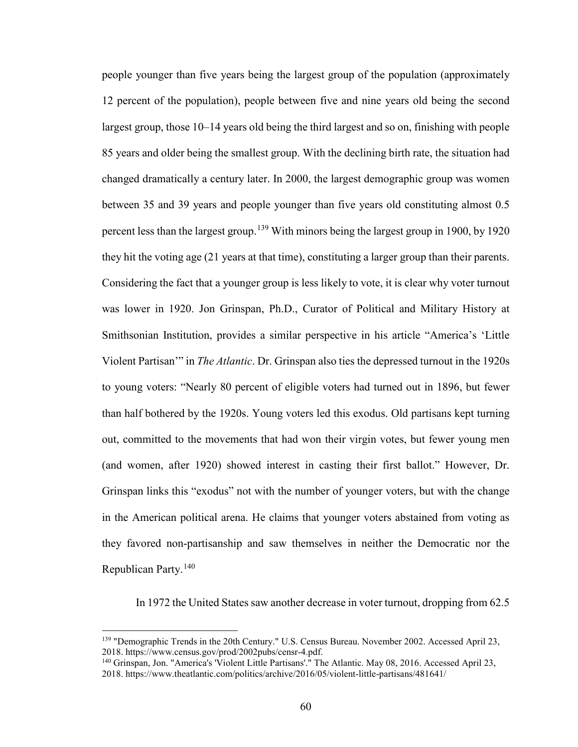people younger than five years being the largest group of the population (approximately 12 percent of the population), people between five and nine years old being the second largest group, those 10–14 years old being the third largest and so on, finishing with people 85 years and older being the smallest group. With the declining birth rate, the situation had changed dramatically a century later. In 2000, the largest demographic group was women between 35 and 39 years and people younger than five years old constituting almost 0.5 percent less than the largest group.<sup>[139](#page-65-0)</sup> With minors being the largest group in 1900, by 1920 they hit the voting age (21 years at that time), constituting a larger group than their parents. Considering the fact that a younger group is less likely to vote, it is clear why voter turnout was lower in 1920. Jon Grinspan, Ph.D., Curator of Political and Military History at Smithsonian Institution, provides a similar perspective in his article "America's 'Little Violent Partisan'" in *The Atlantic*. Dr. Grinspan also ties the depressed turnout in the 1920s to young voters: "Nearly 80 percent of eligible voters had turned out in 1896, but fewer than half bothered by the 1920s. Young voters led this exodus. Old partisans kept turning out, committed to the movements that had won their virgin votes, but fewer young men (and women, after 1920) showed interest in casting their first ballot." However, Dr. Grinspan links this "exodus" not with the number of younger voters, but with the change in the American political arena. He claims that younger voters abstained from voting as they favored non-partisanship and saw themselves in neither the Democratic nor the Republican Party.[140](#page-65-1)

In 1972 the United States saw another decrease in voter turnout, dropping from 62.5

<span id="page-65-0"></span><sup>&</sup>lt;sup>139</sup> "Demographic Trends in the 20th Century." U.S. Census Bureau. November 2002. Accessed April 23, 2018. https://www.census.gov/prod/2002pubs/censr-4.pdf.

<span id="page-65-1"></span><sup>&</sup>lt;sup>140</sup> Grinspan, Jon. "America's 'Violent Little Partisans'." The Atlantic. May 08, 2016. Accessed April 23, 2018. https://www.theatlantic.com/politics/archive/2016/05/violent-little-partisans/481641/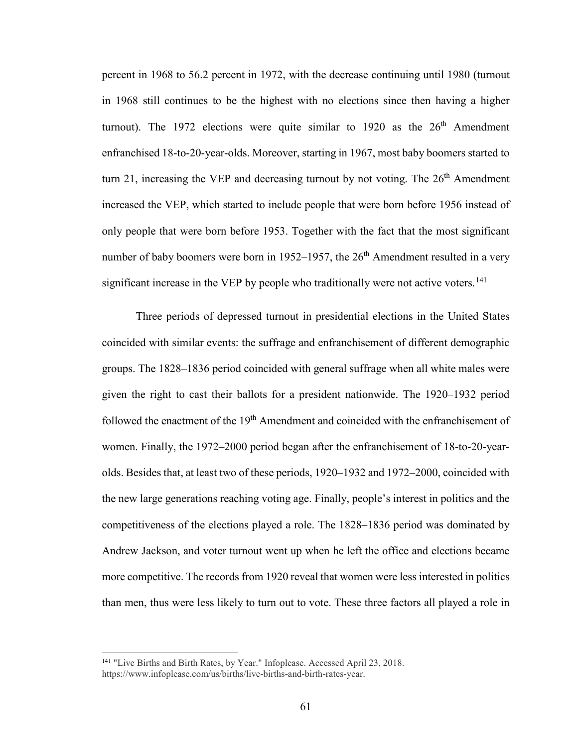percent in 1968 to 56.2 percent in 1972, with the decrease continuing until 1980 (turnout in 1968 still continues to be the highest with no elections since then having a higher turnout). The 1972 elections were quite similar to 1920 as the  $26<sup>th</sup>$  Amendment enfranchised 18-to-20-year-olds. Moreover, starting in 1967, most baby boomers started to turn 21, increasing the VEP and decreasing turnout by not voting. The  $26<sup>th</sup>$  Amendment increased the VEP, which started to include people that were born before 1956 instead of only people that were born before 1953. Together with the fact that the most significant number of baby boomers were born in 1952–1957, the  $26<sup>th</sup>$  Amendment resulted in a very significant increase in the VEP by people who traditionally were not active voters.<sup>[141](#page-66-0)</sup>

Three periods of depressed turnout in presidential elections in the United States coincided with similar events: the suffrage and enfranchisement of different demographic groups. The 1828–1836 period coincided with general suffrage when all white males were given the right to cast their ballots for a president nationwide. The 1920–1932 period followed the enactment of the 19<sup>th</sup> Amendment and coincided with the enfranchisement of women. Finally, the 1972–2000 period began after the enfranchisement of 18-to-20-yearolds. Besides that, at least two of these periods, 1920–1932 and 1972–2000, coincided with the new large generations reaching voting age. Finally, people's interest in politics and the competitiveness of the elections played a role. The 1828–1836 period was dominated by Andrew Jackson, and voter turnout went up when he left the office and elections became more competitive. The records from 1920 reveal that women were less interested in politics than men, thus were less likely to turn out to vote. These three factors all played a role in

<span id="page-66-0"></span><sup>&</sup>lt;sup>141</sup> "Live Births and Birth Rates, by Year." Infoplease. Accessed April 23, 2018. https://www.infoplease.com/us/births/live-births-and-birth-rates-year.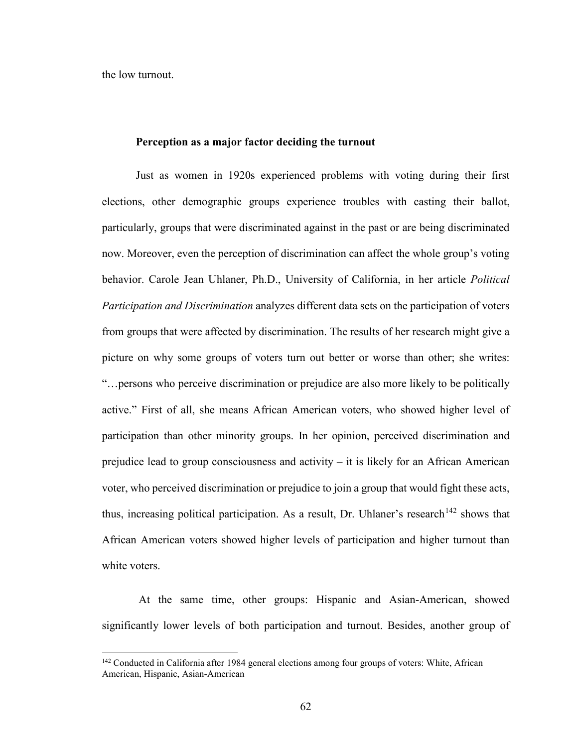the low turnout.

l

## **Perception as a major factor deciding the turnout**

Just as women in 1920s experienced problems with voting during their first elections, other demographic groups experience troubles with casting their ballot, particularly, groups that were discriminated against in the past or are being discriminated now. Moreover, even the perception of discrimination can affect the whole group's voting behavior. Carole Jean Uhlaner, Ph.D., University of California, in her article *Political Participation and Discrimination* analyzes different data sets on the participation of voters from groups that were affected by discrimination. The results of her research might give a picture on why some groups of voters turn out better or worse than other; she writes: "…persons who perceive discrimination or prejudice are also more likely to be politically active." First of all, she means African American voters, who showed higher level of participation than other minority groups. In her opinion, perceived discrimination and prejudice lead to group consciousness and activity – it is likely for an African American voter, who perceived discrimination or prejudice to join a group that would fight these acts, thus, increasing political participation. As a result, Dr. Uhlaner's research<sup>[142](#page-67-0)</sup> shows that African American voters showed higher levels of participation and higher turnout than white voters.

At the same time, other groups: Hispanic and Asian-American, showed significantly lower levels of both participation and turnout. Besides, another group of

<span id="page-67-0"></span><sup>&</sup>lt;sup>142</sup> Conducted in California after 1984 general elections among four groups of voters: White, African American, Hispanic, Asian-American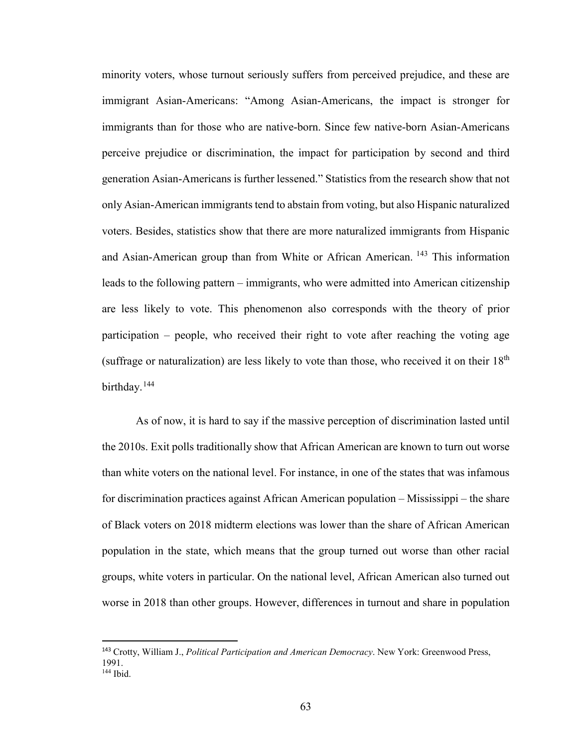minority voters, whose turnout seriously suffers from perceived prejudice, and these are immigrant Asian-Americans: "Among Asian-Americans, the impact is stronger for immigrants than for those who are native-born. Since few native-born Asian-Americans perceive prejudice or discrimination, the impact for participation by second and third generation Asian-Americans is further lessened." Statistics from the research show that not only Asian-American immigrants tend to abstain from voting, but also Hispanic naturalized voters. Besides, statistics show that there are more naturalized immigrants from Hispanic and Asian-American group than from White or African American. [143](#page-68-0) This information leads to the following pattern – immigrants, who were admitted into American citizenship are less likely to vote. This phenomenon also corresponds with the theory of prior participation – people, who received their right to vote after reaching the voting age (suffrage or naturalization) are less likely to vote than those, who received it on their  $18<sup>th</sup>$ birthday.<sup>144</sup>

As of now, it is hard to say if the massive perception of discrimination lasted until the 2010s. Exit polls traditionally show that African American are known to turn out worse than white voters on the national level. For instance, in one of the states that was infamous for discrimination practices against African American population – Mississippi – the share of Black voters on 2018 midterm elections was lower than the share of African American population in the state, which means that the group turned out worse than other racial groups, white voters in particular. On the national level, African American also turned out worse in 2018 than other groups. However, differences in turnout and share in population

<span id="page-68-1"></span><span id="page-68-0"></span><sup>143</sup> Crotty, William J., *Political Participation and American Democracy*. New York: Greenwood Press, 1991. <sup>144</sup> Ibid.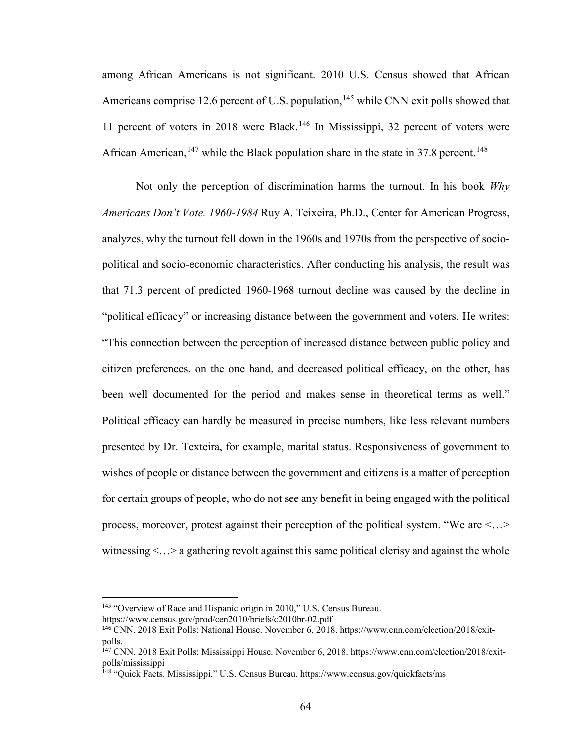among African Americans is not significant. 2010 U.S. Census showed that African Americans comprise 12.6 percent of U.S. population,  $145$  while CNN exit polls showed that 11 percent of voters in 2018 were Black.[146](#page-69-1) In Mississippi, 32 percent of voters were African American,<sup>[147](#page-69-2)</sup> while the Black population share in the state in 37.8 percent.<sup>[148](#page-69-3)</sup>

Not only the perception of discrimination harms the turnout. In his book *Why Americans Don't Vote. 1960-1984* Ruy A. Teixeira, Ph.D., Center for American Progress, analyzes, why the turnout fell down in the 1960s and 1970s from the perspective of sociopolitical and socio-economic characteristics. After conducting his analysis, the result was that 71.3 percent of predicted 1960-1968 turnout decline was caused by the decline in "political efficacy" or increasing distance between the government and voters. He writes: "This connection between the perception of increased distance between public policy and citizen preferences, on the one hand, and decreased political efficacy, on the other, has been well documented for the period and makes sense in theoretical terms as well." Political efficacy can hardly be measured in precise numbers, like less relevant numbers presented by Dr. Texteira, for example, marital status. Responsiveness of government to wishes of people or distance between the government and citizens is a matter of perception for certain groups of people, who do not see any benefit in being engaged with the political process, moreover, protest against their perception of the political system. "We are <…> witnessing  $\langle \ldots \rangle$  a gathering revolt against this same political clerisy and against the whole

<span id="page-69-0"></span><sup>&</sup>lt;sup>145</sup> "Overview of Race and Hispanic origin in 2010," U.S. Census Bureau.

https://www.census.gov/prod/cen2010/briefs/c2010br-02.pdf

<span id="page-69-1"></span><sup>146</sup> CNN. 2018 Exit Polls: National House. November 6, 2018. https://www.cnn.com/election/2018/exitpolls.

<span id="page-69-2"></span><sup>147</sup> CNN. 2018 Exit Polls: Mississippi House. November 6, 2018. https://www.cnn.com/election/2018/exitpolls/mississippi

<span id="page-69-3"></span><sup>148</sup> "Quick Facts. Mississippi," U.S. Census Bureau. https://www.census.gov/quickfacts/ms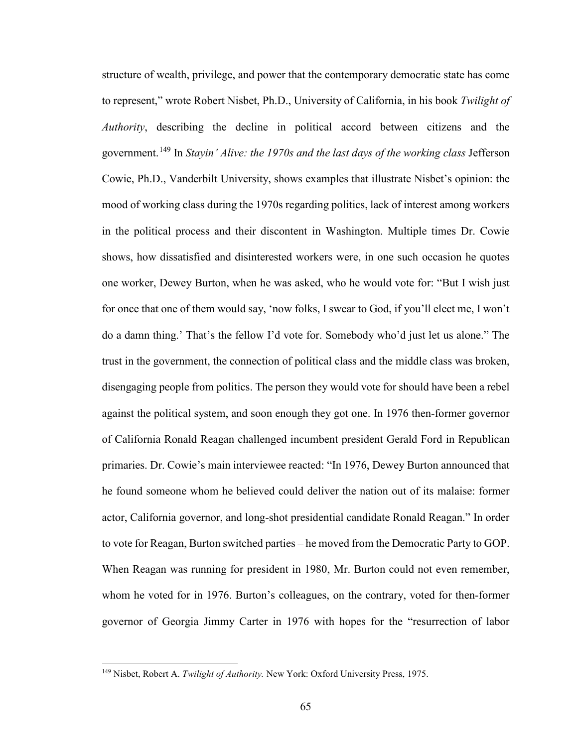structure of wealth, privilege, and power that the contemporary democratic state has come to represent," wrote Robert Nisbet, Ph.D., University of California, in his book *Twilight of Authority*, describing the decline in political accord between citizens and the government.[149](#page-70-0) In *Stayin' Alive: the 1970s and the last days of the working class* Jefferson Cowie, Ph.D., Vanderbilt University, shows examples that illustrate Nisbet's opinion: the mood of working class during the 1970s regarding politics, lack of interest among workers in the political process and their discontent in Washington. Multiple times Dr. Cowie shows, how dissatisfied and disinterested workers were, in one such occasion he quotes one worker, Dewey Burton, when he was asked, who he would vote for: "But I wish just for once that one of them would say, 'now folks, I swear to God, if you'll elect me, I won't do a damn thing.' That's the fellow I'd vote for. Somebody who'd just let us alone." The trust in the government, the connection of political class and the middle class was broken, disengaging people from politics. The person they would vote for should have been a rebel against the political system, and soon enough they got one. In 1976 then-former governor of California Ronald Reagan challenged incumbent president Gerald Ford in Republican primaries. Dr. Cowie's main interviewee reacted: "In 1976, Dewey Burton announced that he found someone whom he believed could deliver the nation out of its malaise: former actor, California governor, and long-shot presidential candidate Ronald Reagan." In order to vote for Reagan, Burton switched parties – he moved from the Democratic Party to GOP. When Reagan was running for president in 1980, Mr. Burton could not even remember, whom he voted for in 1976. Burton's colleagues, on the contrary, voted for then-former governor of Georgia Jimmy Carter in 1976 with hopes for the "resurrection of labor

<span id="page-70-0"></span><sup>149</sup> Nisbet, Robert A. *Twilight of Authority.* New York: Oxford University Press, 1975.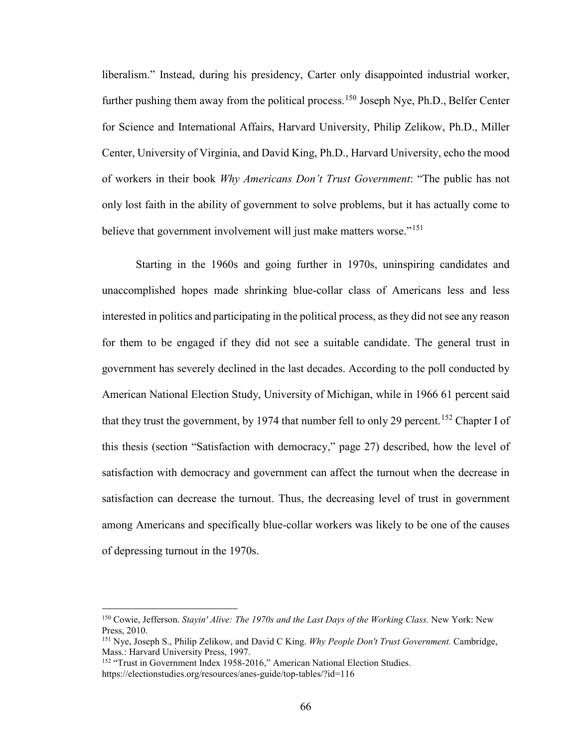liberalism." Instead, during his presidency, Carter only disappointed industrial worker, further pushing them away from the political process.<sup>150</sup> Joseph Nye, Ph.D., Belfer Center for Science and International Affairs, Harvard University, Philip Zelikow, Ph.D., Miller Center, University of Virginia, and David King, Ph.D., Harvard University, echo the mood of workers in their book *Why Americans Don't Trust Government*: "The public has not only lost faith in the ability of government to solve problems, but it has actually come to believe that government involvement will just make matters worse."<sup>151</sup>

Starting in the 1960s and going further in 1970s, uninspiring candidates and unaccomplished hopes made shrinking blue-collar class of Americans less and less interested in politics and participating in the political process, as they did not see any reason for them to be engaged if they did not see a suitable candidate. The general trust in government has severely declined in the last decades. According to the poll conducted by American National Election Study, University of Michigan, while in 1966 61 percent said that they trust the government, by 1974 that number fell to only 29 percent.<sup>[152](#page-71-2)</sup> Chapter I of this thesis (section "Satisfaction with democracy," page 27) described, how the level of satisfaction with democracy and government can affect the turnout when the decrease in satisfaction can decrease the turnout. Thus, the decreasing level of trust in government among Americans and specifically blue-collar workers was likely to be one of the causes of depressing turnout in the 1970s.

 $\overline{a}$ 

<span id="page-71-0"></span><sup>150</sup> Cowie, Jefferson. *Stayin' Alive: The 1970s and the Last Days of the Working Class.* New York: New Press, 2010.

<span id="page-71-1"></span><sup>151</sup> Nye, Joseph S., Philip Zelikow, and David C King. *Why People Don't Trust Government.* Cambridge, Mass.: Harvard University Press, 1997.

<span id="page-71-2"></span><sup>&</sup>lt;sup>152</sup> "Trust in Government Index 1958-2016," American National Election Studies. https://electionstudies.org/resources/anes-guide/top-tables/?id=116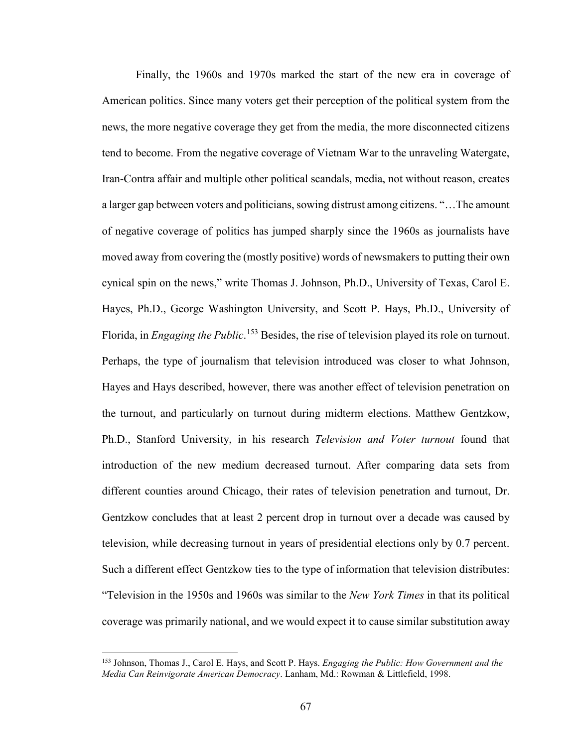Finally, the 1960s and 1970s marked the start of the new era in coverage of American politics. Since many voters get their perception of the political system from the news, the more negative coverage they get from the media, the more disconnected citizens tend to become. From the negative coverage of Vietnam War to the unraveling Watergate, Iran-Contra affair and multiple other political scandals, media, not without reason, creates a larger gap between voters and politicians, sowing distrust among citizens. "…The amount of negative coverage of politics has jumped sharply since the 1960s as journalists have moved away from covering the (mostly positive) words of newsmakers to putting their own cynical spin on the news," write Thomas J. Johnson, Ph.D., University of Texas, Carol E. Hayes, Ph.D., George Washington University, and Scott P. Hays, Ph.D., University of Florida, in *Engaging the Public*. [153](#page-72-0) Besides, the rise of television played its role on turnout. Perhaps, the type of journalism that television introduced was closer to what Johnson, Hayes and Hays described, however, there was another effect of television penetration on the turnout, and particularly on turnout during midterm elections. Matthew Gentzkow, Ph.D., Stanford University, in his research *Television and Voter turnout* found that introduction of the new medium decreased turnout. After comparing data sets from different counties around Chicago, their rates of television penetration and turnout, Dr. Gentzkow concludes that at least 2 percent drop in turnout over a decade was caused by television, while decreasing turnout in years of presidential elections only by 0.7 percent. Such a different effect Gentzkow ties to the type of information that television distributes: "Television in the 1950s and 1960s was similar to the *New York Times* in that its political coverage was primarily national, and we would expect it to cause similar substitution away

<span id="page-72-0"></span><sup>153</sup> Johnson, Thomas J., Carol E. Hays, and Scott P. Hays. *Engaging the Public: How Government and the Media Can Reinvigorate American Democracy*. Lanham, Md.: Rowman & Littlefield, 1998.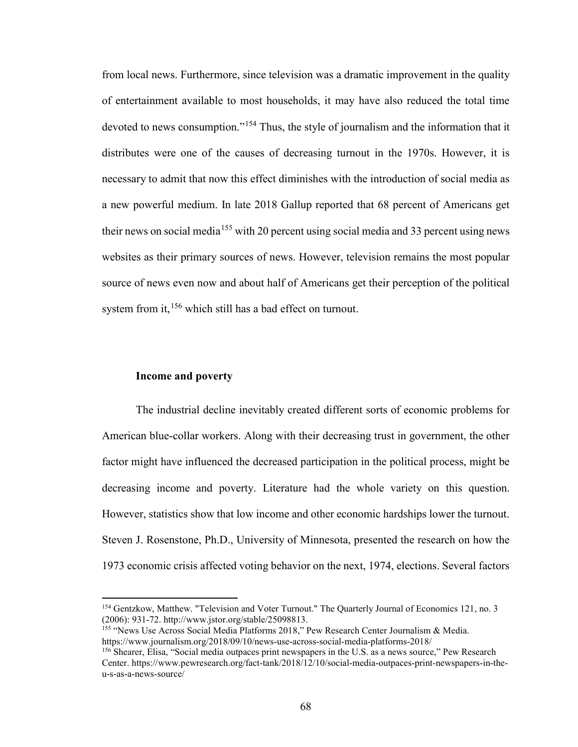from local news. Furthermore, since television was a dramatic improvement in the quality of entertainment available to most households, it may have also reduced the total time devoted to news consumption."[154](#page-73-0) Thus, the style of journalism and the information that it distributes were one of the causes of decreasing turnout in the 1970s. However, it is necessary to admit that now this effect diminishes with the introduction of social media as a new powerful medium. In late 2018 Gallup reported that 68 percent of Americans get their news on social media<sup>[155](#page-73-1)</sup> with 20 percent using social media and 33 percent using news websites as their primary sources of news. However, television remains the most popular source of news even now and about half of Americans get their perception of the political system from it, <sup>[156](#page-73-2)</sup> which still has a bad effect on turnout.

#### **Income and poverty**

l

The industrial decline inevitably created different sorts of economic problems for American blue-collar workers. Along with their decreasing trust in government, the other factor might have influenced the decreased participation in the political process, might be decreasing income and poverty. Literature had the whole variety on this question. However, statistics show that low income and other economic hardships lower the turnout. Steven J. Rosenstone, Ph.D., University of Minnesota, presented the research on how the 1973 economic crisis affected voting behavior on the next, 1974, elections. Several factors

<span id="page-73-1"></span><sup>155</sup> "News Use Across Social Media Platforms 2018," Pew Research Center Journalism & Media. https://www.journalism.org/2018/09/10/news-use-across-social-media-platforms-2018/

<span id="page-73-0"></span><sup>&</sup>lt;sup>154</sup> Gentzkow, Matthew. "Television and Voter Turnout." The Quarterly Journal of Economics 121, no. 3 (2006): 931-72. http://www.jstor.org/stable/25098813.

<span id="page-73-2"></span><sup>156</sup> Shearer, Elisa, "Social media outpaces print newspapers in the U.S. as a news source," Pew Research Center. https://www.pewresearch.org/fact-tank/2018/12/10/social-media-outpaces-print-newspapers-in-theu-s-as-a-news-source/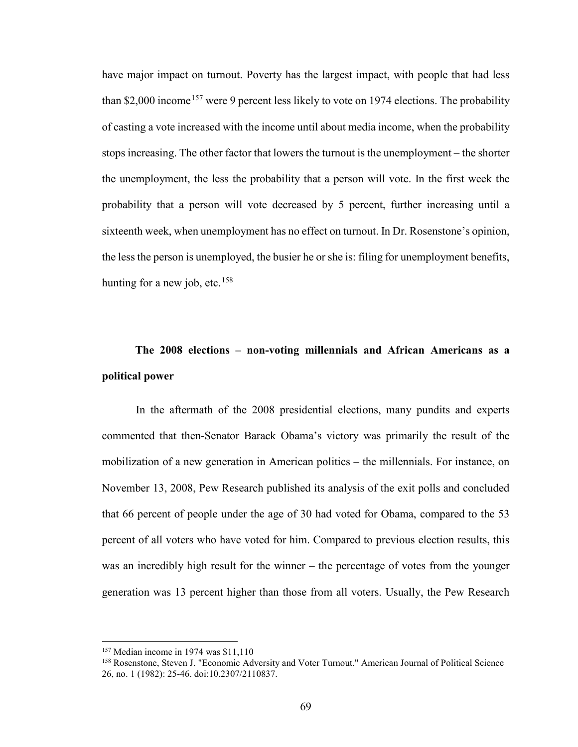have major impact on turnout. Poverty has the largest impact, with people that had less than \$2,000 income<sup>[157](#page-74-0)</sup> were 9 percent less likely to vote on 1974 elections. The probability of casting a vote increased with the income until about media income, when the probability stops increasing. The other factor that lowers the turnout is the unemployment – the shorter the unemployment, the less the probability that a person will vote. In the first week the probability that a person will vote decreased by 5 percent, further increasing until a sixteenth week, when unemployment has no effect on turnout. In Dr. Rosenstone's opinion, the less the person is unemployed, the busier he or she is: filing for unemployment benefits, hunting for a new job, etc.<sup>[158](#page-74-1)</sup>

## **The 2008 elections – non-voting millennials and African Americans as a political power**

In the aftermath of the 2008 presidential elections, many pundits and experts commented that then-Senator Barack Obama's victory was primarily the result of the mobilization of a new generation in American politics – the millennials. For instance, on November 13, 2008, Pew Research published its analysis of the exit polls and concluded that 66 percent of people under the age of 30 had voted for Obama, compared to the 53 percent of all voters who have voted for him. Compared to previous election results, this was an incredibly high result for the winner – the percentage of votes from the younger generation was 13 percent higher than those from all voters. Usually, the Pew Research

<sup>157</sup> Median income in 1974 was \$11,110

<span id="page-74-1"></span><span id="page-74-0"></span><sup>&</sup>lt;sup>158</sup> Rosenstone, Steven J. "Economic Adversity and Voter Turnout." American Journal of Political Science 26, no. 1 (1982): 25-46. doi:10.2307/2110837.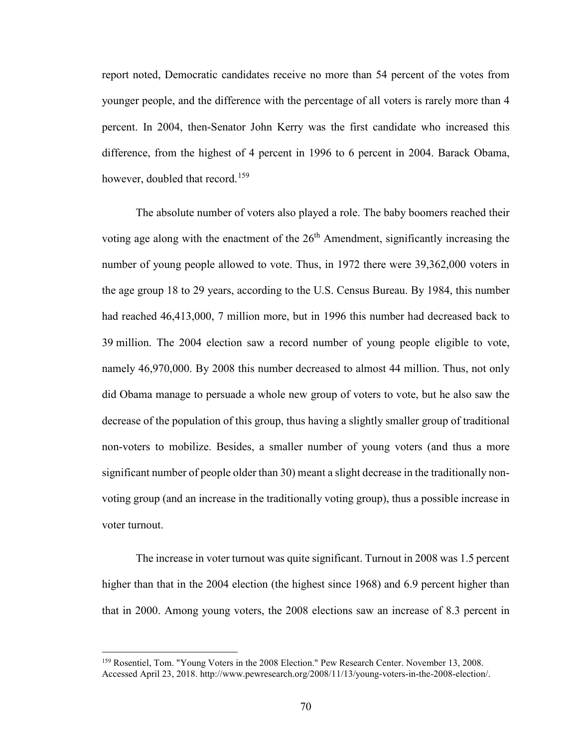report noted, Democratic candidates receive no more than 54 percent of the votes from younger people, and the difference with the percentage of all voters is rarely more than 4 percent. In 2004, then-Senator John Kerry was the first candidate who increased this difference, from the highest of 4 percent in 1996 to 6 percent in 2004. Barack Obama, however, doubled that record.<sup>[159](#page-75-0)</sup>

The absolute number of voters also played a role. The baby boomers reached their voting age along with the enactment of the  $26<sup>th</sup>$  Amendment, significantly increasing the number of young people allowed to vote. Thus, in 1972 there were 39,362,000 voters in the age group 18 to 29 years, according to the U.S. Census Bureau. By 1984, this number had reached 46,413,000, 7 million more, but in 1996 this number had decreased back to 39 million. The 2004 election saw a record number of young people eligible to vote, namely 46,970,000. By 2008 this number decreased to almost 44 million. Thus, not only did Obama manage to persuade a whole new group of voters to vote, but he also saw the decrease of the population of this group, thus having a slightly smaller group of traditional non-voters to mobilize. Besides, a smaller number of young voters (and thus a more significant number of people older than 30) meant a slight decrease in the traditionally nonvoting group (and an increase in the traditionally voting group), thus a possible increase in voter turnout.

The increase in voter turnout was quite significant. Turnout in 2008 was 1.5 percent higher than that in the 2004 election (the highest since 1968) and 6.9 percent higher than that in 2000. Among young voters, the 2008 elections saw an increase of 8.3 percent in

<span id="page-75-0"></span><sup>&</sup>lt;sup>159</sup> Rosentiel, Tom. "Young Voters in the 2008 Election." Pew Research Center. November 13, 2008. Accessed April 23, 2018. http://www.pewresearch.org/2008/11/13/young-voters-in-the-2008-election/.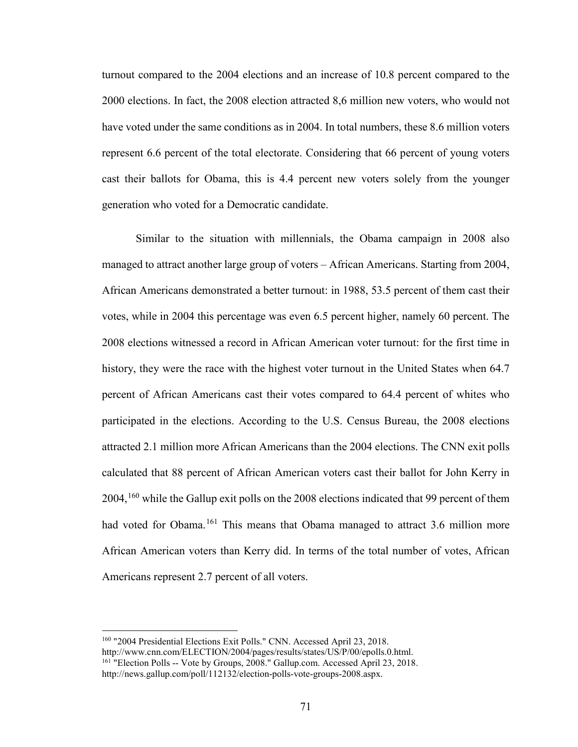turnout compared to the 2004 elections and an increase of 10.8 percent compared to the 2000 elections. In fact, the 2008 election attracted 8,6 million new voters, who would not have voted under the same conditions as in 2004. In total numbers, these 8.6 million voters represent 6.6 percent of the total electorate. Considering that 66 percent of young voters cast their ballots for Obama, this is 4.4 percent new voters solely from the younger generation who voted for a Democratic candidate.

Similar to the situation with millennials, the Obama campaign in 2008 also managed to attract another large group of voters – African Americans. Starting from 2004, African Americans demonstrated a better turnout: in 1988, 53.5 percent of them cast their votes, while in 2004 this percentage was even 6.5 percent higher, namely 60 percent. The 2008 elections witnessed a record in African American voter turnout: for the first time in history, they were the race with the highest voter turnout in the United States when 64.7 percent of African Americans cast their votes compared to 64.4 percent of whites who participated in the elections. According to the U.S. Census Bureau, the 2008 elections attracted 2.1 million more African Americans than the 2004 elections. The CNN exit polls calculated that 88 percent of African American voters cast their ballot for John Kerry in  $2004$ ,  $^{160}$  $^{160}$  $^{160}$  while the Gallup exit polls on the 2008 elections indicated that 99 percent of them had voted for Obama.<sup>[161](#page-76-1)</sup> This means that Obama managed to attract 3.6 million more African American voters than Kerry did. In terms of the total number of votes, African Americans represent 2.7 percent of all voters.

<span id="page-76-0"></span><sup>160</sup> "2004 Presidential Elections Exit Polls." CNN. Accessed April 23, 2018. http://www.cnn.com/ELECTION/2004/pages/results/states/US/P/00/epolls.0.html. <sup>161</sup> "Election Polls -- Vote by Groups, 2008." Gallup.com. Accessed April 23, 2018.

<span id="page-76-1"></span>http://news.gallup.com/poll/112132/election-polls-vote-groups-2008.aspx.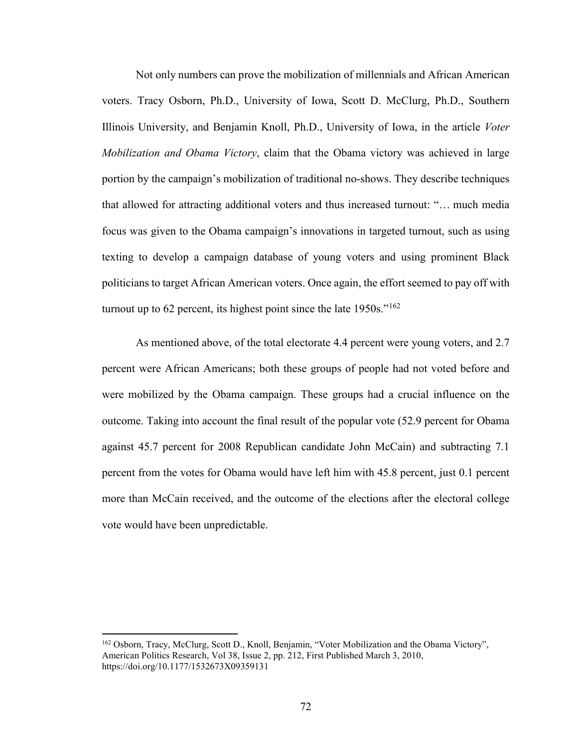Not only numbers can prove the mobilization of millennials and African American voters. Tracy Osborn, Ph.D., University of Iowa, Scott D. McClurg, Ph.D., Southern Illinois University, and Benjamin Knoll, Ph.D., University of Iowa, in the article *Voter Mobilization and Obama Victory*, claim that the Obama victory was achieved in large portion by the campaign's mobilization of traditional no-shows. They describe techniques that allowed for attracting additional voters and thus increased turnout: "… much media focus was given to the Obama campaign's innovations in targeted turnout, such as using texting to develop a campaign database of young voters and using prominent Black politicians to target African American voters. Once again, the effort seemed to pay off with turnout up to 62 percent, its highest point since the late  $1950s$ ."<sup>[162](#page-77-0)</sup>

As mentioned above, of the total electorate 4.4 percent were young voters, and 2.7 percent were African Americans; both these groups of people had not voted before and were mobilized by the Obama campaign. These groups had a crucial influence on the outcome. Taking into account the final result of the popular vote (52.9 percent for Obama against 45.7 percent for 2008 Republican candidate John McCain) and subtracting 7.1 percent from the votes for Obama would have left him with 45.8 percent, just 0.1 percent more than McCain received, and the outcome of the elections after the electoral college vote would have been unpredictable.

 $\overline{\phantom{a}}$ 

<span id="page-77-0"></span><sup>&</sup>lt;sup>162</sup> Osborn, Tracy, McClurg, Scott D., Knoll, Benjamin, "Voter Mobilization and the Obama Victory", American Politics Research, Vol 38, Issue 2, pp. 212, First Published March 3, 2010, https://doi.org/10.1177/1532673X09359131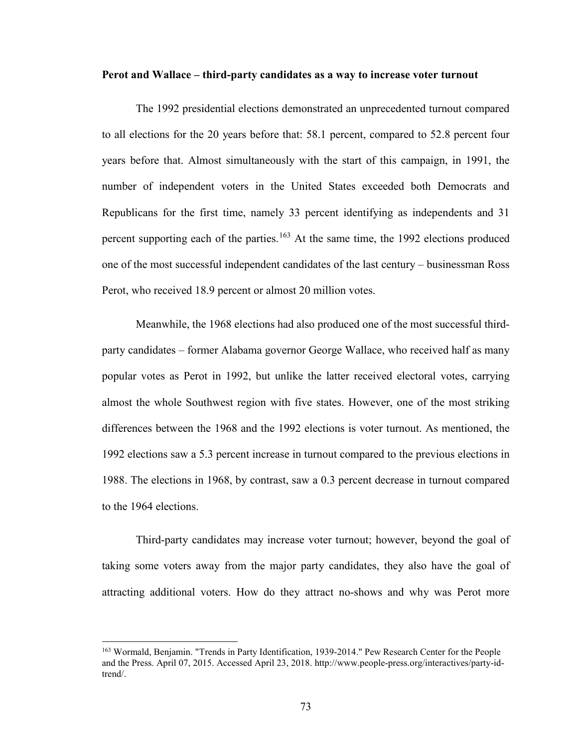#### **Perot and Wallace – third-party candidates as a way to increase voter turnout**

The 1992 presidential elections demonstrated an unprecedented turnout compared to all elections for the 20 years before that: 58.1 percent, compared to 52.8 percent four years before that. Almost simultaneously with the start of this campaign, in 1991, the number of independent voters in the United States exceeded both Democrats and Republicans for the first time, namely 33 percent identifying as independents and 31 percent supporting each of the parties.<sup>[163](#page-78-0)</sup> At the same time, the 1992 elections produced one of the most successful independent candidates of the last century – businessman Ross Perot, who received 18.9 percent or almost 20 million votes.

Meanwhile, the 1968 elections had also produced one of the most successful thirdparty candidates – former Alabama governor George Wallace, who received half as many popular votes as Perot in 1992, but unlike the latter received electoral votes, carrying almost the whole Southwest region with five states. However, one of the most striking differences between the 1968 and the 1992 elections is voter turnout. As mentioned, the 1992 elections saw a 5.3 percent increase in turnout compared to the previous elections in 1988. The elections in 1968, by contrast, saw a 0.3 percent decrease in turnout compared to the 1964 elections.

Third-party candidates may increase voter turnout; however, beyond the goal of taking some voters away from the major party candidates, they also have the goal of attracting additional voters. How do they attract no-shows and why was Perot more

<span id="page-78-0"></span><sup>163</sup> Wormald, Benjamin. "Trends in Party Identification, 1939-2014." Pew Research Center for the People and the Press. April 07, 2015. Accessed April 23, 2018. http://www.people-press.org/interactives/party-idtrend/.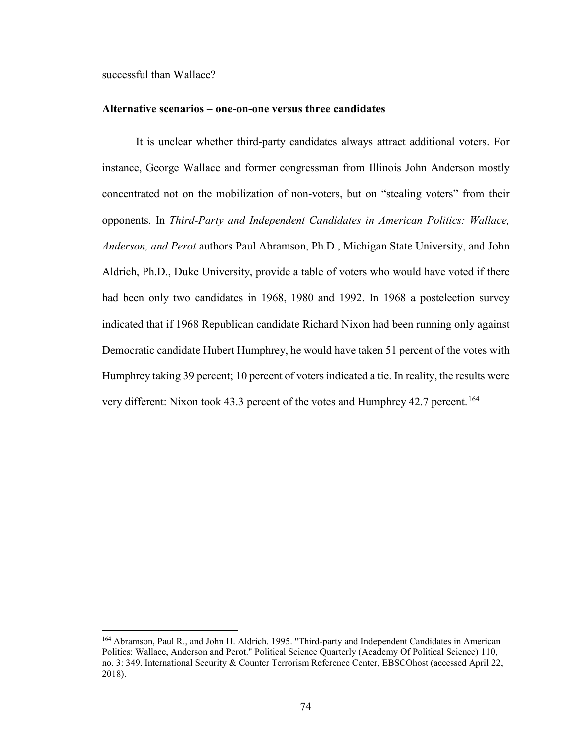successful than Wallace?

l

#### **Alternative scenarios – one-on-one versus three candidates**

It is unclear whether third-party candidates always attract additional voters. For instance, George Wallace and former congressman from Illinois John Anderson mostly concentrated not on the mobilization of non-voters, but on "stealing voters" from their opponents. In *Third-Party and Independent Candidates in American Politics: Wallace, Anderson, and Perot* authors Paul Abramson, Ph.D., Michigan State University, and John Aldrich, Ph.D., Duke University, provide a table of voters who would have voted if there had been only two candidates in 1968, 1980 and 1992. In 1968 a postelection survey indicated that if 1968 Republican candidate Richard Nixon had been running only against Democratic candidate Hubert Humphrey, he would have taken 51 percent of the votes with Humphrey taking 39 percent; 10 percent of voters indicated a tie. In reality, the results were very different: Nixon took 43.3 percent of the votes and Humphrey 42.7 percent. [164](#page-79-0)

<span id="page-79-0"></span><sup>164</sup> Abramson, Paul R., and John H. Aldrich. 1995. "Third-party and Independent Candidates in American Politics: Wallace, Anderson and Perot." Political Science Quarterly (Academy Of Political Science) 110, no. 3: 349. International Security & Counter Terrorism Reference Center, EBSCOhost (accessed April 22, 2018).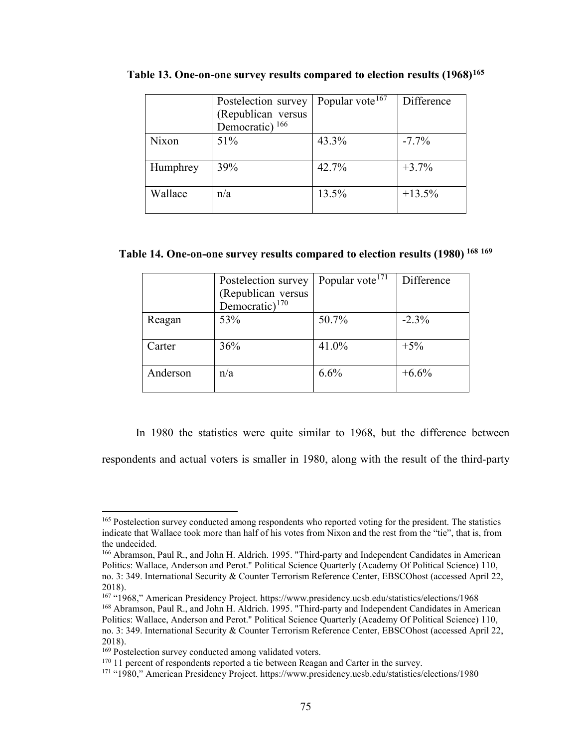|          | Postelection survey        | Popular vote <sup>167</sup> | Difference |
|----------|----------------------------|-----------------------------|------------|
|          | (Republican versus         |                             |            |
|          | Democratic) <sup>166</sup> |                             |            |
| Nixon    | 51%                        | 43.3%                       | $-7.7\%$   |
|          |                            |                             |            |
| Humphrey | 39%                        | 42.7%                       | $+3.7%$    |
| Wallace  | n/a                        | 13.5%                       | $+13.5%$   |
|          |                            |                             |            |

**Table 13. One-on-one survey results compared to election results (1968)[165](#page-80-0)**

## **Table 14. One-on-one survey results compared to election results (1980) [168](#page-80-3) [169](#page-80-4)**

|          | Postelection survey<br>(Republican versus<br>Democratic) <sup>170</sup> | Popular vote <sup>171</sup> | Difference |
|----------|-------------------------------------------------------------------------|-----------------------------|------------|
| Reagan   | 53%                                                                     | 50.7%                       | $-2.3\%$   |
| Carter   | 36%                                                                     | 41.0%                       | $+5%$      |
| Anderson | n/a                                                                     | 6.6%                        | $+6.6%$    |

In 1980 the statistics were quite similar to 1968, but the difference between

respondents and actual voters is smaller in 1980, along with the result of the third-party

<span id="page-80-2"></span><sup>167</sup> "1968," American Presidency Project. https://www.presidency.ucsb.edu/statistics/elections/1968 <sup>168</sup> Abramson, Paul R., and John H. Aldrich. 1995. "Third-party and Independent Candidates in American

<span id="page-80-0"></span><sup>&</sup>lt;sup>165</sup> Postelection survey conducted among respondents who reported voting for the president. The statistics indicate that Wallace took more than half of his votes from Nixon and the rest from the "tie", that is, from the undecided.

<span id="page-80-1"></span><sup>166</sup> Abramson, Paul R., and John H. Aldrich. 1995. "Third-party and Independent Candidates in American Politics: Wallace, Anderson and Perot." Political Science Quarterly (Academy Of Political Science) 110, no. 3: 349. International Security & Counter Terrorism Reference Center, EBSCOhost (accessed April 22, 2018).

<span id="page-80-3"></span>Politics: Wallace, Anderson and Perot." Political Science Quarterly (Academy Of Political Science) 110, no. 3: 349. International Security & Counter Terrorism Reference Center, EBSCOhost (accessed April 22, 2018).

<span id="page-80-4"></span><sup>&</sup>lt;sup>169</sup> Postelection survey conducted among validated voters.

<span id="page-80-5"></span><sup>&</sup>lt;sup>170</sup> 11 percent of respondents reported a tie between Reagan and Carter in the survey.

<span id="page-80-6"></span><sup>171</sup> "1980," American Presidency Project. https://www.presidency.ucsb.edu/statistics/elections/1980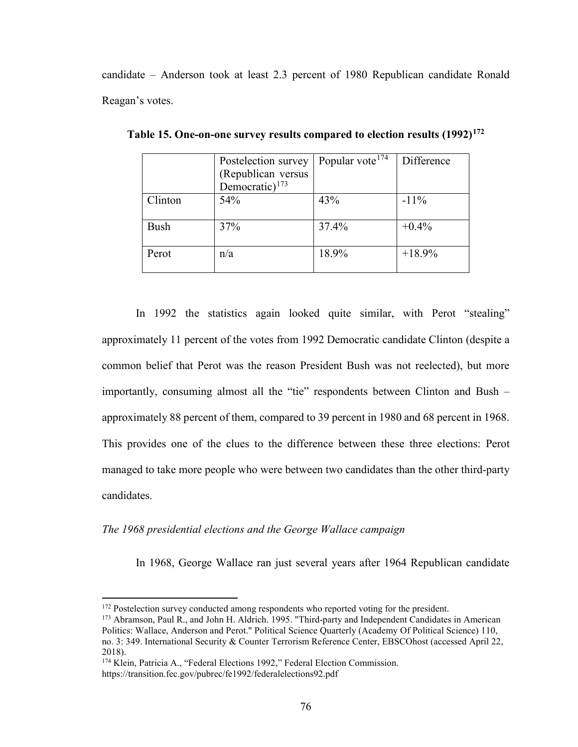candidate – Anderson took at least 2.3 percent of 1980 Republican candidate Ronald Reagan's votes.

|             | Postelection survey | Popular vote <sup>174</sup> | Difference |  |
|-------------|---------------------|-----------------------------|------------|--|
|             | (Republican versus  |                             |            |  |
|             | Democratic) $173$   |                             |            |  |
| Clinton     | 54%                 | 43%                         | $-11\%$    |  |
|             |                     |                             |            |  |
| <b>Bush</b> | 37%                 | 37.4%                       | $+0.4%$    |  |
|             |                     |                             |            |  |
| Perot       | n/a                 | 18.9%                       | $+18.9%$   |  |
|             |                     |                             |            |  |

**Table 15. One-on-one survey results compared to election results (1992)[172](#page-81-0)**

In 1992 the statistics again looked quite similar, with Perot "stealing" approximately 11 percent of the votes from 1992 Democratic candidate Clinton (despite a common belief that Perot was the reason President Bush was not reelected), but more importantly, consuming almost all the "tie" respondents between Clinton and Bush – approximately 88 percent of them, compared to 39 percent in 1980 and 68 percent in 1968. This provides one of the clues to the difference between these three elections: Perot managed to take more people who were between two candidates than the other third-party candidates.

*The 1968 presidential elections and the George Wallace campaign* 

In 1968, George Wallace ran just several years after 1964 Republican candidate

<sup>&</sup>lt;sup>172</sup> Postelection survey conducted among respondents who reported voting for the president.

<span id="page-81-1"></span><span id="page-81-0"></span><sup>173</sup> Abramson, Paul R., and John H. Aldrich. 1995. "Third-party and Independent Candidates in American Politics: Wallace, Anderson and Perot." Political Science Quarterly (Academy Of Political Science) 110, no. 3: 349. International Security & Counter Terrorism Reference Center, EBSCOhost (accessed April 22, 2018).

<span id="page-81-2"></span><sup>&</sup>lt;sup>174</sup> Klein, Patricia A., "Federal Elections 1992," Federal Election Commission. https://transition.fec.gov/pubrec/fe1992/federalelections92.pdf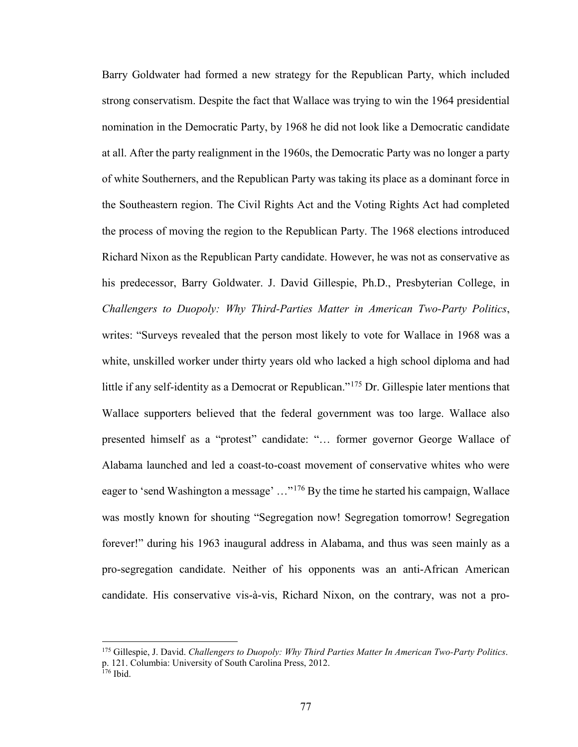Barry Goldwater had formed a new strategy for the Republican Party, which included strong conservatism. Despite the fact that Wallace was trying to win the 1964 presidential nomination in the Democratic Party, by 1968 he did not look like a Democratic candidate at all. After the party realignment in the 1960s, the Democratic Party was no longer a party of white Southerners, and the Republican Party was taking its place as a dominant force in the Southeastern region. The Civil Rights Act and the Voting Rights Act had completed the process of moving the region to the Republican Party. The 1968 elections introduced Richard Nixon as the Republican Party candidate. However, he was not as conservative as his predecessor, Barry Goldwater. J. David Gillespie, Ph.D., Presbyterian College, in *Challengers to Duopoly: Why Third-Parties Matter in American Two-Party Politics*, writes: "Surveys revealed that the person most likely to vote for Wallace in 1968 was a white, unskilled worker under thirty years old who lacked a high school diploma and had little if any self-identity as a Democrat or Republican."<sup>[175](#page-82-0)</sup> Dr. Gillespie later mentions that Wallace supporters believed that the federal government was too large. Wallace also presented himself as a "protest" candidate: "… former governor George Wallace of Alabama launched and led a coast-to-coast movement of conservative whites who were eager to 'send Washington a message' ..."<sup>[176](#page-82-1)</sup> By the time he started his campaign, Wallace was mostly known for shouting "Segregation now! Segregation tomorrow! Segregation forever!" during his 1963 inaugural address in Alabama, and thus was seen mainly as a pro-segregation candidate. Neither of his opponents was an anti-African American candidate. His conservative vis-à-vis, Richard Nixon, on the contrary, was not a pro-

<span id="page-82-0"></span><sup>175</sup> Gillespie, J. David. *Challengers to Duopoly: Why Third Parties Matter In American Two-Party Politics*. p. 121. Columbia: University of South Carolina Press, 2012.

<span id="page-82-1"></span><sup>176</sup> Ibid.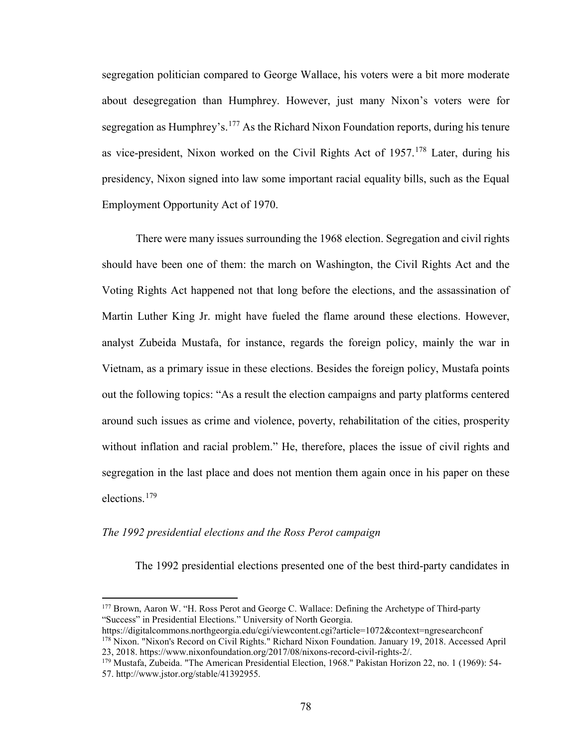segregation politician compared to George Wallace, his voters were a bit more moderate about desegregation than Humphrey. However, just many Nixon's voters were for segregation as Humphrey's.<sup>[177](#page-83-0)</sup> As the Richard Nixon Foundation reports, during his tenure as vice-president, Nixon worked on the Civil Rights Act of  $1957$ .<sup>[178](#page-83-1)</sup> Later, during his presidency, Nixon signed into law some important racial equality bills, such as the Equal Employment Opportunity Act of 1970.

There were many issues surrounding the 1968 election. Segregation and civil rights should have been one of them: the march on Washington, the Civil Rights Act and the Voting Rights Act happened not that long before the elections, and the assassination of Martin Luther King Jr. might have fueled the flame around these elections. However, analyst Zubeida Mustafa, for instance, regards the foreign policy, mainly the war in Vietnam, as a primary issue in these elections. Besides the foreign policy, Mustafa points out the following topics: "As a result the election campaigns and party platforms centered around such issues as crime and violence, poverty, rehabilitation of the cities, prosperity without inflation and racial problem." He, therefore, places the issue of civil rights and segregation in the last place and does not mention them again once in his paper on these elections.[179](#page-83-2)

#### *The 1992 presidential elections and the Ross Perot campaign*

l

The 1992 presidential elections presented one of the best third-party candidates in

<span id="page-83-0"></span><sup>177</sup> Brown, Aaron W. "H. Ross Perot and George C. Wallace: Defining the Archetype of Third-party "Success" in Presidential Elections." University of North Georgia.

<span id="page-83-1"></span>https://digitalcommons.northgeorgia.edu/cgi/viewcontent.cgi?article=1072&context=ngresearchconf <sup>178</sup> Nixon. "Nixon's Record on Civil Rights." Richard Nixon Foundation. January 19, 2018. Accessed April 23, 2018. https://www.nixonfoundation.org/2017/08/nixons-record-civil-rights-2/.

<span id="page-83-2"></span><sup>179</sup> Mustafa, Zubeida. "The American Presidential Election, 1968." Pakistan Horizon 22, no. 1 (1969): 54- 57. http://www.jstor.org/stable/41392955.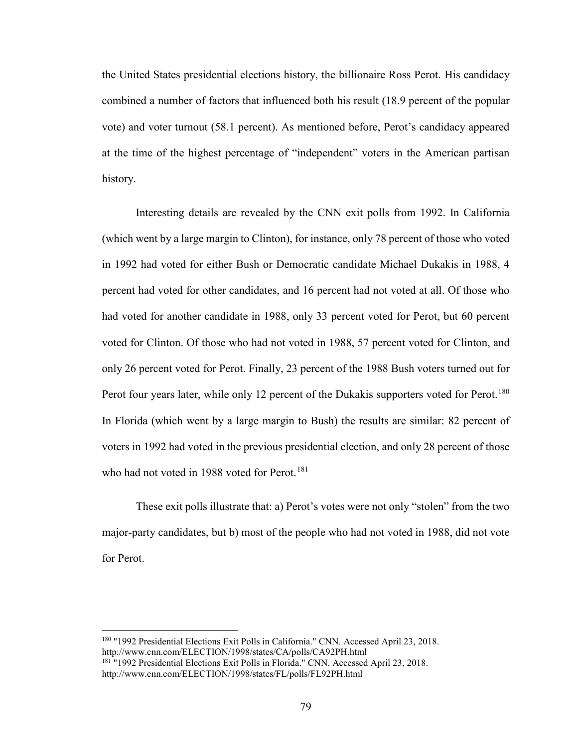the United States presidential elections history, the billionaire Ross Perot. His candidacy combined a number of factors that influenced both his result (18.9 percent of the popular vote) and voter turnout (58.1 percent). As mentioned before, Perot's candidacy appeared at the time of the highest percentage of "independent" voters in the American partisan history.

Interesting details are revealed by the CNN exit polls from 1992. In California (which went by a large margin to Clinton), for instance, only 78 percent of those who voted in 1992 had voted for either Bush or Democratic candidate Michael Dukakis in 1988, 4 percent had voted for other candidates, and 16 percent had not voted at all. Of those who had voted for another candidate in 1988, only 33 percent voted for Perot, but 60 percent voted for Clinton. Of those who had not voted in 1988, 57 percent voted for Clinton, and only 26 percent voted for Perot. Finally, 23 percent of the 1988 Bush voters turned out for Perot four years later, while only 12 percent of the Dukakis supporters voted for Perot.<sup>[180](#page-84-0)</sup> In Florida (which went by a large margin to Bush) the results are similar: 82 percent of voters in 1992 had voted in the previous presidential election, and only 28 percent of those who had not voted in 1988 voted for Perot.<sup>[181](#page-84-1)</sup>

These exit polls illustrate that: a) Perot's votes were not only "stolen" from the two major-party candidates, but b) most of the people who had not voted in 1988, did not vote for Perot.

<span id="page-84-0"></span><sup>180</sup> "1992 Presidential Elections Exit Polls in California." CNN. Accessed April 23, 2018. http://www.cnn.com/ELECTION/1998/states/CA/polls/CA92PH.html

<span id="page-84-1"></span><sup>181</sup> "1992 Presidential Elections Exit Polls in Florida." CNN. Accessed April 23, 2018. http://www.cnn.com/ELECTION/1998/states/FL/polls/FL92PH.html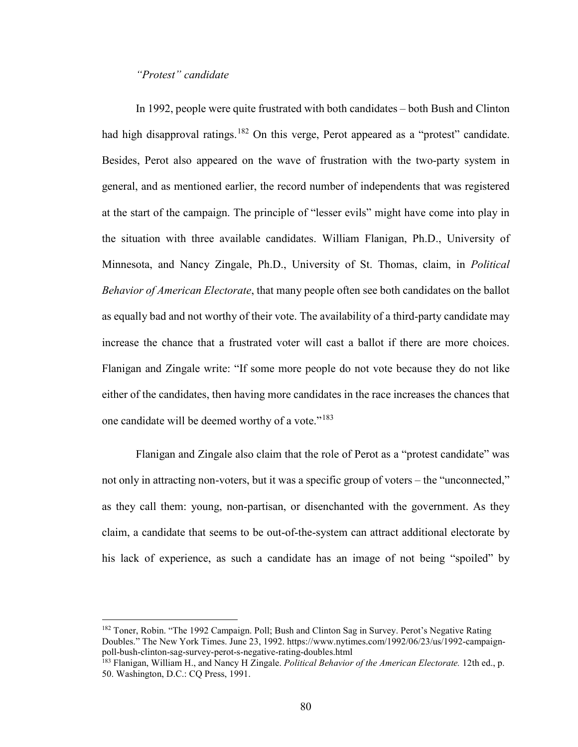### *"Protest" candidate*

 $\overline{\phantom{a}}$ 

In 1992, people were quite frustrated with both candidates – both Bush and Clinton had high disapproval ratings.<sup>[182](#page-85-0)</sup> On this verge, Perot appeared as a "protest" candidate. Besides, Perot also appeared on the wave of frustration with the two-party system in general, and as mentioned earlier, the record number of independents that was registered at the start of the campaign. The principle of "lesser evils" might have come into play in the situation with three available candidates. William Flanigan, Ph.D., University of Minnesota, and Nancy Zingale, Ph.D., University of St. Thomas, claim, in *Political Behavior of American Electorate*, that many people often see both candidates on the ballot as equally bad and not worthy of their vote. The availability of a third-party candidate may increase the chance that a frustrated voter will cast a ballot if there are more choices. Flanigan and Zingale write: "If some more people do not vote because they do not like either of the candidates, then having more candidates in the race increases the chances that one candidate will be deemed worthy of a vote."<sup>[183](#page-85-1)</sup>

Flanigan and Zingale also claim that the role of Perot as a "protest candidate" was not only in attracting non-voters, but it was a specific group of voters – the "unconnected," as they call them: young, non-partisan, or disenchanted with the government. As they claim, a candidate that seems to be out-of-the-system can attract additional electorate by his lack of experience, as such a candidate has an image of not being "spoiled" by

<span id="page-85-0"></span><sup>&</sup>lt;sup>182</sup> Toner, Robin. "The 1992 Campaign. Poll; Bush and Clinton Sag in Survey. Perot's Negative Rating Doubles." The New York Times. June 23, 1992. https://www.nytimes.com/1992/06/23/us/1992-campaignpoll-bush-clinton-sag-survey-perot-s-negative-rating-doubles.html

<span id="page-85-1"></span><sup>183</sup> Flanigan, William H., and Nancy H Zingale. *Political Behavior of the American Electorate.* 12th ed., p. 50. Washington, D.C.: CQ Press, 1991.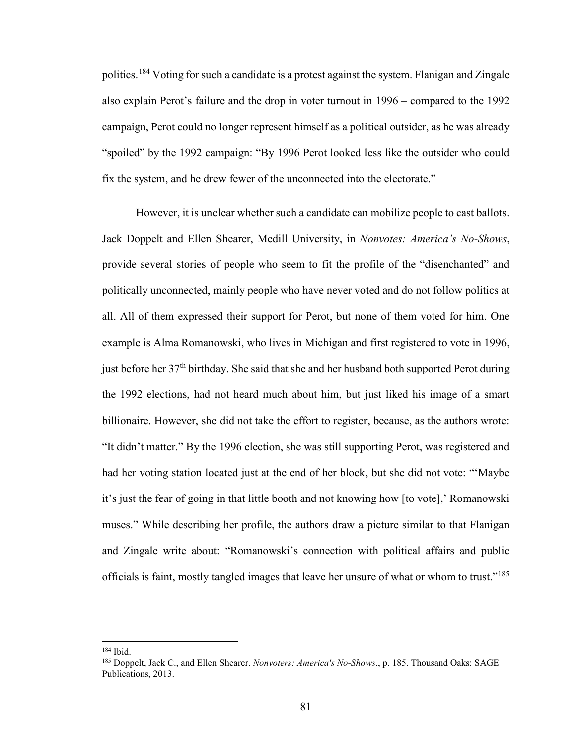politics.<sup>[184](#page-86-0)</sup> Voting for such a candidate is a protest against the system. Flanigan and Zingale also explain Perot's failure and the drop in voter turnout in 1996 – compared to the 1992 campaign, Perot could no longer represent himself as a political outsider, as he was already "spoiled" by the 1992 campaign: "By 1996 Perot looked less like the outsider who could fix the system, and he drew fewer of the unconnected into the electorate."

However, it is unclear whether such a candidate can mobilize people to cast ballots. Jack Doppelt and Ellen Shearer, Medill University, in *Nonvotes: America's No-Shows*, provide several stories of people who seem to fit the profile of the "disenchanted" and politically unconnected, mainly people who have never voted and do not follow politics at all. All of them expressed their support for Perot, but none of them voted for him. One example is Alma Romanowski, who lives in Michigan and first registered to vote in 1996, just before her 37<sup>th</sup> birthday. She said that she and her husband both supported Perot during the 1992 elections, had not heard much about him, but just liked his image of a smart billionaire. However, she did not take the effort to register, because, as the authors wrote: "It didn't matter." By the 1996 election, she was still supporting Perot, was registered and had her voting station located just at the end of her block, but she did not vote: "'Maybe it's just the fear of going in that little booth and not knowing how [to vote],' Romanowski muses." While describing her profile, the authors draw a picture similar to that Flanigan and Zingale write about: "Romanowski's connection with political affairs and public officials is faint, mostly tangled images that leave her unsure of what or whom to trust."<sup>[185](#page-86-1)</sup>

<span id="page-86-0"></span><sup>184</sup> Ibid.

<span id="page-86-1"></span><sup>185</sup> Doppelt, Jack C., and Ellen Shearer. *Nonvoters: America's No-Shows*., p. 185. Thousand Oaks: SAGE Publications, 2013.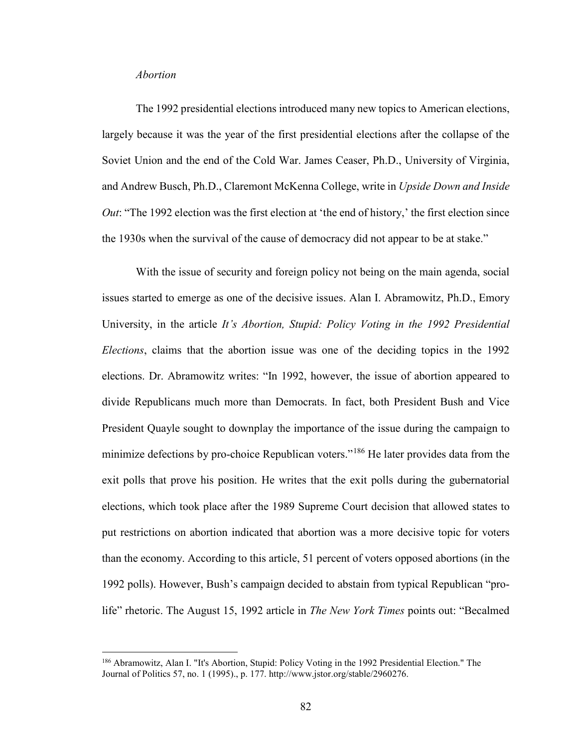#### *Abortion*

l

The 1992 presidential elections introduced many new topics to American elections, largely because it was the year of the first presidential elections after the collapse of the Soviet Union and the end of the Cold War. James Ceaser, Ph.D., University of Virginia, and Andrew Busch, Ph.D., Claremont McKenna College, write in *Upside Down and Inside Out*: "The 1992 election was the first election at 'the end of history,' the first election since the 1930s when the survival of the cause of democracy did not appear to be at stake."

With the issue of security and foreign policy not being on the main agenda, social issues started to emerge as one of the decisive issues. Alan I. Abramowitz, Ph.D., Emory University, in the article *It's Abortion, Stupid: Policy Voting in the 1992 Presidential Elections*, claims that the abortion issue was one of the deciding topics in the 1992 elections. Dr. Abramowitz writes: "In 1992, however, the issue of abortion appeared to divide Republicans much more than Democrats. In fact, both President Bush and Vice President Quayle sought to downplay the importance of the issue during the campaign to minimize defections by pro-choice Republican voters."<sup>[186](#page-87-0)</sup> He later provides data from the exit polls that prove his position. He writes that the exit polls during the gubernatorial elections, which took place after the 1989 Supreme Court decision that allowed states to put restrictions on abortion indicated that abortion was a more decisive topic for voters than the economy. According to this article, 51 percent of voters opposed abortions (in the 1992 polls). However, Bush's campaign decided to abstain from typical Republican "prolife" rhetoric. The August 15, 1992 article in *The New York Times* points out: "Becalmed

<span id="page-87-0"></span><sup>186</sup> Abramowitz, Alan I. "It's Abortion, Stupid: Policy Voting in the 1992 Presidential Election." The Journal of Politics 57, no. 1 (1995)., p. 177. http://www.jstor.org/stable/2960276.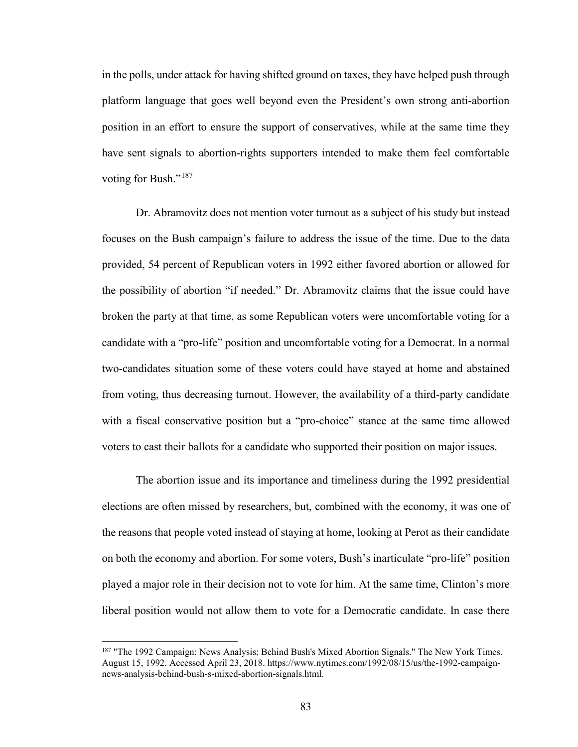in the polls, under attack for having shifted ground on taxes, they have helped push through platform language that goes well beyond even the President's own strong anti-abortion position in an effort to ensure the support of conservatives, while at the same time they have sent signals to abortion-rights supporters intended to make them feel comfortable voting for Bush."<sup>[187](#page-88-0)</sup>

Dr. Abramovitz does not mention voter turnout as a subject of his study but instead focuses on the Bush campaign's failure to address the issue of the time. Due to the data provided, 54 percent of Republican voters in 1992 either favored abortion or allowed for the possibility of abortion "if needed." Dr. Abramovitz claims that the issue could have broken the party at that time, as some Republican voters were uncomfortable voting for a candidate with a "pro-life" position and uncomfortable voting for a Democrat. In a normal two-candidates situation some of these voters could have stayed at home and abstained from voting, thus decreasing turnout. However, the availability of a third-party candidate with a fiscal conservative position but a "pro-choice" stance at the same time allowed voters to cast their ballots for a candidate who supported their position on major issues.

The abortion issue and its importance and timeliness during the 1992 presidential elections are often missed by researchers, but, combined with the economy, it was one of the reasons that people voted instead of staying at home, looking at Perot as their candidate on both the economy and abortion. For some voters, Bush's inarticulate "pro-life" position played a major role in their decision not to vote for him. At the same time, Clinton's more liberal position would not allow them to vote for a Democratic candidate. In case there

<span id="page-88-0"></span><sup>&</sup>lt;sup>187</sup> "The 1992 Campaign: News Analysis; Behind Bush's Mixed Abortion Signals." The New York Times. August 15, 1992. Accessed April 23, 2018. https://www.nytimes.com/1992/08/15/us/the-1992-campaignnews-analysis-behind-bush-s-mixed-abortion-signals.html.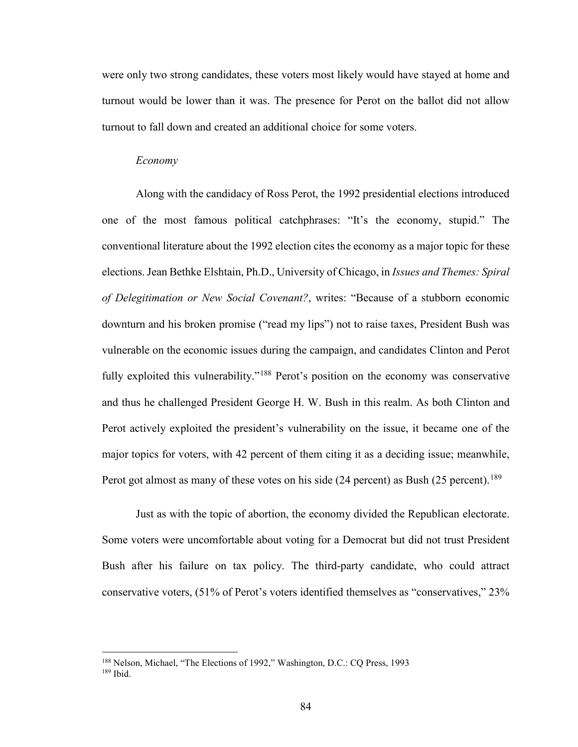were only two strong candidates, these voters most likely would have stayed at home and turnout would be lower than it was. The presence for Perot on the ballot did not allow turnout to fall down and created an additional choice for some voters.

#### *Economy*

l

Along with the candidacy of Ross Perot, the 1992 presidential elections introduced one of the most famous political catchphrases: "It's the economy, stupid." The conventional literature about the 1992 election cites the economy as a major topic for these elections. Jean Bethke Elshtain, Ph.D., University of Chicago, in *Issues and Themes: Spiral of Delegitimation or New Social Covenant?*, writes: "Because of a stubborn economic downturn and his broken promise ("read my lips") not to raise taxes, President Bush was vulnerable on the economic issues during the campaign, and candidates Clinton and Perot fully exploited this vulnerability."<sup>[188](#page-89-0)</sup> Perot's position on the economy was conservative and thus he challenged President George H. W. Bush in this realm. As both Clinton and Perot actively exploited the president's vulnerability on the issue, it became one of the major topics for voters, with 42 percent of them citing it as a deciding issue; meanwhile, Perot got almost as many of these votes on his side (24 percent) as Bush (25 percent).<sup>189</sup>

Just as with the topic of abortion, the economy divided the Republican electorate. Some voters were uncomfortable about voting for a Democrat but did not trust President Bush after his failure on tax policy. The third-party candidate, who could attract conservative voters, (51% of Perot's voters identified themselves as "conservatives," 23%

<span id="page-89-1"></span><span id="page-89-0"></span><sup>188</sup> Nelson, Michael, "The Elections of 1992," Washington, D.C.: CQ Press, 1993 <sup>189</sup> Ibid.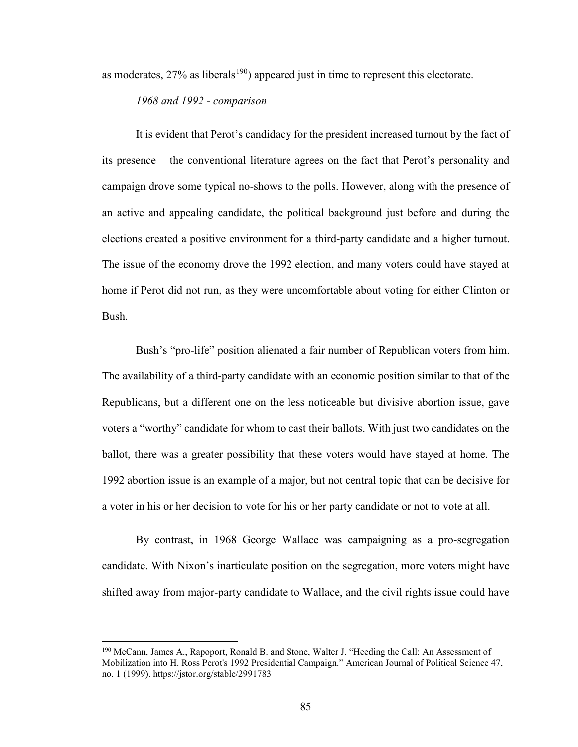as moderates,  $27\%$  as liberals<sup>[190](#page-90-0)</sup>) appeared just in time to represent this electorate.

*1968 and 1992 - comparison* 

It is evident that Perot's candidacy for the president increased turnout by the fact of its presence – the conventional literature agrees on the fact that Perot's personality and campaign drove some typical no-shows to the polls. However, along with the presence of an active and appealing candidate, the political background just before and during the elections created a positive environment for a third-party candidate and a higher turnout. The issue of the economy drove the 1992 election, and many voters could have stayed at home if Perot did not run, as they were uncomfortable about voting for either Clinton or Bush.

Bush's "pro-life" position alienated a fair number of Republican voters from him. The availability of a third-party candidate with an economic position similar to that of the Republicans, but a different one on the less noticeable but divisive abortion issue, gave voters a "worthy" candidate for whom to cast their ballots. With just two candidates on the ballot, there was a greater possibility that these voters would have stayed at home. The 1992 abortion issue is an example of a major, but not central topic that can be decisive for a voter in his or her decision to vote for his or her party candidate or not to vote at all.

By contrast, in 1968 George Wallace was campaigning as a pro-segregation candidate. With Nixon's inarticulate position on the segregation, more voters might have shifted away from major-party candidate to Wallace, and the civil rights issue could have

<span id="page-90-0"></span><sup>190</sup> McCann, James A., Rapoport, Ronald B. and Stone, Walter J. "Heeding the Call: An Assessment of Mobilization into H. Ross Perot's 1992 Presidential Campaign." American Journal of Political Science 47, no. 1 (1999). https://jstor.org/stable/2991783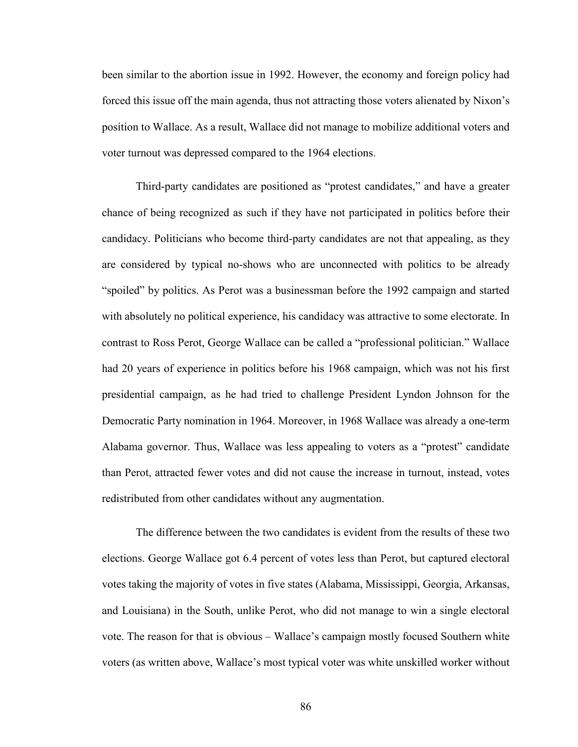been similar to the abortion issue in 1992. However, the economy and foreign policy had forced this issue off the main agenda, thus not attracting those voters alienated by Nixon's position to Wallace. As a result, Wallace did not manage to mobilize additional voters and voter turnout was depressed compared to the 1964 elections.

Third-party candidates are positioned as "protest candidates," and have a greater chance of being recognized as such if they have not participated in politics before their candidacy. Politicians who become third-party candidates are not that appealing, as they are considered by typical no-shows who are unconnected with politics to be already "spoiled" by politics. As Perot was a businessman before the 1992 campaign and started with absolutely no political experience, his candidacy was attractive to some electorate. In contrast to Ross Perot, George Wallace can be called a "professional politician." Wallace had 20 years of experience in politics before his 1968 campaign, which was not his first presidential campaign, as he had tried to challenge President Lyndon Johnson for the Democratic Party nomination in 1964. Moreover, in 1968 Wallace was already a one-term Alabama governor. Thus, Wallace was less appealing to voters as a "protest" candidate than Perot, attracted fewer votes and did not cause the increase in turnout, instead, votes redistributed from other candidates without any augmentation.

The difference between the two candidates is evident from the results of these two elections. George Wallace got 6.4 percent of votes less than Perot, but captured electoral votes taking the majority of votes in five states (Alabama, Mississippi, Georgia, Arkansas, and Louisiana) in the South, unlike Perot, who did not manage to win a single electoral vote. The reason for that is obvious – Wallace's campaign mostly focused Southern white voters (as written above, Wallace's most typical voter was white unskilled worker without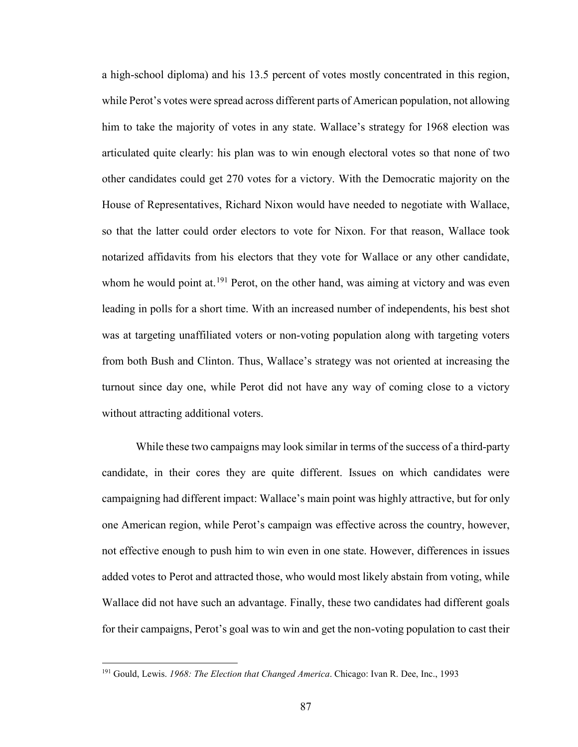a high-school diploma) and his 13.5 percent of votes mostly concentrated in this region, while Perot's votes were spread across different parts of American population, not allowing him to take the majority of votes in any state. Wallace's strategy for 1968 election was articulated quite clearly: his plan was to win enough electoral votes so that none of two other candidates could get 270 votes for a victory. With the Democratic majority on the House of Representatives, Richard Nixon would have needed to negotiate with Wallace, so that the latter could order electors to vote for Nixon. For that reason, Wallace took notarized affidavits from his electors that they vote for Wallace or any other candidate, whom he would point at.<sup>[191](#page-92-0)</sup> Perot, on the other hand, was aiming at victory and was even leading in polls for a short time. With an increased number of independents, his best shot was at targeting unaffiliated voters or non-voting population along with targeting voters from both Bush and Clinton. Thus, Wallace's strategy was not oriented at increasing the turnout since day one, while Perot did not have any way of coming close to a victory without attracting additional voters.

While these two campaigns may look similar in terms of the success of a third-party candidate, in their cores they are quite different. Issues on which candidates were campaigning had different impact: Wallace's main point was highly attractive, but for only one American region, while Perot's campaign was effective across the country, however, not effective enough to push him to win even in one state. However, differences in issues added votes to Perot and attracted those, who would most likely abstain from voting, while Wallace did not have such an advantage. Finally, these two candidates had different goals for their campaigns, Perot's goal was to win and get the non-voting population to cast their

<span id="page-92-0"></span><sup>191</sup> Gould, Lewis. *1968: The Election that Changed America*. Chicago: Ivan R. Dee, Inc., 1993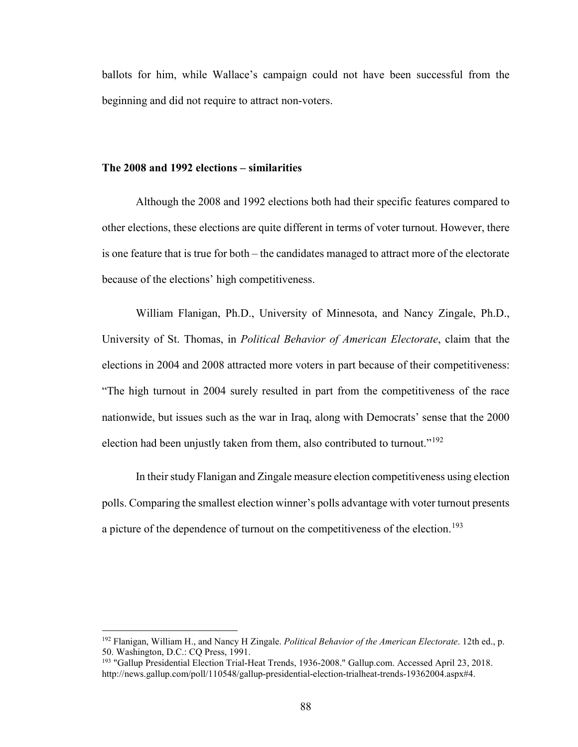ballots for him, while Wallace's campaign could not have been successful from the beginning and did not require to attract non-voters.

#### **The 2008 and 1992 elections – similarities**

l

Although the 2008 and 1992 elections both had their specific features compared to other elections, these elections are quite different in terms of voter turnout. However, there is one feature that is true for both – the candidates managed to attract more of the electorate because of the elections' high competitiveness.

William Flanigan, Ph.D., University of Minnesota, and Nancy Zingale, Ph.D., University of St. Thomas, in *Political Behavior of American Electorate*, claim that the elections in 2004 and 2008 attracted more voters in part because of their competitiveness: "The high turnout in 2004 surely resulted in part from the competitiveness of the race nationwide, but issues such as the war in Iraq, along with Democrats' sense that the 2000 election had been unjustly taken from them, also contributed to turnout."<sup>[192](#page-93-0)</sup>

In their study Flanigan and Zingale measure election competitiveness using election polls. Comparing the smallest election winner's polls advantage with voter turnout presents a picture of the dependence of turnout on the competitiveness of the election.<sup>[193](#page-93-1)</sup>

<span id="page-93-0"></span><sup>192</sup> Flanigan, William H., and Nancy H Zingale. *Political Behavior of the American Electorate*. 12th ed., p. 50. Washington, D.C.: CQ Press, 1991.

<span id="page-93-1"></span><sup>&</sup>lt;sup>193</sup> "Gallup Presidential Election Trial-Heat Trends, 1936-2008." Gallup.com. Accessed April 23, 2018. http://news.gallup.com/poll/110548/gallup-presidential-election-trialheat-trends-19362004.aspx#4.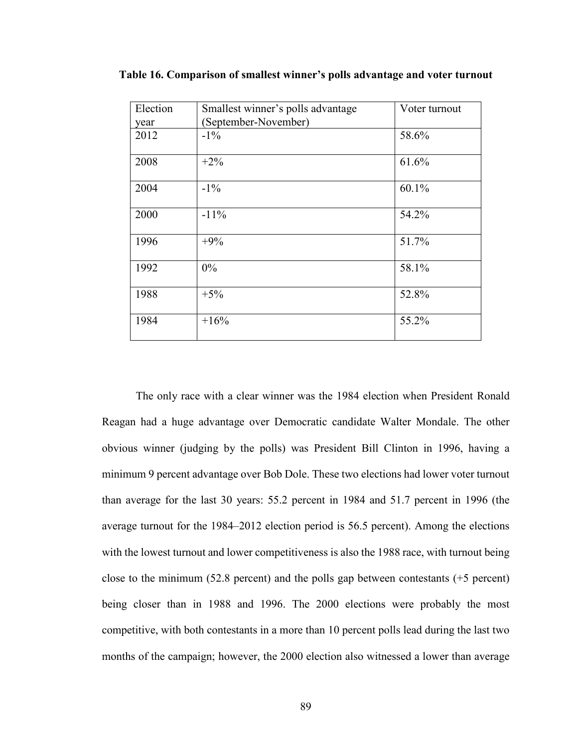| Election | Smallest winner's polls advantage | Voter turnout |
|----------|-----------------------------------|---------------|
| year     | (September-November)              |               |
| 2012     | $-1\%$                            | 58.6%         |
| 2008     | $+2\%$                            | 61.6%         |
| 2004     | $-1\%$                            | 60.1%         |
| 2000     | $-11\%$                           | 54.2%         |
| 1996     | $+9%$                             | 51.7%         |
| 1992     | 0%                                | 58.1%         |
| 1988     | $+5%$                             | 52.8%         |
| 1984     | $+16%$                            | 55.2%         |

**Table 16. Comparison of smallest winner's polls advantage and voter turnout** 

The only race with a clear winner was the 1984 election when President Ronald Reagan had a huge advantage over Democratic candidate Walter Mondale. The other obvious winner (judging by the polls) was President Bill Clinton in 1996, having a minimum 9 percent advantage over Bob Dole. These two elections had lower voter turnout than average for the last 30 years: 55.2 percent in 1984 and 51.7 percent in 1996 (the average turnout for the 1984–2012 election period is 56.5 percent). Among the elections with the lowest turnout and lower competitiveness is also the 1988 race, with turnout being close to the minimum (52.8 percent) and the polls gap between contestants (+5 percent) being closer than in 1988 and 1996. The 2000 elections were probably the most competitive, with both contestants in a more than 10 percent polls lead during the last two months of the campaign; however, the 2000 election also witnessed a lower than average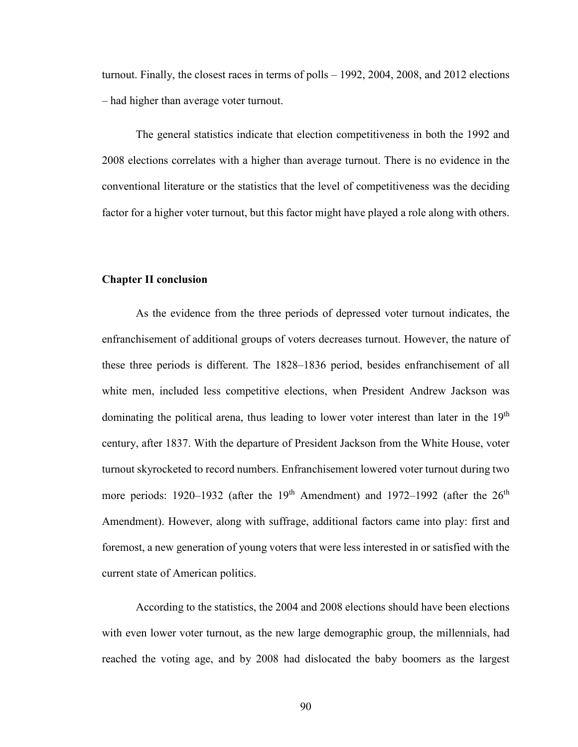turnout. Finally, the closest races in terms of polls – 1992, 2004, 2008, and 2012 elections – had higher than average voter turnout.

The general statistics indicate that election competitiveness in both the 1992 and 2008 elections correlates with a higher than average turnout. There is no evidence in the conventional literature or the statistics that the level of competitiveness was the deciding factor for a higher voter turnout, but this factor might have played a role along with others.

#### **Chapter II conclusion**

As the evidence from the three periods of depressed voter turnout indicates, the enfranchisement of additional groups of voters decreases turnout. However, the nature of these three periods is different. The 1828–1836 period, besides enfranchisement of all white men, included less competitive elections, when President Andrew Jackson was dominating the political arena, thus leading to lower voter interest than later in the  $19<sup>th</sup>$ century, after 1837. With the departure of President Jackson from the White House, voter turnout skyrocketed to record numbers. Enfranchisement lowered voter turnout during two more periods: 1920–1932 (after the 19<sup>th</sup> Amendment) and 1972–1992 (after the  $26<sup>th</sup>$ Amendment). However, along with suffrage, additional factors came into play: first and foremost, a new generation of young voters that were less interested in or satisfied with the current state of American politics.

According to the statistics, the 2004 and 2008 elections should have been elections with even lower voter turnout, as the new large demographic group, the millennials, had reached the voting age, and by 2008 had dislocated the baby boomers as the largest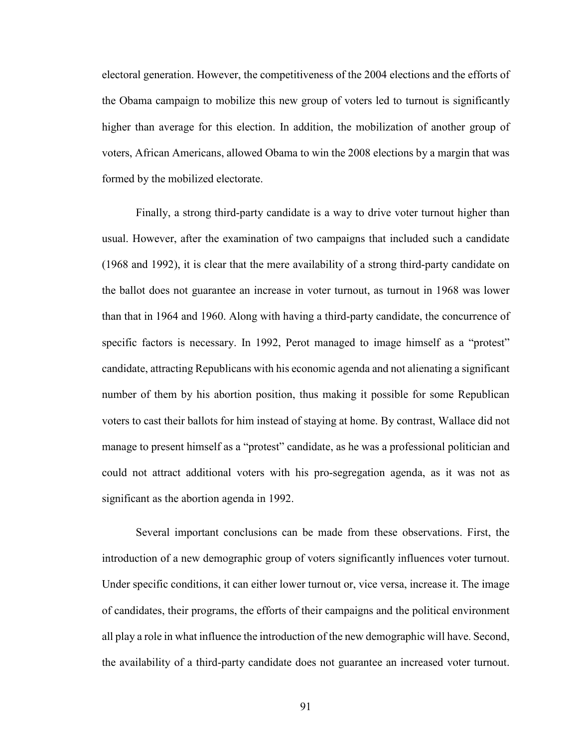electoral generation. However, the competitiveness of the 2004 elections and the efforts of the Obama campaign to mobilize this new group of voters led to turnout is significantly higher than average for this election. In addition, the mobilization of another group of voters, African Americans, allowed Obama to win the 2008 elections by a margin that was formed by the mobilized electorate.

Finally, a strong third-party candidate is a way to drive voter turnout higher than usual. However, after the examination of two campaigns that included such a candidate (1968 and 1992), it is clear that the mere availability of a strong third-party candidate on the ballot does not guarantee an increase in voter turnout, as turnout in 1968 was lower than that in 1964 and 1960. Along with having a third-party candidate, the concurrence of specific factors is necessary. In 1992, Perot managed to image himself as a "protest" candidate, attracting Republicans with his economic agenda and not alienating a significant number of them by his abortion position, thus making it possible for some Republican voters to cast their ballots for him instead of staying at home. By contrast, Wallace did not manage to present himself as a "protest" candidate, as he was a professional politician and could not attract additional voters with his pro-segregation agenda, as it was not as significant as the abortion agenda in 1992.

Several important conclusions can be made from these observations. First, the introduction of a new demographic group of voters significantly influences voter turnout. Under specific conditions, it can either lower turnout or, vice versa, increase it. The image of candidates, their programs, the efforts of their campaigns and the political environment all play a role in what influence the introduction of the new demographic will have. Second, the availability of a third-party candidate does not guarantee an increased voter turnout.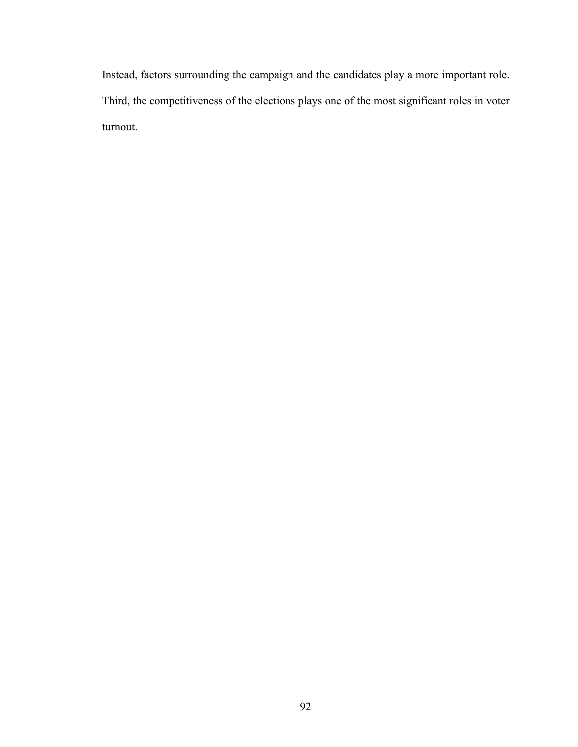Instead, factors surrounding the campaign and the candidates play a more important role. Third, the competitiveness of the elections plays one of the most significant roles in voter turnout.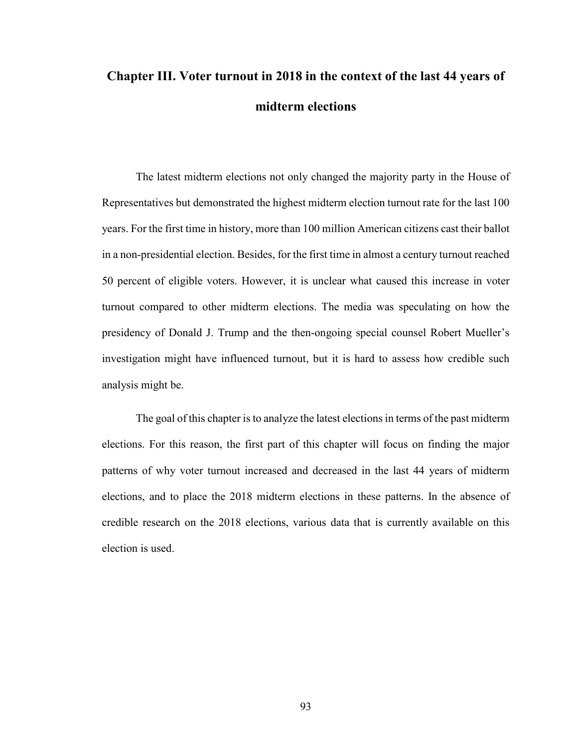# **Chapter III. Voter turnout in 2018 in the context of the last 44 years of midterm elections**

The latest midterm elections not only changed the majority party in the House of Representatives but demonstrated the highest midterm election turnout rate for the last 100 years. For the first time in history, more than 100 million American citizens cast their ballot in a non-presidential election. Besides, for the first time in almost a century turnout reached 50 percent of eligible voters. However, it is unclear what caused this increase in voter turnout compared to other midterm elections. The media was speculating on how the presidency of Donald J. Trump and the then-ongoing special counsel Robert Mueller's investigation might have influenced turnout, but it is hard to assess how credible such analysis might be.

The goal of this chapter is to analyze the latest elections in terms of the past midterm elections. For this reason, the first part of this chapter will focus on finding the major patterns of why voter turnout increased and decreased in the last 44 years of midterm elections, and to place the 2018 midterm elections in these patterns. In the absence of credible research on the 2018 elections, various data that is currently available on this election is used.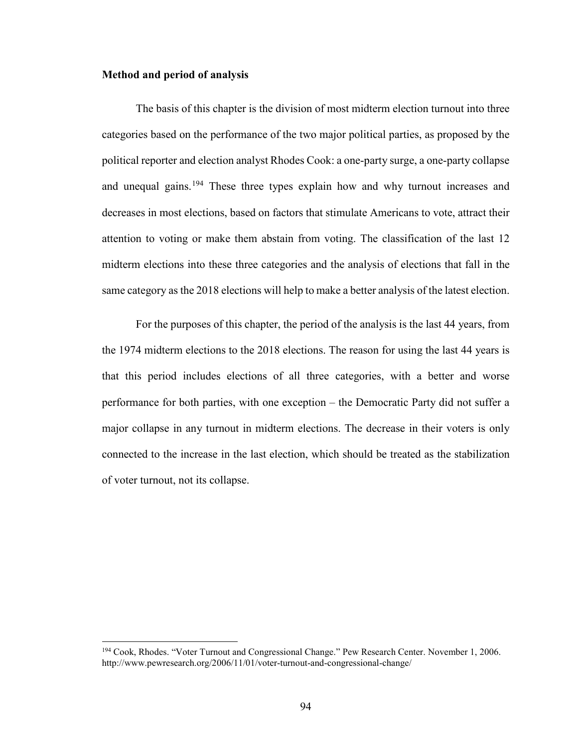#### **Method and period of analysis**

l

The basis of this chapter is the division of most midterm election turnout into three categories based on the performance of the two major political parties, as proposed by the political reporter and election analyst Rhodes Cook: a one-party surge, a one-party collapse and unequal gains.<sup>[194](#page-99-0)</sup> These three types explain how and why turnout increases and decreases in most elections, based on factors that stimulate Americans to vote, attract their attention to voting or make them abstain from voting. The classification of the last 12 midterm elections into these three categories and the analysis of elections that fall in the same category as the 2018 elections will help to make a better analysis of the latest election.

For the purposes of this chapter, the period of the analysis is the last 44 years, from the 1974 midterm elections to the 2018 elections. The reason for using the last 44 years is that this period includes elections of all three categories, with a better and worse performance for both parties, with one exception – the Democratic Party did not suffer a major collapse in any turnout in midterm elections. The decrease in their voters is only connected to the increase in the last election, which should be treated as the stabilization of voter turnout, not its collapse.

<span id="page-99-0"></span><sup>194</sup> Cook, Rhodes. "Voter Turnout and Congressional Change." Pew Research Center. November 1, 2006. http://www.pewresearch.org/2006/11/01/voter-turnout-and-congressional-change/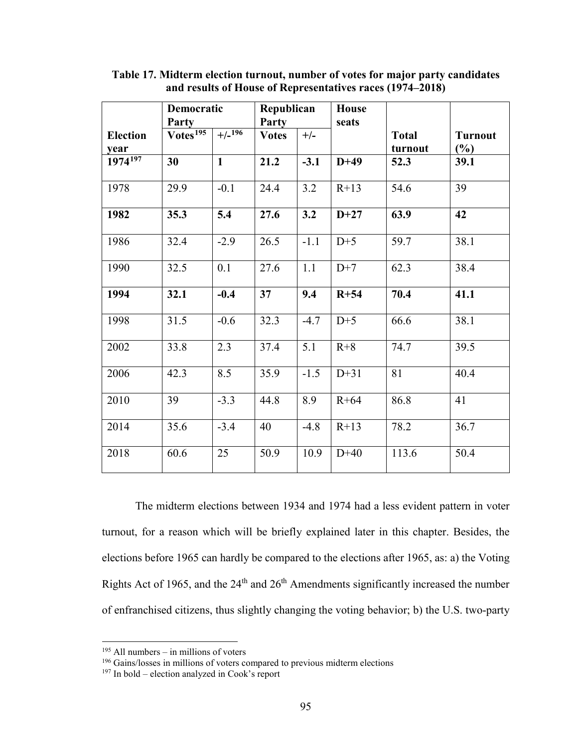|                         | Democratic<br><b>Party</b> |              | Republican<br>Party |        | <b>House</b><br>seats |                         |                                 |
|-------------------------|----------------------------|--------------|---------------------|--------|-----------------------|-------------------------|---------------------------------|
| <b>Election</b><br>year | $V$ otes <sup>195</sup>    | $+/-196$     | <b>Votes</b>        | $+/-$  |                       | <b>Total</b><br>turnout | <b>Turnout</b><br>$\frac{6}{6}$ |
| $1974^{197}$            | 30                         | $\mathbf{1}$ | 21.2                | $-3.1$ | $D+49$                | 52.3                    | 39.1                            |
| 1978                    | 29.9                       | $-0.1$       | 24.4                | 3.2    | $R+13$                | 54.6                    | 39                              |
| 1982                    | 35.3                       | 5.4          | 27.6                | 3.2    | $D+27$                | 63.9                    | 42                              |
| 1986                    | 32.4                       | $-2.9$       | 26.5                | $-1.1$ | $D+5$                 | 59.7                    | 38.1                            |
| 1990                    | 32.5                       | 0.1          | 27.6                | 1.1    | $D+7$                 | 62.3                    | 38.4                            |
| 1994                    | 32.1                       | $-0.4$       | 37                  | 9.4    | $R+54$                | 70.4                    | 41.1                            |
| 1998                    | 31.5                       | $-0.6$       | 32.3                | $-4.7$ | $D+5$                 | 66.6                    | 38.1                            |
| 2002                    | 33.8                       | 2.3          | 37.4                | 5.1    | $R+8$                 | 74.7                    | 39.5                            |
| 2006                    | 42.3                       | 8.5          | 35.9                | $-1.5$ | $D+31$                | 81                      | 40.4                            |
| 2010                    | 39                         | $-3.3$       | 44.8                | 8.9    | $R+64$                | 86.8                    | 41                              |
| 2014                    | 35.6                       | $-3.4$       | 40                  | $-4.8$ | $R+13$                | 78.2                    | 36.7                            |
| 2018                    | 60.6                       | 25           | 50.9                | 10.9   | $D+40$                | 113.6                   | 50.4                            |

**Table 17. Midterm election turnout, number of votes for major party candidates and results of House of Representatives races (1974–2018)** 

The midterm elections between 1934 and 1974 had a less evident pattern in voter turnout, for a reason which will be briefly explained later in this chapter. Besides, the elections before 1965 can hardly be compared to the elections after 1965, as: a) the Voting Rights Act of 1965, and the 24<sup>th</sup> and 26<sup>th</sup> Amendments significantly increased the number of enfranchised citizens, thus slightly changing the voting behavior; b) the U.S. two-party

<span id="page-100-0"></span> $195$  All numbers – in millions of voters

<sup>&</sup>lt;sup>196</sup> Gains/losses in millions of voters compared to previous midterm elections

<span id="page-100-2"></span><span id="page-100-1"></span><sup>197</sup> In bold – election analyzed in Cook's report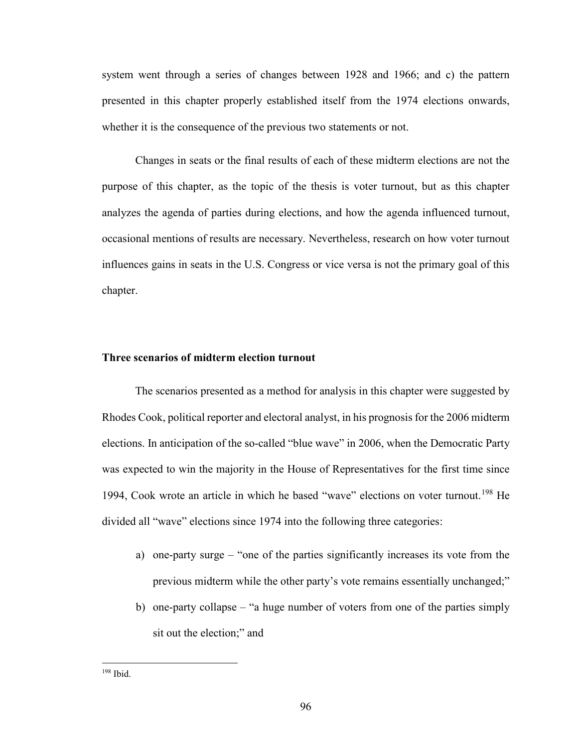system went through a series of changes between 1928 and 1966; and c) the pattern presented in this chapter properly established itself from the 1974 elections onwards, whether it is the consequence of the previous two statements or not.

Changes in seats or the final results of each of these midterm elections are not the purpose of this chapter, as the topic of the thesis is voter turnout, but as this chapter analyzes the agenda of parties during elections, and how the agenda influenced turnout, occasional mentions of results are necessary. Nevertheless, research on how voter turnout influences gains in seats in the U.S. Congress or vice versa is not the primary goal of this chapter.

#### **Three scenarios of midterm election turnout**

The scenarios presented as a method for analysis in this chapter were suggested by Rhodes Cook, political reporter and electoral analyst, in his prognosis for the 2006 midterm elections. In anticipation of the so-called "blue wave" in 2006, when the Democratic Party was expected to win the majority in the House of Representatives for the first time since 1994, Cook wrote an article in which he based "wave" elections on voter turnout.<sup>[198](#page-101-0)</sup> He divided all "wave" elections since 1974 into the following three categories:

- a) one-party surge "one of the parties significantly increases its vote from the previous midterm while the other party's vote remains essentially unchanged;"
- b) one-party collapse "a huge number of voters from one of the parties simply sit out the election;" and

<span id="page-101-0"></span><sup>198</sup> Ibid.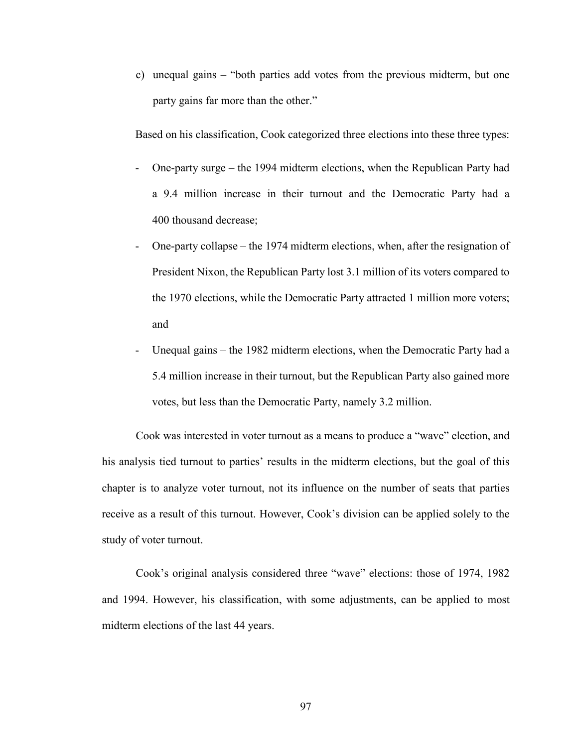c) unequal gains – "both parties add votes from the previous midterm, but one party gains far more than the other."

Based on his classification, Cook categorized three elections into these three types:

- One-party surge the 1994 midterm elections, when the Republican Party had a 9.4 million increase in their turnout and the Democratic Party had a 400 thousand decrease;
- One-party collapse the 1974 midterm elections, when, after the resignation of President Nixon, the Republican Party lost 3.1 million of its voters compared to the 1970 elections, while the Democratic Party attracted 1 million more voters; and
- Unequal gains the 1982 midterm elections, when the Democratic Party had a 5.4 million increase in their turnout, but the Republican Party also gained more votes, but less than the Democratic Party, namely 3.2 million.

Cook was interested in voter turnout as a means to produce a "wave" election, and his analysis tied turnout to parties' results in the midterm elections, but the goal of this chapter is to analyze voter turnout, not its influence on the number of seats that parties receive as a result of this turnout. However, Cook's division can be applied solely to the study of voter turnout.

Cook's original analysis considered three "wave" elections: those of 1974, 1982 and 1994. However, his classification, with some adjustments, can be applied to most midterm elections of the last 44 years.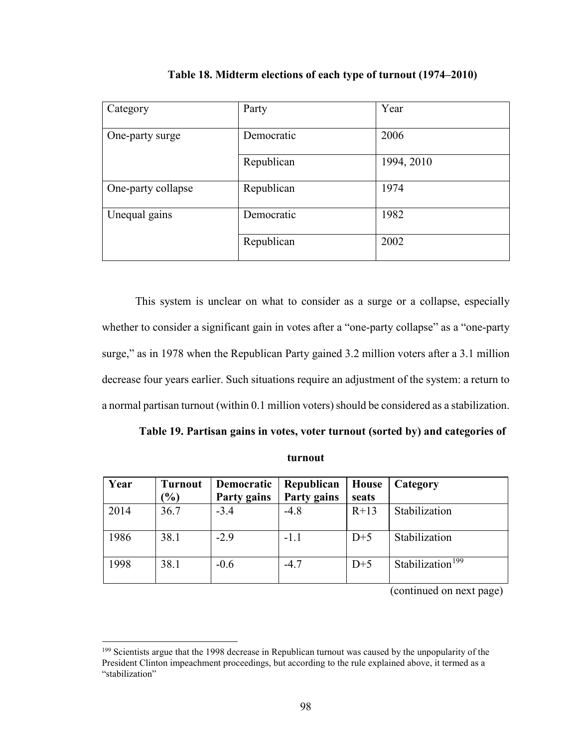| Category           | Party      | Year       |
|--------------------|------------|------------|
| One-party surge    | Democratic | 2006       |
|                    | Republican | 1994, 2010 |
| One-party collapse | Republican | 1974       |
| Unequal gains      | Democratic | 1982       |
|                    | Republican | 2002       |

**Table 18. Midterm elections of each type of turnout (1974–2010)** 

This system is unclear on what to consider as a surge or a collapse, especially whether to consider a significant gain in votes after a "one-party collapse" as a "one-party surge," as in 1978 when the Republican Party gained 3.2 million voters after a 3.1 million decrease four years earlier. Such situations require an adjustment of the system: a return to a normal partisan turnout (within 0.1 million voters) should be considered as a stabilization.

**turnout** 

| Year | <b>Turnout</b><br>$\mathcal{O}_0$ | Democratic<br>Party gains | Republican<br><b>Party gains</b> | House<br>seats | Category                     |
|------|-----------------------------------|---------------------------|----------------------------------|----------------|------------------------------|
| 2014 | 36.7                              | $-3.4$                    | $-4.8$                           | $R+13$         | Stabilization                |
| 1986 | 38.1                              | $-2.9$                    | $-1.1$                           | $D+5$          | Stabilization                |
| 1998 | 38.1                              | $-0.6$                    | $-4.7$                           | $D+5$          | Stabilization <sup>199</sup> |

(continued on next page)

<span id="page-103-0"></span><sup>&</sup>lt;sup>199</sup> Scientists argue that the 1998 decrease in Republican turnout was caused by the unpopularity of the President Clinton impeachment proceedings, but according to the rule explained above, it termed as a "stabilization"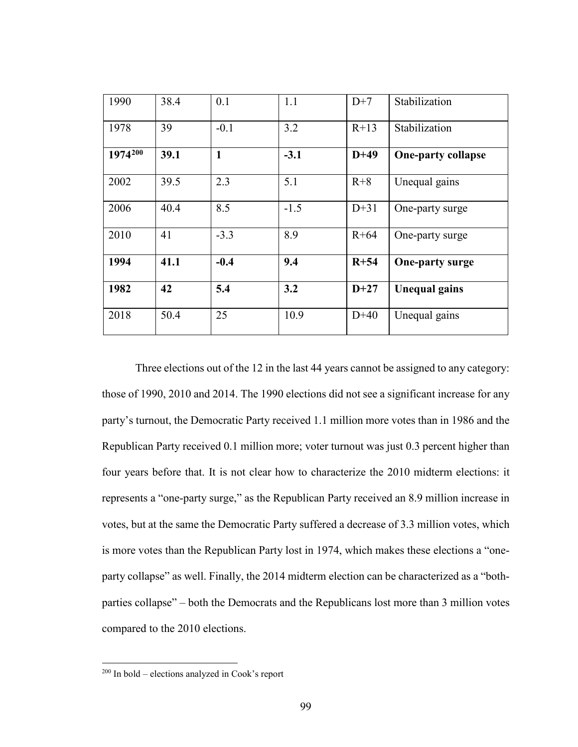| 1990    | 38.4 | 0.1          | 1.1    | $D+7$    | Stabilization             |
|---------|------|--------------|--------|----------|---------------------------|
| 1978    | 39   | $-0.1$       | 3.2    | $R+13$   | Stabilization             |
| 1974200 | 39.1 | $\mathbf{1}$ | $-3.1$ | $D+49$   | <b>One-party collapse</b> |
| 2002    | 39.5 | 2.3          | 5.1    | $R+8$    | Unequal gains             |
| 2006    | 40.4 | 8.5          | $-1.5$ | $D+31$   | One-party surge           |
| 2010    | 41   | $-3.3$       | 8.9    | $R + 64$ | One-party surge           |
| 1994    | 41.1 | $-0.4$       | 9.4    | $R+54$   | <b>One-party surge</b>    |
| 1982    | 42   | 5.4          | 3.2    | $D+27$   | <b>Unequal gains</b>      |
| 2018    | 50.4 | 25           | 10.9   | $D+40$   | Unequal gains             |

Three elections out of the 12 in the last 44 years cannot be assigned to any category: those of 1990, 2010 and 2014. The 1990 elections did not see a significant increase for any party's turnout, the Democratic Party received 1.1 million more votes than in 1986 and the Republican Party received 0.1 million more; voter turnout was just 0.3 percent higher than four years before that. It is not clear how to characterize the 2010 midterm elections: it represents a "one-party surge," as the Republican Party received an 8.9 million increase in votes, but at the same the Democratic Party suffered a decrease of 3.3 million votes, which is more votes than the Republican Party lost in 1974, which makes these elections a "oneparty collapse" as well. Finally, the 2014 midterm election can be characterized as a "bothparties collapse" – both the Democrats and the Republicans lost more than 3 million votes compared to the 2010 elections.

<span id="page-104-0"></span><sup>200</sup> In bold – elections analyzed in Cook's report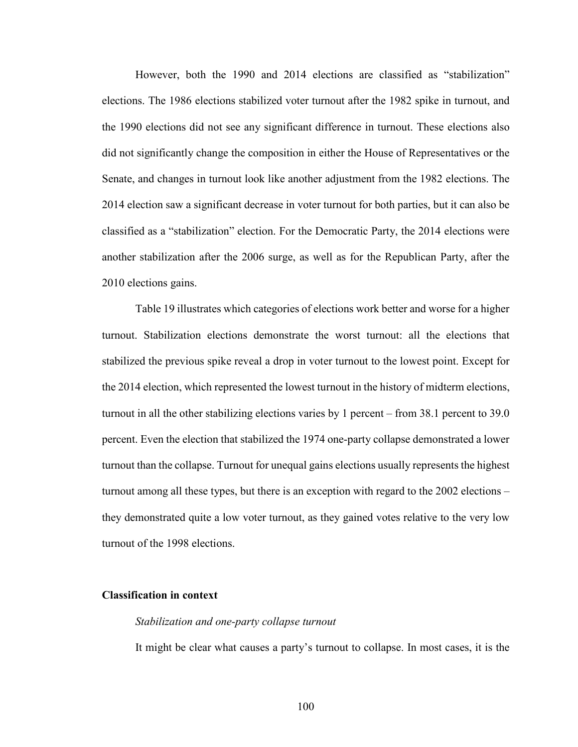However, both the 1990 and 2014 elections are classified as "stabilization" elections. The 1986 elections stabilized voter turnout after the 1982 spike in turnout, and the 1990 elections did not see any significant difference in turnout. These elections also did not significantly change the composition in either the House of Representatives or the Senate, and changes in turnout look like another adjustment from the 1982 elections. The 2014 election saw a significant decrease in voter turnout for both parties, but it can also be classified as a "stabilization" election. For the Democratic Party, the 2014 elections were another stabilization after the 2006 surge, as well as for the Republican Party, after the 2010 elections gains.

Table 19 illustrates which categories of elections work better and worse for a higher turnout. Stabilization elections demonstrate the worst turnout: all the elections that stabilized the previous spike reveal a drop in voter turnout to the lowest point. Except for the 2014 election, which represented the lowest turnout in the history of midterm elections, turnout in all the other stabilizing elections varies by 1 percent – from 38.1 percent to 39.0 percent. Even the election that stabilized the 1974 one-party collapse demonstrated a lower turnout than the collapse. Turnout for unequal gains elections usually represents the highest turnout among all these types, but there is an exception with regard to the 2002 elections – they demonstrated quite a low voter turnout, as they gained votes relative to the very low turnout of the 1998 elections.

#### **Classification in context**

#### *Stabilization and one-party collapse turnout*

It might be clear what causes a party's turnout to collapse. In most cases, it is the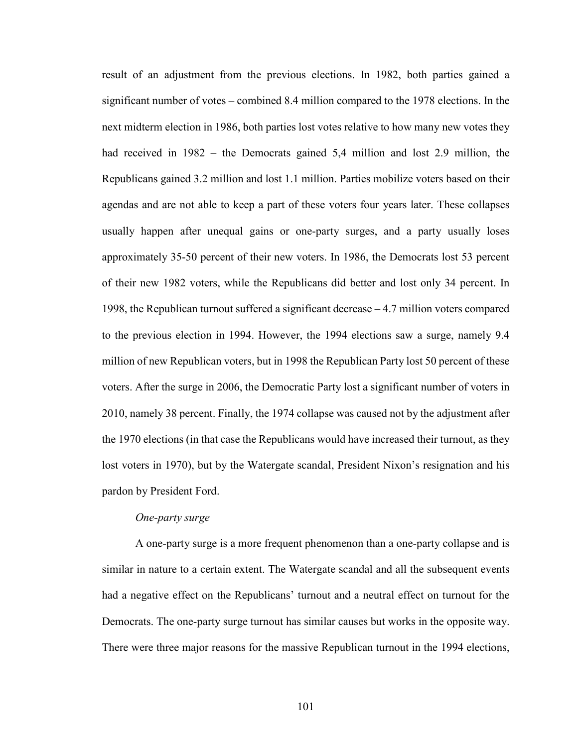result of an adjustment from the previous elections. In 1982, both parties gained a significant number of votes – combined 8.4 million compared to the 1978 elections. In the next midterm election in 1986, both parties lost votes relative to how many new votes they had received in 1982 – the Democrats gained 5,4 million and lost 2.9 million, the Republicans gained 3.2 million and lost 1.1 million. Parties mobilize voters based on their agendas and are not able to keep a part of these voters four years later. These collapses usually happen after unequal gains or one-party surges, and a party usually loses approximately 35-50 percent of their new voters. In 1986, the Democrats lost 53 percent of their new 1982 voters, while the Republicans did better and lost only 34 percent. In 1998, the Republican turnout suffered a significant decrease – 4.7 million voters compared to the previous election in 1994. However, the 1994 elections saw a surge, namely 9.4 million of new Republican voters, but in 1998 the Republican Party lost 50 percent of these voters. After the surge in 2006, the Democratic Party lost a significant number of voters in 2010, namely 38 percent. Finally, the 1974 collapse was caused not by the adjustment after the 1970 elections (in that case the Republicans would have increased their turnout, as they lost voters in 1970), but by the Watergate scandal, President Nixon's resignation and his pardon by President Ford.

#### *One-party surge*

A one-party surge is a more frequent phenomenon than a one-party collapse and is similar in nature to a certain extent. The Watergate scandal and all the subsequent events had a negative effect on the Republicans' turnout and a neutral effect on turnout for the Democrats. The one-party surge turnout has similar causes but works in the opposite way. There were three major reasons for the massive Republican turnout in the 1994 elections,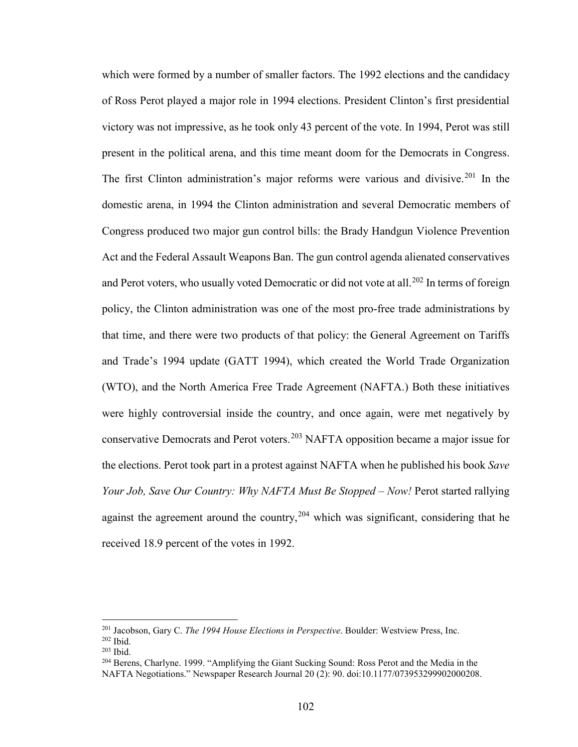which were formed by a number of smaller factors. The 1992 elections and the candidacy of Ross Perot played a major role in 1994 elections. President Clinton's first presidential victory was not impressive, as he took only 43 percent of the vote. In 1994, Perot was still present in the political arena, and this time meant doom for the Democrats in Congress. The first Clinton administration's major reforms were various and divisive.<sup>[201](#page-107-0)</sup> In the domestic arena, in 1994 the Clinton administration and several Democratic members of Congress produced two major gun control bills: the Brady Handgun Violence Prevention Act and the Federal Assault Weapons Ban. The gun control agenda alienated conservatives and Perot voters, who usually voted Democratic or did not vote at all.<sup>202</sup> In terms of foreign policy, the Clinton administration was one of the most pro-free trade administrations by that time, and there were two products of that policy: the General Agreement on Tariffs and Trade's 1994 update (GATT 1994), which created the World Trade Organization (WTO), and the North America Free Trade Agreement (NAFTA.) Both these initiatives were highly controversial inside the country, and once again, were met negatively by conservative Democrats and Perot voters.[203](#page-107-2) NAFTA opposition became a major issue for the elections. Perot took part in a protest against NAFTA when he published his book *Save Your Job, Save Our Country: Why NAFTA Must Be Stopped – Now!* Perot started rallying against the agreement around the country,  $204$  which was significant, considering that he received 18.9 percent of the votes in 1992.

 $\overline{\phantom{a}}$ 

<span id="page-107-0"></span><sup>201</sup> Jacobson, Gary C. *The 1994 House Elections in Perspective*. Boulder: Westview Press, Inc.

<span id="page-107-1"></span> $^{202}$  Ibid.<br> $^{203}$  Ibid.

<span id="page-107-2"></span>

<span id="page-107-3"></span><sup>&</sup>lt;sup>204</sup> Berens, Charlyne. 1999. "Amplifying the Giant Sucking Sound: Ross Perot and the Media in the NAFTA Negotiations." Newspaper Research Journal 20 (2): 90. doi:10.1177/073953299902000208.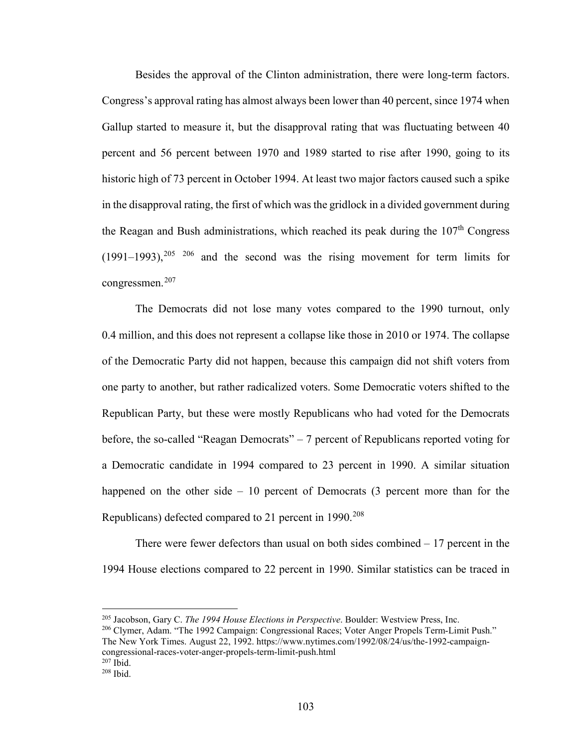Besides the approval of the Clinton administration, there were long-term factors. Congress's approval rating has almost always been lower than 40 percent, since 1974 when Gallup started to measure it, but the disapproval rating that was fluctuating between 40 percent and 56 percent between 1970 and 1989 started to rise after 1990, going to its historic high of 73 percent in October 1994. At least two major factors caused such a spike in the disapproval rating, the first of which was the gridlock in a divided government during the Reagan and Bush administrations, which reached its peak during the  $107<sup>th</sup>$  Congress  $(1991–1993)$ ,  $205$   $206$  and the second was the rising movement for term limits for congressmen.<sup>[207](#page-108-2)</sup>

The Democrats did not lose many votes compared to the 1990 turnout, only 0.4 million, and this does not represent a collapse like those in 2010 or 1974. The collapse of the Democratic Party did not happen, because this campaign did not shift voters from one party to another, but rather radicalized voters. Some Democratic voters shifted to the Republican Party, but these were mostly Republicans who had voted for the Democrats before, the so-called "Reagan Democrats" – 7 percent of Republicans reported voting for a Democratic candidate in 1994 compared to 23 percent in 1990. A similar situation happened on the other side – 10 percent of Democrats (3 percent more than for the Republicans) defected compared to 21 percent in 1990.<sup>[208](#page-108-3)</sup>

There were fewer defectors than usual on both sides combined  $-17$  percent in the 1994 House elections compared to 22 percent in 1990. Similar statistics can be traced in

 $\overline{a}$ 

<span id="page-108-0"></span><sup>205</sup> Jacobson, Gary C. *The 1994 House Elections in Perspective*. Boulder: Westview Press, Inc.

<span id="page-108-1"></span><sup>206</sup> Clymer, Adam. "The 1992 Campaign: Congressional Races; Voter Anger Propels Term-Limit Push." The New York Times. August 22, 1992. https://www.nytimes.com/1992/08/24/us/the-1992-campaigncongressional-races-voter-anger-propels-term-limit-push.html  $207$  Ibid.

<span id="page-108-3"></span><span id="page-108-2"></span><sup>208</sup> Ibid.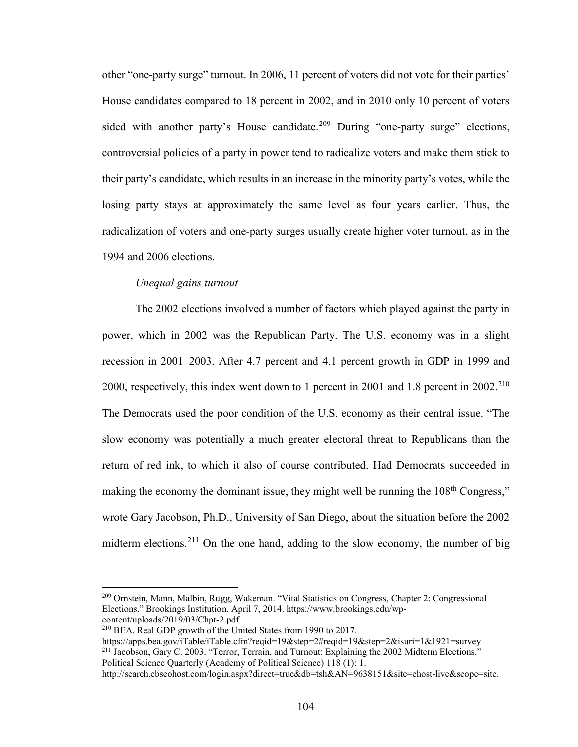other "one-party surge" turnout. In 2006, 11 percent of voters did not vote for their parties' House candidates compared to 18 percent in 2002, and in 2010 only 10 percent of voters sided with another party's House candidate.<sup>[209](#page-109-0)</sup> During "one-party surge" elections, controversial policies of a party in power tend to radicalize voters and make them stick to their party's candidate, which results in an increase in the minority party's votes, while the losing party stays at approximately the same level as four years earlier. Thus, the radicalization of voters and one-party surges usually create higher voter turnout, as in the 1994 and 2006 elections.

### *Unequal gains turnout*

The 2002 elections involved a number of factors which played against the party in power, which in 2002 was the Republican Party. The U.S. economy was in a slight recession in 2001–2003. After 4.7 percent and 4.1 percent growth in GDP in 1999 and 2000, respectively, this index went down to 1 percent in 2001 and 1.8 percent in  $2002.^{210}$  $2002.^{210}$  $2002.^{210}$ The Democrats used the poor condition of the U.S. economy as their central issue. "The slow economy was potentially a much greater electoral threat to Republicans than the return of red ink, to which it also of course contributed. Had Democrats succeeded in making the economy the dominant issue, they might well be running the  $108<sup>th</sup>$  Congress," wrote Gary Jacobson, Ph.D., University of San Diego, about the situation before the 2002 midterm elections.<sup>[211](#page-109-2)</sup> On the one hand, adding to the slow economy, the number of big

<span id="page-109-0"></span><sup>209</sup> Ornstein, Mann, Malbin, Rugg, Wakeman. "Vital Statistics on Congress, Chapter 2: Congressional Elections." Brookings Institution. April 7, 2014. https://www.brookings.edu/wp-<br>content/uploads/2019/03/Chpt-2.pdf.

<span id="page-109-1"></span> $^{210}$  BEA. Real GDP growth of the United States from 1990 to 2017.

<span id="page-109-2"></span>https://apps.bea.gov/iTable/iTable.cfm?reqid=19&step=2#reqid=19&step=2&isuri=1&1921=survey <sup>211</sup> Jacobson, Gary C. 2003. "Terror, Terrain, and Turnout: Explaining the 2002 Midterm Elections." Political Science Quarterly (Academy of Political Science) 118 (1): 1.

http://search.ebscohost.com/login.aspx?direct=true&db=tsh&AN=9638151&site=ehost-live&scope=site.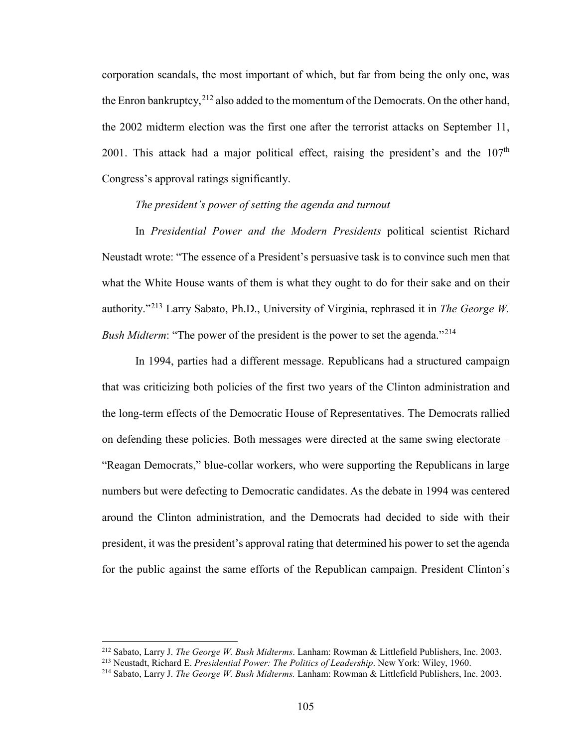corporation scandals, the most important of which, but far from being the only one, was the Enron bankruptcy,  $^{212}$  $^{212}$  $^{212}$  also added to the momentum of the Democrats. On the other hand, the 2002 midterm election was the first one after the terrorist attacks on September 11, 2001. This attack had a major political effect, raising the president's and the  $107<sup>th</sup>$ Congress's approval ratings significantly.

# *The president's power of setting the agenda and turnout*

In *Presidential Power and the Modern Presidents* political scientist Richard Neustadt wrote: "The essence of a President's persuasive task is to convince such men that what the White House wants of them is what they ought to do for their sake and on their authority."[213](#page-110-1) Larry Sabato, Ph.D., University of Virginia, rephrased it in *The George W. Bush Midterm*: "The power of the president is the power to set the agenda."<sup>[214](#page-110-2)</sup>

In 1994, parties had a different message. Republicans had a structured campaign that was criticizing both policies of the first two years of the Clinton administration and the long-term effects of the Democratic House of Representatives. The Democrats rallied on defending these policies. Both messages were directed at the same swing electorate – "Reagan Democrats," blue-collar workers, who were supporting the Republicans in large numbers but were defecting to Democratic candidates. As the debate in 1994 was centered around the Clinton administration, and the Democrats had decided to side with their president, it was the president's approval rating that determined his power to set the agenda for the public against the same efforts of the Republican campaign. President Clinton's

<span id="page-110-1"></span><span id="page-110-0"></span><sup>&</sup>lt;sup>212</sup> Sabato, Larry J. *The George W. Bush Midterms*. Lanham: Rowman & Littlefield Publishers, Inc. 2003.<br><sup>213</sup> Neustadt, Richard E. *Presidential Power: The Politics of Leadership*. New York: Wiley, 1960.<br><sup>214</sup> Sabato, L

<span id="page-110-2"></span>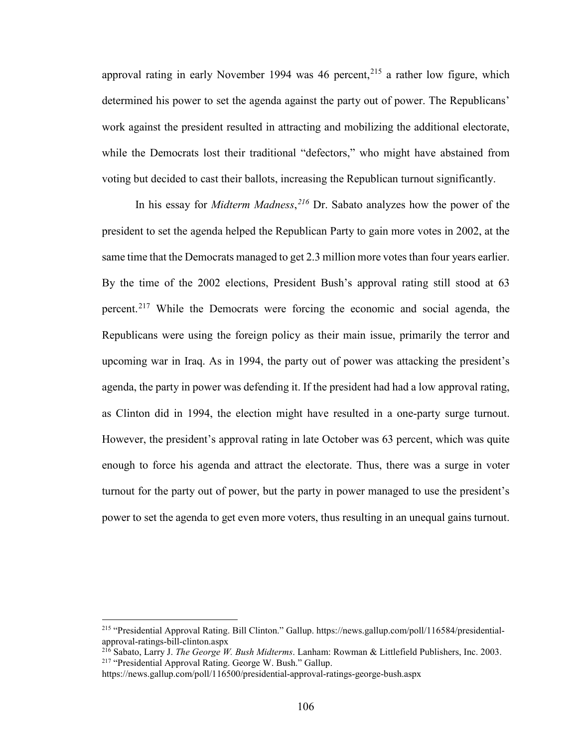approval rating in early November 1994 was 46 percent,<sup>[215](#page-111-0)</sup> a rather low figure, which determined his power to set the agenda against the party out of power. The Republicans' work against the president resulted in attracting and mobilizing the additional electorate, while the Democrats lost their traditional "defectors," who might have abstained from voting but decided to cast their ballots, increasing the Republican turnout significantly.

In his essay for *Midterm Madness*, *[216](#page-111-1)* Dr. Sabato analyzes how the power of the president to set the agenda helped the Republican Party to gain more votes in 2002, at the same time that the Democrats managed to get 2.3 million more votes than four years earlier. By the time of the 2002 elections, President Bush's approval rating still stood at 63 percent.<sup>[217](#page-111-2)</sup> While the Democrats were forcing the economic and social agenda, the Republicans were using the foreign policy as their main issue, primarily the terror and upcoming war in Iraq. As in 1994, the party out of power was attacking the president's agenda, the party in power was defending it. If the president had had a low approval rating, as Clinton did in 1994, the election might have resulted in a one-party surge turnout. However, the president's approval rating in late October was 63 percent, which was quite enough to force his agenda and attract the electorate. Thus, there was a surge in voter turnout for the party out of power, but the party in power managed to use the president's power to set the agenda to get even more voters, thus resulting in an unequal gains turnout.

 $\overline{\phantom{a}}$ 

<span id="page-111-0"></span><sup>215 &</sup>quot;Presidential Approval Rating. Bill Clinton." Gallup. https://news.gallup.com/poll/116584/presidentialapproval-ratings-bill-clinton.aspx

<span id="page-111-2"></span><span id="page-111-1"></span><sup>216</sup> Sabato, Larry J. *The George W. Bush Midterms*. Lanham: Rowman & Littlefield Publishers, Inc. 2003. 217 "Presidential Approval Rating. George W. Bush." Gallup.

https://news.gallup.com/poll/116500/presidential-approval-ratings-george-bush.aspx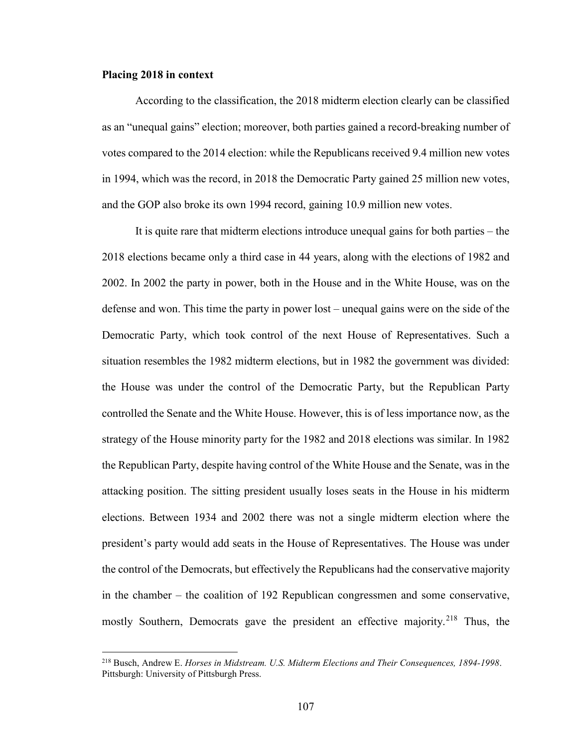### **Placing 2018 in context**

l

According to the classification, the 2018 midterm election clearly can be classified as an "unequal gains" election; moreover, both parties gained a record-breaking number of votes compared to the 2014 election: while the Republicans received 9.4 million new votes in 1994, which was the record, in 2018 the Democratic Party gained 25 million new votes, and the GOP also broke its own 1994 record, gaining 10.9 million new votes.

It is quite rare that midterm elections introduce unequal gains for both parties – the 2018 elections became only a third case in 44 years, along with the elections of 1982 and 2002. In 2002 the party in power, both in the House and in the White House, was on the defense and won. This time the party in power lost – unequal gains were on the side of the Democratic Party, which took control of the next House of Representatives. Such a situation resembles the 1982 midterm elections, but in 1982 the government was divided: the House was under the control of the Democratic Party, but the Republican Party controlled the Senate and the White House. However, this is of less importance now, as the strategy of the House minority party for the 1982 and 2018 elections was similar. In 1982 the Republican Party, despite having control of the White House and the Senate, was in the attacking position. The sitting president usually loses seats in the House in his midterm elections. Between 1934 and 2002 there was not a single midterm election where the president's party would add seats in the House of Representatives. The House was under the control of the Democrats, but effectively the Republicans had the conservative majority in the chamber – the coalition of 192 Republican congressmen and some conservative, mostly Southern, Democrats gave the president an effective majority.<sup>[218](#page-112-0)</sup> Thus, the

<span id="page-112-0"></span><sup>218</sup> Busch, Andrew E. *Horses in Midstream. U.S. Midterm Elections and Their Consequences, 1894-1998*. Pittsburgh: University of Pittsburgh Press.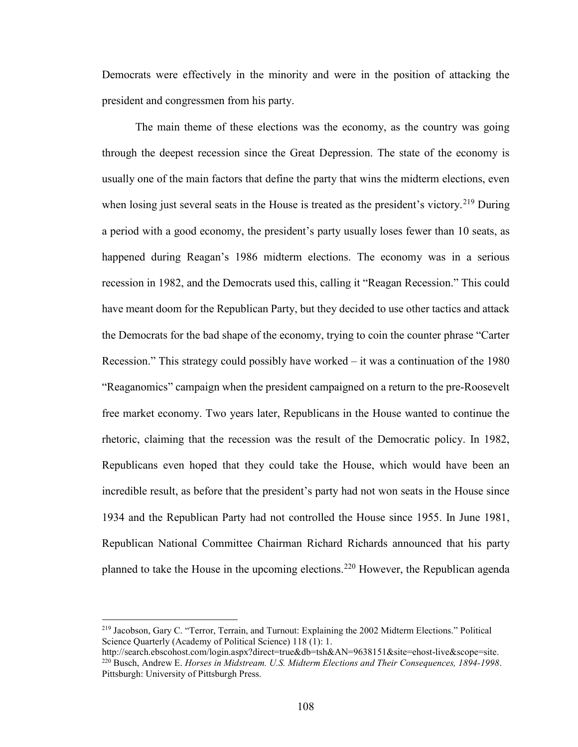Democrats were effectively in the minority and were in the position of attacking the president and congressmen from his party.

The main theme of these elections was the economy, as the country was going through the deepest recession since the Great Depression. The state of the economy is usually one of the main factors that define the party that wins the midterm elections, even when losing just several seats in the House is treated as the president's victory.<sup>[219](#page-113-0)</sup> During a period with a good economy, the president's party usually loses fewer than 10 seats, as happened during Reagan's 1986 midterm elections. The economy was in a serious recession in 1982, and the Democrats used this, calling it "Reagan Recession." This could have meant doom for the Republican Party, but they decided to use other tactics and attack the Democrats for the bad shape of the economy, trying to coin the counter phrase "Carter Recession." This strategy could possibly have worked – it was a continuation of the 1980 "Reaganomics" campaign when the president campaigned on a return to the pre-Roosevelt free market economy. Two years later, Republicans in the House wanted to continue the rhetoric, claiming that the recession was the result of the Democratic policy. In 1982, Republicans even hoped that they could take the House, which would have been an incredible result, as before that the president's party had not won seats in the House since 1934 and the Republican Party had not controlled the House since 1955. In June 1981, Republican National Committee Chairman Richard Richards announced that his party planned to take the House in the upcoming elections.<sup>[220](#page-113-1)</sup> However, the Republican agenda

 $\overline{\phantom{a}}$ 

<span id="page-113-0"></span><sup>219</sup> Jacobson, Gary C. "Terror, Terrain, and Turnout: Explaining the 2002 Midterm Elections." Political Science Quarterly (Academy of Political Science) 118 (1): 1.

<span id="page-113-1"></span>http://search.ebscohost.com/login.aspx?direct=true&db=tsh&AN=9638151&site=ehost-live&scope=site. <sup>220</sup> Busch, Andrew E. *Horses in Midstream. U.S. Midterm Elections and Their Consequences, 1894-1998*. Pittsburgh: University of Pittsburgh Press.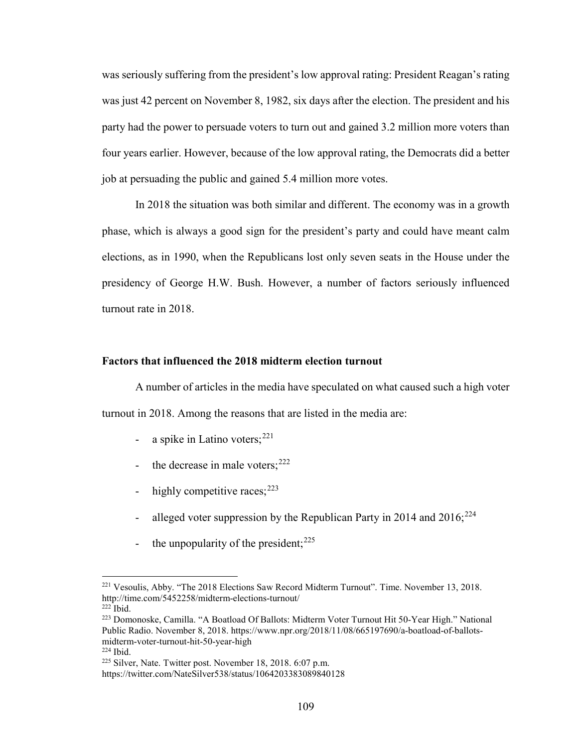was seriously suffering from the president's low approval rating: President Reagan's rating was just 42 percent on November 8, 1982, six days after the election. The president and his party had the power to persuade voters to turn out and gained 3.2 million more voters than four years earlier. However, because of the low approval rating, the Democrats did a better job at persuading the public and gained 5.4 million more votes.

In 2018 the situation was both similar and different. The economy was in a growth phase, which is always a good sign for the president's party and could have meant calm elections, as in 1990, when the Republicans lost only seven seats in the House under the presidency of George H.W. Bush. However, a number of factors seriously influenced turnout rate in 2018.

### **Factors that influenced the 2018 midterm election turnout**

A number of articles in the media have speculated on what caused such a high voter turnout in 2018. Among the reasons that are listed in the media are:

- a spike in Latino voters;  $221$
- the decrease in male voters;  $222$
- highly competitive races;  $2^{23}$
- alleged voter suppression by the Republican Party in 2014 and  $2016$ ;  $224$
- the unpopularity of the president;  $225$

<span id="page-114-0"></span><sup>221</sup> Vesoulis, Abby. "The 2018 Elections Saw Record Midterm Turnout". Time. November 13, 2018. http://time.com/5452258/midterm-elections-turnout/

 $222$  Ibid.

<span id="page-114-2"></span><span id="page-114-1"></span><sup>223</sup> Domonoske, Camilla. "A Boatload Of Ballots: Midterm Voter Turnout Hit 50-Year High." National Public Radio. November 8, 2018. https://www.npr.org/2018/11/08/665197690/a-boatload-of-ballotsmidterm-voter-turnout-hit-50-year-high <sup>224</sup> Ibid.

<span id="page-114-3"></span><sup>225</sup> Silver, Nate. Twitter post. November 18, 2018. 6:07 p.m.

<span id="page-114-4"></span>https://twitter.com/NateSilver538/status/1064203383089840128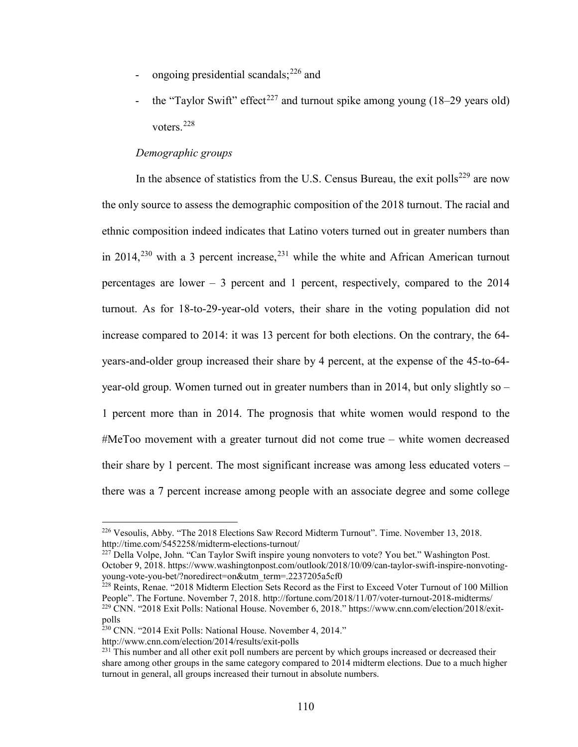- ongoing presidential scandals; $^{226}$  $^{226}$  $^{226}$  and
- the "Taylor Swift" effect<sup>227</sup> and turnout spike among young  $(18–29 \text{ years old})$ voters.[228](#page-115-2)

# *Demographic groups*

In the absence of statistics from the U.S. Census Bureau, the exit polls<sup>[229](#page-115-3)</sup> are now the only source to assess the demographic composition of the 2018 turnout. The racial and ethnic composition indeed indicates that Latino voters turned out in greater numbers than in 2014,<sup>[230](#page-115-4)</sup> with a 3 percent increase,<sup>[231](#page-115-5)</sup> while the white and African American turnout percentages are lower – 3 percent and 1 percent, respectively, compared to the 2014 turnout. As for 18-to-29-year-old voters, their share in the voting population did not increase compared to 2014: it was 13 percent for both elections. On the contrary, the 64 years-and-older group increased their share by 4 percent, at the expense of the 45-to-64 year-old group. Women turned out in greater numbers than in 2014, but only slightly so – 1 percent more than in 2014. The prognosis that white women would respond to the #MeToo movement with a greater turnout did not come true – white women decreased their share by 1 percent. The most significant increase was among less educated voters – there was a 7 percent increase among people with an associate degree and some college

<span id="page-115-0"></span><sup>226</sup> Vesoulis, Abby. "The 2018 Elections Saw Record Midterm Turnout". Time. November 13, 2018. http://time.com/5452258/midterm-elections-turnout/

<span id="page-115-1"></span><sup>227</sup> Della Volpe, John. "Can Taylor Swift inspire young nonvoters to vote? You bet." Washington Post. October 9, 2018. https://www.washingtonpost.com/outlook/2018/10/09/can-taylor-swift-inspire-nonvotingyoung-vote-you-bet/?noredirect=on&utm\_term=.2237205a5cf0

<span id="page-115-3"></span><span id="page-115-2"></span> $\frac{228}{228}$  Reints, Renae. "2018 Midterm Election Sets Record as the First to Exceed Voter Turnout of 100 Million People". The Fortune. November 7, 2018. http://fortune.com/2018/11/07/voter-turnout-2018-midterms/ <sup>229</sup> CNN. "2018 Exit Polls: National House. November 6, 2018." https://www.cnn.com/election/2018/exitpolls

<span id="page-115-4"></span><sup>&</sup>lt;sup>230</sup> CNN. "2014 Exit Polls: National House. November 4, 2014."

http://www.cnn.com/election/2014/results/exit-polls

<span id="page-115-5"></span> $^{231}$  This number and all other exit poll numbers are percent by which groups increased or decreased their share among other groups in the same category compared to 2014 midterm elections. Due to a much higher turnout in general, all groups increased their turnout in absolute numbers.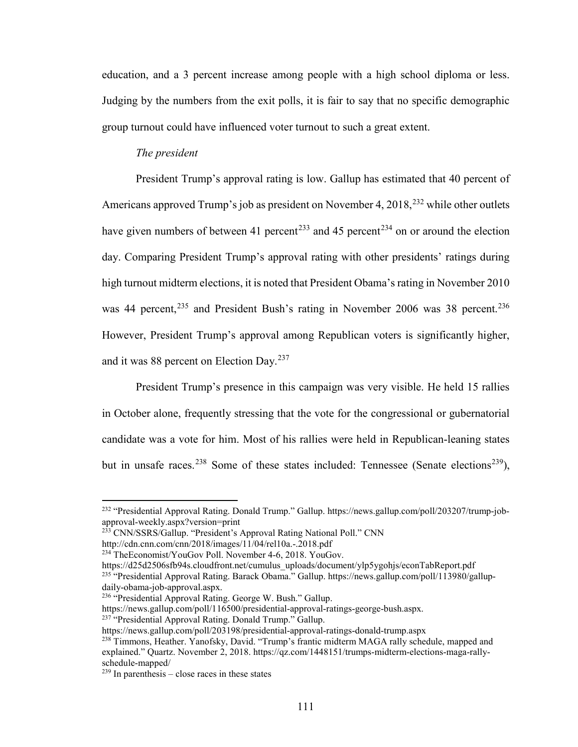education, and a 3 percent increase among people with a high school diploma or less. Judging by the numbers from the exit polls, it is fair to say that no specific demographic group turnout could have influenced voter turnout to such a great extent.

# *The president*

President Trump's approval rating is low. Gallup has estimated that 40 percent of Americans approved Trump's job as president on November 4,  $2018$ <sup>32</sup> while other outlets have given numbers of between 41 percent<sup>[233](#page-116-1)</sup> and 45 percent<sup>[234](#page-116-2)</sup> on or around the election day. Comparing President Trump's approval rating with other presidents' ratings during high turnout midterm elections, it is noted that President Obama's rating in November 2010 was 44 percent,<sup>[235](#page-116-3)</sup> and President Bush's rating in November 2006 was 38 percent.<sup>[236](#page-116-4)</sup> However, President Trump's approval among Republican voters is significantly higher, and it was 88 percent on Election Day.<sup>237</sup>

President Trump's presence in this campaign was very visible. He held 15 rallies in October alone, frequently stressing that the vote for the congressional or gubernatorial candidate was a vote for him. Most of his rallies were held in Republican-leaning states but in unsafe races.<sup>[238](#page-116-6)</sup> Some of these states included: Tennessee (Senate elections<sup>[239](#page-116-7)</sup>),

<span id="page-116-3"></span>https://d25d2506sfb94s.cloudfront.net/cumulus\_uploads/document/ylp5ygohjs/econTabReport.pdf <sup>235</sup> "Presidential Approval Rating. Barack Obama." Gallup. https://news.gallup.com/poll/113980/gallupdaily-obama-job-approval.aspx.

<span id="page-116-4"></span>236 "Presidential Approval Rating. George W. Bush." Gallup.

<span id="page-116-5"></span>https://news.gallup.com/poll/116500/presidential-approval-ratings-george-bush.aspx.

237 "Presidential Approval Rating. Donald Trump." Gallup.

<span id="page-116-0"></span><sup>232 &</sup>quot;Presidential Approval Rating. Donald Trump." Gallup. https://news.gallup.com/poll/203207/trump-jobapproval-weekly.aspx?version=print

<span id="page-116-1"></span><sup>&</sup>lt;sup>233</sup> CNN/SSRS/Gallup. "President's Approval Rating National Poll." CNN

http://cdn.cnn.com/cnn/2018/images/11/04/rel10a.-.2018.pdf

<span id="page-116-2"></span><sup>234</sup> TheEconomist/YouGov Poll. November 4-6, 2018. YouGov.

https://news.gallup.com/poll/203198/presidential-approval-ratings-donald-trump.aspx

<span id="page-116-6"></span><sup>&</sup>lt;sup>238</sup> Timmons, Heather. Yanofsky, David. "Trump's frantic midterm MAGA rally schedule, mapped and explained." Quartz. November 2, 2018. https://qz.com/1448151/trumps-midterm-elections-maga-rallyschedule-mapped/

<span id="page-116-7"></span> $239$  In parenthesis – close races in these states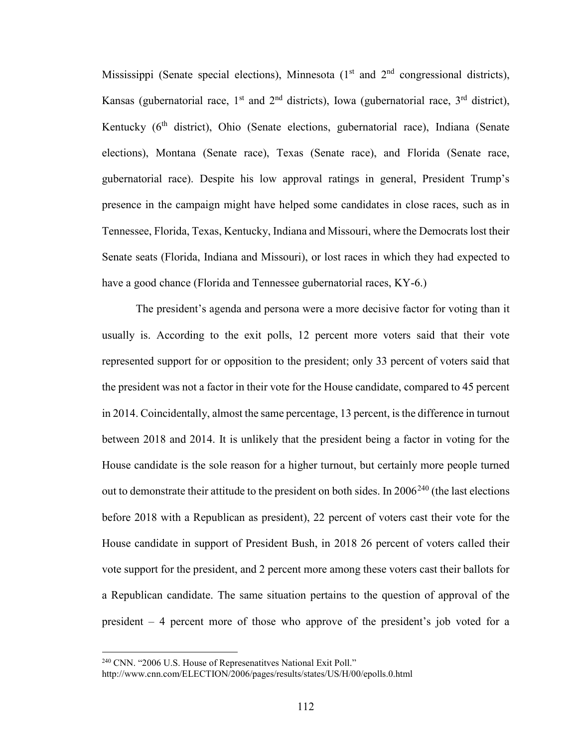Mississippi (Senate special elections), Minnesota  $(1<sup>st</sup>$  and  $2<sup>nd</sup>$  congressional districts), Kansas (gubernatorial race, 1<sup>st</sup> and 2<sup>nd</sup> districts), Iowa (gubernatorial race, 3<sup>rd</sup> district), Kentucky  $(6<sup>th</sup>$  district), Ohio (Senate elections, gubernatorial race), Indiana (Senate elections), Montana (Senate race), Texas (Senate race), and Florida (Senate race, gubernatorial race). Despite his low approval ratings in general, President Trump's presence in the campaign might have helped some candidates in close races, such as in Tennessee, Florida, Texas, Kentucky, Indiana and Missouri, where the Democrats lost their Senate seats (Florida, Indiana and Missouri), or lost races in which they had expected to have a good chance (Florida and Tennessee gubernatorial races, KY-6.)

The president's agenda and persona were a more decisive factor for voting than it usually is. According to the exit polls, 12 percent more voters said that their vote represented support for or opposition to the president; only 33 percent of voters said that the president was not a factor in their vote for the House candidate, compared to 45 percent in 2014. Coincidentally, almost the same percentage, 13 percent, is the difference in turnout between 2018 and 2014. It is unlikely that the president being a factor in voting for the House candidate is the sole reason for a higher turnout, but certainly more people turned out to demonstrate their attitude to the president on both sides. In  $2006^{240}$  (the last elections before 2018 with a Republican as president), 22 percent of voters cast their vote for the House candidate in support of President Bush, in 2018 26 percent of voters called their vote support for the president, and 2 percent more among these voters cast their ballots for a Republican candidate. The same situation pertains to the question of approval of the president – 4 percent more of those who approve of the president's job voted for a

<span id="page-117-0"></span><sup>&</sup>lt;sup>240</sup> CNN. "2006 U.S. House of Represenatitves National Exit Poll."

http://www.cnn.com/ELECTION/2006/pages/results/states/US/H/00/epolls.0.html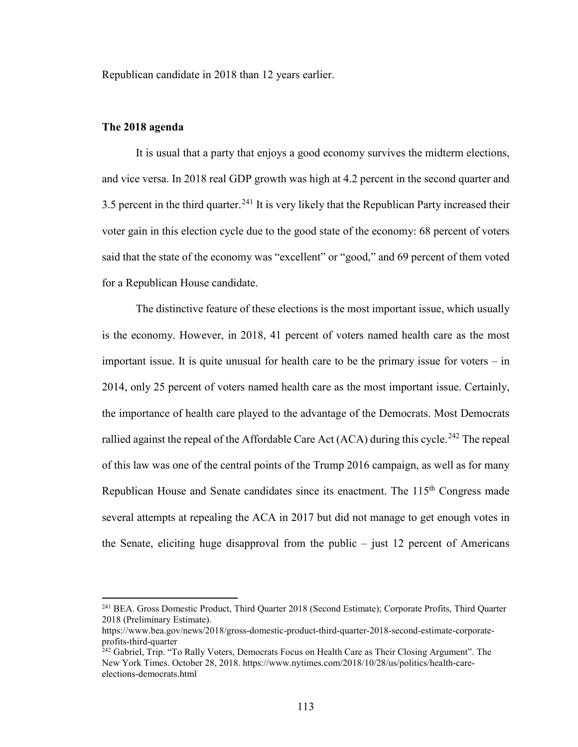Republican candidate in 2018 than 12 years earlier.

## **The 2018 agenda**

l

It is usual that a party that enjoys a good economy survives the midterm elections, and vice versa. In 2018 real GDP growth was high at 4.2 percent in the second quarter and 3.5 percent in the third quarter.<sup>[241](#page-118-0)</sup> It is very likely that the Republican Party increased their voter gain in this election cycle due to the good state of the economy: 68 percent of voters said that the state of the economy was "excellent" or "good," and 69 percent of them voted for a Republican House candidate.

The distinctive feature of these elections is the most important issue, which usually is the economy. However, in 2018, 41 percent of voters named health care as the most important issue. It is quite unusual for health care to be the primary issue for voters – in 2014, only 25 percent of voters named health care as the most important issue. Certainly, the importance of health care played to the advantage of the Democrats. Most Democrats rallied against the repeal of the Affordable Care Act (ACA) during this cycle.<sup>[242](#page-118-1)</sup> The repeal of this law was one of the central points of the Trump 2016 campaign, as well as for many Republican House and Senate candidates since its enactment. The  $115<sup>th</sup>$  Congress made several attempts at repealing the ACA in 2017 but did not manage to get enough votes in the Senate, eliciting huge disapproval from the public  $-$  just 12 percent of Americans

<span id="page-118-0"></span><sup>241</sup> BEA. Gross Domestic Product, Third Quarter 2018 (Second Estimate); Corporate Profits, Third Quarter 2018 (Preliminary Estimate).

https://www.bea.gov/news/2018/gross-domestic-product-third-quarter-2018-second-estimate-corporateprofits-third-quarter

<span id="page-118-1"></span><sup>&</sup>lt;sup>242</sup> Gabriel, Trip. "To Rally Voters, Democrats Focus on Health Care as Their Closing Argument". The New York Times. October 28, 2018. https://www.nytimes.com/2018/10/28/us/politics/health-careelections-democrats.html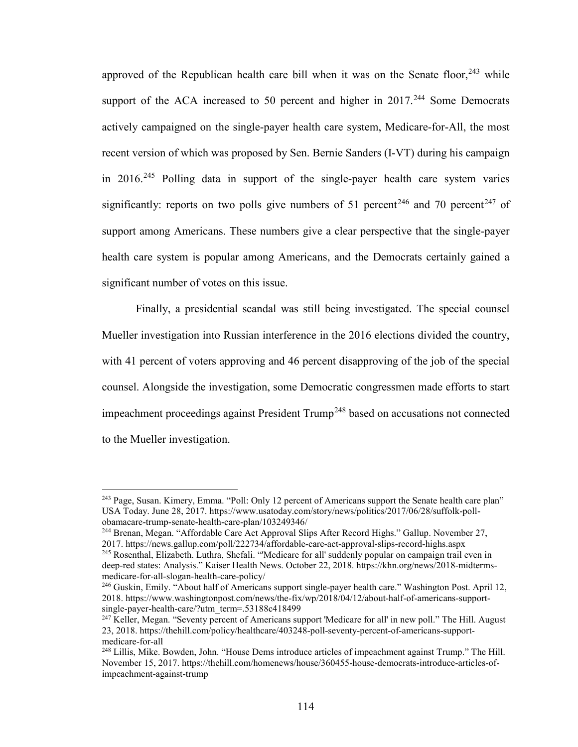approved of the Republican health care bill when it was on the Senate floor,  $243$  while support of the ACA increased to 50 percent and higher in  $2017$ .<sup>[244](#page-119-1)</sup> Some Democrats actively campaigned on the single-payer health care system, Medicare-for-All, the most recent version of which was proposed by Sen. Bernie Sanders (I-VT) during his campaign in 2016.[245](#page-119-2) Polling data in support of the single-payer health care system varies significantly: reports on two polls give numbers of 51 percent<sup>[246](#page-119-3)</sup> and 70 percent<sup>[247](#page-119-4)</sup> of support among Americans. These numbers give a clear perspective that the single-payer health care system is popular among Americans, and the Democrats certainly gained a significant number of votes on this issue.

Finally, a presidential scandal was still being investigated. The special counsel Mueller investigation into Russian interference in the 2016 elections divided the country, with 41 percent of voters approving and 46 percent disapproving of the job of the special counsel. Alongside the investigation, some Democratic congressmen made efforts to start impeachment proceedings against President Trump<sup>[248](#page-119-5)</sup> based on accusations not connected to the Mueller investigation.

 $\overline{\phantom{a}}$ 

<span id="page-119-0"></span><sup>&</sup>lt;sup>243</sup> Page, Susan. Kimery, Emma. "Poll: Only 12 percent of Americans support the Senate health care plan" USA Today. June 28, 2017. https://www.usatoday.com/story/news/politics/2017/06/28/suffolk-pollobamacare-trump-senate-health-care-plan/103249346/

<span id="page-119-1"></span><sup>244</sup> Brenan, Megan. "Affordable Care Act Approval Slips After Record Highs." Gallup. November 27, 2017. https://news.gallup.com/poll/222734/affordable-care-act-approval-slips-record-highs.aspx

<span id="page-119-2"></span><sup>245</sup> Rosenthal, Elizabeth. Luthra, Shefali. "'Medicare for all' suddenly popular on campaign trail even in deep-red states: Analysis." Kaiser Health News. October 22, 2018. https://khn.org/news/2018-midtermsmedicare-for-all-slogan-health-care-policy/

<span id="page-119-3"></span><sup>&</sup>lt;sup>246</sup> Guskin, Emily. "About half of Americans support single-payer health care." Washington Post. April 12, 2018. https://www.washingtonpost.com/news/the-fix/wp/2018/04/12/about-half-of-americans-supportsingle-payer-health-care/?utm\_term=.53188c418499

<span id="page-119-4"></span><sup>&</sup>lt;sup>247</sup> Keller, Megan. "Seventy percent of Americans support 'Medicare for all' in new poll." The Hill. August 23, 2018. https://thehill.com/policy/healthcare/403248-poll-seventy-percent-of-americans-supportmedicare-for-all

<span id="page-119-5"></span><sup>248</sup> Lillis, Mike. Bowden, John. "House Dems introduce articles of impeachment against Trump." The Hill. November 15, 2017. https://thehill.com/homenews/house/360455-house-democrats-introduce-articles-ofimpeachment-against-trump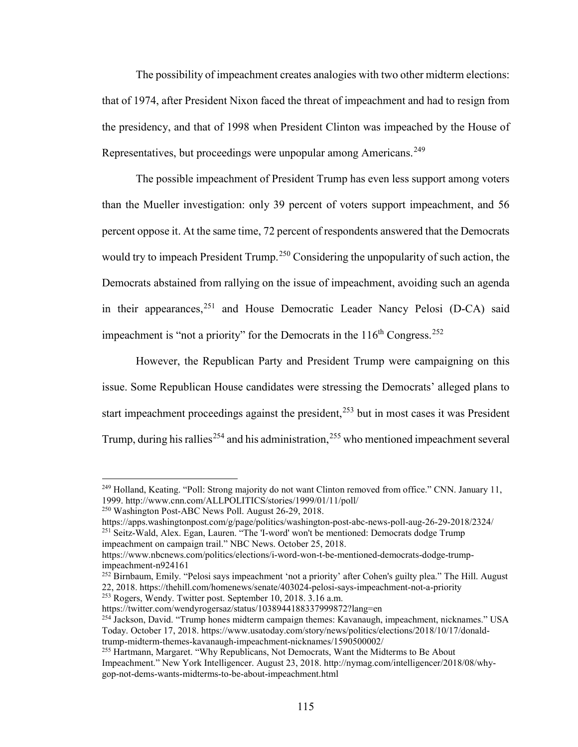The possibility of impeachment creates analogies with two other midterm elections: that of 1974, after President Nixon faced the threat of impeachment and had to resign from the presidency, and that of 1998 when President Clinton was impeached by the House of Representatives, but proceedings were unpopular among Americans.<sup>249</sup>

The possible impeachment of President Trump has even less support among voters than the Mueller investigation: only 39 percent of voters support impeachment, and 56 percent oppose it. At the same time, 72 percent of respondents answered that the Democrats would try to impeach President Trump.<sup>[250](#page-120-1)</sup> Considering the unpopularity of such action, the Democrats abstained from rallying on the issue of impeachment, avoiding such an agenda in their appearances,  $^{251}$  $^{251}$  $^{251}$  and House Democratic Leader Nancy Pelosi (D-CA) said impeachment is "not a priority" for the Democrats in the  $116<sup>th</sup> Congress.<sup>252</sup>$  $116<sup>th</sup> Congress.<sup>252</sup>$  $116<sup>th</sup> Congress.<sup>252</sup>$ 

However, the Republican Party and President Trump were campaigning on this issue. Some Republican House candidates were stressing the Democrats' alleged plans to start impeachment proceedings against the president,  $253$  but in most cases it was President Trump, during his rallies<sup>[254](#page-120-5)</sup> and his administration,  $255$  who mentioned impeachment several

 $\overline{a}$ 

<span id="page-120-2"></span><span id="page-120-1"></span>https://apps.washingtonpost.com/g/page/politics/washington-post-abc-news-poll-aug-26-29-2018/2324/ <sup>251</sup> Seitz-Wald, Alex. Egan, Lauren. "The 'I-word' won't be mentioned: Democrats dodge Trump impeachment on campaign trail." NBC News. October 25, 2018.

<span id="page-120-5"></span><span id="page-120-4"></span>https://twitter.com/wendyrogersaz/status/1038944188337999872?lang=en

<span id="page-120-0"></span><sup>&</sup>lt;sup>249</sup> Holland, Keating. "Poll: Strong majority do not want Clinton removed from office." CNN. January 11, 1999. http://www.cnn.com/ALLPOLITICS/stories/1999/01/11/poll/

<sup>250</sup> Washington Post-ABC News Poll. August 26-29, 2018.

https://www.nbcnews.com/politics/elections/i-word-won-t-be-mentioned-democrats-dodge-trumpimpeachment-n924161

<span id="page-120-3"></span><sup>&</sup>lt;sup>252</sup> Birnbaum, Emily. "Pelosi says impeachment 'not a priority' after Cohen's guilty plea." The Hill. August 22, 2018. https://thehill.com/homenews/senate/403024-pelosi-says-impeachment-not-a-priority <sup>253</sup> Rogers, Wendy. Twitter post. September 10, 2018. 3.16 a.m.

<sup>254</sup> Jackson, David. "Trump hones midterm campaign themes: Kavanaugh, impeachment, nicknames." USA Today. October 17, 2018. https://www.usatoday.com/story/news/politics/elections/2018/10/17/donaldtrump-midterm-themes-kavanaugh-impeachment-nicknames/1590500002/

<span id="page-120-6"></span><sup>255</sup> Hartmann, Margaret. "Why Republicans, Not Democrats, Want the Midterms to Be About Impeachment." New York Intelligencer. August 23, 2018. http://nymag.com/intelligencer/2018/08/whygop-not-dems-wants-midterms-to-be-about-impeachment.html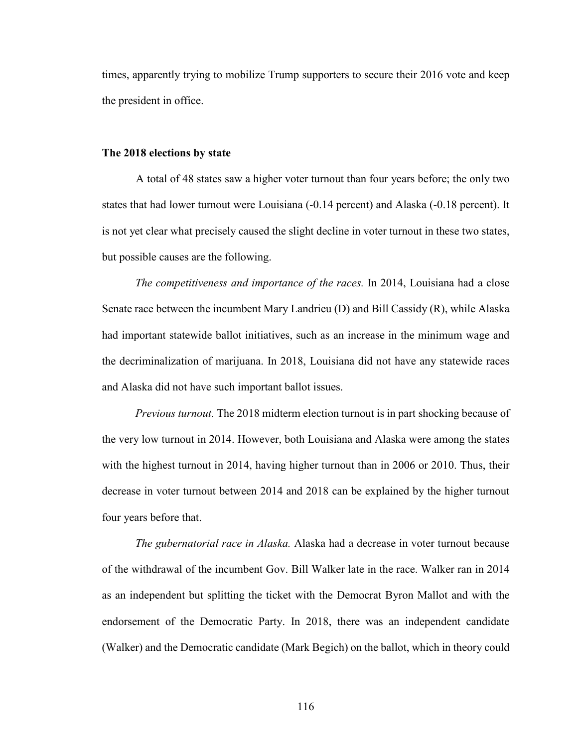times, apparently trying to mobilize Trump supporters to secure their 2016 vote and keep the president in office.

#### **The 2018 elections by state**

A total of 48 states saw a higher voter turnout than four years before; the only two states that had lower turnout were Louisiana (-0.14 percent) and Alaska (-0.18 percent). It is not yet clear what precisely caused the slight decline in voter turnout in these two states, but possible causes are the following.

*The competitiveness and importance of the races.* In 2014, Louisiana had a close Senate race between the incumbent Mary Landrieu (D) and Bill Cassidy (R), while Alaska had important statewide ballot initiatives, such as an increase in the minimum wage and the decriminalization of marijuana. In 2018, Louisiana did not have any statewide races and Alaska did not have such important ballot issues.

*Previous turnout.* The 2018 midterm election turnout is in part shocking because of the very low turnout in 2014. However, both Louisiana and Alaska were among the states with the highest turnout in 2014, having higher turnout than in 2006 or 2010. Thus, their decrease in voter turnout between 2014 and 2018 can be explained by the higher turnout four years before that.

*The gubernatorial race in Alaska.* Alaska had a decrease in voter turnout because of the withdrawal of the incumbent Gov. Bill Walker late in the race. Walker ran in 2014 as an independent but splitting the ticket with the Democrat Byron Mallot and with the endorsement of the Democratic Party. In 2018, there was an independent candidate (Walker) and the Democratic candidate (Mark Begich) on the ballot, which in theory could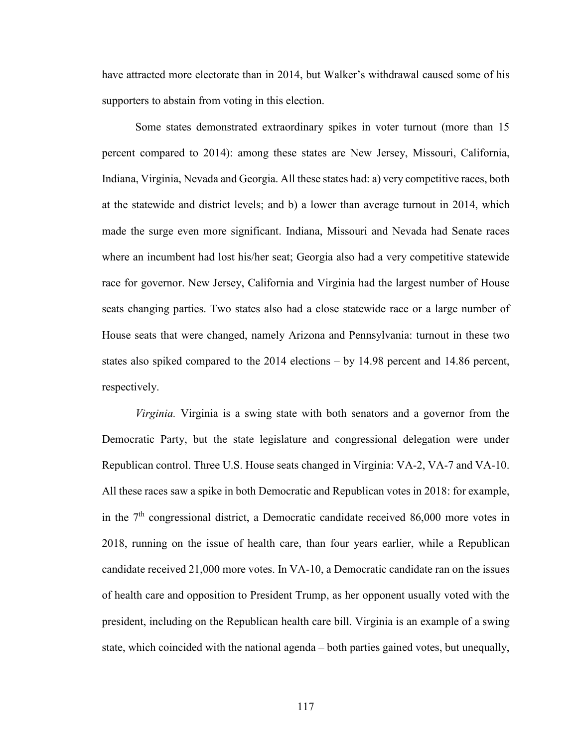have attracted more electorate than in 2014, but Walker's withdrawal caused some of his supporters to abstain from voting in this election.

Some states demonstrated extraordinary spikes in voter turnout (more than 15 percent compared to 2014): among these states are New Jersey, Missouri, California, Indiana, Virginia, Nevada and Georgia. All these states had: a) very competitive races, both at the statewide and district levels; and b) a lower than average turnout in 2014, which made the surge even more significant. Indiana, Missouri and Nevada had Senate races where an incumbent had lost his/her seat; Georgia also had a very competitive statewide race for governor. New Jersey, California and Virginia had the largest number of House seats changing parties. Two states also had a close statewide race or a large number of House seats that were changed, namely Arizona and Pennsylvania: turnout in these two states also spiked compared to the 2014 elections – by 14.98 percent and 14.86 percent, respectively.

*Virginia.* Virginia is a swing state with both senators and a governor from the Democratic Party, but the state legislature and congressional delegation were under Republican control. Three U.S. House seats changed in Virginia: VA-2, VA-7 and VA-10. All these races saw a spike in both Democratic and Republican votes in 2018: for example, in the  $7<sup>th</sup>$  congressional district, a Democratic candidate received 86,000 more votes in 2018, running on the issue of health care, than four years earlier, while a Republican candidate received 21,000 more votes. In VA-10, a Democratic candidate ran on the issues of health care and opposition to President Trump, as her opponent usually voted with the president, including on the Republican health care bill. Virginia is an example of a swing state, which coincided with the national agenda – both parties gained votes, but unequally,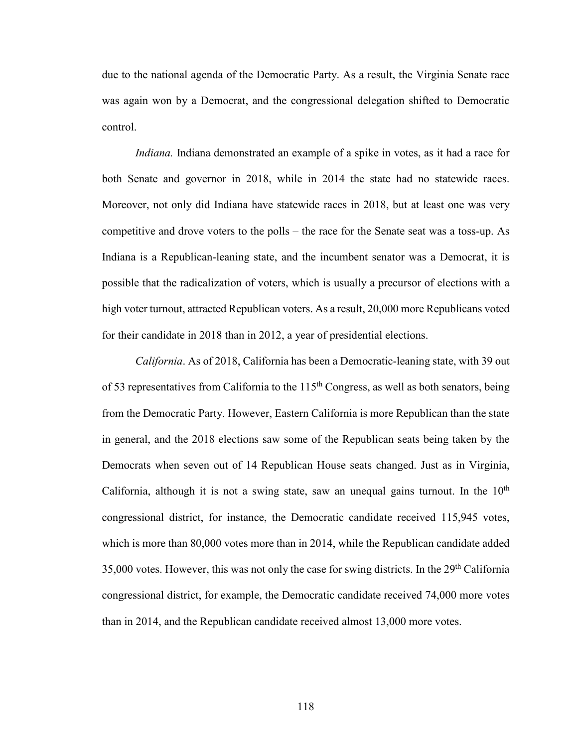due to the national agenda of the Democratic Party. As a result, the Virginia Senate race was again won by a Democrat, and the congressional delegation shifted to Democratic control.

*Indiana.* Indiana demonstrated an example of a spike in votes, as it had a race for both Senate and governor in 2018, while in 2014 the state had no statewide races. Moreover, not only did Indiana have statewide races in 2018, but at least one was very competitive and drove voters to the polls – the race for the Senate seat was a toss-up. As Indiana is a Republican-leaning state, and the incumbent senator was a Democrat, it is possible that the radicalization of voters, which is usually a precursor of elections with a high voter turnout, attracted Republican voters. As a result, 20,000 more Republicans voted for their candidate in 2018 than in 2012, a year of presidential elections.

*California*. As of 2018, California has been a Democratic-leaning state, with 39 out of 53 representatives from California to the  $115<sup>th</sup>$  Congress, as well as both senators, being from the Democratic Party. However, Eastern California is more Republican than the state in general, and the 2018 elections saw some of the Republican seats being taken by the Democrats when seven out of 14 Republican House seats changed. Just as in Virginia, California, although it is not a swing state, saw an unequal gains turnout. In the  $10<sup>th</sup>$ congressional district, for instance, the Democratic candidate received 115,945 votes, which is more than 80,000 votes more than in 2014, while the Republican candidate added  $35,000$  votes. However, this was not only the case for swing districts. In the  $29<sup>th</sup>$  California congressional district, for example, the Democratic candidate received 74,000 more votes than in 2014, and the Republican candidate received almost 13,000 more votes.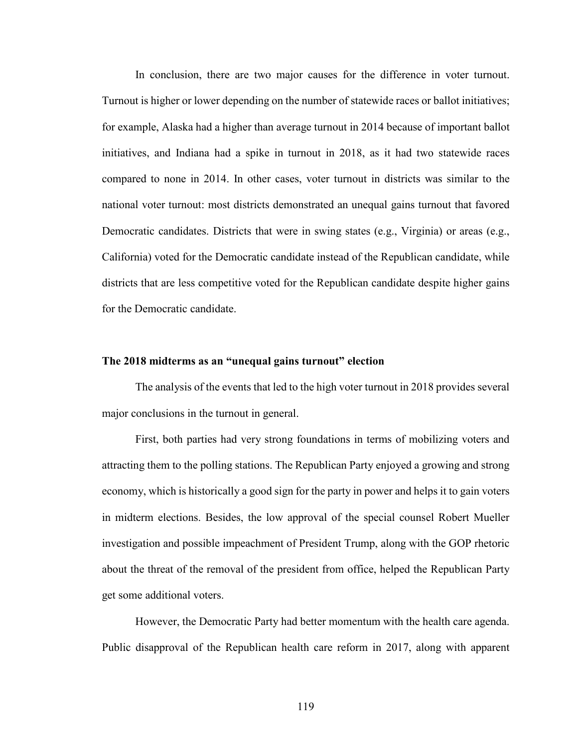In conclusion, there are two major causes for the difference in voter turnout. Turnout is higher or lower depending on the number of statewide races or ballot initiatives; for example, Alaska had a higher than average turnout in 2014 because of important ballot initiatives, and Indiana had a spike in turnout in 2018, as it had two statewide races compared to none in 2014. In other cases, voter turnout in districts was similar to the national voter turnout: most districts demonstrated an unequal gains turnout that favored Democratic candidates. Districts that were in swing states (e.g., Virginia) or areas (e.g., California) voted for the Democratic candidate instead of the Republican candidate, while districts that are less competitive voted for the Republican candidate despite higher gains for the Democratic candidate.

# **The 2018 midterms as an "unequal gains turnout" election**

The analysis of the events that led to the high voter turnout in 2018 provides several major conclusions in the turnout in general.

First, both parties had very strong foundations in terms of mobilizing voters and attracting them to the polling stations. The Republican Party enjoyed a growing and strong economy, which is historically a good sign for the party in power and helps it to gain voters in midterm elections. Besides, the low approval of the special counsel Robert Mueller investigation and possible impeachment of President Trump, along with the GOP rhetoric about the threat of the removal of the president from office, helped the Republican Party get some additional voters.

However, the Democratic Party had better momentum with the health care agenda. Public disapproval of the Republican health care reform in 2017, along with apparent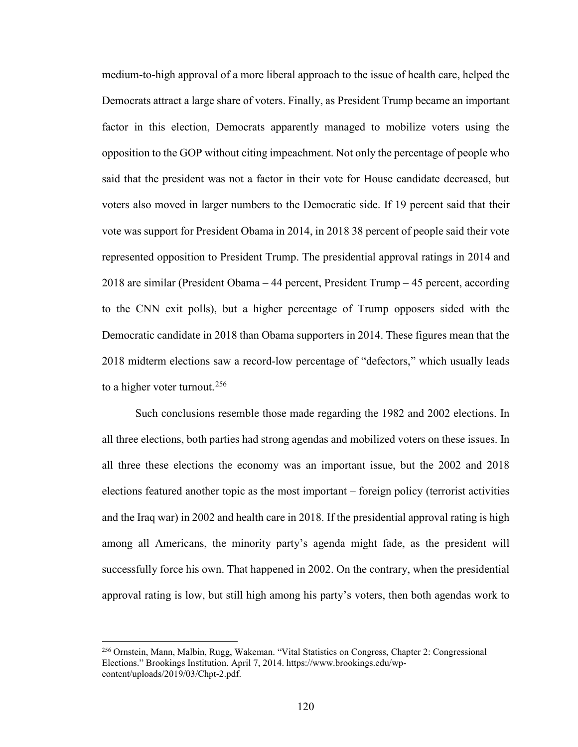medium-to-high approval of a more liberal approach to the issue of health care, helped the Democrats attract a large share of voters. Finally, as President Trump became an important factor in this election, Democrats apparently managed to mobilize voters using the opposition to the GOP without citing impeachment. Not only the percentage of people who said that the president was not a factor in their vote for House candidate decreased, but voters also moved in larger numbers to the Democratic side. If 19 percent said that their vote was support for President Obama in 2014, in 2018 38 percent of people said their vote represented opposition to President Trump. The presidential approval ratings in 2014 and 2018 are similar (President Obama – 44 percent, President Trump – 45 percent, according to the CNN exit polls), but a higher percentage of Trump opposers sided with the Democratic candidate in 2018 than Obama supporters in 2014. These figures mean that the 2018 midterm elections saw a record-low percentage of "defectors," which usually leads to a higher voter turnout.<sup>[256](#page-125-0)</sup>

Such conclusions resemble those made regarding the 1982 and 2002 elections. In all three elections, both parties had strong agendas and mobilized voters on these issues. In all three these elections the economy was an important issue, but the 2002 and 2018 elections featured another topic as the most important – foreign policy (terrorist activities and the Iraq war) in 2002 and health care in 2018. If the presidential approval rating is high among all Americans, the minority party's agenda might fade, as the president will successfully force his own. That happened in 2002. On the contrary, when the presidential approval rating is low, but still high among his party's voters, then both agendas work to

<span id="page-125-0"></span><sup>256</sup> Ornstein, Mann, Malbin, Rugg, Wakeman. "Vital Statistics on Congress, Chapter 2: Congressional Elections." Brookings Institution. April 7, 2014. https://www.brookings.edu/wpcontent/uploads/2019/03/Chpt-2.pdf.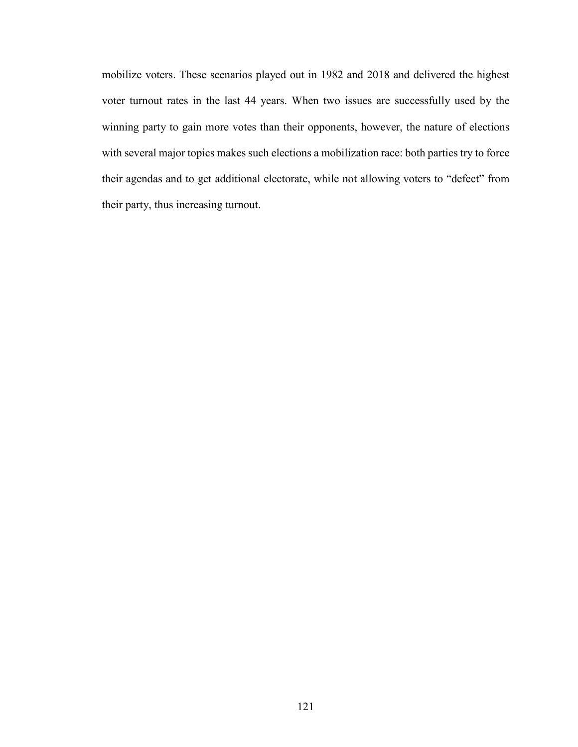mobilize voters. These scenarios played out in 1982 and 2018 and delivered the highest voter turnout rates in the last 44 years. When two issues are successfully used by the winning party to gain more votes than their opponents, however, the nature of elections with several major topics makes such elections a mobilization race: both parties try to force their agendas and to get additional electorate, while not allowing voters to "defect" from their party, thus increasing turnout.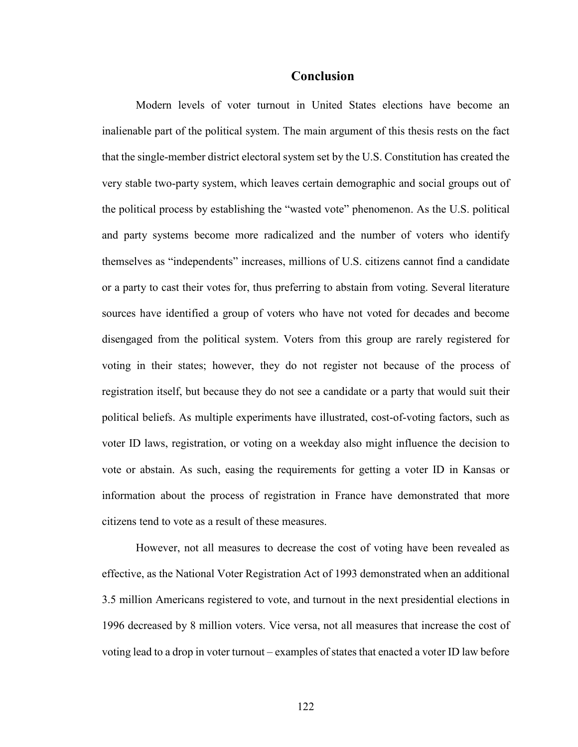# **Conclusion**

Modern levels of voter turnout in United States elections have become an inalienable part of the political system. The main argument of this thesis rests on the fact that the single-member district electoral system set by the U.S. Constitution has created the very stable two-party system, which leaves certain demographic and social groups out of the political process by establishing the "wasted vote" phenomenon. As the U.S. political and party systems become more radicalized and the number of voters who identify themselves as "independents" increases, millions of U.S. citizens cannot find a candidate or a party to cast their votes for, thus preferring to abstain from voting. Several literature sources have identified a group of voters who have not voted for decades and become disengaged from the political system. Voters from this group are rarely registered for voting in their states; however, they do not register not because of the process of registration itself, but because they do not see a candidate or a party that would suit their political beliefs. As multiple experiments have illustrated, cost-of-voting factors, such as voter ID laws, registration, or voting on a weekday also might influence the decision to vote or abstain. As such, easing the requirements for getting a voter ID in Kansas or information about the process of registration in France have demonstrated that more citizens tend to vote as a result of these measures.

However, not all measures to decrease the cost of voting have been revealed as effective, as the National Voter Registration Act of 1993 demonstrated when an additional 3.5 million Americans registered to vote, and turnout in the next presidential elections in 1996 decreased by 8 million voters. Vice versa, not all measures that increase the cost of voting lead to a drop in voter turnout – examples of states that enacted a voter ID law before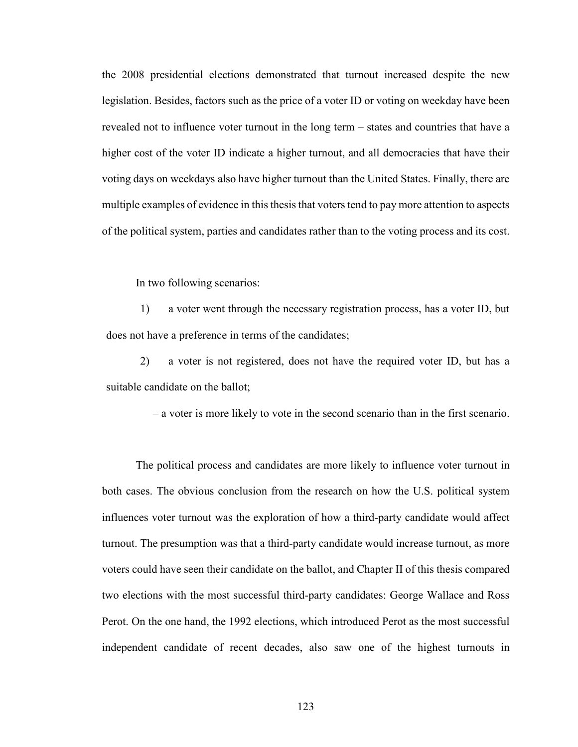the 2008 presidential elections demonstrated that turnout increased despite the new legislation. Besides, factors such as the price of a voter ID or voting on weekday have been revealed not to influence voter turnout in the long term – states and countries that have a higher cost of the voter ID indicate a higher turnout, and all democracies that have their voting days on weekdays also have higher turnout than the United States. Finally, there are multiple examples of evidence in this thesis that voters tend to pay more attention to aspects of the political system, parties and candidates rather than to the voting process and its cost.

#### In two following scenarios:

1) a voter went through the necessary registration process, has a voter ID, but does not have a preference in terms of the candidates;

2) a voter is not registered, does not have the required voter ID, but has a suitable candidate on the ballot;

– a voter is more likely to vote in the second scenario than in the first scenario.

The political process and candidates are more likely to influence voter turnout in both cases. The obvious conclusion from the research on how the U.S. political system influences voter turnout was the exploration of how a third-party candidate would affect turnout. The presumption was that a third-party candidate would increase turnout, as more voters could have seen their candidate on the ballot, and Chapter II of this thesis compared two elections with the most successful third-party candidates: George Wallace and Ross Perot. On the one hand, the 1992 elections, which introduced Perot as the most successful independent candidate of recent decades, also saw one of the highest turnouts in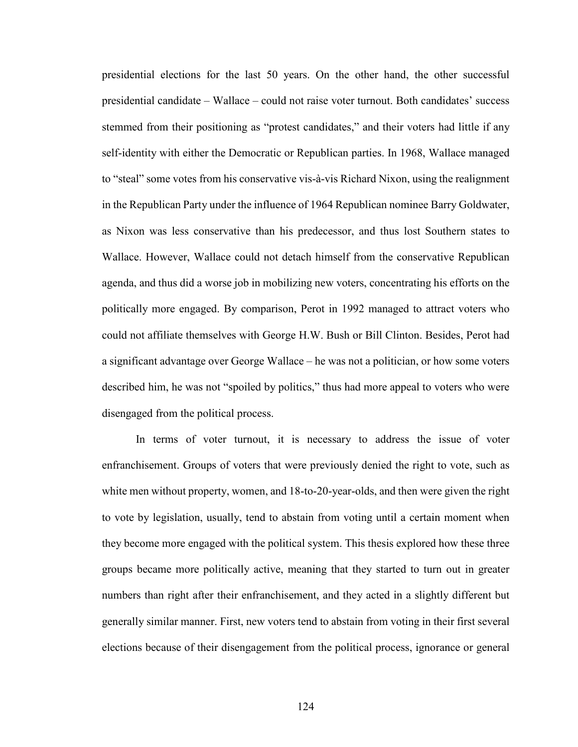presidential elections for the last 50 years. On the other hand, the other successful presidential candidate – Wallace – could not raise voter turnout. Both candidates' success stemmed from their positioning as "protest candidates," and their voters had little if any self-identity with either the Democratic or Republican parties. In 1968, Wallace managed to "steal" some votes from his conservative vis-à-vis Richard Nixon, using the realignment in the Republican Party under the influence of 1964 Republican nominee Barry Goldwater, as Nixon was less conservative than his predecessor, and thus lost Southern states to Wallace. However, Wallace could not detach himself from the conservative Republican agenda, and thus did a worse job in mobilizing new voters, concentrating his efforts on the politically more engaged. By comparison, Perot in 1992 managed to attract voters who could not affiliate themselves with George H.W. Bush or Bill Clinton. Besides, Perot had a significant advantage over George Wallace – he was not a politician, or how some voters described him, he was not "spoiled by politics," thus had more appeal to voters who were disengaged from the political process.

In terms of voter turnout, it is necessary to address the issue of voter enfranchisement. Groups of voters that were previously denied the right to vote, such as white men without property, women, and 18-to-20-year-olds, and then were given the right to vote by legislation, usually, tend to abstain from voting until a certain moment when they become more engaged with the political system. This thesis explored how these three groups became more politically active, meaning that they started to turn out in greater numbers than right after their enfranchisement, and they acted in a slightly different but generally similar manner. First, new voters tend to abstain from voting in their first several elections because of their disengagement from the political process, ignorance or general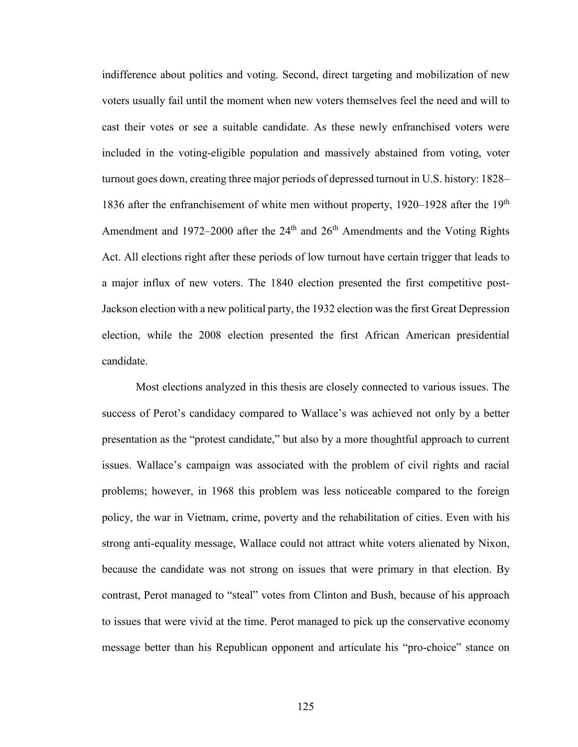indifference about politics and voting. Second, direct targeting and mobilization of new voters usually fail until the moment when new voters themselves feel the need and will to cast their votes or see a suitable candidate. As these newly enfranchised voters were included in the voting-eligible population and massively abstained from voting, voter turnout goes down, creating three major periods of depressed turnout in U.S. history: 1828– 1836 after the enfranchisement of white men without property,  $1920-1928$  after the  $19<sup>th</sup>$ Amendment and 1972–2000 after the  $24<sup>th</sup>$  and  $26<sup>th</sup>$  Amendments and the Voting Rights Act. All elections right after these periods of low turnout have certain trigger that leads to a major influx of new voters. The 1840 election presented the first competitive post-Jackson election with a new political party, the 1932 election was the first Great Depression election, while the 2008 election presented the first African American presidential candidate.

Most elections analyzed in this thesis are closely connected to various issues. The success of Perot's candidacy compared to Wallace's was achieved not only by a better presentation as the "protest candidate," but also by a more thoughtful approach to current issues. Wallace's campaign was associated with the problem of civil rights and racial problems; however, in 1968 this problem was less noticeable compared to the foreign policy, the war in Vietnam, crime, poverty and the rehabilitation of cities. Even with his strong anti-equality message, Wallace could not attract white voters alienated by Nixon, because the candidate was not strong on issues that were primary in that election. By contrast, Perot managed to "steal" votes from Clinton and Bush, because of his approach to issues that were vivid at the time. Perot managed to pick up the conservative economy message better than his Republican opponent and articulate his "pro-choice" stance on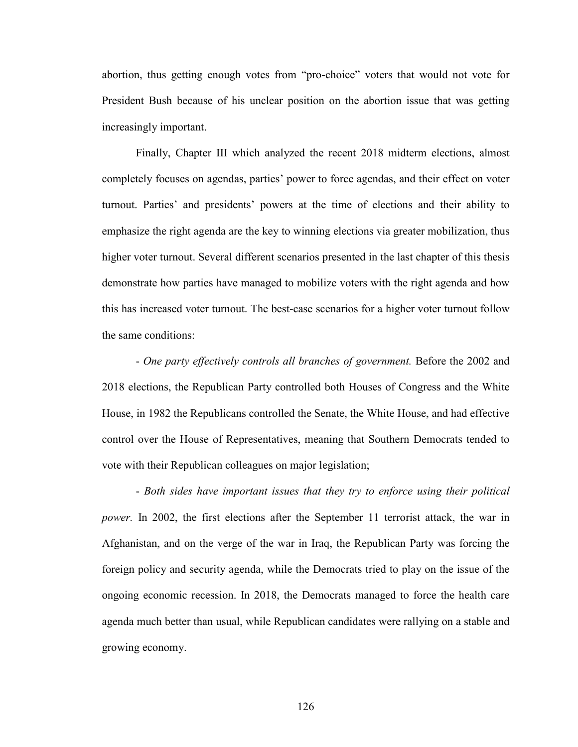abortion, thus getting enough votes from "pro-choice" voters that would not vote for President Bush because of his unclear position on the abortion issue that was getting increasingly important.

Finally, Chapter III which analyzed the recent 2018 midterm elections, almost completely focuses on agendas, parties' power to force agendas, and their effect on voter turnout. Parties' and presidents' powers at the time of elections and their ability to emphasize the right agenda are the key to winning elections via greater mobilization, thus higher voter turnout. Several different scenarios presented in the last chapter of this thesis demonstrate how parties have managed to mobilize voters with the right agenda and how this has increased voter turnout. The best-case scenarios for a higher voter turnout follow the same conditions:

- *One party effectively controls all branches of government.* Before the 2002 and 2018 elections, the Republican Party controlled both Houses of Congress and the White House, in 1982 the Republicans controlled the Senate, the White House, and had effective control over the House of Representatives, meaning that Southern Democrats tended to vote with their Republican colleagues on major legislation;

- *Both sides have important issues that they try to enforce using their political power.* In 2002, the first elections after the September 11 terrorist attack, the war in Afghanistan, and on the verge of the war in Iraq, the Republican Party was forcing the foreign policy and security agenda, while the Democrats tried to play on the issue of the ongoing economic recession. In 2018, the Democrats managed to force the health care agenda much better than usual, while Republican candidates were rallying on a stable and growing economy.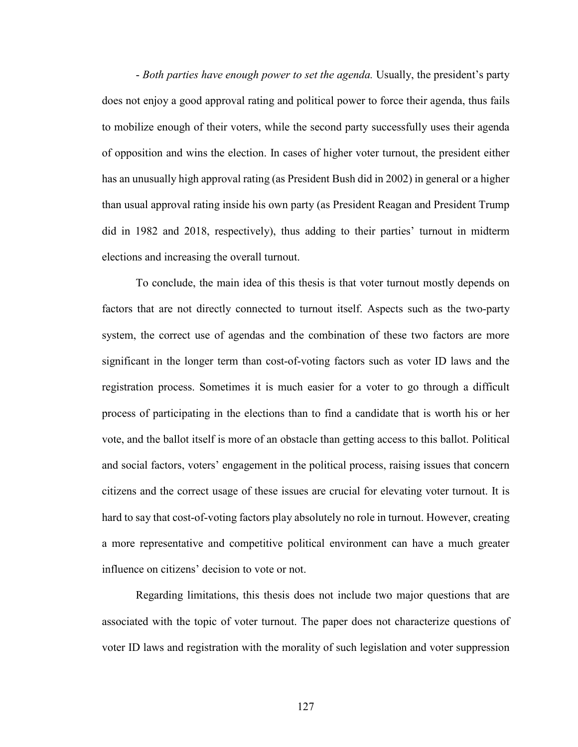- *Both parties have enough power to set the agenda.* Usually, the president's party does not enjoy a good approval rating and political power to force their agenda, thus fails to mobilize enough of their voters, while the second party successfully uses their agenda of opposition and wins the election. In cases of higher voter turnout, the president either has an unusually high approval rating (as President Bush did in 2002) in general or a higher than usual approval rating inside his own party (as President Reagan and President Trump did in 1982 and 2018, respectively), thus adding to their parties' turnout in midterm elections and increasing the overall turnout.

To conclude, the main idea of this thesis is that voter turnout mostly depends on factors that are not directly connected to turnout itself. Aspects such as the two-party system, the correct use of agendas and the combination of these two factors are more significant in the longer term than cost-of-voting factors such as voter ID laws and the registration process. Sometimes it is much easier for a voter to go through a difficult process of participating in the elections than to find a candidate that is worth his or her vote, and the ballot itself is more of an obstacle than getting access to this ballot. Political and social factors, voters' engagement in the political process, raising issues that concern citizens and the correct usage of these issues are crucial for elevating voter turnout. It is hard to say that cost-of-voting factors play absolutely no role in turnout. However, creating a more representative and competitive political environment can have a much greater influence on citizens' decision to vote or not.

Regarding limitations, this thesis does not include two major questions that are associated with the topic of voter turnout. The paper does not characterize questions of voter ID laws and registration with the morality of such legislation and voter suppression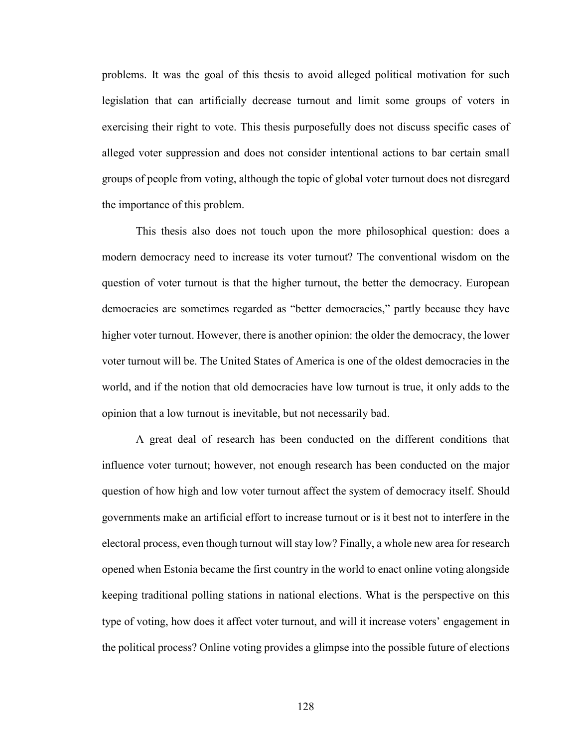problems. It was the goal of this thesis to avoid alleged political motivation for such legislation that can artificially decrease turnout and limit some groups of voters in exercising their right to vote. This thesis purposefully does not discuss specific cases of alleged voter suppression and does not consider intentional actions to bar certain small groups of people from voting, although the topic of global voter turnout does not disregard the importance of this problem.

This thesis also does not touch upon the more philosophical question: does a modern democracy need to increase its voter turnout? The conventional wisdom on the question of voter turnout is that the higher turnout, the better the democracy. European democracies are sometimes regarded as "better democracies," partly because they have higher voter turnout. However, there is another opinion: the older the democracy, the lower voter turnout will be. The United States of America is one of the oldest democracies in the world, and if the notion that old democracies have low turnout is true, it only adds to the opinion that a low turnout is inevitable, but not necessarily bad.

A great deal of research has been conducted on the different conditions that influence voter turnout; however, not enough research has been conducted on the major question of how high and low voter turnout affect the system of democracy itself. Should governments make an artificial effort to increase turnout or is it best not to interfere in the electoral process, even though turnout will stay low? Finally, a whole new area for research opened when Estonia became the first country in the world to enact online voting alongside keeping traditional polling stations in national elections. What is the perspective on this type of voting, how does it affect voter turnout, and will it increase voters' engagement in the political process? Online voting provides a glimpse into the possible future of elections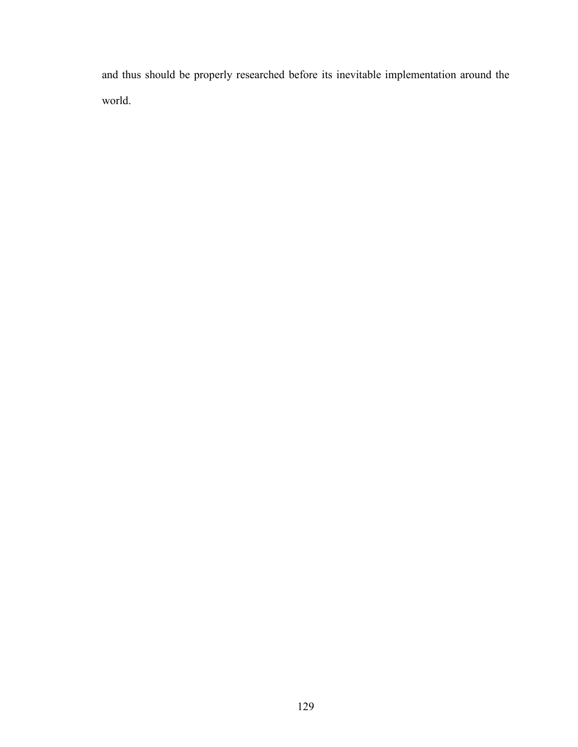and thus should be properly researched before its inevitable implementation around the world.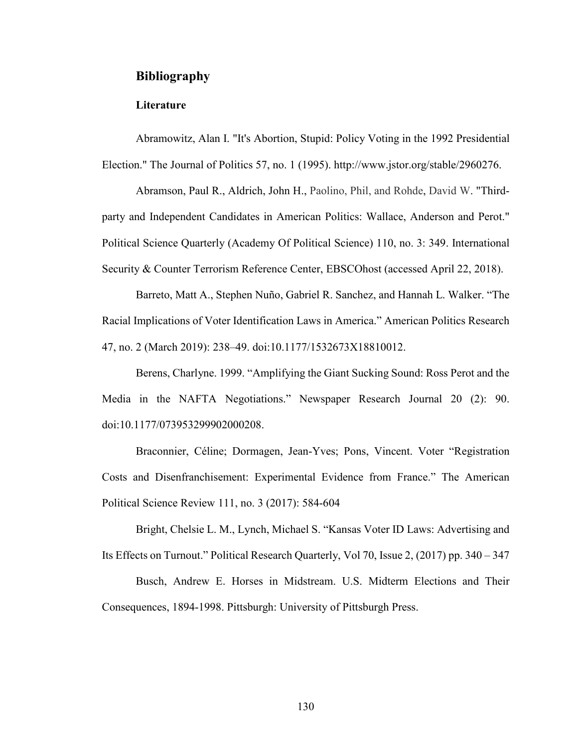# **Bibliography**

### **Literature**

Abramowitz, Alan I. "It's Abortion, Stupid: Policy Voting in the 1992 Presidential Election." The Journal of Politics 57, no. 1 (1995). http://www.jstor.org/stable/2960276.

Abramson, Paul R., Aldrich, John H., Paolino, Phil, and Rohde, David W. "Thirdparty and Independent Candidates in American Politics: Wallace, Anderson and Perot." Political Science Quarterly (Academy Of Political Science) 110, no. 3: 349. International Security & Counter Terrorism Reference Center, EBSCOhost (accessed April 22, 2018).

Barreto, Matt A., Stephen Nuño, Gabriel R. Sanchez, and Hannah L. Walker. "The Racial Implications of Voter Identification Laws in America." American Politics Research 47, no. 2 (March 2019): 238–49. doi:10.1177/1532673X18810012.

Berens, Charlyne. 1999. "Amplifying the Giant Sucking Sound: Ross Perot and the Media in the NAFTA Negotiations." Newspaper Research Journal 20 (2): 90. doi:10.1177/073953299902000208.

Braconnier, Céline; Dormagen, Jean-Yves; Pons, Vincent. Voter "Registration Costs and Disenfranchisement: Experimental Evidence from France." The American Political Science Review 111, no. 3 (2017): 584-604

Bright, Chelsie L. M., Lynch, Michael S. "Kansas Voter ID Laws: Advertising and Its Effects on Turnout." Political Research Quarterly, Vol 70, Issue 2, (2017) pp. 340 – 347

Busch, Andrew E. Horses in Midstream. U.S. Midterm Elections and Their Consequences, 1894-1998. Pittsburgh: University of Pittsburgh Press.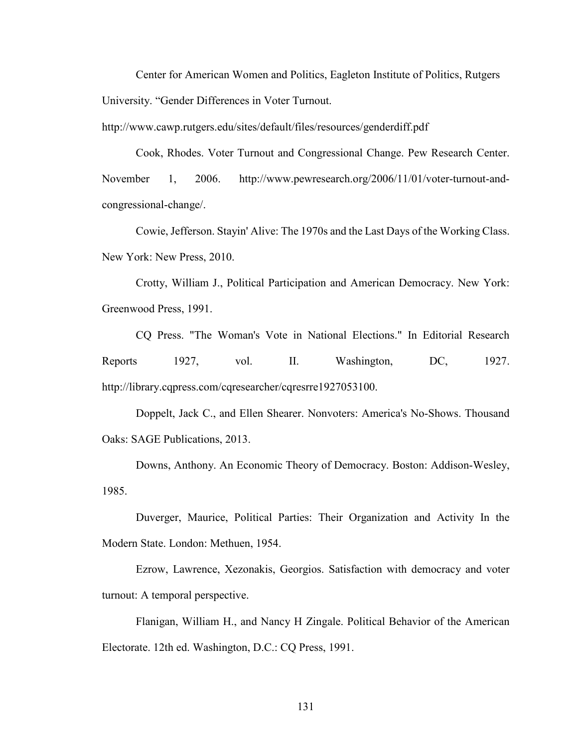Center for American Women and Politics, Eagleton Institute of Politics, Rutgers University. "Gender Differences in Voter Turnout.

http://www.cawp.rutgers.edu/sites/default/files/resources/genderdiff.pdf

Cook, Rhodes. Voter Turnout and Congressional Change. Pew Research Center. November 1, 2006. http://www.pewresearch.org/2006/11/01/voter-turnout-andcongressional-change/.

Cowie, Jefferson. Stayin' Alive: The 1970s and the Last Days of the Working Class. New York: New Press, 2010.

Crotty, William J., Political Participation and American Democracy. New York: Greenwood Press, 1991.

CQ Press. "The Woman's Vote in National Elections." In Editorial Research Reports 1927, vol. II. Washington, DC, 1927. http://library.cqpress.com/cqresearcher/cqresrre1927053100.

Doppelt, Jack C., and Ellen Shearer. Nonvoters: America's No-Shows. Thousand Oaks: SAGE Publications, 2013.

Downs, Anthony. An Economic Theory of Democracy. Boston: Addison-Wesley, 1985.

Duverger, Maurice, Political Parties: Their Organization and Activity In the Modern State. London: Methuen, 1954.

Ezrow, Lawrence, Xezonakis, Georgios. Satisfaction with democracy and voter turnout: A temporal perspective.

Flanigan, William H., and Nancy H Zingale. Political Behavior of the American Electorate. 12th ed. Washington, D.C.: CQ Press, 1991.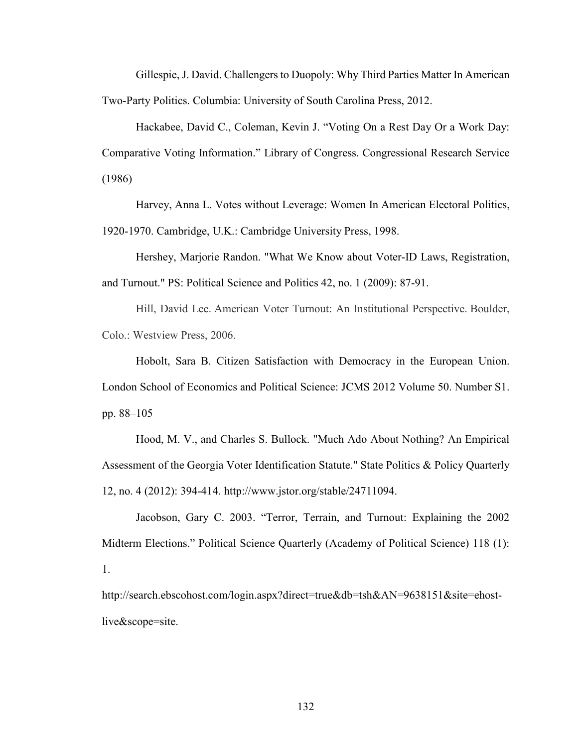Gillespie, J. David. Challengers to Duopoly: Why Third Parties Matter In American Two-Party Politics. Columbia: University of South Carolina Press, 2012.

Hackabee, David C., Coleman, Kevin J. "Voting On a Rest Day Or a Work Day: Comparative Voting Information." Library of Congress. Congressional Research Service (1986)

Harvey, Anna L. Votes without Leverage: Women In American Electoral Politics, 1920-1970. Cambridge, U.K.: Cambridge University Press, 1998.

Hershey, Marjorie Randon. "What We Know about Voter-ID Laws, Registration, and Turnout." PS: Political Science and Politics 42, no. 1 (2009): 87-91.

Hill, David Lee. American Voter Turnout: An Institutional Perspective. Boulder, Colo.: Westview Press, 2006.

Hobolt, Sara B. Citizen Satisfaction with Democracy in the European Union. London School of Economics and Political Science: JCMS 2012 Volume 50. Number S1. pp. 88–105

Hood, M. V., and Charles S. Bullock. "Much Ado About Nothing? An Empirical Assessment of the Georgia Voter Identification Statute." State Politics & Policy Quarterly 12, no. 4 (2012): 394-414. http://www.jstor.org/stable/24711094.

Jacobson, Gary C. 2003. "Terror, Terrain, and Turnout: Explaining the 2002 Midterm Elections." Political Science Quarterly (Academy of Political Science) 118 (1): 1.

http://search.ebscohost.com/login.aspx?direct=true&db=tsh&AN=9638151&site=ehostlive&scope=site.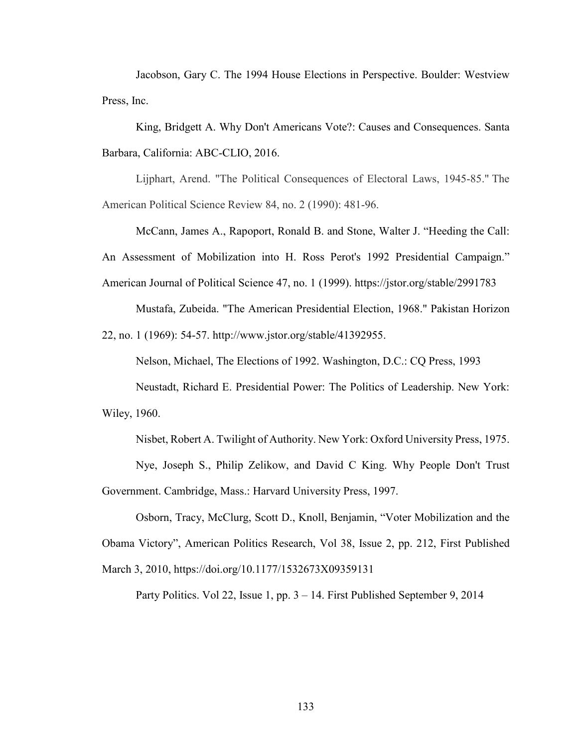Jacobson, Gary C. The 1994 House Elections in Perspective. Boulder: Westview Press, Inc.

King, Bridgett A. Why Don't Americans Vote?: Causes and Consequences. Santa Barbara, California: ABC-CLIO, 2016.

Lijphart, Arend. "The Political Consequences of Electoral Laws, 1945-85." The American Political Science Review 84, no. 2 (1990): 481-96.

McCann, James A., Rapoport, Ronald B. and Stone, Walter J. "Heeding the Call: An Assessment of Mobilization into H. Ross Perot's 1992 Presidential Campaign." American Journal of Political Science 47, no. 1 (1999). https://jstor.org/stable/2991783

Mustafa, Zubeida. "The American Presidential Election, 1968." Pakistan Horizon

22, no. 1 (1969): 54-57. http://www.jstor.org/stable/41392955.

Nelson, Michael, The Elections of 1992. Washington, D.C.: CQ Press, 1993

Neustadt, Richard E. Presidential Power: The Politics of Leadership. New York: Wiley, 1960.

Nisbet, Robert A. Twilight of Authority. New York: Oxford University Press, 1975.

Nye, Joseph S., Philip Zelikow, and David C King. Why People Don't Trust Government. Cambridge, Mass.: Harvard University Press, 1997.

Osborn, Tracy, McClurg, Scott D., Knoll, Benjamin, "Voter Mobilization and the Obama Victory", American Politics Research, Vol 38, Issue 2, pp. 212, First Published March 3, 2010, https://doi.org/10.1177/1532673X09359131

Party Politics. Vol 22, Issue 1, pp. 3 – 14. First Published September 9, 2014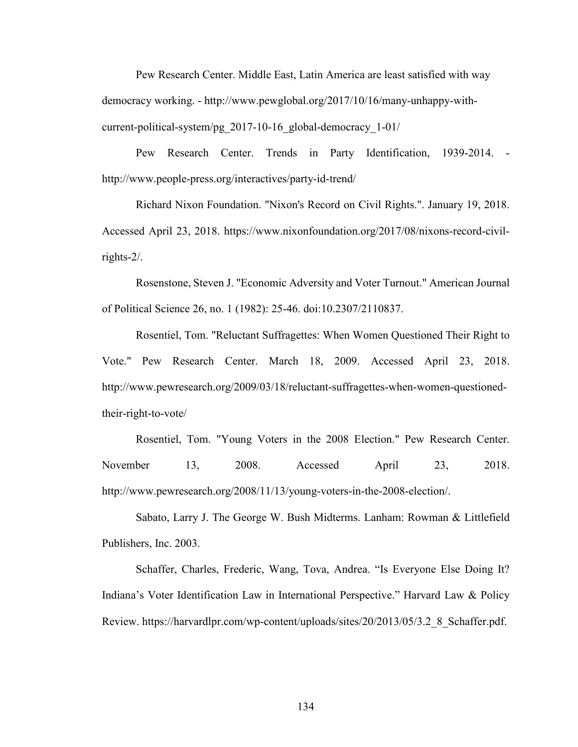Pew Research Center. Middle East, Latin America are least satisfied with way democracy working. - http://www.pewglobal.org/2017/10/16/many-unhappy-withcurrent-political-system/pg\_2017-10-16\_global-democracy\_1-01/

Pew Research Center. Trends in Party Identification, 1939-2014. http://www.people-press.org/interactives/party-id-trend/

Richard Nixon Foundation. "Nixon's Record on Civil Rights.". January 19, 2018. Accessed April 23, 2018. https://www.nixonfoundation.org/2017/08/nixons-record-civilrights-2/.

Rosenstone, Steven J. "Economic Adversity and Voter Turnout." American Journal of Political Science 26, no. 1 (1982): 25-46. doi:10.2307/2110837.

Rosentiel, Tom. "Reluctant Suffragettes: When Women Questioned Their Right to Vote." Pew Research Center. March 18, 2009. Accessed April 23, 2018. http://www.pewresearch.org/2009/03/18/reluctant-suffragettes-when-women-questionedtheir-right-to-vote/

Rosentiel, Tom. "Young Voters in the 2008 Election." Pew Research Center. November 13, 2008. Accessed April 23, 2018. http://www.pewresearch.org/2008/11/13/young-voters-in-the-2008-election/.

Sabato, Larry J. The George W. Bush Midterms. Lanham: Rowman & Littlefield Publishers, Inc. 2003.

Schaffer, Charles, Frederic, Wang, Tova, Andrea. "Is Everyone Else Doing It? Indiana's Voter Identification Law in International Perspective." Harvard Law & Policy Review. https://harvardlpr.com/wp-content/uploads/sites/20/2013/05/3.2\_8\_Schaffer.pdf.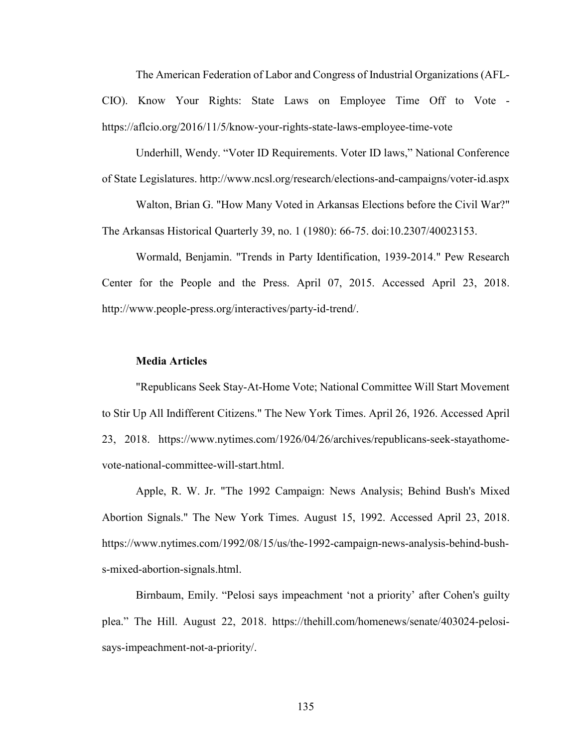The American Federation of Labor and Congress of Industrial Organizations (AFL-CIO). Know Your Rights: State Laws on Employee Time Off to Vote https://aflcio.org/2016/11/5/know-your-rights-state-laws-employee-time-vote

Underhill, Wendy. "Voter ID Requirements. Voter ID laws," National Conference of State Legislatures. http://www.ncsl.org/research/elections-and-campaigns/voter-id.aspx

Walton, Brian G. "How Many Voted in Arkansas Elections before the Civil War?" The Arkansas Historical Quarterly 39, no. 1 (1980): 66-75. doi:10.2307/40023153.

Wormald, Benjamin. "Trends in Party Identification, 1939-2014." Pew Research Center for the People and the Press. April 07, 2015. Accessed April 23, 2018. http://www.people-press.org/interactives/party-id-trend/.

## **Media Articles**

"Republicans Seek Stay-At-Home Vote; National Committee Will Start Movement to Stir Up All Indifferent Citizens." The New York Times. April 26, 1926. Accessed April 23, 2018. https://www.nytimes.com/1926/04/26/archives/republicans-seek-stayathomevote-national-committee-will-start.html.

Apple, R. W. Jr. "The 1992 Campaign: News Analysis; Behind Bush's Mixed Abortion Signals." The New York Times. August 15, 1992. Accessed April 23, 2018. https://www.nytimes.com/1992/08/15/us/the-1992-campaign-news-analysis-behind-bushs-mixed-abortion-signals.html.

Birnbaum, Emily. "Pelosi says impeachment 'not a priority' after Cohen's guilty plea." The Hill. August 22, 2018. https://thehill.com/homenews/senate/403024-pelosisays-impeachment-not-a-priority/.

135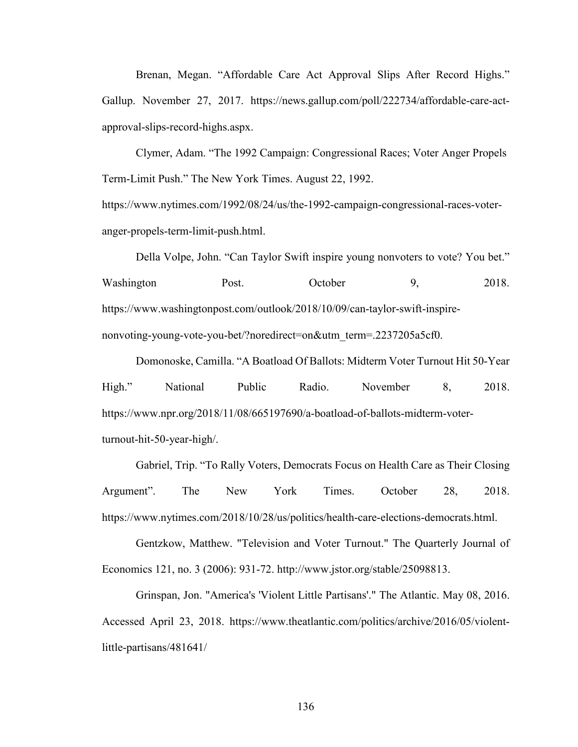Brenan, Megan. "Affordable Care Act Approval Slips After Record Highs." Gallup. November 27, 2017. https://news.gallup.com/poll/222734/affordable-care-actapproval-slips-record-highs.aspx.

Clymer, Adam. "The 1992 Campaign: Congressional Races; Voter Anger Propels Term-Limit Push." The New York Times. August 22, 1992.

https://www.nytimes.com/1992/08/24/us/the-1992-campaign-congressional-races-voteranger-propels-term-limit-push.html.

Della Volpe, John. "Can Taylor Swift inspire young nonvoters to vote? You bet." Washington Post. October 9, 2018. https://www.washingtonpost.com/outlook/2018/10/09/can-taylor-swift-inspirenonvoting-young-vote-you-bet/?noredirect=on&utm\_term=.2237205a5cf0.

Domonoske, Camilla. "A Boatload Of Ballots: Midterm Voter Turnout Hit 50-Year High." National Public Radio. November 8, 2018. https://www.npr.org/2018/11/08/665197690/a-boatload-of-ballots-midterm-voterturnout-hit-50-year-high/.

Gabriel, Trip. "To Rally Voters, Democrats Focus on Health Care as Their Closing Argument". The New York Times. October 28, 2018. https://www.nytimes.com/2018/10/28/us/politics/health-care-elections-democrats.html.

Gentzkow, Matthew. "Television and Voter Turnout." The Quarterly Journal of Economics 121, no. 3 (2006): 931-72. http://www.jstor.org/stable/25098813.

Grinspan, Jon. "America's 'Violent Little Partisans'." The Atlantic. May 08, 2016. Accessed April 23, 2018. https://www.theatlantic.com/politics/archive/2016/05/violentlittle-partisans/481641/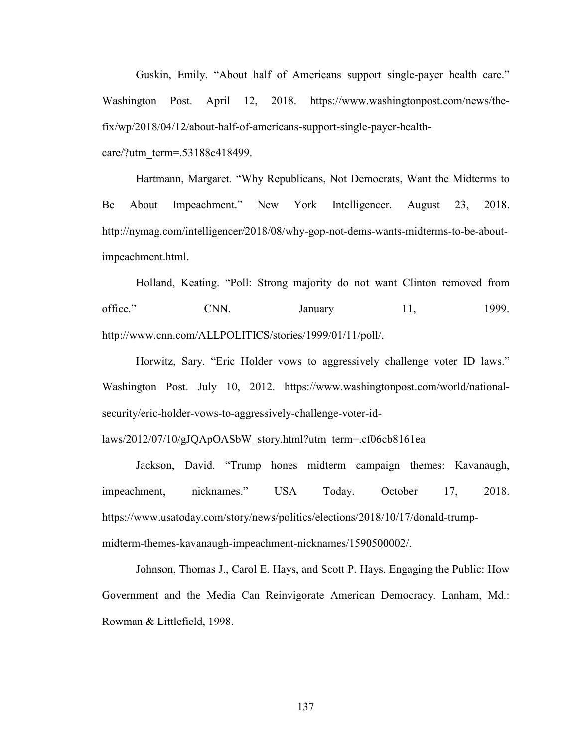Guskin, Emily. "About half of Americans support single-payer health care." Washington Post. April 12, 2018. https://www.washingtonpost.com/news/thefix/wp/2018/04/12/about-half-of-americans-support-single-payer-health-

care/?utm\_term=.53188c418499.

Hartmann, Margaret. "Why Republicans, Not Democrats, Want the Midterms to Be About Impeachment." New York Intelligencer. August 23, 2018. http://nymag.com/intelligencer/2018/08/why-gop-not-dems-wants-midterms-to-be-aboutimpeachment.html.

Holland, Keating. "Poll: Strong majority do not want Clinton removed from office." CNN. January 11, 1999. http://www.cnn.com/ALLPOLITICS/stories/1999/01/11/poll/.

Horwitz, Sary. "Eric Holder vows to aggressively challenge voter ID laws." Washington Post. July 10, 2012. https://www.washingtonpost.com/world/nationalsecurity/eric-holder-vows-to-aggressively-challenge-voter-id-

laws/2012/07/10/gJQApOASbW\_story.html?utm\_term=.cf06cb8161ea

Jackson, David. "Trump hones midterm campaign themes: Kavanaugh, impeachment, nicknames." USA Today. October 17, 2018. https://www.usatoday.com/story/news/politics/elections/2018/10/17/donald-trumpmidterm-themes-kavanaugh-impeachment-nicknames/1590500002/.

Johnson, Thomas J., Carol E. Hays, and Scott P. Hays. Engaging the Public: How Government and the Media Can Reinvigorate American Democracy. Lanham, Md.: Rowman & Littlefield, 1998.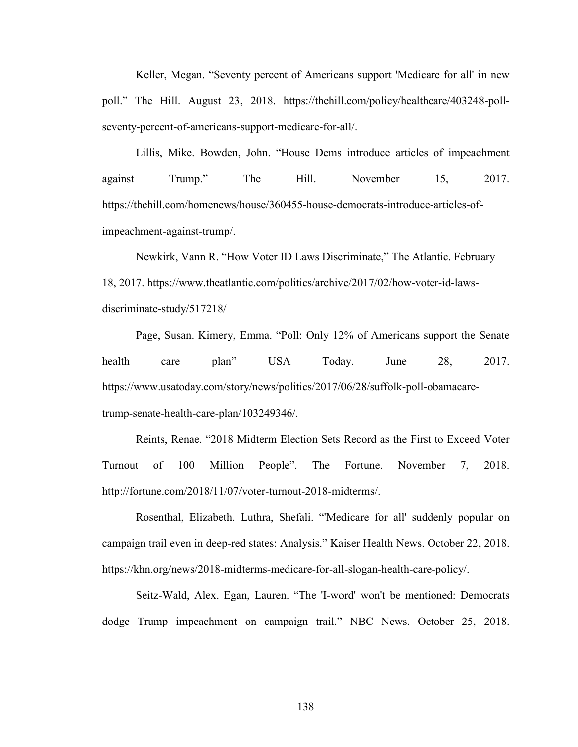Keller, Megan. "Seventy percent of Americans support 'Medicare for all' in new poll." The Hill. August 23, 2018. https://thehill.com/policy/healthcare/403248-pollseventy-percent-of-americans-support-medicare-for-all/.

Lillis, Mike. Bowden, John. "House Dems introduce articles of impeachment against Trump." The Hill. November 15, 2017. https://thehill.com/homenews/house/360455-house-democrats-introduce-articles-ofimpeachment-against-trump/.

Newkirk, Vann R. "How Voter ID Laws Discriminate," The Atlantic. February 18, 2017. https://www.theatlantic.com/politics/archive/2017/02/how-voter-id-lawsdiscriminate-study/517218/

Page, Susan. Kimery, Emma. "Poll: Only 12% of Americans support the Senate health care plan" USA Today. June 28, 2017. https://www.usatoday.com/story/news/politics/2017/06/28/suffolk-poll-obamacaretrump-senate-health-care-plan/103249346/.

Reints, Renae. "2018 Midterm Election Sets Record as the First to Exceed Voter Turnout of 100 Million People". The Fortune. November 7, 2018. http://fortune.com/2018/11/07/voter-turnout-2018-midterms/.

Rosenthal, Elizabeth. Luthra, Shefali. "'Medicare for all' suddenly popular on campaign trail even in deep-red states: Analysis." Kaiser Health News. October 22, 2018. https://khn.org/news/2018-midterms-medicare-for-all-slogan-health-care-policy/.

Seitz-Wald, Alex. Egan, Lauren. "The 'I-word' won't be mentioned: Democrats dodge Trump impeachment on campaign trail." NBC News. October 25, 2018.

138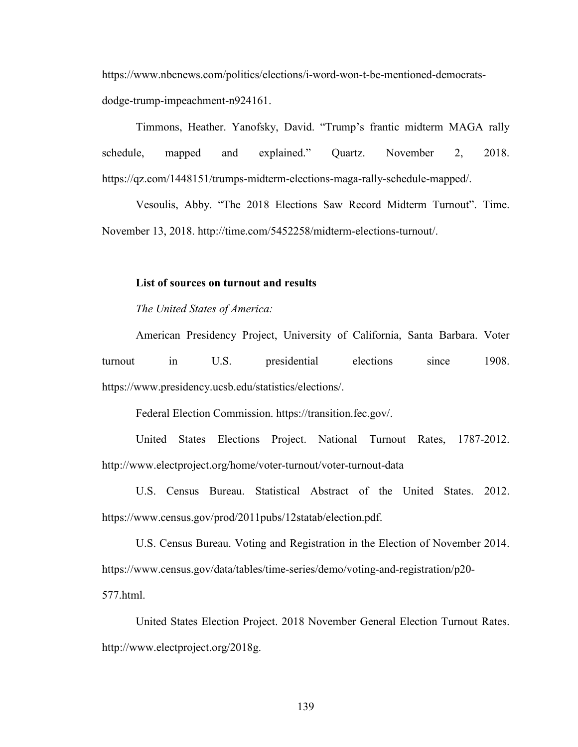https://www.nbcnews.com/politics/elections/i-word-won-t-be-mentioned-democratsdodge-trump-impeachment-n924161.

Timmons, Heather. Yanofsky, David. "Trump's frantic midterm MAGA rally schedule, mapped and explained." Quartz. November 2, 2018. https://qz.com/1448151/trumps-midterm-elections-maga-rally-schedule-mapped/.

Vesoulis, Abby. "The 2018 Elections Saw Record Midterm Turnout". Time. November 13, 2018. http://time.com/5452258/midterm-elections-turnout/.

#### **List of sources on turnout and results**

*The United States of America:* 

American Presidency Project, University of California, Santa Barbara. Voter turnout in U.S. presidential elections since 1908. https://www.presidency.ucsb.edu/statistics/elections/.

Federal Election Commission. https://transition.fec.gov/.

United States Elections Project. National Turnout Rates, 1787-2012. http://www.electproject.org/home/voter-turnout/voter-turnout-data

U.S. Census Bureau. Statistical Abstract of the United States. 2012. https://www.census.gov/prod/2011pubs/12statab/election.pdf.

U.S. Census Bureau. Voting and Registration in the Election of November 2014. https://www.census.gov/data/tables/time-series/demo/voting-and-registration/p20- 577.html.

United States Election Project. 2018 November General Election Turnout Rates. http://www.electproject.org/2018g.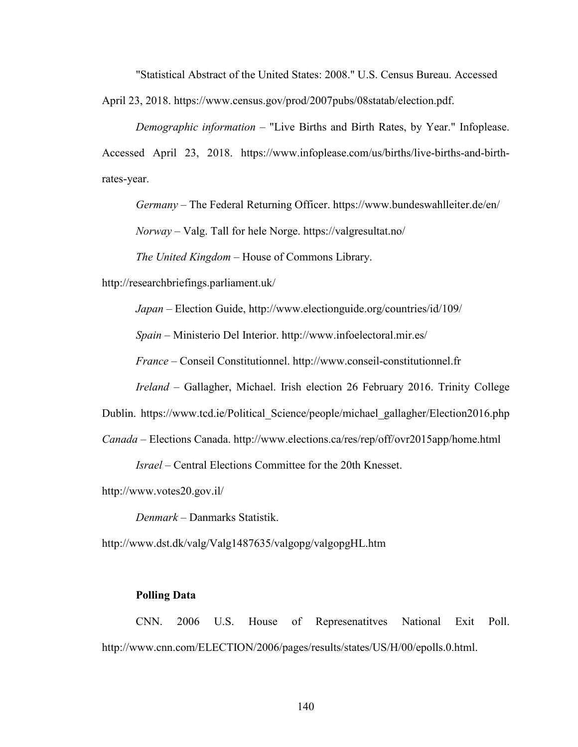"Statistical Abstract of the United States: 2008." U.S. Census Bureau. Accessed

April 23, 2018. https://www.census.gov/prod/2007pubs/08statab/election.pdf.

*Demographic information* – "Live Births and Birth Rates, by Year." Infoplease. Accessed April 23, 2018. https://www.infoplease.com/us/births/live-births-and-birthrates-year.

*Germany* – The Federal Returning Officer. https://www.bundeswahlleiter.de/en/

*Norway* – Valg. Tall for hele Norge. https://valgresultat.no/

*The United Kingdom* – House of Commons Library.

http://researchbriefings.parliament.uk/

*Japan* – Election Guide, http://www.electionguide.org/countries/id/109/

*Spain* – Ministerio Del Interior. http://www.infoelectoral.mir.es/

*France* – Conseil Constitutionnel. http://www.conseil-constitutionnel.fr

*Ireland* – Gallagher, Michael. Irish election 26 February 2016. Trinity College

Dublin. https://www.tcd.ie/Political Science/people/michael gallagher/Election2016.php

*Canada* – Elections Canada. http://www.elections.ca/res/rep/off/ovr2015app/home.html

*Israel* – Central Elections Committee for the 20th Knesset.

http://www.votes20.gov.il/

*Denmark* – Danmarks Statistik.

http://www.dst.dk/valg/Valg1487635/valgopg/valgopgHL.htm

#### **Polling Data**

CNN. 2006 U.S. House of Represenatitves National Exit Poll. http://www.cnn.com/ELECTION/2006/pages/results/states/US/H/00/epolls.0.html.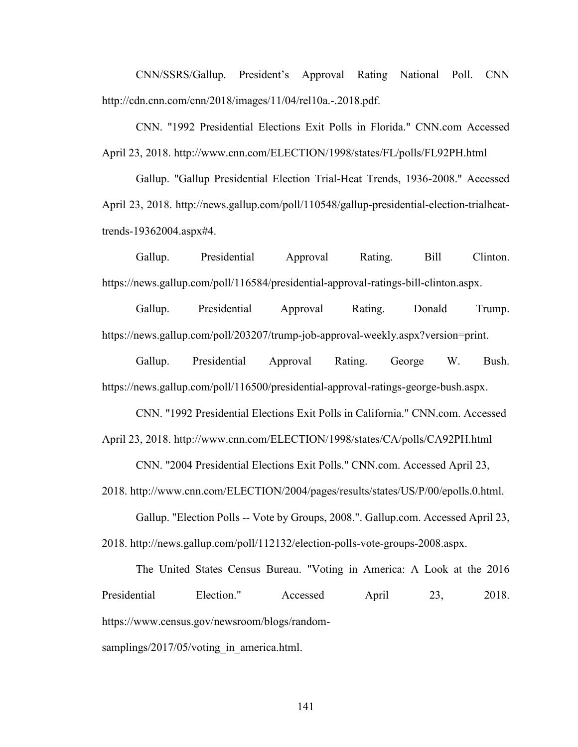CNN/SSRS/Gallup. President's Approval Rating National Poll. CNN http://cdn.cnn.com/cnn/2018/images/11/04/rel10a.-.2018.pdf.

CNN. "1992 Presidential Elections Exit Polls in Florida." CNN.com Accessed April 23, 2018. http://www.cnn.com/ELECTION/1998/states/FL/polls/FL92PH.html

Gallup. "Gallup Presidential Election Trial-Heat Trends, 1936-2008." Accessed April 23, 2018. http://news.gallup.com/poll/110548/gallup-presidential-election-trialheattrends-19362004.aspx#4.

Gallup. Presidential Approval Rating. Bill Clinton. https://news.gallup.com/poll/116584/presidential-approval-ratings-bill-clinton.aspx.

Gallup. Presidential Approval Rating. Donald Trump. https://news.gallup.com/poll/203207/trump-job-approval-weekly.aspx?version=print.

Gallup. Presidential Approval Rating. George W. Bush. https://news.gallup.com/poll/116500/presidential-approval-ratings-george-bush.aspx.

CNN. "1992 Presidential Elections Exit Polls in California." CNN.com. Accessed April 23, 2018. http://www.cnn.com/ELECTION/1998/states/CA/polls/CA92PH.html

CNN. "2004 Presidential Elections Exit Polls." CNN.com. Accessed April 23,

2018. http://www.cnn.com/ELECTION/2004/pages/results/states/US/P/00/epolls.0.html.

Gallup. "Election Polls -- Vote by Groups, 2008.". Gallup.com. Accessed April 23, 2018. http://news.gallup.com/poll/112132/election-polls-vote-groups-2008.aspx.

The United States Census Bureau. "Voting in America: A Look at the 2016 Presidential Election." Accessed April 23, 2018. https://www.census.gov/newsroom/blogs/randomsamplings/2017/05/voting in america.html.

141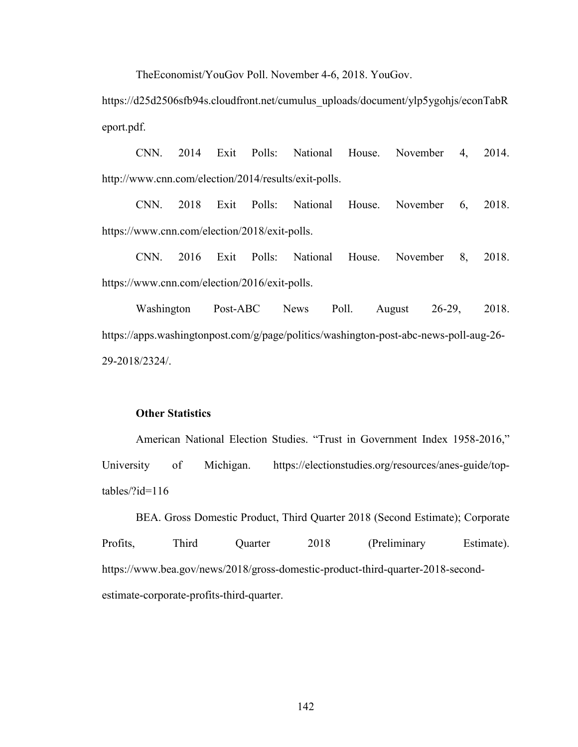TheEconomist/YouGov Poll. November 4-6, 2018. YouGov.

https://d25d2506sfb94s.cloudfront.net/cumulus\_uploads/document/ylp5ygohjs/econTabR eport.pdf.

CNN. 2014 Exit Polls: National House. November 4, 2014. http://www.cnn.com/election/2014/results/exit-polls.

CNN. 2018 Exit Polls: National House. November 6, 2018. https://www.cnn.com/election/2018/exit-polls.

CNN. 2016 Exit Polls: National House. November 8, 2018. https://www.cnn.com/election/2016/exit-polls.

Washington Post-ABC News Poll. August 26-29, 2018. https://apps.washingtonpost.com/g/page/politics/washington-post-abc-news-poll-aug-26- 29-2018/2324/.

#### **Other Statistics**

American National Election Studies. "Trust in Government Index 1958-2016," University of Michigan. https://electionstudies.org/resources/anes-guide/toptables/?id=116

BEA. Gross Domestic Product, Third Quarter 2018 (Second Estimate); Corporate Profits, Third Quarter 2018 (Preliminary Estimate). https://www.bea.gov/news/2018/gross-domestic-product-third-quarter-2018-secondestimate-corporate-profits-third-quarter.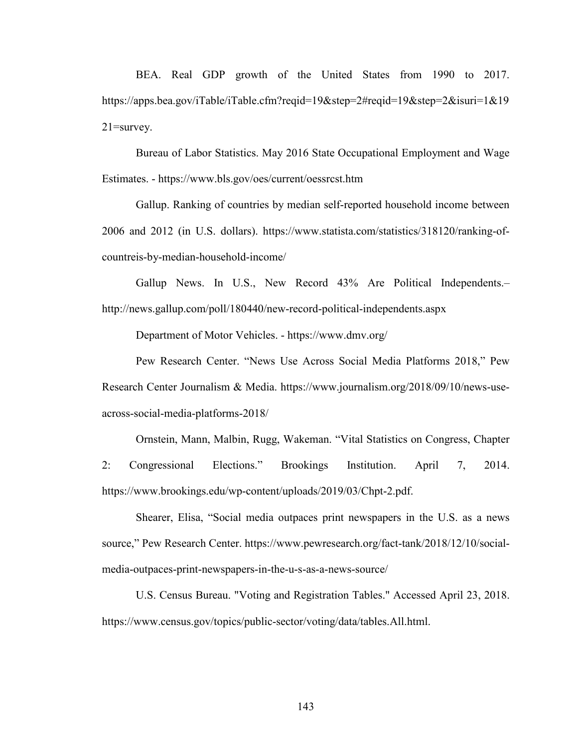BEA. Real GDP growth of the United States from 1990 to 2017. https://apps.bea.gov/iTable/iTable.cfm?reqid=19&step=2#reqid=19&step=2&isuri=1&19 21=survey.

Bureau of Labor Statistics. May 2016 State Occupational Employment and Wage Estimates. - https://www.bls.gov/oes/current/oessrcst.htm

Gallup. Ranking of countries by median self-reported household income between 2006 and 2012 (in U.S. dollars). https://www.statista.com/statistics/318120/ranking-ofcountreis-by-median-household-income/

Gallup News. In U.S., New Record 43% Are Political Independents.– http://news.gallup.com/poll/180440/new-record-political-independents.aspx

Department of Motor Vehicles. - https://www.dmv.org/

Pew Research Center. "News Use Across Social Media Platforms 2018," Pew Research Center Journalism & Media. https://www.journalism.org/2018/09/10/news-useacross-social-media-platforms-2018/

Ornstein, Mann, Malbin, Rugg, Wakeman. "Vital Statistics on Congress, Chapter 2: Congressional Elections." Brookings Institution. April 7, 2014. https://www.brookings.edu/wp-content/uploads/2019/03/Chpt-2.pdf.

Shearer, Elisa, "Social media outpaces print newspapers in the U.S. as a news source," Pew Research Center. https://www.pewresearch.org/fact-tank/2018/12/10/socialmedia-outpaces-print-newspapers-in-the-u-s-as-a-news-source/

U.S. Census Bureau. "Voting and Registration Tables." Accessed April 23, 2018. https://www.census.gov/topics/public-sector/voting/data/tables.All.html.